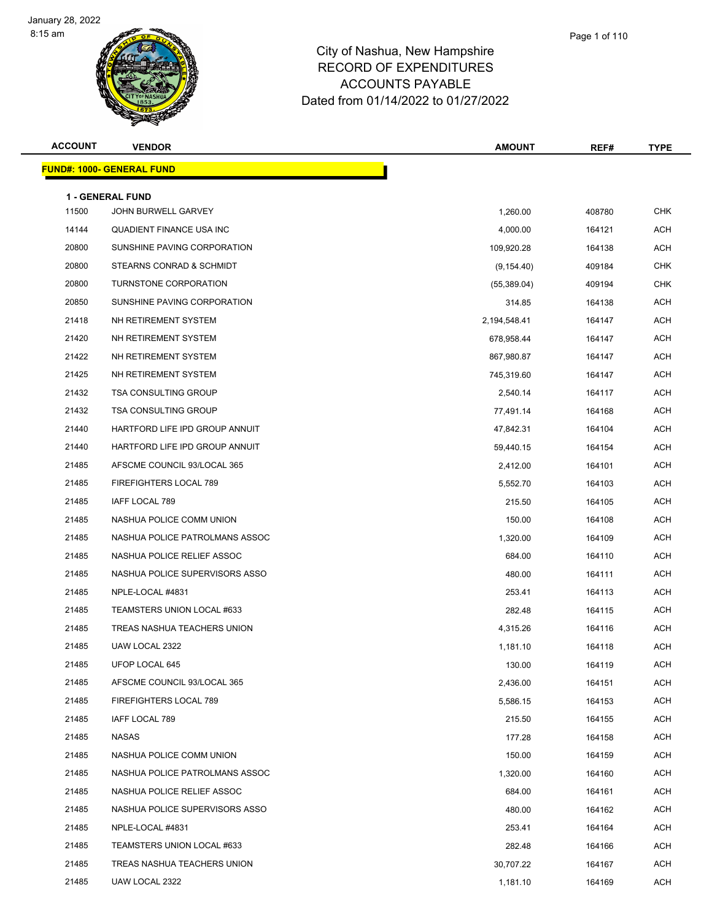

| <b>ACCOUNT</b> | <b>VENDOR</b>                     | <b>AMOUNT</b> | REF#   | <b>TYPE</b> |
|----------------|-----------------------------------|---------------|--------|-------------|
|                | <u> FUND#: 1000- GENERAL FUND</u> |               |        |             |
|                | <b>1 - GENERAL FUND</b>           |               |        |             |
| 11500          | JOHN BURWELL GARVEY               | 1,260.00      | 408780 | <b>CHK</b>  |
| 14144          | QUADIENT FINANCE USA INC          | 4,000.00      | 164121 | <b>ACH</b>  |
| 20800          | SUNSHINE PAVING CORPORATION       | 109,920.28    | 164138 | <b>ACH</b>  |
| 20800          | STEARNS CONRAD & SCHMIDT          | (9, 154.40)   | 409184 | <b>CHK</b>  |
| 20800          | TURNSTONE CORPORATION             | (55,389.04)   | 409194 | <b>CHK</b>  |
| 20850          | SUNSHINE PAVING CORPORATION       | 314.85        | 164138 | <b>ACH</b>  |
| 21418          | NH RETIREMENT SYSTEM              | 2,194,548.41  | 164147 | <b>ACH</b>  |
| 21420          | NH RETIREMENT SYSTEM              | 678,958.44    | 164147 | <b>ACH</b>  |
| 21422          | NH RETIREMENT SYSTEM              | 867,980.87    | 164147 | <b>ACH</b>  |
| 21425          | NH RETIREMENT SYSTEM              | 745,319.60    | 164147 | <b>ACH</b>  |
| 21432          | <b>TSA CONSULTING GROUP</b>       | 2,540.14      | 164117 | <b>ACH</b>  |
| 21432          | <b>TSA CONSULTING GROUP</b>       | 77,491.14     | 164168 | <b>ACH</b>  |
| 21440          | HARTFORD LIFE IPD GROUP ANNUIT    | 47,842.31     | 164104 | <b>ACH</b>  |
| 21440          | HARTFORD LIFE IPD GROUP ANNUIT    | 59,440.15     | 164154 | <b>ACH</b>  |
| 21485          | AFSCME COUNCIL 93/LOCAL 365       | 2,412.00      | 164101 | <b>ACH</b>  |
| 21485          | FIREFIGHTERS LOCAL 789            | 5,552.70      | 164103 | ACH         |
| 21485          | IAFF LOCAL 789                    | 215.50        | 164105 | <b>ACH</b>  |
| 21485          | NASHUA POLICE COMM UNION          | 150.00        | 164108 | <b>ACH</b>  |
| 21485          | NASHUA POLICE PATROLMANS ASSOC    | 1,320.00      | 164109 | ACH         |
| 21485          | NASHUA POLICE RELIEF ASSOC        | 684.00        | 164110 | <b>ACH</b>  |
| 21485          | NASHUA POLICE SUPERVISORS ASSO    | 480.00        | 164111 | <b>ACH</b>  |
| 21485          | NPLE-LOCAL #4831                  | 253.41        | 164113 | <b>ACH</b>  |
| 21485          | TEAMSTERS UNION LOCAL #633        | 282.48        | 164115 | <b>ACH</b>  |
| 21485          | TREAS NASHUA TEACHERS UNION       | 4,315.26      | 164116 | ACH         |
| 21485          | UAW LOCAL 2322                    | 1,181.10      | 164118 | <b>ACH</b>  |
| 21485          | UFOP LOCAL 645                    | 130.00        | 164119 | ACH         |
| 21485          | AFSCME COUNCIL 93/LOCAL 365       | 2,436.00      | 164151 | ACH         |
| 21485          | FIREFIGHTERS LOCAL 789            | 5,586.15      | 164153 | <b>ACH</b>  |
| 21485          | IAFF LOCAL 789                    | 215.50        | 164155 | ACH         |
| 21485          | NASAS                             | 177.28        | 164158 | <b>ACH</b>  |
| 21485          | NASHUA POLICE COMM UNION          | 150.00        | 164159 | ACH         |
| 21485          | NASHUA POLICE PATROLMANS ASSOC    | 1,320.00      | 164160 | <b>ACH</b>  |
| 21485          | NASHUA POLICE RELIEF ASSOC        | 684.00        | 164161 | <b>ACH</b>  |
| 21485          | NASHUA POLICE SUPERVISORS ASSO    | 480.00        | 164162 | ACH         |
| 21485          | NPLE-LOCAL #4831                  | 253.41        | 164164 | <b>ACH</b>  |
| 21485          | TEAMSTERS UNION LOCAL #633        | 282.48        | 164166 | ACH         |
| 21485          | TREAS NASHUA TEACHERS UNION       | 30,707.22     | 164167 | ACH         |
| 21485          | UAW LOCAL 2322                    | 1,181.10      | 164169 | ACH         |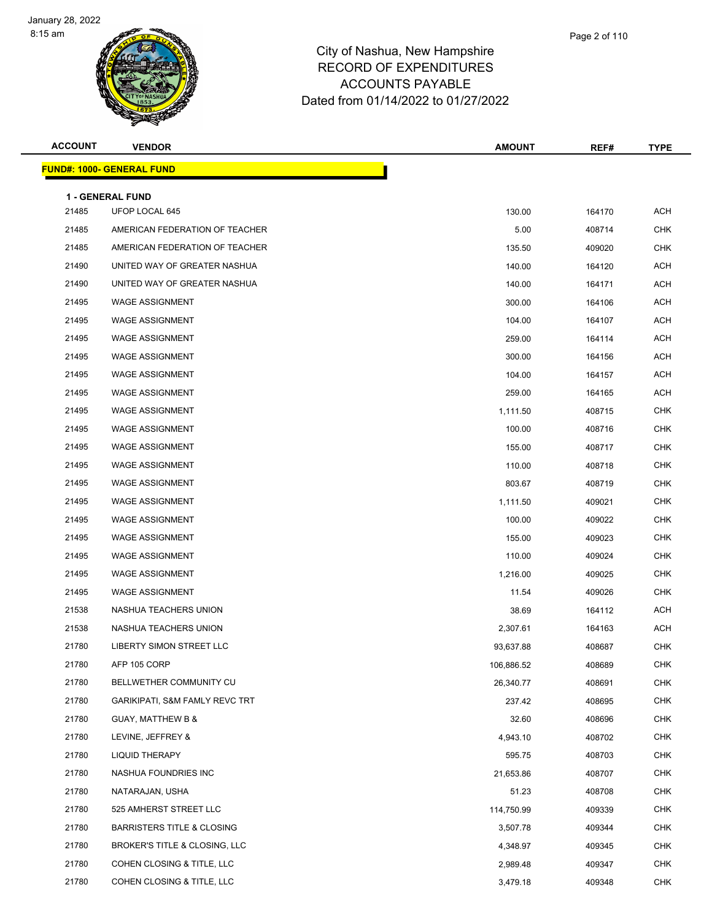

| <b>ACCOUNT</b> | <b>VENDOR</b>                             | <b>AMOUNT</b> | REF#   | <b>TYPE</b> |
|----------------|-------------------------------------------|---------------|--------|-------------|
|                | <u> FUND#: 1000- GENERAL FUND</u>         |               |        |             |
|                |                                           |               |        |             |
| 21485          | <b>1 - GENERAL FUND</b><br>UFOP LOCAL 645 | 130.00        | 164170 | <b>ACH</b>  |
| 21485          | AMERICAN FEDERATION OF TEACHER            | 5.00          | 408714 | <b>CHK</b>  |
| 21485          | AMERICAN FEDERATION OF TEACHER            | 135.50        | 409020 | <b>CHK</b>  |
| 21490          | UNITED WAY OF GREATER NASHUA              | 140.00        | 164120 | <b>ACH</b>  |
| 21490          | UNITED WAY OF GREATER NASHUA              | 140.00        | 164171 | <b>ACH</b>  |
| 21495          | <b>WAGE ASSIGNMENT</b>                    | 300.00        | 164106 | ACH         |
| 21495          | <b>WAGE ASSIGNMENT</b>                    | 104.00        | 164107 | <b>ACH</b>  |
| 21495          | <b>WAGE ASSIGNMENT</b>                    | 259.00        | 164114 | <b>ACH</b>  |
| 21495          | <b>WAGE ASSIGNMENT</b>                    | 300.00        | 164156 | <b>ACH</b>  |
| 21495          | <b>WAGE ASSIGNMENT</b>                    | 104.00        | 164157 | <b>ACH</b>  |
| 21495          | <b>WAGE ASSIGNMENT</b>                    | 259.00        | 164165 | ACH         |
| 21495          | <b>WAGE ASSIGNMENT</b>                    | 1,111.50      | 408715 | <b>CHK</b>  |
| 21495          | <b>WAGE ASSIGNMENT</b>                    | 100.00        | 408716 | <b>CHK</b>  |
| 21495          | <b>WAGE ASSIGNMENT</b>                    | 155.00        | 408717 | <b>CHK</b>  |
| 21495          | <b>WAGE ASSIGNMENT</b>                    | 110.00        | 408718 | <b>CHK</b>  |
| 21495          | <b>WAGE ASSIGNMENT</b>                    | 803.67        | 408719 | CHK         |
| 21495          | <b>WAGE ASSIGNMENT</b>                    | 1,111.50      | 409021 | <b>CHK</b>  |
| 21495          | <b>WAGE ASSIGNMENT</b>                    | 100.00        | 409022 | <b>CHK</b>  |
| 21495          | <b>WAGE ASSIGNMENT</b>                    | 155.00        | 409023 | <b>CHK</b>  |
| 21495          | <b>WAGE ASSIGNMENT</b>                    | 110.00        | 409024 | <b>CHK</b>  |
| 21495          | <b>WAGE ASSIGNMENT</b>                    | 1,216.00      | 409025 | <b>CHK</b>  |
| 21495          | <b>WAGE ASSIGNMENT</b>                    | 11.54         | 409026 | <b>CHK</b>  |
| 21538          | NASHUA TEACHERS UNION                     | 38.69         | 164112 | ACH         |
| 21538          | NASHUA TEACHERS UNION                     | 2,307.61      | 164163 | <b>ACH</b>  |
| 21780          | LIBERTY SIMON STREET LLC                  | 93,637.88     | 408687 | <b>CHK</b>  |
| 21780          | AFP 105 CORP                              | 106,886.52    | 408689 | <b>CHK</b>  |
| 21780          | BELLWETHER COMMUNITY CU                   | 26,340.77     | 408691 | <b>CHK</b>  |
| 21780          | <b>GARIKIPATI, S&amp;M FAMLY REVC TRT</b> | 237.42        | 408695 | <b>CHK</b>  |
| 21780          | <b>GUAY, MATTHEW B &amp;</b>              | 32.60         | 408696 | <b>CHK</b>  |
| 21780          | LEVINE, JEFFREY &                         | 4,943.10      | 408702 | <b>CHK</b>  |
| 21780          | LIQUID THERAPY                            | 595.75        | 408703 | <b>CHK</b>  |
| 21780          | NASHUA FOUNDRIES INC                      | 21,653.86     | 408707 | <b>CHK</b>  |
| 21780          | NATARAJAN, USHA                           | 51.23         | 408708 | <b>CHK</b>  |
| 21780          | 525 AMHERST STREET LLC                    | 114,750.99    | 409339 | <b>CHK</b>  |
| 21780          | <b>BARRISTERS TITLE &amp; CLOSING</b>     | 3,507.78      | 409344 | <b>CHK</b>  |
| 21780          | BROKER'S TITLE & CLOSING, LLC             | 4,348.97      | 409345 | <b>CHK</b>  |
| 21780          | COHEN CLOSING & TITLE, LLC                | 2,989.48      | 409347 | <b>CHK</b>  |
| 21780          | COHEN CLOSING & TITLE, LLC                | 3,479.18      | 409348 | CHK         |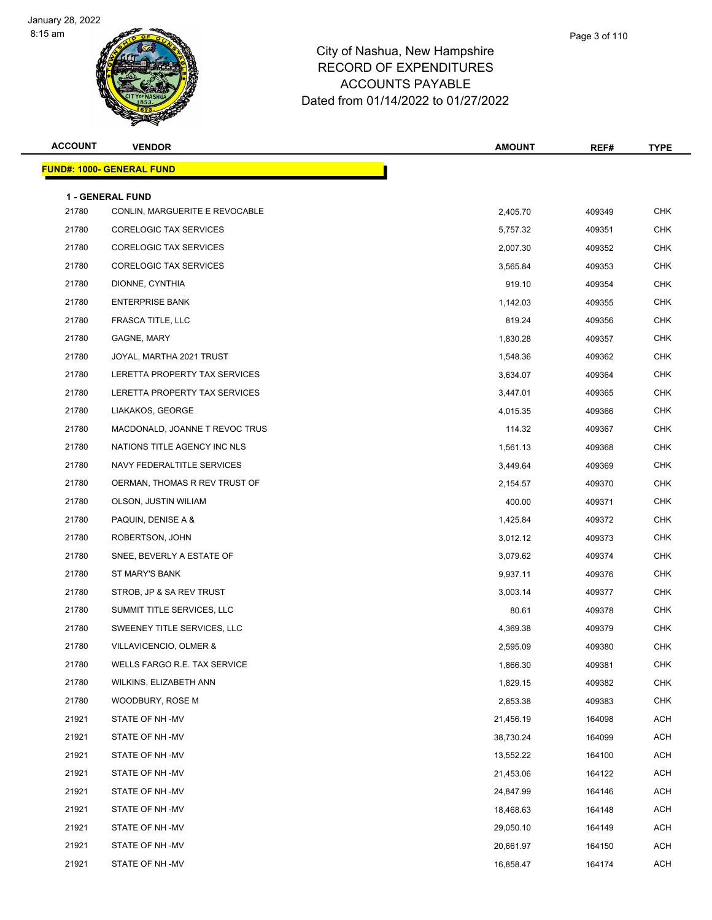

## City of Nashua, New Hampshire RECORD OF EXPENDITURES ACCOUNTS PAYABLE Dated from 01/14/2022 to 01/27/2022

Page 3 of 110

| <b>ACCOUNT</b> | <b>VENDOR</b>                                             | <b>AMOUNT</b> | REF#   | <b>TYPE</b> |
|----------------|-----------------------------------------------------------|---------------|--------|-------------|
|                | <b>FUND#: 1000- GENERAL FUND</b>                          |               |        |             |
|                |                                                           |               |        |             |
| 21780          | <b>1 - GENERAL FUND</b><br>CONLIN, MARGUERITE E REVOCABLE | 2,405.70      | 409349 | <b>CHK</b>  |
| 21780          | <b>CORELOGIC TAX SERVICES</b>                             |               |        | <b>CHK</b>  |
| 21780          |                                                           | 5,757.32      | 409351 | <b>CHK</b>  |
|                | CORELOGIC TAX SERVICES<br><b>CORELOGIC TAX SERVICES</b>   | 2,007.30      | 409352 |             |
| 21780          |                                                           | 3,565.84      | 409353 | <b>CHK</b>  |
| 21780          | DIONNE, CYNTHIA                                           | 919.10        | 409354 | <b>CHK</b>  |
| 21780          | <b>ENTERPRISE BANK</b>                                    | 1,142.03      | 409355 | <b>CHK</b>  |
| 21780          | FRASCA TITLE, LLC                                         | 819.24        | 409356 | <b>CHK</b>  |
| 21780          | GAGNE, MARY                                               | 1,830.28      | 409357 | <b>CHK</b>  |
| 21780          | JOYAL, MARTHA 2021 TRUST                                  | 1,548.36      | 409362 | <b>CHK</b>  |
| 21780          | LERETTA PROPERTY TAX SERVICES                             | 3,634.07      | 409364 | <b>CHK</b>  |
| 21780          | LERETTA PROPERTY TAX SERVICES                             | 3,447.01      | 409365 | <b>CHK</b>  |
| 21780          | LIAKAKOS, GEORGE                                          | 4,015.35      | 409366 | <b>CHK</b>  |
| 21780          | MACDONALD, JOANNE T REVOC TRUS                            | 114.32        | 409367 | <b>CHK</b>  |
| 21780          | NATIONS TITLE AGENCY INC NLS                              | 1,561.13      | 409368 | <b>CHK</b>  |
| 21780          | NAVY FEDERALTITLE SERVICES                                | 3,449.64      | 409369 | <b>CHK</b>  |
| 21780          | OERMAN, THOMAS R REV TRUST OF                             | 2,154.57      | 409370 | CHK         |
| 21780          | OLSON, JUSTIN WILIAM                                      | 400.00        | 409371 | <b>CHK</b>  |
| 21780          | PAQUIN, DENISE A &                                        | 1,425.84      | 409372 | <b>CHK</b>  |
| 21780          | ROBERTSON, JOHN                                           | 3,012.12      | 409373 | <b>CHK</b>  |
| 21780          | SNEE, BEVERLY A ESTATE OF                                 | 3,079.62      | 409374 | <b>CHK</b>  |
| 21780          | ST MARY'S BANK                                            | 9,937.11      | 409376 | <b>CHK</b>  |
| 21780          | STROB, JP & SA REV TRUST                                  | 3,003.14      | 409377 | <b>CHK</b>  |
| 21780          | SUMMIT TITLE SERVICES, LLC                                | 80.61         | 409378 | <b>CHK</b>  |
| 21780          | SWEENEY TITLE SERVICES, LLC                               | 4,369.38      | 409379 | <b>CHK</b>  |
| 21780          | VILLAVICENCIO, OLMER &                                    | 2,595.09      | 409380 | <b>CHK</b>  |
| 21780          | WELLS FARGO R.E. TAX SERVICE                              | 1,866.30      | 409381 | CHK         |
| 21780          | WILKINS, ELIZABETH ANN                                    | 1,829.15      | 409382 | <b>CHK</b>  |
| 21780          | WOODBURY, ROSE M                                          | 2,853.38      | 409383 | <b>CHK</b>  |
| 21921          | STATE OF NH -MV                                           | 21,456.19     | 164098 | <b>ACH</b>  |
| 21921          | STATE OF NH -MV                                           | 38,730.24     | 164099 | <b>ACH</b>  |
| 21921          | STATE OF NH-MV                                            | 13,552.22     | 164100 | <b>ACH</b>  |
| 21921          | STATE OF NH-MV                                            | 21,453.06     | 164122 | <b>ACH</b>  |
| 21921          | STATE OF NH -MV                                           | 24,847.99     | 164146 | <b>ACH</b>  |
| 21921          | STATE OF NH -MV                                           | 18,468.63     | 164148 | <b>ACH</b>  |
| 21921          | STATE OF NH -MV                                           | 29,050.10     | 164149 | <b>ACH</b>  |
| 21921          | STATE OF NH -MV                                           | 20,661.97     | 164150 | ACH         |
| 21921          | STATE OF NH -MV                                           | 16,858.47     | 164174 | <b>ACH</b>  |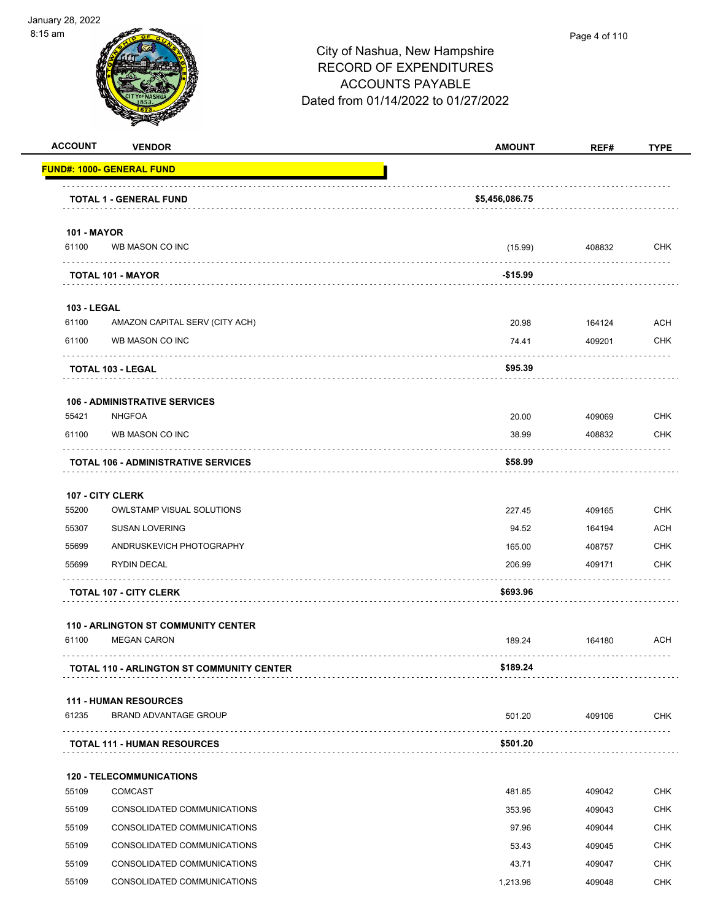

#### Page 4 of 110

| <b>ACCOUNT</b>                   | <b>VENDOR</b>                                    | <b>AMOUNT</b>  | REF#   | <b>TYPE</b> |
|----------------------------------|--------------------------------------------------|----------------|--------|-------------|
| <b>FUND#: 1000- GENERAL FUND</b> |                                                  |                |        |             |
|                                  | <b>TOTAL 1 - GENERAL FUND</b>                    | \$5,456,086.75 |        |             |
| <b>101 - MAYOR</b>               |                                                  |                |        |             |
| 61100                            | WB MASON CO INC                                  | (15.99)        | 408832 | <b>CHK</b>  |
| <b>TOTAL 101 - MAYOR</b>         |                                                  | $-$15.99$      |        |             |
| <b>103 - LEGAL</b>               |                                                  |                |        |             |
| 61100                            | AMAZON CAPITAL SERV (CITY ACH)                   | 20.98          | 164124 | <b>ACH</b>  |
| 61100                            | WB MASON CO INC                                  | 74.41          | 409201 | CHK         |
| <b>TOTAL 103 - LEGAL</b>         |                                                  | \$95.39        |        |             |
|                                  | <b>106 - ADMINISTRATIVE SERVICES</b>             |                |        |             |
| 55421                            | <b>NHGFOA</b>                                    | 20.00          | 409069 | <b>CHK</b>  |
| 61100                            | WB MASON CO INC                                  | 38.99          | 408832 | CHK         |
|                                  | <b>TOTAL 106 - ADMINISTRATIVE SERVICES</b>       | \$58.99        |        |             |
| 107 - CITY CLERK                 |                                                  |                |        |             |
| 55200                            | <b>OWLSTAMP VISUAL SOLUTIONS</b>                 | 227.45         | 409165 | <b>CHK</b>  |
| 55307                            | <b>SUSAN LOVERING</b>                            | 94.52          | 164194 | ACH         |
| 55699                            | ANDRUSKEVICH PHOTOGRAPHY                         | 165.00         | 408757 | <b>CHK</b>  |
| 55699                            | <b>RYDIN DECAL</b>                               | 206.99         | 409171 | <b>CHK</b>  |
|                                  | <b>TOTAL 107 - CITY CLERK</b>                    | \$693.96       |        |             |
|                                  | <b>110 - ARLINGTON ST COMMUNITY CENTER</b>       |                |        |             |
| 61100                            | <b>MEGAN CARON</b>                               | 189.24         | 164180 | ACH         |
|                                  | <b>TOTAL 110 - ARLINGTON ST COMMUNITY CENTER</b> | \$189.24       |        |             |
|                                  | <b>111 - HUMAN RESOURCES</b>                     |                |        |             |
| 61235                            | <b>BRAND ADVANTAGE GROUP</b>                     | 501.20         | 409106 | <b>CHK</b>  |
|                                  | <b>TOTAL 111 - HUMAN RESOURCES</b>               | \$501.20       | .      |             |
|                                  | <b>120 - TELECOMMUNICATIONS</b>                  |                |        |             |
| 55109                            | <b>COMCAST</b>                                   | 481.85         | 409042 | <b>CHK</b>  |
| 55109                            | CONSOLIDATED COMMUNICATIONS                      | 353.96         | 409043 | CHK         |
| 55109                            | CONSOLIDATED COMMUNICATIONS                      | 97.96          | 409044 | <b>CHK</b>  |
| 55109                            | CONSOLIDATED COMMUNICATIONS                      | 53.43          | 409045 | CHK         |
| 55109                            | CONSOLIDATED COMMUNICATIONS                      | 43.71          | 409047 | <b>CHK</b>  |
| 55109                            | CONSOLIDATED COMMUNICATIONS                      | 1,213.96       | 409048 | <b>CHK</b>  |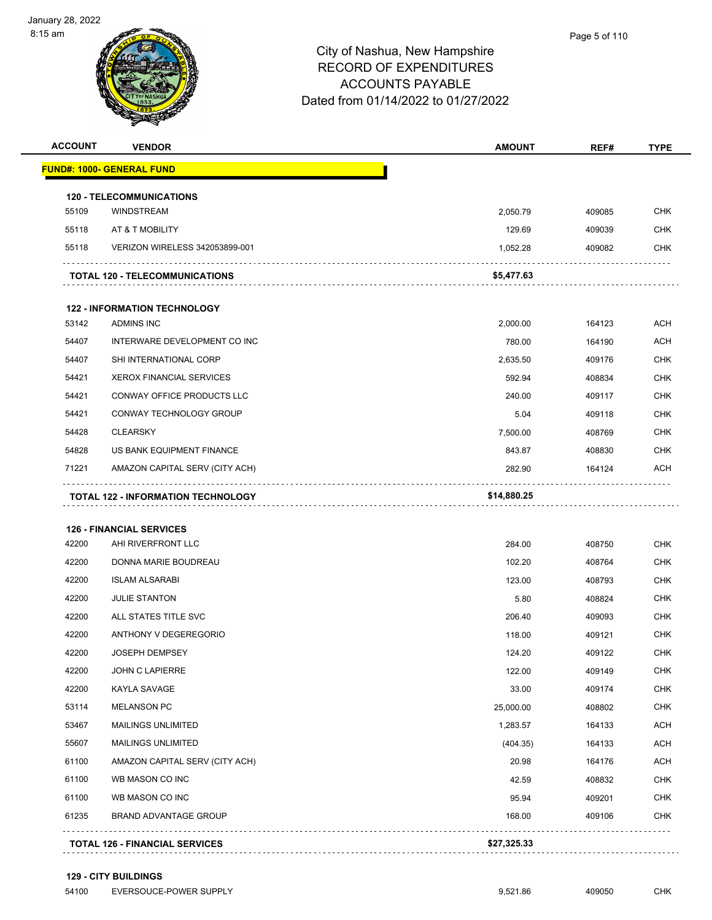|                         | <b>VENDOR</b>                                         | <b>AMOUNT</b>    | REF#             | <b>TYPE</b>                                                                                                                                     |
|-------------------------|-------------------------------------------------------|------------------|------------------|-------------------------------------------------------------------------------------------------------------------------------------------------|
|                         | <b>FUND#: 1000- GENERAL FUND</b>                      |                  |                  |                                                                                                                                                 |
|                         | <b>120 - TELECOMMUNICATIONS</b>                       |                  |                  |                                                                                                                                                 |
| 55109                   | <b>WINDSTREAM</b>                                     | 2,050.79         | 409085           | <b>CHK</b>                                                                                                                                      |
| 55118                   | AT & T MOBILITY                                       | 129.69           | 409039           | <b>CHK</b>                                                                                                                                      |
| 55118                   | VERIZON WIRELESS 342053899-001                        | 1,052.28         | 409082           | <b>CHK</b>                                                                                                                                      |
|                         | <b>TOTAL 120 - TELECOMMUNICATIONS</b>                 | \$5,477.63       |                  |                                                                                                                                                 |
|                         | <b>122 - INFORMATION TECHNOLOGY</b>                   |                  |                  |                                                                                                                                                 |
| 53142                   | <b>ADMINS INC</b>                                     | 2,000.00         | 164123           | ACH                                                                                                                                             |
| 54407                   | INTERWARE DEVELOPMENT CO INC                          | 780.00           | 164190           | <b>ACH</b>                                                                                                                                      |
| 54407                   | SHI INTERNATIONAL CORP                                | 2,635.50         | 409176           | <b>CHK</b>                                                                                                                                      |
| 54421                   | <b>XEROX FINANCIAL SERVICES</b>                       | 592.94           | 408834           | <b>CHK</b>                                                                                                                                      |
| 54421                   | CONWAY OFFICE PRODUCTS LLC                            | 240.00           | 409117           | <b>CHK</b>                                                                                                                                      |
| 54421                   | CONWAY TECHNOLOGY GROUP                               | 5.04             | 409118           | <b>CHK</b>                                                                                                                                      |
| 54428                   | <b>CLEARSKY</b>                                       | 7,500.00         | 408769           | <b>CHK</b>                                                                                                                                      |
| 54828                   | US BANK EQUIPMENT FINANCE                             | 843.87           | 408830           | <b>CHK</b>                                                                                                                                      |
|                         | AMAZON CAPITAL SERV (CITY ACH)                        | 282.90           | 164124           | ACH                                                                                                                                             |
| 71221                   |                                                       |                  |                  |                                                                                                                                                 |
|                         | <b>TOTAL 122 - INFORMATION TECHNOLOGY</b>             | \$14,880.25      |                  |                                                                                                                                                 |
| 42200                   | <b>126 - FINANCIAL SERVICES</b><br>AHI RIVERFRONT LLC |                  |                  |                                                                                                                                                 |
| 42200                   | DONNA MARIE BOUDREAU                                  | 284.00<br>102.20 | 408750           |                                                                                                                                                 |
| 42200                   | <b>ISLAM ALSARABI</b>                                 | 123.00           | 408764<br>408793 | <b>CHK</b><br><b>CHK</b><br><b>CHK</b>                                                                                                          |
|                         | <b>JULIE STANTON</b>                                  | 5.80             | 408824           |                                                                                                                                                 |
|                         | ALL STATES TITLE SVC                                  | 206.40           | 409093           |                                                                                                                                                 |
| 42200<br>42200<br>42200 | ANTHONY V DEGEREGORIO                                 | 118.00           | 409121           |                                                                                                                                                 |
| 42200                   | <b>JOSEPH DEMPSEY</b>                                 | 124.20           | 409122           |                                                                                                                                                 |
|                         | <b>JOHN C LAPIERRE</b>                                | 122.00           | 409149           |                                                                                                                                                 |
| 42200<br>42200          | KAYLA SAVAGE                                          | 33.00            | 409174           |                                                                                                                                                 |
| 53114                   | <b>MELANSON PC</b>                                    | 25,000.00        | 408802           |                                                                                                                                                 |
| 53467                   | MAILINGS UNLIMITED                                    | 1,283.57         | 164133           |                                                                                                                                                 |
| 55607                   | <b>MAILINGS UNLIMITED</b>                             | (404.35)         | 164133           |                                                                                                                                                 |
| 61100                   | AMAZON CAPITAL SERV (CITY ACH)                        | 20.98            | 164176           |                                                                                                                                                 |
| 61100                   | WB MASON CO INC                                       | 42.59            | 408832           |                                                                                                                                                 |
| 61100                   | WB MASON CO INC                                       | 95.94            | 409201           | <b>CHK</b><br><b>CHK</b><br><b>CHK</b><br><b>CHK</b><br><b>CHK</b><br>CHK<br><b>CHK</b><br>ACH<br>ACH<br><b>ACH</b><br><b>CHK</b><br><b>CHK</b> |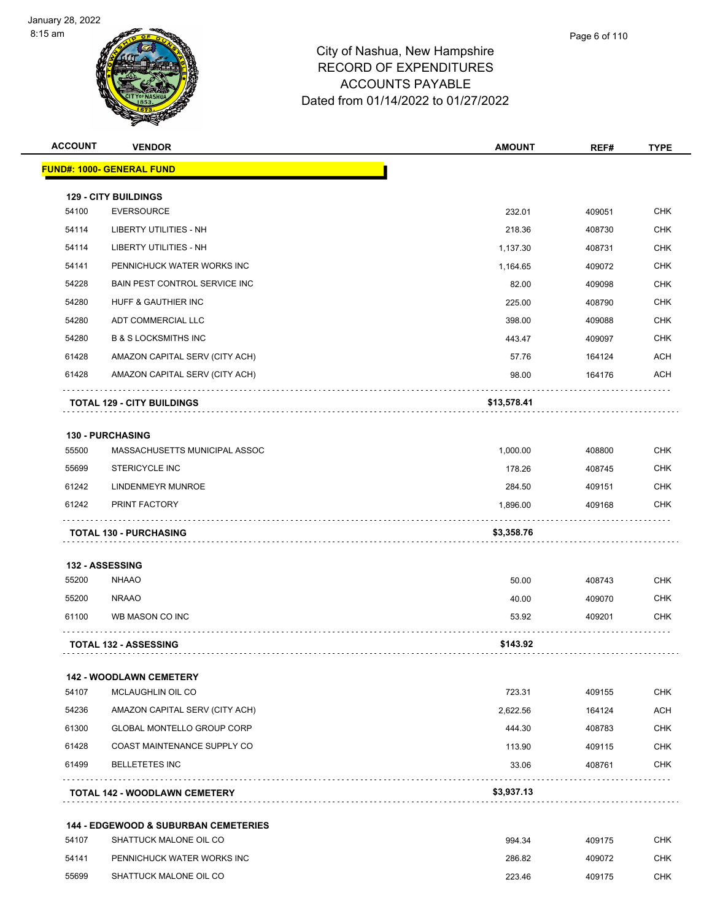

| <b>ACCOUNT</b> | <b>VENDOR</b>                                            | <b>AMOUNT</b> | REF#   | <b>TYPE</b> |
|----------------|----------------------------------------------------------|---------------|--------|-------------|
|                | <b>FUND#: 1000- GENERAL FUND</b>                         |               |        |             |
|                |                                                          |               |        |             |
| 54100          | <b>129 - CITY BUILDINGS</b><br>EVERSOURCE                | 232.01        | 409051 | <b>CHK</b>  |
| 54114          | LIBERTY UTILITIES - NH                                   | 218.36        | 408730 | <b>CHK</b>  |
| 54114          | LIBERTY UTILITIES - NH                                   | 1,137.30      | 408731 | <b>CHK</b>  |
| 54141          | PENNICHUCK WATER WORKS INC                               | 1,164.65      | 409072 | <b>CHK</b>  |
| 54228          | <b>BAIN PEST CONTROL SERVICE INC.</b>                    | 82.00         | 409098 | <b>CHK</b>  |
| 54280          | HUFF & GAUTHIER INC                                      | 225.00        | 408790 | <b>CHK</b>  |
| 54280          | ADT COMMERCIAL LLC                                       | 398.00        | 409088 | <b>CHK</b>  |
| 54280          | <b>B &amp; S LOCKSMITHS INC</b>                          | 443.47        | 409097 | <b>CHK</b>  |
| 61428          | AMAZON CAPITAL SERV (CITY ACH)                           | 57.76         | 164124 | <b>ACH</b>  |
| 61428          | AMAZON CAPITAL SERV (CITY ACH)                           | 98.00         | 164176 | ACH         |
|                | <b>TOTAL 129 - CITY BUILDINGS</b>                        | \$13,578.41   |        |             |
|                |                                                          |               |        |             |
| 55500          | <b>130 - PURCHASING</b><br>MASSACHUSETTS MUNICIPAL ASSOC | 1,000.00      | 408800 | <b>CHK</b>  |
| 55699          | <b>STERICYCLE INC</b>                                    | 178.26        | 408745 | <b>CHK</b>  |
| 61242          | LINDENMEYR MUNROE                                        | 284.50        | 409151 | <b>CHK</b>  |
| 61242          | PRINT FACTORY                                            | 1,896.00      | 409168 | <b>CHK</b>  |
|                |                                                          |               |        |             |
|                | <b>TOTAL 130 - PURCHASING</b>                            | \$3,358.76    |        |             |
|                | 132 - ASSESSING                                          |               |        |             |
| 55200          | <b>NHAAO</b>                                             | 50.00         | 408743 | <b>CHK</b>  |
| 55200          | <b>NRAAO</b>                                             | 40.00         | 409070 | CHK         |
| 61100          | WB MASON CO INC                                          | 53.92         | 409201 | <b>CHK</b>  |
|                | <b>TOTAL 132 - ASSESSING</b>                             | \$143.92      |        |             |
|                |                                                          |               |        |             |
| 54107          | <b>142 - WOODLAWN CEMETERY</b><br>MCLAUGHLIN OIL CO      | 723.31        | 409155 | CHK         |
| 54236          | AMAZON CAPITAL SERV (CITY ACH)                           | 2,622.56      | 164124 | ACH         |
| 61300          | GLOBAL MONTELLO GROUP CORP                               | 444.30        | 408783 | <b>CHK</b>  |
| 61428          | COAST MAINTENANCE SUPPLY CO                              | 113.90        | 409115 | CHK         |
| 61499          | <b>BELLETETES INC</b>                                    | 33.06         | 408761 | <b>CHK</b>  |
|                |                                                          |               |        |             |
|                | <b>TOTAL 142 - WOODLAWN CEMETERY</b>                     | \$3,937.13    |        |             |
|                | <b>144 - EDGEWOOD &amp; SUBURBAN CEMETERIES</b>          |               |        |             |
| 54107          | SHATTUCK MALONE OIL CO                                   | 994.34        | 409175 | <b>CHK</b>  |
| 54141          | PENNICHUCK WATER WORKS INC                               | 286.82        | 409072 | CHK         |
| 55699          | SHATTUCK MALONE OIL CO                                   | 223.46        | 409175 | <b>CHK</b>  |
|                |                                                          |               |        |             |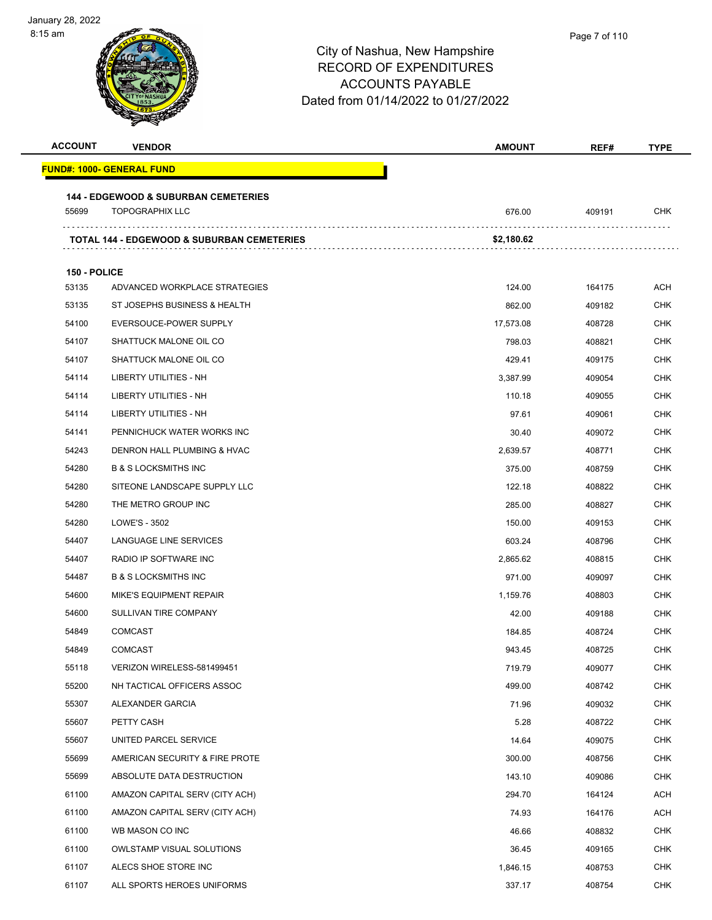

| <b>ACCOUNT</b> | <b>VENDOR</b>                                         | <b>AMOUNT</b> | REF#   | TYPE       |
|----------------|-------------------------------------------------------|---------------|--------|------------|
|                | <u> FUND#: 1000- GENERAL FUND</u>                     |               |        |            |
|                | <b>144 - EDGEWOOD &amp; SUBURBAN CEMETERIES</b>       |               |        |            |
| 55699          | <b>TOPOGRAPHIX LLC</b>                                | 676.00        | 409191 | CHK        |
|                | <b>TOTAL 144 - EDGEWOOD &amp; SUBURBAN CEMETERIES</b> | \$2,180.62    |        |            |
|                |                                                       |               |        |            |
| 150 - POLICE   |                                                       |               |        |            |
| 53135          | ADVANCED WORKPLACE STRATEGIES                         | 124.00        | 164175 | ACH        |
| 53135          | ST JOSEPHS BUSINESS & HEALTH                          | 862.00        | 409182 | <b>CHK</b> |
| 54100          | EVERSOUCE-POWER SUPPLY                                | 17,573.08     | 408728 | <b>CHK</b> |
| 54107          | SHATTUCK MALONE OIL CO                                | 798.03        | 408821 | <b>CHK</b> |
| 54107          | SHATTUCK MALONE OIL CO                                | 429.41        | 409175 | CHK        |
| 54114          | LIBERTY UTILITIES - NH                                | 3,387.99      | 409054 | <b>CHK</b> |
| 54114          | LIBERTY UTILITIES - NH                                | 110.18        | 409055 | <b>CHK</b> |
| 54114          | LIBERTY UTILITIES - NH                                | 97.61         | 409061 | CHK        |
| 54141          | PENNICHUCK WATER WORKS INC                            | 30.40         | 409072 | <b>CHK</b> |
| 54243          | DENRON HALL PLUMBING & HVAC                           | 2,639.57      | 408771 | CHK        |
| 54280          | <b>B &amp; S LOCKSMITHS INC</b>                       | 375.00        | 408759 | CHK        |
| 54280          | SITEONE LANDSCAPE SUPPLY LLC                          | 122.18        | 408822 | CHK        |
| 54280          | THE METRO GROUP INC                                   | 285.00        | 408827 | <b>CHK</b> |
| 54280          | LOWE'S - 3502                                         | 150.00        | 409153 | <b>CHK</b> |
| 54407          | LANGUAGE LINE SERVICES                                | 603.24        | 408796 | CHK        |
| 54407          | RADIO IP SOFTWARE INC                                 | 2,865.62      | 408815 | <b>CHK</b> |
| 54487          | <b>B &amp; S LOCKSMITHS INC</b>                       | 971.00        | 409097 | CHK        |
| 54600          | <b>MIKE'S EQUIPMENT REPAIR</b>                        | 1,159.76      | 408803 | CHK        |
| 54600          | SULLIVAN TIRE COMPANY                                 | 42.00         | 409188 | <b>CHK</b> |
| 54849          | <b>COMCAST</b>                                        | 184.85        | 408724 | CHK        |
| 54849          | <b>COMCAST</b>                                        | 943.45        | 408725 | <b>CHK</b> |
| 55118          | VERIZON WIRELESS-581499451                            | 719.79        | 409077 | <b>CHK</b> |
| 55200          | NH TACTICAL OFFICERS ASSOC                            | 499.00        | 408742 | <b>CHK</b> |
| 55307          | ALEXANDER GARCIA                                      | 71.96         | 409032 | <b>CHK</b> |
| 55607          | PETTY CASH                                            | 5.28          | 408722 | <b>CHK</b> |
| 55607          | UNITED PARCEL SERVICE                                 | 14.64         | 409075 | <b>CHK</b> |
| 55699          | AMERICAN SECURITY & FIRE PROTE                        | 300.00        | 408756 | <b>CHK</b> |
| 55699          | ABSOLUTE DATA DESTRUCTION                             | 143.10        | 409086 | <b>CHK</b> |
| 61100          | AMAZON CAPITAL SERV (CITY ACH)                        | 294.70        | 164124 | <b>ACH</b> |
| 61100          | AMAZON CAPITAL SERV (CITY ACH)                        | 74.93         | 164176 | ACH        |
| 61100          | WB MASON CO INC                                       | 46.66         | 408832 | <b>CHK</b> |
| 61100          | <b>OWLSTAMP VISUAL SOLUTIONS</b>                      | 36.45         | 409165 | <b>CHK</b> |
| 61107          | ALECS SHOE STORE INC                                  | 1,846.15      | 408753 | <b>CHK</b> |
| 61107          | ALL SPORTS HEROES UNIFORMS                            | 337.17        | 408754 | <b>CHK</b> |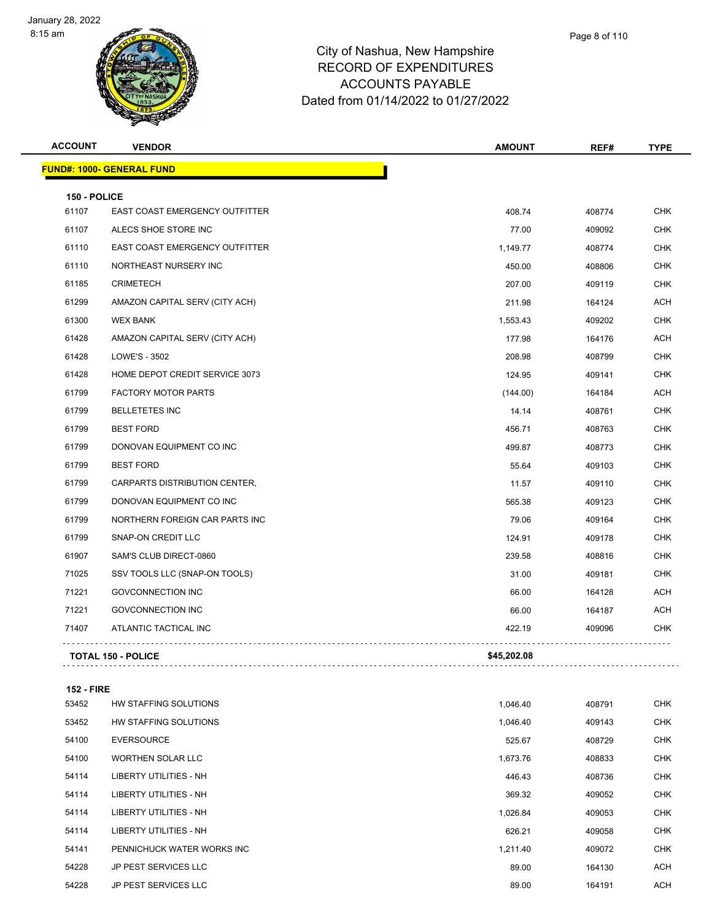

## City of Nashua, New Hampshire RECORD OF EXPENDITURES ACCOUNTS PAYABLE Dated from 01/14/2022 to 01/27/2022

| Page 8 of 110 |
|---------------|
|               |

| <b>ACCOUNT</b> | <b>VENDOR</b>                    | <b>AMOUNT</b> | REF#   | <b>TYPE</b> |
|----------------|----------------------------------|---------------|--------|-------------|
|                | <b>FUND#: 1000- GENERAL FUND</b> |               |        |             |
| 150 - POLICE   |                                  |               |        |             |
| 61107          | EAST COAST EMERGENCY OUTFITTER   | 408.74        | 408774 | <b>CHK</b>  |
| 61107          | ALECS SHOE STORE INC             | 77.00         | 409092 | <b>CHK</b>  |
| 61110          | EAST COAST EMERGENCY OUTFITTER   | 1,149.77      | 408774 | <b>CHK</b>  |
| 61110          | NORTHEAST NURSERY INC            | 450.00        | 408806 | <b>CHK</b>  |
| 61185          | <b>CRIMETECH</b>                 | 207.00        | 409119 | <b>CHK</b>  |
| 61299          | AMAZON CAPITAL SERV (CITY ACH)   | 211.98        | 164124 | ACH         |
| 61300          | <b>WEX BANK</b>                  | 1,553.43      | 409202 | <b>CHK</b>  |
| 61428          | AMAZON CAPITAL SERV (CITY ACH)   | 177.98        | 164176 | <b>ACH</b>  |
| 61428          | LOWE'S - 3502                    | 208.98        | 408799 | <b>CHK</b>  |
| 61428          | HOME DEPOT CREDIT SERVICE 3073   | 124.95        | 409141 | <b>CHK</b>  |
| 61799          | <b>FACTORY MOTOR PARTS</b>       | (144.00)      | 164184 | ACH         |
| 61799          | <b>BELLETETES INC</b>            | 14.14         | 408761 | <b>CHK</b>  |
| 61799          | <b>BEST FORD</b>                 | 456.71        | 408763 | <b>CHK</b>  |
| 61799          | DONOVAN EQUIPMENT CO INC         | 499.87        | 408773 | <b>CHK</b>  |
| 61799          | <b>BEST FORD</b>                 | 55.64         | 409103 | <b>CHK</b>  |
| 61799          | CARPARTS DISTRIBUTION CENTER,    | 11.57         | 409110 | <b>CHK</b>  |
| 61799          | DONOVAN EQUIPMENT CO INC         | 565.38        | 409123 | <b>CHK</b>  |
| 61799          | NORTHERN FOREIGN CAR PARTS INC   | 79.06         | 409164 | <b>CHK</b>  |
| 61799          | SNAP-ON CREDIT LLC               | 124.91        | 409178 | <b>CHK</b>  |
| 61907          | SAM'S CLUB DIRECT-0860           | 239.58        | 408816 | <b>CHK</b>  |
| 71025          | SSV TOOLS LLC (SNAP-ON TOOLS)    | 31.00         | 409181 | <b>CHK</b>  |
| 71221          | <b>GOVCONNECTION INC</b>         | 66.00         | 164128 | <b>ACH</b>  |
| 71221          | <b>GOVCONNECTION INC</b>         | 66.00         | 164187 | <b>ACH</b>  |
| 71407          | ATLANTIC TACTICAL INC            | 422.19        | 409096 | <b>CHK</b>  |
|                | <b>TOTAL 150 - POLICE</b>        | \$45,202.08   |        |             |

#### **152 - FIRE**

| 53452 | HW STAFFING SOLUTIONS         | 1,046.40 | 408791 | <b>CHK</b> |
|-------|-------------------------------|----------|--------|------------|
| 53452 | HW STAFFING SOLUTIONS         | 1,046.40 | 409143 | <b>CHK</b> |
| 54100 | <b>EVERSOURCE</b>             | 525.67   | 408729 | <b>CHK</b> |
| 54100 | <b>WORTHEN SOLAR LLC</b>      | 1,673.76 | 408833 | <b>CHK</b> |
| 54114 | LIBERTY UTILITIES - NH        | 446.43   | 408736 | <b>CHK</b> |
| 54114 | <b>LIBERTY UTILITIES - NH</b> | 369.32   | 409052 | <b>CHK</b> |
| 54114 | <b>LIBERTY UTILITIES - NH</b> | 1,026.84 | 409053 | <b>CHK</b> |
| 54114 | LIBERTY UTILITIES - NH        | 626.21   | 409058 | <b>CHK</b> |
| 54141 | PENNICHUCK WATER WORKS INC    | 1,211.40 | 409072 | <b>CHK</b> |
| 54228 | <b>JP PEST SERVICES LLC</b>   | 89.00    | 164130 | <b>ACH</b> |
| 54228 | <b>JP PEST SERVICES LLC</b>   | 89.00    | 164191 | <b>ACH</b> |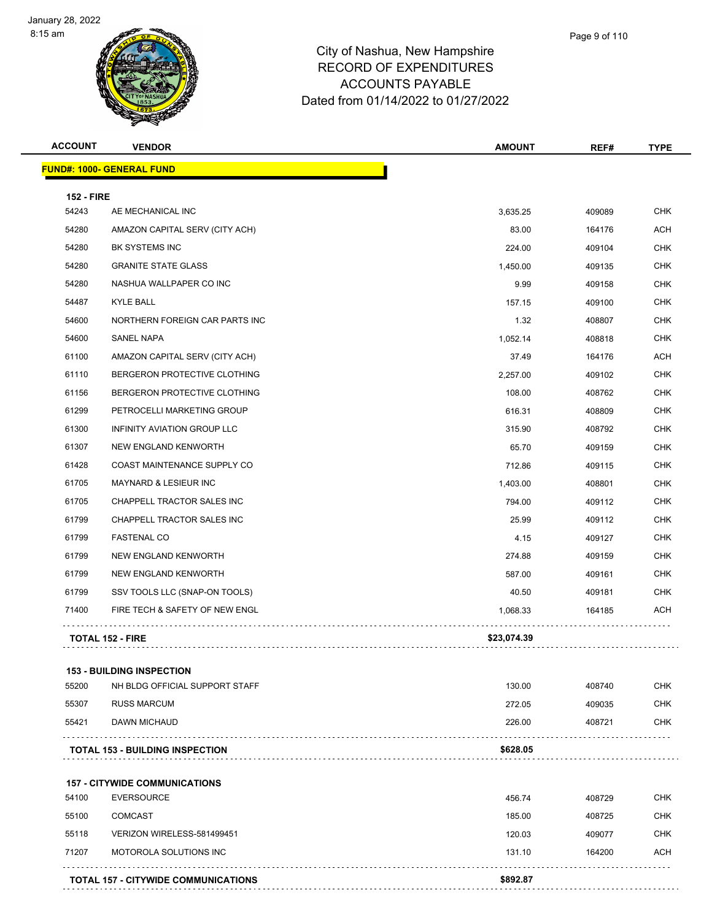

#### City of Nashua, New Hampshir RECORD OF EXPENDITURES ACCOUNTS PAYABLE Dated from 01/14/2022 to 01/27/2022

|                          | Page 9 of 110 |
|--------------------------|---------------|
| re                       |               |
| $\overline{\phantom{0}}$ |               |

| <b>ACCOUNT</b>    | <b>VENDOR</b>                          | <b>AMOUNT</b> | REF#   | <b>TYPE</b> |
|-------------------|----------------------------------------|---------------|--------|-------------|
|                   | <b>FUND#: 1000- GENERAL FUND</b>       |               |        |             |
| <b>152 - FIRE</b> |                                        |               |        |             |
| 54243             | AE MECHANICAL INC                      | 3,635.25      | 409089 | <b>CHK</b>  |
| 54280             | AMAZON CAPITAL SERV (CITY ACH)         | 83.00         | 164176 | <b>ACH</b>  |
| 54280             | BK SYSTEMS INC                         | 224.00        | 409104 | <b>CHK</b>  |
| 54280             | <b>GRANITE STATE GLASS</b>             | 1,450.00      | 409135 | <b>CHK</b>  |
| 54280             | NASHUA WALLPAPER CO INC                | 9.99          | 409158 | <b>CHK</b>  |
| 54487             | <b>KYLE BALL</b>                       | 157.15        | 409100 | <b>CHK</b>  |
| 54600             | NORTHERN FOREIGN CAR PARTS INC         | 1.32          | 408807 | CHK         |
| 54600             | <b>SANEL NAPA</b>                      | 1,052.14      | 408818 | <b>CHK</b>  |
| 61100             | AMAZON CAPITAL SERV (CITY ACH)         | 37.49         | 164176 | ACH         |
| 61110             | BERGERON PROTECTIVE CLOTHING           | 2,257.00      | 409102 | <b>CHK</b>  |
| 61156             | BERGERON PROTECTIVE CLOTHING           | 108.00        | 408762 | <b>CHK</b>  |
| 61299             | PETROCELLI MARKETING GROUP             | 616.31        | 408809 | CHK         |
| 61300             | INFINITY AVIATION GROUP LLC            | 315.90        | 408792 | <b>CHK</b>  |
| 61307             | NEW ENGLAND KENWORTH                   | 65.70         | 409159 | <b>CHK</b>  |
| 61428             | COAST MAINTENANCE SUPPLY CO            | 712.86        | 409115 | <b>CHK</b>  |
| 61705             | MAYNARD & LESIEUR INC                  | 1,403.00      | 408801 | <b>CHK</b>  |
| 61705             | CHAPPELL TRACTOR SALES INC             | 794.00        | 409112 | CHK         |
| 61799             | CHAPPELL TRACTOR SALES INC             | 25.99         | 409112 | <b>CHK</b>  |
| 61799             | <b>FASTENAL CO</b>                     | 4.15          | 409127 | <b>CHK</b>  |
| 61799             | NEW ENGLAND KENWORTH                   | 274.88        | 409159 | <b>CHK</b>  |
| 61799             | NEW ENGLAND KENWORTH                   | 587.00        | 409161 | <b>CHK</b>  |
| 61799             | SSV TOOLS LLC (SNAP-ON TOOLS)          | 40.50         | 409181 | CHK         |
| 71400             | FIRE TECH & SAFETY OF NEW ENGL         | 1,068.33      | 164185 | ACH         |
|                   | <b>TOTAL 152 - FIRE</b>                | \$23,074.39   |        |             |
|                   | <b>153 - BUILDING INSPECTION</b>       |               |        |             |
| 55200             | NH BLDG OFFICIAL SUPPORT STAFF         | 130.00        | 408740 | CHK         |
| 55307             | <b>RUSS MARCUM</b>                     | 272.05        | 409035 | <b>CHK</b>  |
| 55421             | DAWN MICHAUD                           | 226.00        | 408721 | CHK         |
|                   | <b>TOTAL 153 - BUILDING INSPECTION</b> | \$628.05      |        |             |
|                   | <b>157 - CITYWIDE COMMUNICATIONS</b>   |               |        |             |
| 54100             | <b>EVERSOURCE</b>                      | 456.74        | 408729 | CHK         |
| 55100             | <b>COMCAST</b>                         | 185.00        | 408725 | CHK         |
| 55118             | VERIZON WIRELESS-581499451             | 120.03        | 409077 | <b>CHK</b>  |
| 71207             | MOTOROLA SOLUTIONS INC                 | 131.10        | 164200 | ACH         |
|                   |                                        |               |        |             |

**TOTAL 157 - CITYWIDE COMMUNICATIONS \$892.87**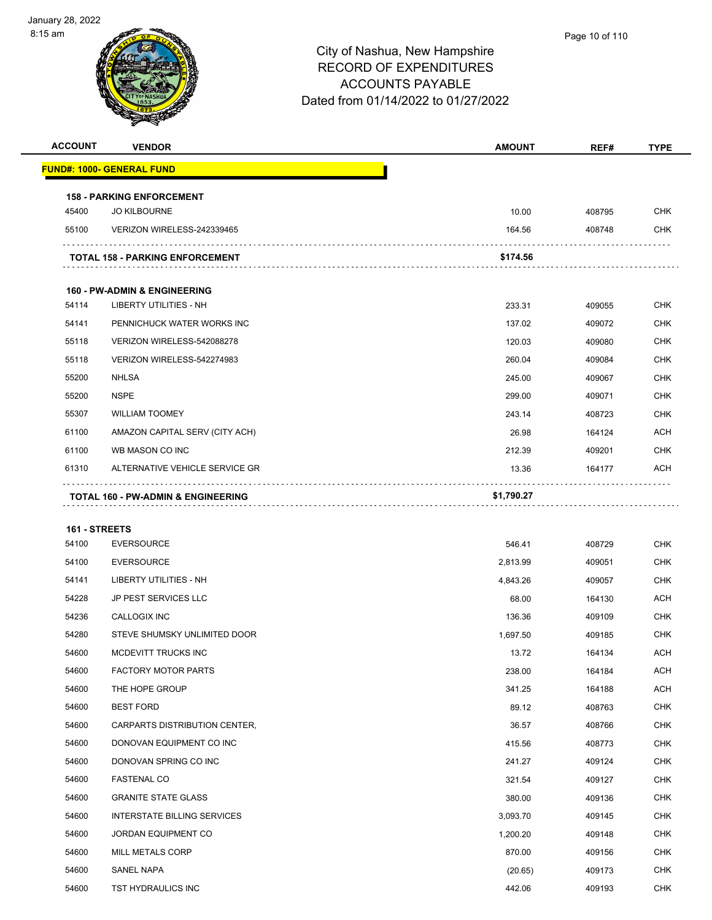

| <b>ACCOUNT</b> | <b>VENDOR</b>                                 | <b>AMOUNT</b> | REF#   | <b>TYPE</b> |
|----------------|-----------------------------------------------|---------------|--------|-------------|
|                | <b>FUND#: 1000- GENERAL FUND</b>              |               |        |             |
|                | <b>158 - PARKING ENFORCEMENT</b>              |               |        |             |
| 45400          | <b>JO KILBOURNE</b>                           | 10.00         | 408795 | <b>CHK</b>  |
| 55100          | VERIZON WIRELESS-242339465                    | 164.56        | 408748 | <b>CHK</b>  |
|                |                                               |               |        |             |
|                | <b>TOTAL 158 - PARKING ENFORCEMENT</b>        | \$174.56      |        |             |
|                | <b>160 - PW-ADMIN &amp; ENGINEERING</b>       |               |        |             |
| 54114          | LIBERTY UTILITIES - NH                        | 233.31        | 409055 | <b>CHK</b>  |
| 54141          | PENNICHUCK WATER WORKS INC                    | 137.02        | 409072 | <b>CHK</b>  |
| 55118          | VERIZON WIRELESS-542088278                    | 120.03        | 409080 | <b>CHK</b>  |
| 55118          | VERIZON WIRELESS-542274983                    | 260.04        | 409084 | <b>CHK</b>  |
| 55200          | <b>NHLSA</b>                                  | 245.00        | 409067 | <b>CHK</b>  |
| 55200          | <b>NSPE</b>                                   | 299.00        | 409071 | <b>CHK</b>  |
| 55307          | <b>WILLIAM TOOMEY</b>                         | 243.14        | 408723 | <b>CHK</b>  |
| 61100          | AMAZON CAPITAL SERV (CITY ACH)                | 26.98         | 164124 | ACH         |
| 61100          | WB MASON CO INC                               | 212.39        | 409201 | <b>CHK</b>  |
| 61310          | ALTERNATIVE VEHICLE SERVICE GR                | 13.36         | 164177 | ACH         |
|                | <b>TOTAL 160 - PW-ADMIN &amp; ENGINEERING</b> | \$1,790.27    |        |             |
|                |                                               |               |        |             |
| 161 - STREETS  |                                               |               |        |             |
| 54100          | <b>EVERSOURCE</b>                             | 546.41        | 408729 | <b>CHK</b>  |
| 54100          | <b>EVERSOURCE</b>                             | 2,813.99      | 409051 | <b>CHK</b>  |
| 54141          | LIBERTY UTILITIES - NH                        | 4,843.26      | 409057 | <b>CHK</b>  |
| 54228          | JP PEST SERVICES LLC                          | 68.00         | 164130 | ACH         |
| 54236          | CALLOGIX INC                                  | 136.36        | 409109 | <b>CHK</b>  |
| 54280          | STEVE SHUMSKY UNLIMITED DOOR                  | 1,697.50      | 409185 | <b>CHK</b>  |
| 54600          | MCDEVITT TRUCKS INC                           | 13.72         | 164134 | <b>ACH</b>  |
| 54600          | <b>FACTORY MOTOR PARTS</b>                    | 238.00        | 164184 | <b>ACH</b>  |
| 54600          | THE HOPE GROUP                                | 341.25        | 164188 | <b>ACH</b>  |
| 54600          | <b>BEST FORD</b>                              | 89.12         | 408763 | <b>CHK</b>  |
| 54600          | CARPARTS DISTRIBUTION CENTER,                 | 36.57         | 408766 | <b>CHK</b>  |
| 54600          | DONOVAN EQUIPMENT CO INC                      | 415.56        | 408773 | <b>CHK</b>  |
| 54600          | DONOVAN SPRING CO INC                         | 241.27        | 409124 | <b>CHK</b>  |
| 54600          | <b>FASTENAL CO</b>                            | 321.54        | 409127 | <b>CHK</b>  |
| 54600          | <b>GRANITE STATE GLASS</b>                    | 380.00        | 409136 | <b>CHK</b>  |
| 54600          | INTERSTATE BILLING SERVICES                   | 3,093.70      | 409145 | <b>CHK</b>  |
| 54600          | JORDAN EQUIPMENT CO                           | 1,200.20      | 409148 | <b>CHK</b>  |
| 54600          | <b>MILL METALS CORP</b>                       | 870.00        | 409156 | <b>CHK</b>  |
| 54600          | SANEL NAPA                                    | (20.65)       | 409173 | <b>CHK</b>  |
| 54600          | TST HYDRAULICS INC                            | 442.06        | 409193 | <b>CHK</b>  |
|                |                                               |               |        |             |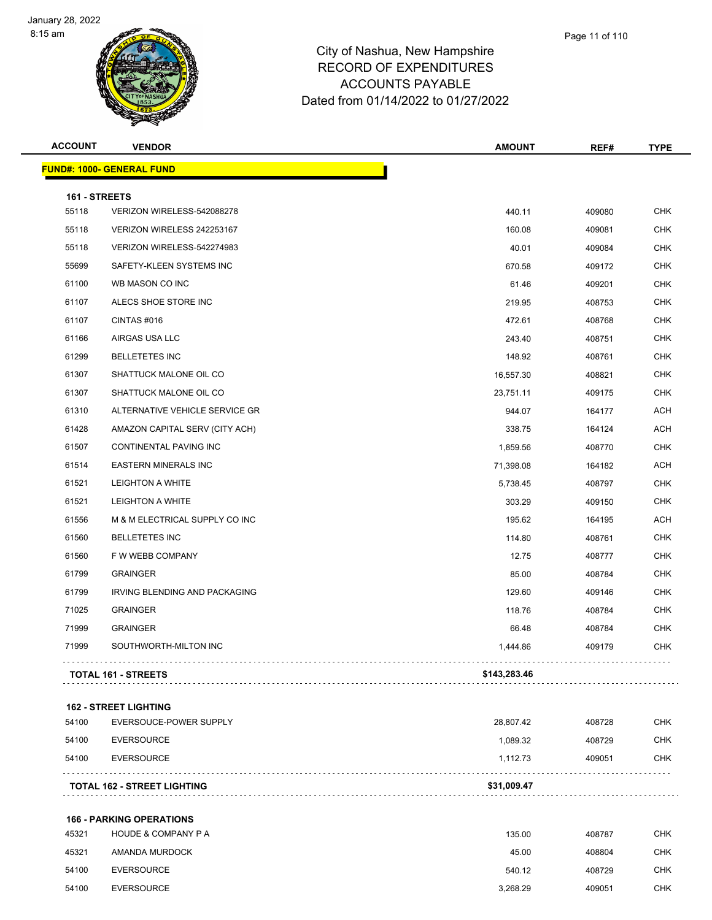

| <b>ACCOUNT</b> | <b>VENDOR</b>                                          | <b>AMOUNT</b> | REF#   | <b>TYPE</b> |
|----------------|--------------------------------------------------------|---------------|--------|-------------|
|                | <b>FUND#: 1000- GENERAL FUND</b>                       |               |        |             |
| 161 - STREETS  |                                                        |               |        |             |
| 55118          | VERIZON WIRELESS-542088278                             | 440.11        | 409080 | <b>CHK</b>  |
| 55118          | VERIZON WIRELESS 242253167                             | 160.08        | 409081 | <b>CHK</b>  |
| 55118          | VERIZON WIRELESS-542274983                             | 40.01         | 409084 | <b>CHK</b>  |
| 55699          | SAFETY-KLEEN SYSTEMS INC                               | 670.58        | 409172 | <b>CHK</b>  |
| 61100          | WB MASON CO INC                                        | 61.46         | 409201 | <b>CHK</b>  |
| 61107          | ALECS SHOE STORE INC                                   | 219.95        | 408753 | <b>CHK</b>  |
| 61107          | CINTAS#016                                             | 472.61        | 408768 | <b>CHK</b>  |
| 61166          | AIRGAS USA LLC                                         | 243.40        | 408751 | <b>CHK</b>  |
| 61299          | <b>BELLETETES INC</b>                                  | 148.92        | 408761 | <b>CHK</b>  |
| 61307          | SHATTUCK MALONE OIL CO                                 | 16,557.30     | 408821 | <b>CHK</b>  |
| 61307          | SHATTUCK MALONE OIL CO                                 | 23,751.11     | 409175 | <b>CHK</b>  |
| 61310          | ALTERNATIVE VEHICLE SERVICE GR                         | 944.07        | 164177 | <b>ACH</b>  |
| 61428          | AMAZON CAPITAL SERV (CITY ACH)                         | 338.75        | 164124 | <b>ACH</b>  |
| 61507          | CONTINENTAL PAVING INC                                 | 1,859.56      | 408770 | <b>CHK</b>  |
| 61514          | <b>EASTERN MINERALS INC</b>                            | 71,398.08     | 164182 | ACH         |
| 61521          | <b>LEIGHTON A WHITE</b>                                | 5,738.45      | 408797 | <b>CHK</b>  |
| 61521          | <b>LEIGHTON A WHITE</b>                                | 303.29        | 409150 | <b>CHK</b>  |
| 61556          | M & M ELECTRICAL SUPPLY CO INC                         | 195.62        | 164195 | ACH         |
| 61560          | <b>BELLETETES INC</b>                                  | 114.80        | 408761 | <b>CHK</b>  |
| 61560          | F W WEBB COMPANY                                       | 12.75         | 408777 | CHK         |
| 61799          | <b>GRAINGER</b>                                        | 85.00         | 408784 | <b>CHK</b>  |
| 61799          | <b>IRVING BLENDING AND PACKAGING</b>                   | 129.60        | 409146 | <b>CHK</b>  |
| 71025          | <b>GRAINGER</b>                                        | 118.76        | 408784 | CHK         |
| 71999          | <b>GRAINGER</b>                                        | 66.48         | 408784 | <b>CHK</b>  |
| 71999          | SOUTHWORTH-MILTON INC                                  | 1,444.86      | 409179 | <b>CHK</b>  |
|                | TOTAL 161 - STREETS                                    | \$143,283.46  |        |             |
|                |                                                        |               |        |             |
| 54100          | <b>162 - STREET LIGHTING</b><br>EVERSOUCE-POWER SUPPLY | 28,807.42     | 408728 | <b>CHK</b>  |
| 54100          | <b>EVERSOURCE</b>                                      | 1,089.32      | 408729 | <b>CHK</b>  |
| 54100          | <b>EVERSOURCE</b>                                      | 1,112.73      | 409051 | <b>CHK</b>  |
|                | TOTAL 162 - STREET LIGHTING                            | \$31,009.47   |        |             |

| 45321 | <b>HOUDE &amp; COMPANY P A</b> | 135.00   | 408787 | <b>CHK</b> |
|-------|--------------------------------|----------|--------|------------|
| 45321 | AMANDA MURDOCK                 | 45.00    | 408804 | <b>CHK</b> |
| 54100 | <b>EVERSOURCE</b>              | 540.12   | 408729 | CHK        |
| 54100 | <b>EVERSOURCE</b>              | 3.268.29 | 409051 | <b>CHK</b> |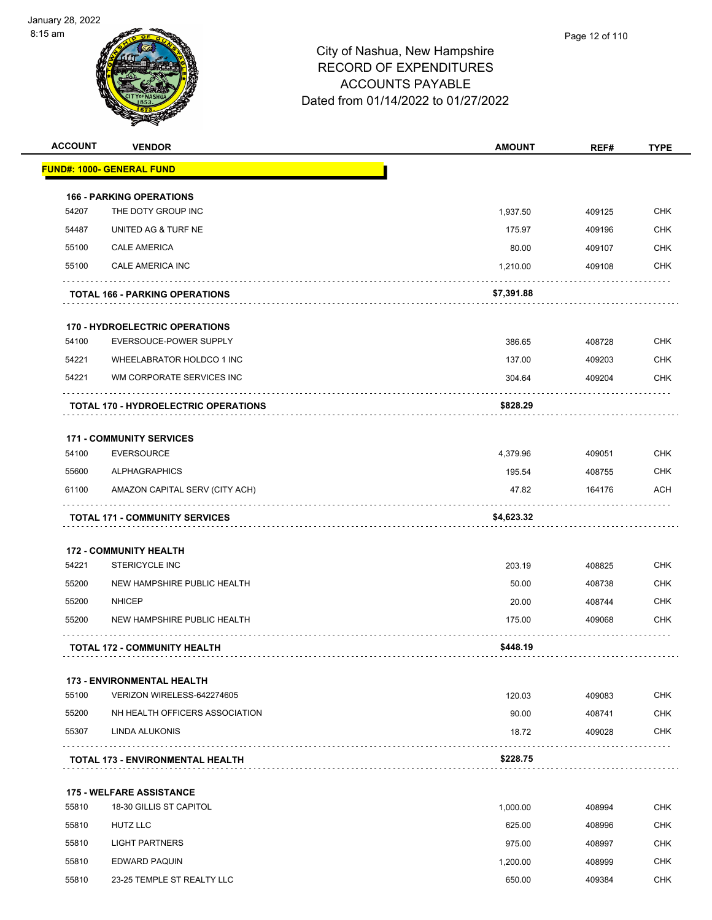

| <b>ACCOUNT</b> | <b>VENDOR</b>                               | <b>AMOUNT</b> | REF#   | <b>TYPE</b> |
|----------------|---------------------------------------------|---------------|--------|-------------|
|                | <b>FUND#: 1000- GENERAL FUND</b>            |               |        |             |
|                | <b>166 - PARKING OPERATIONS</b>             |               |        |             |
| 54207          | THE DOTY GROUP INC                          | 1,937.50      | 409125 | <b>CHK</b>  |
| 54487          | UNITED AG & TURF NE                         | 175.97        | 409196 | <b>CHK</b>  |
| 55100          | <b>CALE AMERICA</b>                         | 80.00         | 409107 | <b>CHK</b>  |
| 55100          | CALE AMERICA INC                            | 1,210.00      | 409108 | CHK         |
|                | <b>TOTAL 166 - PARKING OPERATIONS</b>       | \$7,391.88    |        |             |
|                | <b>170 - HYDROELECTRIC OPERATIONS</b>       |               |        |             |
| 54100          | EVERSOUCE-POWER SUPPLY                      | 386.65        | 408728 | <b>CHK</b>  |
| 54221          | WHEELABRATOR HOLDCO 1 INC                   | 137.00        | 409203 | <b>CHK</b>  |
| 54221          | WM CORPORATE SERVICES INC                   | 304.64        | 409204 | CHK         |
|                | <b>TOTAL 170 - HYDROELECTRIC OPERATIONS</b> | \$828.29      |        |             |
|                | <b>171 - COMMUNITY SERVICES</b>             |               |        |             |
| 54100          | <b>EVERSOURCE</b>                           | 4,379.96      | 409051 | <b>CHK</b>  |
| 55600          | <b>ALPHAGRAPHICS</b>                        | 195.54        | 408755 | CHK         |
| 61100          | AMAZON CAPITAL SERV (CITY ACH)              | 47.82         | 164176 | <b>ACH</b>  |
|                | <b>TOTAL 171 - COMMUNITY SERVICES</b>       | \$4,623.32    |        |             |
|                | <b>172 - COMMUNITY HEALTH</b>               |               |        |             |
| 54221          | <b>STERICYCLE INC</b>                       | 203.19        | 408825 | <b>CHK</b>  |
| 55200          | NEW HAMPSHIRE PUBLIC HEALTH                 | 50.00         | 408738 | <b>CHK</b>  |
| 55200          | <b>NHICEP</b>                               | 20.00         | 408744 | <b>CHK</b>  |
| 55200          | NEW HAMPSHIRE PUBLIC HEALTH                 | 175.00        | 409068 | CHK         |
|                | <b>TOTAL 172 - COMMUNITY HEALTH</b>         | \$448.19      |        |             |
|                | <b>173 - ENVIRONMENTAL HEALTH</b>           |               |        |             |
| 55100          | VERIZON WIRELESS-642274605                  | 120.03        | 409083 | <b>CHK</b>  |
| 55200          | NH HEALTH OFFICERS ASSOCIATION              | 90.00         | 408741 | <b>CHK</b>  |
| 55307          | LINDA ALUKONIS                              | 18.72         | 409028 | CHK         |
|                | TOTAL 173 - ENVIRONMENTAL HEALTH            | \$228.75      |        |             |
|                | <b>175 - WELFARE ASSISTANCE</b>             |               |        |             |
| 55810          | 18-30 GILLIS ST CAPITOL                     | 1,000.00      | 408994 | <b>CHK</b>  |
| 55810          | HUTZ LLC                                    | 625.00        | 408996 | CHK         |
| 55810          | <b>LIGHT PARTNERS</b>                       | 975.00        | 408997 | CHK         |
| 55810          | EDWARD PAQUIN                               | 1,200.00      | 408999 | CHK         |
| 55810          | 23-25 TEMPLE ST REALTY LLC                  | 650.00        | 409384 | CHK         |
|                |                                             |               |        |             |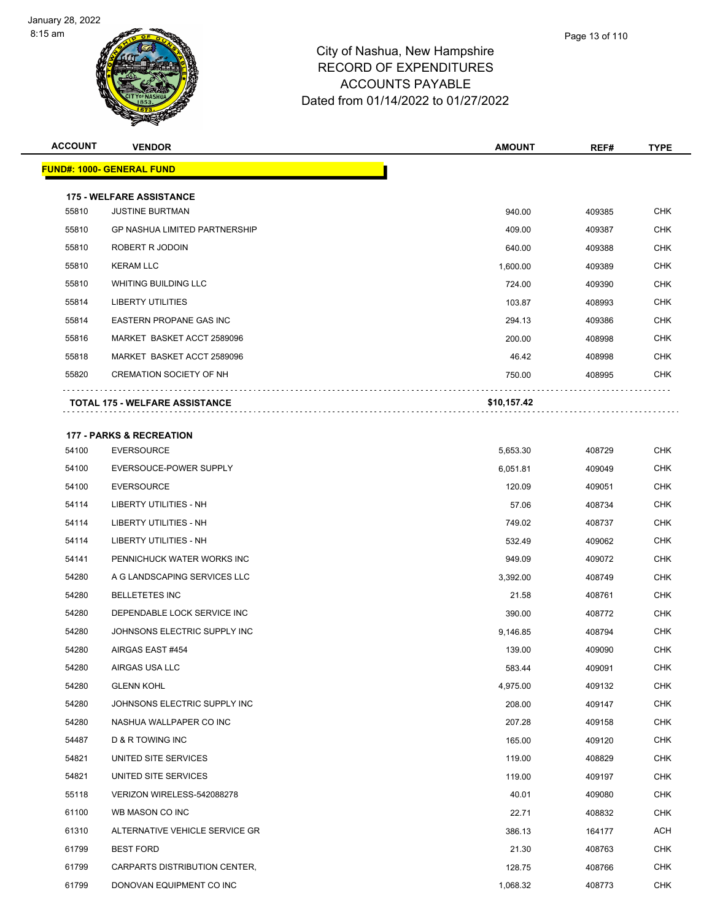

## City of Nashua, New Hampshire RECORD OF EXPENDITURES ACCOUNTS PAYABLE Dated from 01/14/2022 to 01/27/2022

| <b>ACCOUNT</b> | <b>VENDOR</b>                         | <b>AMOUNT</b> | REF#   | <b>TYPE</b> |
|----------------|---------------------------------------|---------------|--------|-------------|
|                | <b>FUND#: 1000- GENERAL FUND</b>      |               |        |             |
|                | <b>175 - WELFARE ASSISTANCE</b>       |               |        |             |
| 55810          | <b>JUSTINE BURTMAN</b>                | 940.00        | 409385 | <b>CHK</b>  |
| 55810          | <b>GP NASHUA LIMITED PARTNERSHIP</b>  | 409.00        | 409387 | <b>CHK</b>  |
| 55810          | ROBERT R JODOIN                       | 640.00        | 409388 | <b>CHK</b>  |
| 55810          | <b>KERAM LLC</b>                      | 1,600.00      | 409389 | <b>CHK</b>  |
| 55810          | <b>WHITING BUILDING LLC</b>           | 724.00        | 409390 | <b>CHK</b>  |
| 55814          | <b>LIBERTY UTILITIES</b>              | 103.87        | 408993 | <b>CHK</b>  |
| 55814          | <b>EASTERN PROPANE GAS INC</b>        | 294.13        | 409386 | <b>CHK</b>  |
| 55816          | MARKET BASKET ACCT 2589096            | 200.00        | 408998 | <b>CHK</b>  |
| 55818          | MARKET BASKET ACCT 2589096            | 46.42         | 408998 | <b>CHK</b>  |
| 55820          | <b>CREMATION SOCIETY OF NH</b>        | 750.00        | 408995 | <b>CHK</b>  |
|                | <b>TOTAL 175 - WELFARE ASSISTANCE</b> | \$10,157.42   |        |             |

#### **177 - PARKS & RECREATION**

| 54100 | <b>EVERSOURCE</b>              | 5,653.30 | 408729 | <b>CHK</b> |
|-------|--------------------------------|----------|--------|------------|
| 54100 | EVERSOUCE-POWER SUPPLY         | 6,051.81 | 409049 | <b>CHK</b> |
| 54100 | <b>EVERSOURCE</b>              | 120.09   | 409051 | <b>CHK</b> |
| 54114 | <b>LIBERTY UTILITIES - NH</b>  | 57.06    | 408734 | <b>CHK</b> |
| 54114 | LIBERTY UTILITIES - NH         | 749.02   | 408737 | <b>CHK</b> |
| 54114 | <b>LIBERTY UTILITIES - NH</b>  | 532.49   | 409062 | <b>CHK</b> |
| 54141 | PENNICHUCK WATER WORKS INC     | 949.09   | 409072 | <b>CHK</b> |
| 54280 | A G LANDSCAPING SERVICES LLC   | 3,392.00 | 408749 | <b>CHK</b> |
| 54280 | <b>BELLETETES INC</b>          | 21.58    | 408761 | <b>CHK</b> |
| 54280 | DEPENDABLE LOCK SERVICE INC    | 390.00   | 408772 | <b>CHK</b> |
| 54280 | JOHNSONS ELECTRIC SUPPLY INC   | 9,146.85 | 408794 | <b>CHK</b> |
| 54280 | AIRGAS EAST #454               | 139.00   | 409090 | <b>CHK</b> |
| 54280 | AIRGAS USA LLC                 | 583.44   | 409091 | <b>CHK</b> |
| 54280 | <b>GLENN KOHL</b>              | 4,975.00 | 409132 | <b>CHK</b> |
| 54280 | JOHNSONS ELECTRIC SUPPLY INC   | 208.00   | 409147 | <b>CHK</b> |
| 54280 | NASHUA WALLPAPER CO INC        | 207.28   | 409158 | <b>CHK</b> |
| 54487 | <b>D &amp; R TOWING INC</b>    | 165.00   | 409120 | <b>CHK</b> |
| 54821 | UNITED SITE SERVICES           | 119.00   | 408829 | <b>CHK</b> |
| 54821 | UNITED SITE SERVICES           | 119.00   | 409197 | <b>CHK</b> |
| 55118 | VERIZON WIRELESS-542088278     | 40.01    | 409080 | <b>CHK</b> |
| 61100 | WB MASON CO INC                | 22.71    | 408832 | <b>CHK</b> |
| 61310 | ALTERNATIVE VEHICLE SERVICE GR | 386.13   | 164177 | <b>ACH</b> |
| 61799 | <b>BEST FORD</b>               | 21.30    | 408763 | <b>CHK</b> |
| 61799 | CARPARTS DISTRIBUTION CENTER,  | 128.75   | 408766 | <b>CHK</b> |
| 61799 | DONOVAN EQUIPMENT CO INC       | 1,068.32 | 408773 | <b>CHK</b> |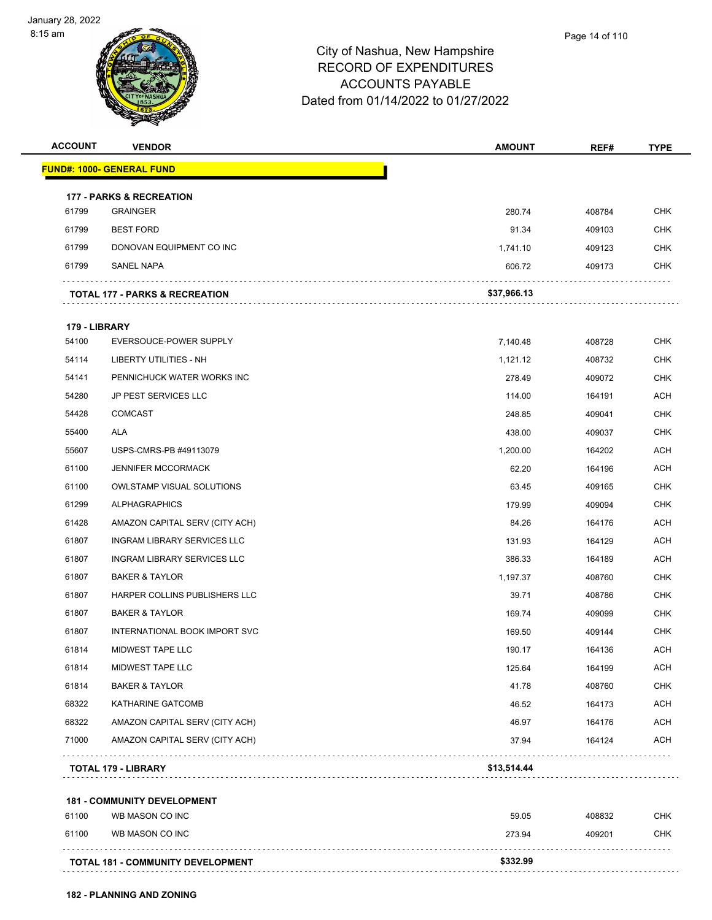

| <b>ACCOUNT</b> | <b>VENDOR</b>                             | <b>AMOUNT</b> | REF#   | <b>TYPE</b> |
|----------------|-------------------------------------------|---------------|--------|-------------|
|                | <u> FUND#: 1000- GENERAL FUND</u>         |               |        |             |
|                | <b>177 - PARKS &amp; RECREATION</b>       |               |        |             |
| 61799          | <b>GRAINGER</b>                           | 280.74        | 408784 | <b>CHK</b>  |
| 61799          | <b>BEST FORD</b>                          | 91.34         | 409103 | <b>CHK</b>  |
| 61799          | DONOVAN EQUIPMENT CO INC                  | 1,741.10      | 409123 | <b>CHK</b>  |
| 61799          | <b>SANEL NAPA</b>                         | 606.72        | 409173 | <b>CHK</b>  |
|                | <b>TOTAL 177 - PARKS &amp; RECREATION</b> | \$37,966.13   |        |             |
| 179 - LIBRARY  |                                           |               |        |             |
| 54100          | EVERSOUCE-POWER SUPPLY                    | 7,140.48      | 408728 | <b>CHK</b>  |
| 54114          | LIBERTY UTILITIES - NH                    | 1,121.12      | 408732 | <b>CHK</b>  |
| 54141          | PENNICHUCK WATER WORKS INC                | 278.49        | 409072 | <b>CHK</b>  |
| 54280          | <b>JP PEST SERVICES LLC</b>               | 114.00        | 164191 | <b>ACH</b>  |
| 54428          | <b>COMCAST</b>                            | 248.85        | 409041 | <b>CHK</b>  |
| 55400          | ALA                                       | 438.00        | 409037 | <b>CHK</b>  |
| 55607          | USPS-CMRS-PB #49113079                    | 1,200.00      | 164202 | <b>ACH</b>  |
| 61100          | <b>JENNIFER MCCORMACK</b>                 | 62.20         | 164196 | <b>ACH</b>  |
| 61100          | <b>OWLSTAMP VISUAL SOLUTIONS</b>          | 63.45         | 409165 | <b>CHK</b>  |
| 61299          | <b>ALPHAGRAPHICS</b>                      | 179.99        | 409094 | <b>CHK</b>  |
| 61428          | AMAZON CAPITAL SERV (CITY ACH)            | 84.26         | 164176 | <b>ACH</b>  |
| 61807          | <b>INGRAM LIBRARY SERVICES LLC</b>        | 131.93        | 164129 | <b>ACH</b>  |
| 61807          | INGRAM LIBRARY SERVICES LLC               | 386.33        | 164189 | <b>ACH</b>  |
| 61807          | <b>BAKER &amp; TAYLOR</b>                 | 1,197.37      | 408760 | <b>CHK</b>  |
| 61807          | HARPER COLLINS PUBLISHERS LLC             | 39.71         | 408786 | <b>CHK</b>  |
| 61807          | <b>BAKER &amp; TAYLOR</b>                 | 169.74        | 409099 | <b>CHK</b>  |
| 61807          | <b>INTERNATIONAL BOOK IMPORT SVC</b>      | 169.50        | 409144 | <b>CHK</b>  |
| 61814          | <b>MIDWEST TAPE LLC</b>                   | 190.17        | 164136 | <b>ACH</b>  |
| 61814          | <b>MIDWEST TAPE LLC</b>                   | 125.64        | 164199 | <b>ACH</b>  |
| 61814          | <b>BAKER &amp; TAYLOR</b>                 | 41.78         | 408760 | <b>CHK</b>  |
| 68322          | KATHARINE GATCOMB                         | 46.52         | 164173 | <b>ACH</b>  |
| 68322          | AMAZON CAPITAL SERV (CITY ACH)            | 46.97         | 164176 | <b>ACH</b>  |
| 71000          | AMAZON CAPITAL SERV (CITY ACH)            | 37.94         | 164124 | ACH         |
|                | <b>TOTAL 179 - LIBRARY</b>                | \$13,514.44   |        |             |
|                | <b>181 - COMMUNITY DEVELOPMENT</b>        |               |        |             |
| 61100          | WB MASON CO INC                           | 59.05         | 408832 | <b>CHK</b>  |
| 61100          | WB MASON CO INC                           | 273.94        | 409201 | <b>CHK</b>  |
|                | TOTAL 181 - COMMUNITY DEVELOPMENT         | \$332.99      |        |             |
|                |                                           |               |        |             |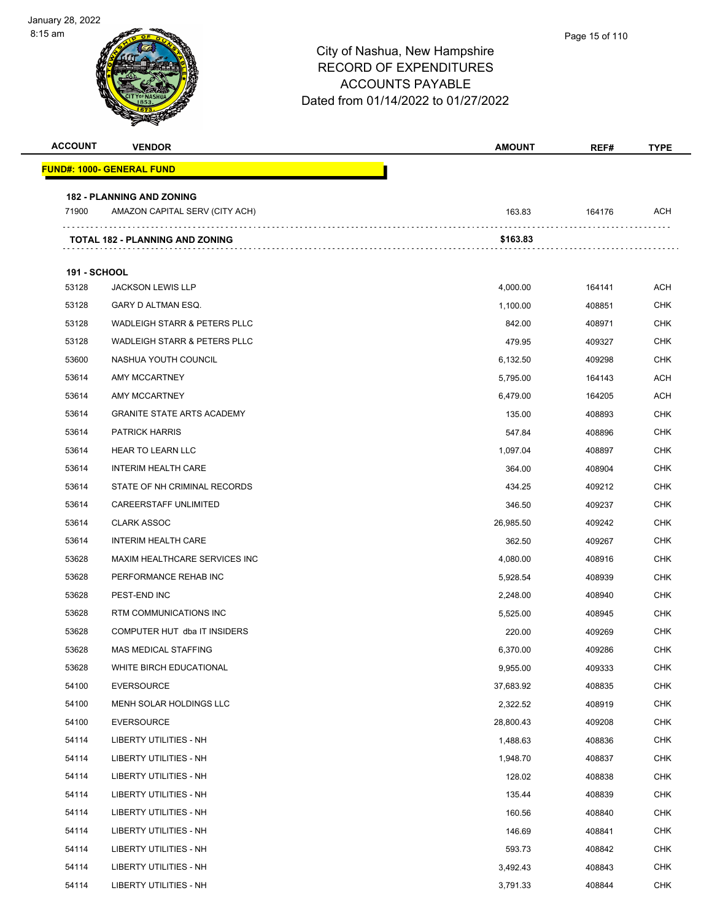| <b>ACCOUNT</b>      | <b>VENDOR</b>                           | AMOUNT    | REF#   | <b>TYPE</b> |
|---------------------|-----------------------------------------|-----------|--------|-------------|
|                     | <u> FUND#: 1000- GENERAL FUND</u>       |           |        |             |
|                     | <b>182 - PLANNING AND ZONING</b>        |           |        |             |
| 71900               | AMAZON CAPITAL SERV (CITY ACH)          | 163.83    | 164176 | ACH         |
|                     | <b>TOTAL 182 - PLANNING AND ZONING</b>  | \$163.83  |        |             |
|                     |                                         |           |        |             |
| <b>191 - SCHOOL</b> |                                         |           |        |             |
| 53128               | <b>JACKSON LEWIS LLP</b>                | 4,000.00  | 164141 | ACH         |
| 53128               | GARY D ALTMAN ESQ.                      | 1,100.00  | 408851 | <b>CHK</b>  |
| 53128               | WADLEIGH STARR & PETERS PLLC            | 842.00    | 408971 | <b>CHK</b>  |
| 53128               | <b>WADLEIGH STARR &amp; PETERS PLLC</b> | 479.95    | 409327 | <b>CHK</b>  |
| 53600               | NASHUA YOUTH COUNCIL                    | 6,132.50  | 409298 | CHK         |
| 53614               | AMY MCCARTNEY                           | 5,795.00  | 164143 | ACH         |
| 53614               | AMY MCCARTNEY                           | 6,479.00  | 164205 | <b>ACH</b>  |
| 53614               | <b>GRANITE STATE ARTS ACADEMY</b>       | 135.00    | 408893 | <b>CHK</b>  |
| 53614               | <b>PATRICK HARRIS</b>                   | 547.84    | 408896 | <b>CHK</b>  |
| 53614               | HEAR TO LEARN LLC                       | 1,097.04  | 408897 | CHK         |
| 53614               | <b>INTERIM HEALTH CARE</b>              | 364.00    | 408904 | CHK         |
| 53614               | STATE OF NH CRIMINAL RECORDS            | 434.25    | 409212 | CHK         |
| 53614               | CAREERSTAFF UNLIMITED                   | 346.50    | 409237 | <b>CHK</b>  |
| 53614               | <b>CLARK ASSOC</b>                      | 26,985.50 | 409242 | <b>CHK</b>  |
| 53614               | <b>INTERIM HEALTH CARE</b>              | 362.50    | 409267 | CHK         |
| 53628               | MAXIM HEALTHCARE SERVICES INC           | 4,080.00  | 408916 | CHK         |
| 53628               | PERFORMANCE REHAB INC                   | 5,928.54  | 408939 | <b>CHK</b>  |
| 53628               | PEST-END INC                            | 2,248.00  | 408940 | <b>CHK</b>  |
| 53628               | RTM COMMUNICATIONS INC                  | 5,525.00  | 408945 | <b>CHK</b>  |
| 53628               | COMPUTER HUT dba IT INSIDERS            | 220.00    | 409269 | <b>CHK</b>  |
| 53628               | <b>MAS MEDICAL STAFFING</b>             | 6,370.00  | 409286 | CHK         |
| 53628               | WHITE BIRCH EDUCATIONAL                 | 9,955.00  | 409333 | <b>CHK</b>  |
| 54100               | <b>EVERSOURCE</b>                       | 37,683.92 | 408835 | <b>CHK</b>  |
| 54100               | MENH SOLAR HOLDINGS LLC                 | 2,322.52  | 408919 | <b>CHK</b>  |
| 54100               | <b>EVERSOURCE</b>                       | 28,800.43 | 409208 | <b>CHK</b>  |
| 54114               | LIBERTY UTILITIES - NH                  | 1,488.63  | 408836 | CHK         |
| 54114               | LIBERTY UTILITIES - NH                  | 1,948.70  | 408837 | <b>CHK</b>  |
| 54114               | LIBERTY UTILITIES - NH                  | 128.02    | 408838 | <b>CHK</b>  |
| 54114               | <b>LIBERTY UTILITIES - NH</b>           | 135.44    | 408839 | <b>CHK</b>  |
| 54114               | LIBERTY UTILITIES - NH                  | 160.56    | 408840 | CHK         |
| 54114               | LIBERTY UTILITIES - NH                  | 146.69    | 408841 | <b>CHK</b>  |
| 54114               | LIBERTY UTILITIES - NH                  | 593.73    | 408842 | <b>CHK</b>  |
| 54114               | LIBERTY UTILITIES - NH                  | 3,492.43  | 408843 | <b>CHK</b>  |
| 54114               | LIBERTY UTILITIES - NH                  | 3,791.33  | 408844 | <b>CHK</b>  |
|                     |                                         |           |        |             |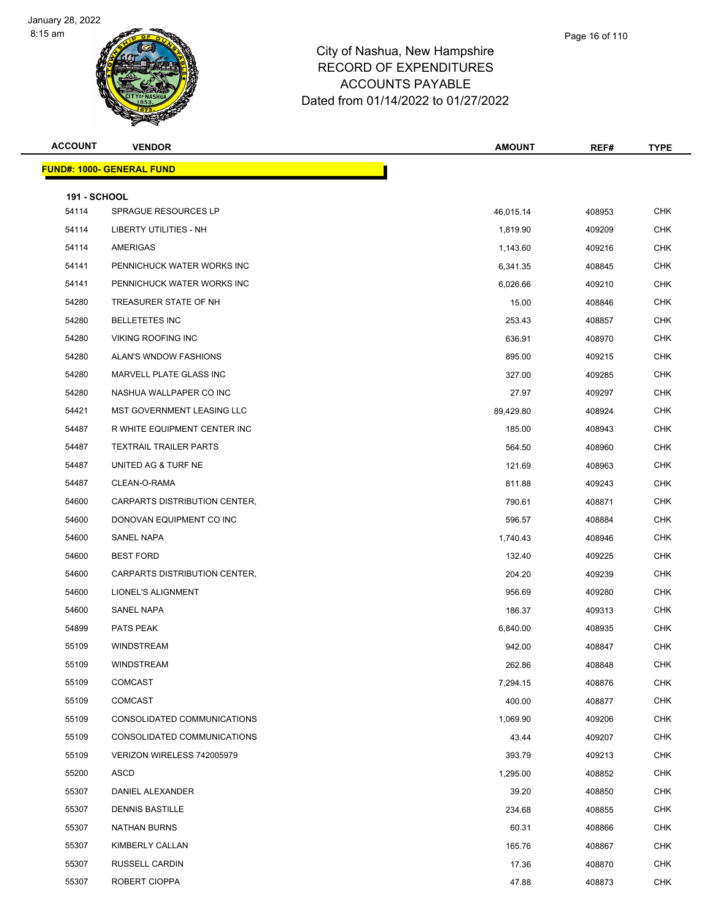

| Page 16 of 110 |  |  |  |
|----------------|--|--|--|
|----------------|--|--|--|

| <b>ACCOUNT</b>               | <b>VENDOR</b>                    | <b>AMOUNT</b> | REF#   | <b>TYPE</b> |
|------------------------------|----------------------------------|---------------|--------|-------------|
|                              | <b>FUND#: 1000- GENERAL FUND</b> |               |        |             |
|                              |                                  |               |        |             |
| <b>191 - SCHOOL</b><br>54114 | SPRAGUE RESOURCES LP             | 46,015.14     | 408953 | <b>CHK</b>  |
| 54114                        | LIBERTY UTILITIES - NH           | 1,819.90      | 409209 | <b>CHK</b>  |
| 54114                        | AMERIGAS                         | 1,143.60      | 409216 | <b>CHK</b>  |
| 54141                        | PENNICHUCK WATER WORKS INC       | 6,341.35      | 408845 | <b>CHK</b>  |
| 54141                        | PENNICHUCK WATER WORKS INC       | 6,026.66      | 409210 | <b>CHK</b>  |
| 54280                        | TREASURER STATE OF NH            | 15.00         | 408846 | <b>CHK</b>  |
| 54280                        | <b>BELLETETES INC</b>            | 253.43        | 408857 | <b>CHK</b>  |
| 54280                        | <b>VIKING ROOFING INC</b>        | 636.91        | 408970 | <b>CHK</b>  |
| 54280                        | ALAN'S WNDOW FASHIONS            | 895.00        | 409215 | <b>CHK</b>  |
| 54280                        | MARVELL PLATE GLASS INC          | 327.00        | 409285 | <b>CHK</b>  |
| 54280                        | NASHUA WALLPAPER CO INC          | 27.97         | 409297 | <b>CHK</b>  |
| 54421                        | MST GOVERNMENT LEASING LLC       | 89,429.80     | 408924 | <b>CHK</b>  |
| 54487                        | R WHITE EQUIPMENT CENTER INC     | 185.00        | 408943 | <b>CHK</b>  |
| 54487                        | <b>TEXTRAIL TRAILER PARTS</b>    | 564.50        | 408960 | <b>CHK</b>  |
| 54487                        | UNITED AG & TURF NE              | 121.69        | 408963 | <b>CHK</b>  |
| 54487                        | CLEAN-O-RAMA                     | 811.88        | 409243 | <b>CHK</b>  |
| 54600                        | CARPARTS DISTRIBUTION CENTER,    | 790.61        | 408871 | CHK         |
| 54600                        | DONOVAN EQUIPMENT CO INC         | 596.57        | 408884 | <b>CHK</b>  |
| 54600                        | SANEL NAPA                       | 1,740.43      | 408946 | <b>CHK</b>  |
| 54600                        | <b>BEST FORD</b>                 | 132.40        | 409225 | <b>CHK</b>  |
| 54600                        | CARPARTS DISTRIBUTION CENTER,    | 204.20        | 409239 | <b>CHK</b>  |
| 54600                        | LIONEL'S ALIGNMENT               | 956.69        | 409280 | <b>CHK</b>  |
| 54600                        | SANEL NAPA                       | 186.37        | 409313 | <b>CHK</b>  |
| 54899                        | PATS PEAK                        | 6,840.00      | 408935 | <b>CHK</b>  |
| 55109                        | <b>WINDSTREAM</b>                | 942.00        | 408847 | <b>CHK</b>  |
| 55109                        | WINDSTREAM                       | 262.86        | 408848 | <b>CHK</b>  |
| 55109                        | <b>COMCAST</b>                   | 7,294.15      | 408876 | <b>CHK</b>  |
| 55109                        | <b>COMCAST</b>                   | 400.00        | 408877 | <b>CHK</b>  |
| 55109                        | CONSOLIDATED COMMUNICATIONS      | 1,069.90      | 409206 | <b>CHK</b>  |
| 55109                        | CONSOLIDATED COMMUNICATIONS      | 43.44         | 409207 | <b>CHK</b>  |
| 55109                        | VERIZON WIRELESS 742005979       | 393.79        | 409213 | <b>CHK</b>  |
| 55200                        | ASCD                             | 1,295.00      | 408852 | <b>CHK</b>  |
| 55307                        | DANIEL ALEXANDER                 | 39.20         | 408850 | <b>CHK</b>  |
| 55307                        | <b>DENNIS BASTILLE</b>           | 234.68        | 408855 | <b>CHK</b>  |
| 55307                        | <b>NATHAN BURNS</b>              | 60.31         | 408866 | <b>CHK</b>  |
| 55307                        | KIMBERLY CALLAN                  | 165.76        | 408867 | <b>CHK</b>  |
| 55307                        | RUSSELL CARDIN                   | 17.36         | 408870 | <b>CHK</b>  |
| 55307                        | ROBERT CIOPPA                    | 47.88         | 408873 | <b>CHK</b>  |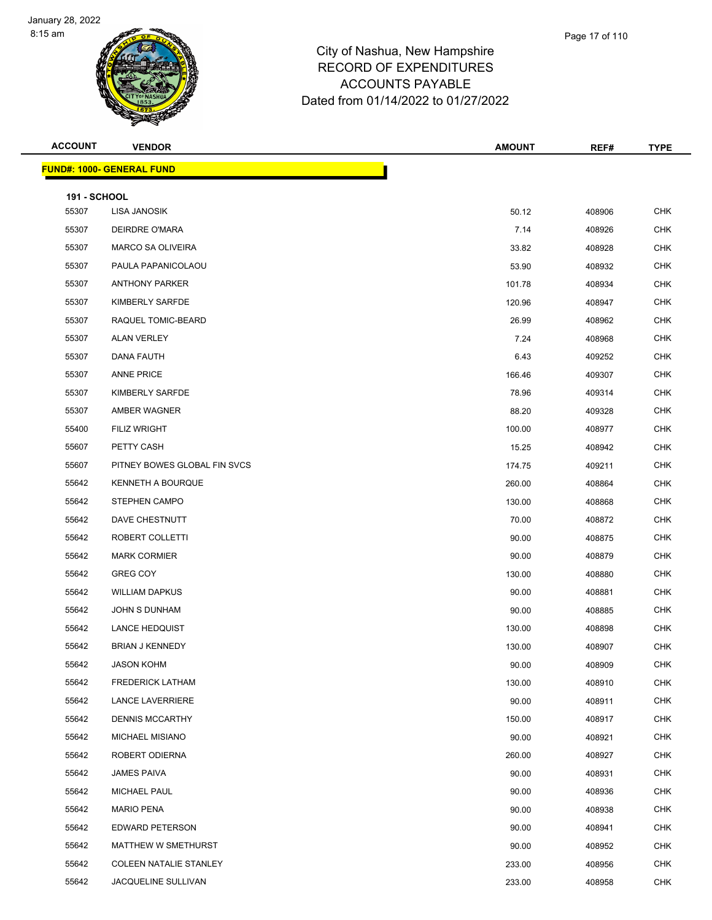

|             | Page 17 of 110 |
|-------------|----------------|
| pshire      |                |
| <b>JRES</b> |                |

| <b>ACCOUNT</b>      | <b>VENDOR</b>                    | <b>AMOUNT</b> | REF#   | <b>TYPE</b> |
|---------------------|----------------------------------|---------------|--------|-------------|
|                     | <b>FUND#: 1000- GENERAL FUND</b> |               |        |             |
| <b>191 - SCHOOL</b> |                                  |               |        |             |
| 55307               | LISA JANOSIK                     | 50.12         | 408906 | CHK         |
| 55307               | DEIRDRE O'MARA                   | 7.14          | 408926 | <b>CHK</b>  |
| 55307               | <b>MARCO SA OLIVEIRA</b>         | 33.82         | 408928 | <b>CHK</b>  |
| 55307               | PAULA PAPANICOLAOU               | 53.90         | 408932 | <b>CHK</b>  |
| 55307               | <b>ANTHONY PARKER</b>            | 101.78        | 408934 | <b>CHK</b>  |
| 55307               | KIMBERLY SARFDE                  | 120.96        | 408947 | <b>CHK</b>  |
| 55307               | RAQUEL TOMIC-BEARD               | 26.99         | 408962 | <b>CHK</b>  |
| 55307               | <b>ALAN VERLEY</b>               | 7.24          | 408968 | <b>CHK</b>  |
| 55307               | DANA FAUTH                       | 6.43          | 409252 | <b>CHK</b>  |
| 55307               | <b>ANNE PRICE</b>                | 166.46        | 409307 | <b>CHK</b>  |
| 55307               | KIMBERLY SARFDE                  | 78.96         | 409314 | <b>CHK</b>  |
| 55307               | AMBER WAGNER                     | 88.20         | 409328 | <b>CHK</b>  |
| 55400               | <b>FILIZ WRIGHT</b>              | 100.00        | 408977 | <b>CHK</b>  |
| 55607               | PETTY CASH                       | 15.25         | 408942 | <b>CHK</b>  |
| 55607               | PITNEY BOWES GLOBAL FIN SVCS     | 174.75        | 409211 | <b>CHK</b>  |
| 55642               | KENNETH A BOURQUE                | 260.00        | 408864 | <b>CHK</b>  |
| 55642               | STEPHEN CAMPO                    | 130.00        | 408868 | <b>CHK</b>  |
| 55642               | DAVE CHESTNUTT                   | 70.00         | 408872 | <b>CHK</b>  |
| 55642               | ROBERT COLLETTI                  | 90.00         | 408875 | <b>CHK</b>  |
| 55642               | <b>MARK CORMIER</b>              | 90.00         | 408879 | <b>CHK</b>  |
| 55642               | <b>GREG COY</b>                  | 130.00        | 408880 | <b>CHK</b>  |
| 55642               | <b>WILLIAM DAPKUS</b>            | 90.00         | 408881 | <b>CHK</b>  |
| 55642               | JOHN S DUNHAM                    | 90.00         | 408885 | <b>CHK</b>  |
| 55642               | <b>LANCE HEDQUIST</b>            | 130.00        | 408898 | CHK         |
| 55642               | <b>BRIAN J KENNEDY</b>           | 130.00        | 408907 | <b>CHK</b>  |
| 55642               | <b>JASON KOHM</b>                | 90.00         | 408909 | <b>CHK</b>  |
| 55642               | <b>FREDERICK LATHAM</b>          | 130.00        | 408910 | <b>CHK</b>  |
| 55642               | <b>LANCE LAVERRIERE</b>          | 90.00         | 408911 | CHK         |
| 55642               | <b>DENNIS MCCARTHY</b>           | 150.00        | 408917 | <b>CHK</b>  |
| 55642               | <b>MICHAEL MISIANO</b>           | 90.00         | 408921 | <b>CHK</b>  |
| 55642               | ROBERT ODIERNA                   | 260.00        | 408927 | <b>CHK</b>  |
| 55642               | JAMES PAIVA                      | 90.00         | 408931 | <b>CHK</b>  |
| 55642               | MICHAEL PAUL                     | 90.00         | 408936 | <b>CHK</b>  |
| 55642               | <b>MARIO PENA</b>                | 90.00         | 408938 | <b>CHK</b>  |
| 55642               | EDWARD PETERSON                  | 90.00         | 408941 | <b>CHK</b>  |
| 55642               | MATTHEW W SMETHURST              | 90.00         | 408952 | <b>CHK</b>  |
| 55642               | <b>COLEEN NATALIE STANLEY</b>    | 233.00        | 408956 | <b>CHK</b>  |
| 55642               | JACQUELINE SULLIVAN              | 233.00        | 408958 | <b>CHK</b>  |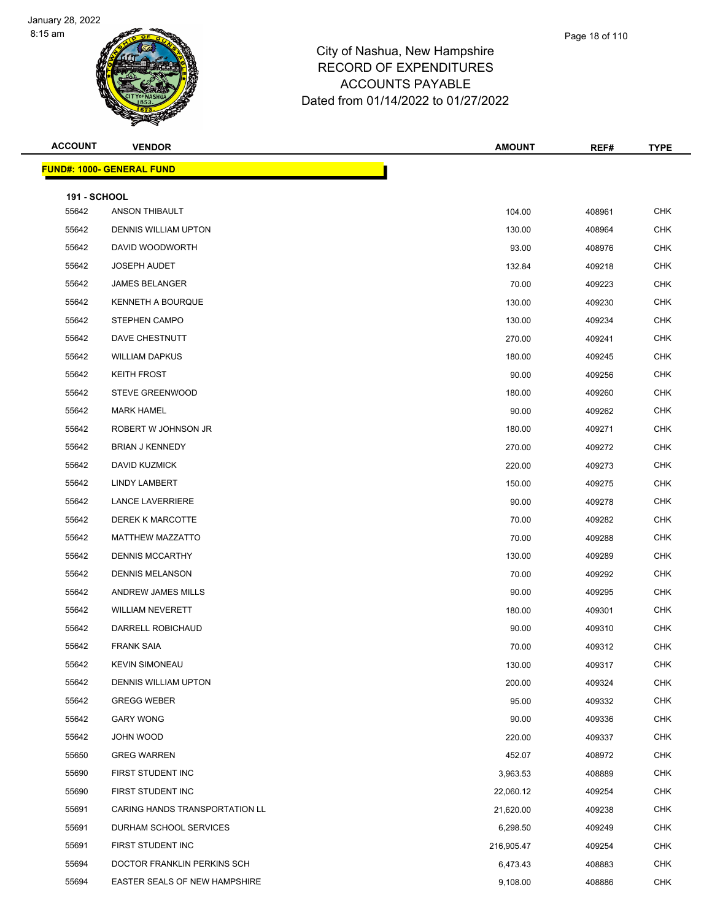

| Page 18 of 110 |  |
|----------------|--|
|                |  |

| <b>ACCOUNT</b>               | <b>VENDOR</b>                        | <b>AMOUNT</b> | REF#   | <b>TYPE</b> |
|------------------------------|--------------------------------------|---------------|--------|-------------|
|                              | <b>FUND#: 1000- GENERAL FUND</b>     |               |        |             |
|                              |                                      |               |        |             |
| <b>191 - SCHOOL</b><br>55642 | <b>ANSON THIBAULT</b>                | 104.00        | 408961 | <b>CHK</b>  |
| 55642                        | DENNIS WILLIAM UPTON                 | 130.00        | 408964 | <b>CHK</b>  |
| 55642                        | DAVID WOODWORTH                      | 93.00         | 408976 | CHK         |
| 55642                        | <b>JOSEPH AUDET</b>                  | 132.84        | 409218 | <b>CHK</b>  |
| 55642                        | <b>JAMES BELANGER</b>                | 70.00         | 409223 | <b>CHK</b>  |
| 55642                        | <b>KENNETH A BOURQUE</b>             | 130.00        | 409230 | <b>CHK</b>  |
| 55642                        | <b>STEPHEN CAMPO</b>                 | 130.00        | 409234 | <b>CHK</b>  |
| 55642                        | DAVE CHESTNUTT                       | 270.00        | 409241 | CHK         |
| 55642                        | <b>WILLIAM DAPKUS</b>                | 180.00        | 409245 | <b>CHK</b>  |
| 55642                        | <b>KEITH FROST</b>                   | 90.00         | 409256 | <b>CHK</b>  |
| 55642                        | <b>STEVE GREENWOOD</b>               | 180.00        | 409260 | <b>CHK</b>  |
| 55642                        | <b>MARK HAMEL</b>                    | 90.00         | 409262 | <b>CHK</b>  |
| 55642                        | ROBERT W JOHNSON JR                  | 180.00        | 409271 | CHK         |
| 55642                        | <b>BRIAN J KENNEDY</b>               | 270.00        | 409272 | <b>CHK</b>  |
| 55642                        | DAVID KUZMICK                        | 220.00        | 409273 | <b>CHK</b>  |
| 55642                        | LINDY LAMBERT                        | 150.00        | 409275 | <b>CHK</b>  |
| 55642                        | <b>LANCE LAVERRIERE</b>              | 90.00         | 409278 | <b>CHK</b>  |
| 55642                        | <b>DEREK K MARCOTTE</b>              | 70.00         | 409282 | <b>CHK</b>  |
| 55642                        | <b>MATTHEW MAZZATTO</b>              | 70.00         | 409288 | <b>CHK</b>  |
| 55642                        | <b>DENNIS MCCARTHY</b>               | 130.00        | 409289 | <b>CHK</b>  |
| 55642                        | <b>DENNIS MELANSON</b>               | 70.00         | 409292 | <b>CHK</b>  |
| 55642                        | ANDREW JAMES MILLS                   | 90.00         | 409295 | <b>CHK</b>  |
| 55642                        | <b>WILLIAM NEVERETT</b>              | 180.00        | 409301 | CHK         |
| 55642                        | DARRELL ROBICHAUD                    | 90.00         | 409310 | <b>CHK</b>  |
| 55642                        | <b>FRANK SAIA</b>                    | 70.00         | 409312 | <b>CHK</b>  |
| 55642                        | <b>KEVIN SIMONEAU</b>                | 130.00        | 409317 | <b>CHK</b>  |
| 55642                        | DENNIS WILLIAM UPTON                 | 200.00        | 409324 | <b>CHK</b>  |
| 55642                        | <b>GREGG WEBER</b>                   | 95.00         | 409332 | <b>CHK</b>  |
| 55642                        | <b>GARY WONG</b>                     | 90.00         | 409336 | <b>CHK</b>  |
| 55642                        | JOHN WOOD                            | 220.00        | 409337 | <b>CHK</b>  |
| 55650                        | <b>GREG WARREN</b>                   | 452.07        | 408972 | <b>CHK</b>  |
| 55690                        | FIRST STUDENT INC                    | 3,963.53      | 408889 | <b>CHK</b>  |
| 55690                        | FIRST STUDENT INC                    | 22,060.12     | 409254 | <b>CHK</b>  |
| 55691                        | CARING HANDS TRANSPORTATION LL       | 21,620.00     | 409238 | <b>CHK</b>  |
| 55691                        | DURHAM SCHOOL SERVICES               | 6,298.50      | 409249 | <b>CHK</b>  |
| 55691                        | FIRST STUDENT INC                    | 216,905.47    | 409254 | <b>CHK</b>  |
| 55694                        | DOCTOR FRANKLIN PERKINS SCH          | 6,473.43      | 408883 | <b>CHK</b>  |
| 55694                        | <b>EASTER SEALS OF NEW HAMPSHIRE</b> | 9,108.00      | 408886 | <b>CHK</b>  |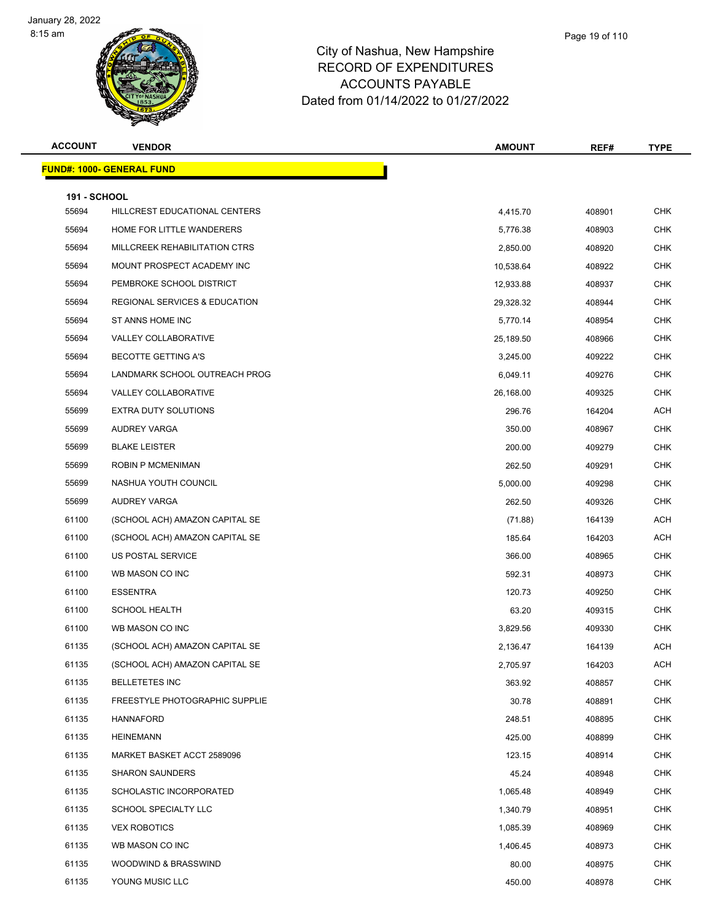

| Page 19 of 110 |  |  |
|----------------|--|--|
|----------------|--|--|

| <b>ACCOUNT</b>      | <b>VENDOR</b>                            | <b>AMOUNT</b> | REF#   | <b>TYPE</b> |
|---------------------|------------------------------------------|---------------|--------|-------------|
|                     | <b>FUND#: 1000- GENERAL FUND</b>         |               |        |             |
| <b>191 - SCHOOL</b> |                                          |               |        |             |
| 55694               | HILLCREST EDUCATIONAL CENTERS            | 4,415.70      | 408901 | <b>CHK</b>  |
| 55694               | HOME FOR LITTLE WANDERERS                | 5,776.38      | 408903 | <b>CHK</b>  |
| 55694               | MILLCREEK REHABILITATION CTRS            | 2,850.00      | 408920 | <b>CHK</b>  |
| 55694               | MOUNT PROSPECT ACADEMY INC               | 10,538.64     | 408922 | <b>CHK</b>  |
| 55694               | PEMBROKE SCHOOL DISTRICT                 | 12,933.88     | 408937 | <b>CHK</b>  |
| 55694               | <b>REGIONAL SERVICES &amp; EDUCATION</b> | 29,328.32     | 408944 | <b>CHK</b>  |
| 55694               | ST ANNS HOME INC                         | 5,770.14      | 408954 | <b>CHK</b>  |
| 55694               | <b>VALLEY COLLABORATIVE</b>              | 25,189.50     | 408966 | <b>CHK</b>  |
| 55694               | <b>BECOTTE GETTING A'S</b>               | 3,245.00      | 409222 | <b>CHK</b>  |
| 55694               | LANDMARK SCHOOL OUTREACH PROG            | 6,049.11      | 409276 | <b>CHK</b>  |
| 55694               | VALLEY COLLABORATIVE                     | 26,168.00     | 409325 | <b>CHK</b>  |
| 55699               | EXTRA DUTY SOLUTIONS                     | 296.76        | 164204 | <b>ACH</b>  |
| 55699               | AUDREY VARGA                             | 350.00        | 408967 | <b>CHK</b>  |
| 55699               | <b>BLAKE LEISTER</b>                     | 200.00        | 409279 | <b>CHK</b>  |
| 55699               | <b>ROBIN P MCMENIMAN</b>                 | 262.50        | 409291 | <b>CHK</b>  |
| 55699               | NASHUA YOUTH COUNCIL                     | 5,000.00      | 409298 | <b>CHK</b>  |
| 55699               | AUDREY VARGA                             | 262.50        | 409326 | <b>CHK</b>  |
| 61100               | (SCHOOL ACH) AMAZON CAPITAL SE           | (71.88)       | 164139 | <b>ACH</b>  |
| 61100               | (SCHOOL ACH) AMAZON CAPITAL SE           | 185.64        | 164203 | <b>ACH</b>  |
| 61100               | US POSTAL SERVICE                        | 366.00        | 408965 | <b>CHK</b>  |
| 61100               | WB MASON CO INC                          | 592.31        | 408973 | <b>CHK</b>  |
| 61100               | <b>ESSENTRA</b>                          | 120.73        | 409250 | <b>CHK</b>  |
| 61100               | <b>SCHOOL HEALTH</b>                     | 63.20         | 409315 | <b>CHK</b>  |
| 61100               | WB MASON CO INC                          | 3,829.56      | 409330 | <b>CHK</b>  |
| 61135               | (SCHOOL ACH) AMAZON CAPITAL SE           | 2,136.47      | 164139 | <b>ACH</b>  |
| 61135               | (SCHOOL ACH) AMAZON CAPITAL SE           | 2,705.97      | 164203 | ACH         |
| 61135               | <b>BELLETETES INC</b>                    | 363.92        | 408857 | CHK         |
| 61135               | <b>FREESTYLE PHOTOGRAPHIC SUPPLIE</b>    | 30.78         | 408891 | <b>CHK</b>  |
| 61135               | HANNAFORD                                | 248.51        | 408895 | <b>CHK</b>  |
| 61135               | <b>HEINEMANN</b>                         | 425.00        | 408899 | <b>CHK</b>  |
| 61135               | MARKET BASKET ACCT 2589096               | 123.15        | 408914 | <b>CHK</b>  |
| 61135               | <b>SHARON SAUNDERS</b>                   | 45.24         | 408948 | CHK         |
| 61135               | SCHOLASTIC INCORPORATED                  | 1,065.48      | 408949 | <b>CHK</b>  |
| 61135               | SCHOOL SPECIALTY LLC                     | 1,340.79      | 408951 | <b>CHK</b>  |
| 61135               | <b>VEX ROBOTICS</b>                      | 1,085.39      | 408969 | <b>CHK</b>  |
| 61135               | WB MASON CO INC                          | 1,406.45      | 408973 | <b>CHK</b>  |
| 61135               | WOODWIND & BRASSWIND                     | 80.00         | 408975 | <b>CHK</b>  |
| 61135               | YOUNG MUSIC LLC                          | 450.00        | 408978 | <b>CHK</b>  |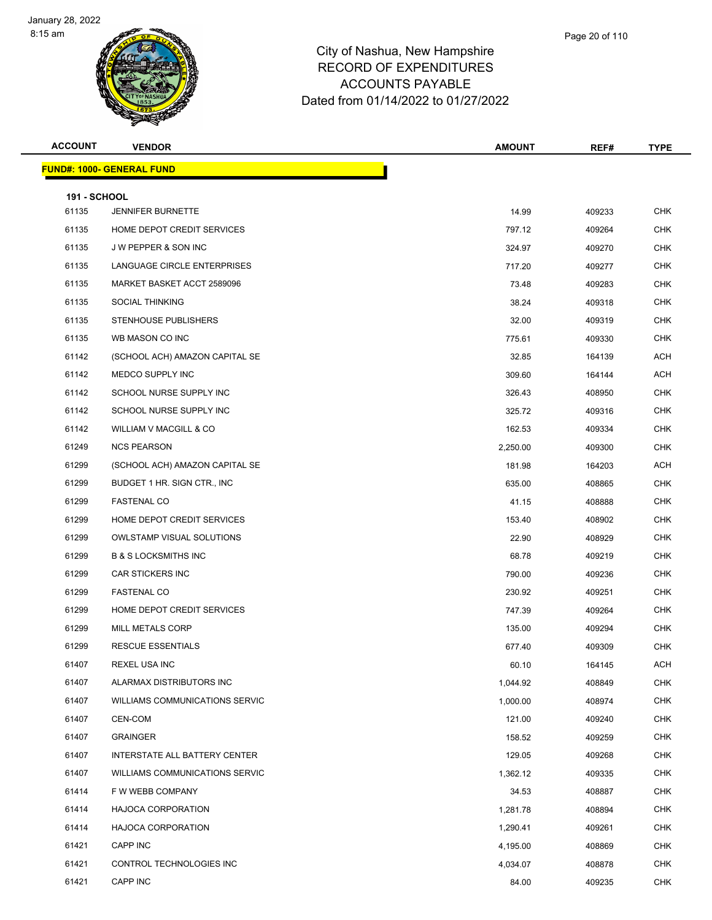

| <b>ACCOUNT</b>               | <b>VENDOR</b>                         | <b>AMOUNT</b> | REF#   | <b>TYPE</b>              |
|------------------------------|---------------------------------------|---------------|--------|--------------------------|
|                              | <b>FUND#: 1000- GENERAL FUND</b>      |               |        |                          |
|                              |                                       |               |        |                          |
| <b>191 - SCHOOL</b><br>61135 | <b>JENNIFER BURNETTE</b>              | 14.99         | 409233 | <b>CHK</b>               |
| 61135                        | HOME DEPOT CREDIT SERVICES            | 797.12        |        | CHK                      |
| 61135                        | J W PEPPER & SON INC                  |               | 409264 | <b>CHK</b>               |
|                              | LANGUAGE CIRCLE ENTERPRISES           | 324.97        | 409270 |                          |
| 61135                        | MARKET BASKET ACCT 2589096            | 717.20        | 409277 | <b>CHK</b><br><b>CHK</b> |
| 61135                        |                                       | 73.48         | 409283 |                          |
| 61135                        | <b>SOCIAL THINKING</b>                | 38.24         | 409318 | <b>CHK</b>               |
| 61135                        | STENHOUSE PUBLISHERS                  | 32.00         | 409319 | CHK                      |
| 61135                        | WB MASON CO INC                       | 775.61        | 409330 | <b>CHK</b>               |
| 61142                        | (SCHOOL ACH) AMAZON CAPITAL SE        | 32.85         | 164139 | ACH                      |
| 61142                        | MEDCO SUPPLY INC                      | 309.60        | 164144 | ACH                      |
| 61142                        | SCHOOL NURSE SUPPLY INC               | 326.43        | 408950 | <b>CHK</b>               |
| 61142                        | SCHOOL NURSE SUPPLY INC               | 325.72        | 409316 | CHK                      |
| 61142                        | WILLIAM V MACGILL & CO                | 162.53        | 409334 | <b>CHK</b>               |
| 61249                        | <b>NCS PEARSON</b>                    | 2,250.00      | 409300 | <b>CHK</b>               |
| 61299                        | (SCHOOL ACH) AMAZON CAPITAL SE        | 181.98        | 164203 | ACH                      |
| 61299                        | BUDGET 1 HR. SIGN CTR., INC           | 635.00        | 408865 | <b>CHK</b>               |
| 61299                        | <b>FASTENAL CO</b>                    | 41.15         | 408888 | CHK                      |
| 61299                        | HOME DEPOT CREDIT SERVICES            | 153.40        | 408902 | <b>CHK</b>               |
| 61299                        | <b>OWLSTAMP VISUAL SOLUTIONS</b>      | 22.90         | 408929 | <b>CHK</b>               |
| 61299                        | <b>B &amp; S LOCKSMITHS INC</b>       | 68.78         | 409219 | <b>CHK</b>               |
| 61299                        | CAR STICKERS INC                      | 790.00        | 409236 | <b>CHK</b>               |
| 61299                        | <b>FASTENAL CO</b>                    | 230.92        | 409251 | CHK                      |
| 61299                        | HOME DEPOT CREDIT SERVICES            | 747.39        | 409264 | <b>CHK</b>               |
| 61299                        | MILL METALS CORP                      | 135.00        | 409294 | <b>CHK</b>               |
| 61299                        | <b>RESCUE ESSENTIALS</b>              | 677.40        | 409309 | <b>CHK</b>               |
| 61407                        | REXEL USA INC                         | 60.10         | 164145 | ACH                      |
| 61407                        | ALARMAX DISTRIBUTORS INC              | 1,044.92      | 408849 | <b>CHK</b>               |
| 61407                        | WILLIAMS COMMUNICATIONS SERVIC        | 1,000.00      | 408974 | <b>CHK</b>               |
| 61407                        | CEN-COM                               | 121.00        | 409240 | <b>CHK</b>               |
| 61407                        | <b>GRAINGER</b>                       | 158.52        | 409259 | <b>CHK</b>               |
| 61407                        | INTERSTATE ALL BATTERY CENTER         | 129.05        | 409268 | <b>CHK</b>               |
| 61407                        | <b>WILLIAMS COMMUNICATIONS SERVIC</b> | 1,362.12      | 409335 | CHK                      |
| 61414                        | F W WEBB COMPANY                      | 34.53         | 408887 | <b>CHK</b>               |
| 61414                        | <b>HAJOCA CORPORATION</b>             | 1,281.78      | 408894 | <b>CHK</b>               |
| 61414                        | <b>HAJOCA CORPORATION</b>             | 1,290.41      | 409261 | <b>CHK</b>               |
| 61421                        | CAPP INC                              | 4,195.00      | 408869 | <b>CHK</b>               |
| 61421                        | CONTROL TECHNOLOGIES INC              | 4,034.07      | 408878 | CHK                      |
| 61421                        | CAPP INC                              | 84.00         | 409235 | <b>CHK</b>               |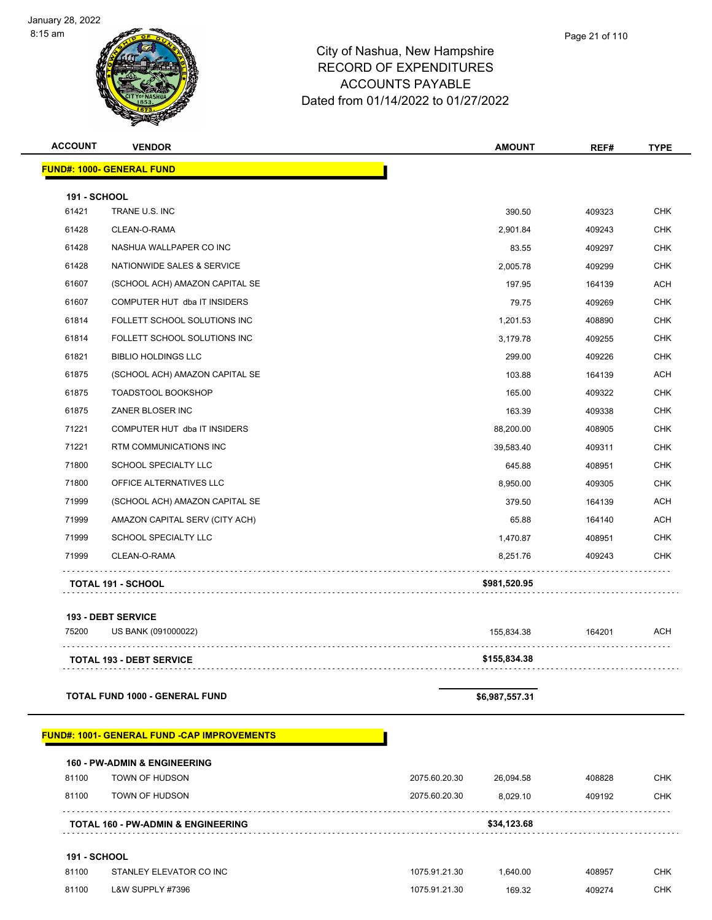

#### City of Nashua, New Hampshire RECORD OF EXPENDITURES ACCOUNTS PAYABLE Dated from 01/14/2022 to 01/27/2022

**ACCOUNT VENDOR AMOUNT REF# TYPE**

|                     | <u> FUND#: 1000- GENERAL FUND</u>                   |               |                |        |            |
|---------------------|-----------------------------------------------------|---------------|----------------|--------|------------|
| <b>191 - SCHOOL</b> |                                                     |               |                |        |            |
| 61421               | TRANE U.S. INC                                      |               | 390.50         | 409323 | <b>CHK</b> |
| 61428               | CLEAN-O-RAMA                                        |               | 2,901.84       | 409243 | <b>CHK</b> |
| 61428               | NASHUA WALLPAPER CO INC                             |               | 83.55          | 409297 | <b>CHK</b> |
| 61428               | NATIONWIDE SALES & SERVICE                          |               | 2,005.78       | 409299 | <b>CHK</b> |
| 61607               | (SCHOOL ACH) AMAZON CAPITAL SE                      |               | 197.95         | 164139 | <b>ACH</b> |
| 61607               | COMPUTER HUT dba IT INSIDERS                        |               | 79.75          | 409269 | <b>CHK</b> |
| 61814               | FOLLETT SCHOOL SOLUTIONS INC                        |               | 1,201.53       | 408890 | <b>CHK</b> |
| 61814               | FOLLETT SCHOOL SOLUTIONS INC                        |               | 3,179.78       | 409255 | <b>CHK</b> |
| 61821               | <b>BIBLIO HOLDINGS LLC</b>                          |               | 299.00         | 409226 | <b>CHK</b> |
| 61875               | (SCHOOL ACH) AMAZON CAPITAL SE                      |               | 103.88         | 164139 | <b>ACH</b> |
| 61875               | <b>TOADSTOOL BOOKSHOP</b>                           |               | 165.00         | 409322 | <b>CHK</b> |
| 61875               | ZANER BLOSER INC                                    |               | 163.39         | 409338 | <b>CHK</b> |
| 71221               | COMPUTER HUT dba IT INSIDERS                        |               | 88,200.00      | 408905 | <b>CHK</b> |
| 71221               | RTM COMMUNICATIONS INC                              |               | 39,583.40      | 409311 | <b>CHK</b> |
| 71800               | SCHOOL SPECIALTY LLC                                |               | 645.88         | 408951 | <b>CHK</b> |
| 71800               | OFFICE ALTERNATIVES LLC                             |               | 8,950.00       | 409305 | <b>CHK</b> |
| 71999               | (SCHOOL ACH) AMAZON CAPITAL SE                      |               | 379.50         | 164139 | <b>ACH</b> |
| 71999               | AMAZON CAPITAL SERV (CITY ACH)                      |               | 65.88          | 164140 | <b>ACH</b> |
| 71999               | SCHOOL SPECIALTY LLC                                |               | 1,470.87       | 408951 | <b>CHK</b> |
| 71999               | CLEAN-O-RAMA                                        |               | 8,251.76       | 409243 | <b>CHK</b> |
|                     | <b>TOTAL 191 - SCHOOL</b>                           |               | \$981,520.95   |        |            |
|                     | <b>193 - DEBT SERVICE</b>                           |               |                |        |            |
| 75200               | US BANK (091000022)                                 |               | 155,834.38     | 164201 | <b>ACH</b> |
|                     | <b>TOTAL 193 - DEBT SERVICE</b>                     |               | \$155,834.38   |        |            |
|                     | <b>TOTAL FUND 1000 - GENERAL FUND</b>               |               | \$6,987,557.31 |        |            |
|                     |                                                     |               |                |        |            |
|                     | <u> FUND#: 1001- GENERAL FUND -CAP IMPROVEMENTS</u> |               |                |        |            |
|                     | <b>160 - PW-ADMIN &amp; ENGINEERING</b>             |               |                |        |            |
| 81100               | TOWN OF HUDSON                                      | 2075.60.20.30 | 26,094.58      | 408828 | CHK        |
| 81100               | TOWN OF HUDSON                                      | 2075.60.20.30 | 8,029.10       | 409192 | CHK        |
|                     | <b>TOTAL 160 - PW-ADMIN &amp; ENGINEERING</b>       |               | \$34,123.68    |        |            |
| <b>191 - SCHOOL</b> |                                                     |               |                |        |            |

| .     |                         |               |         |        |     |
|-------|-------------------------|---------------|---------|--------|-----|
| 81100 | STANLEY ELEVATOR CO INC | 1075.91.21.30 | .640.00 | 408957 | СНК |
| 81100 | L&W SUPPLY #7396        | 1075.91.21.30 | 169.32  | 409274 | СНК |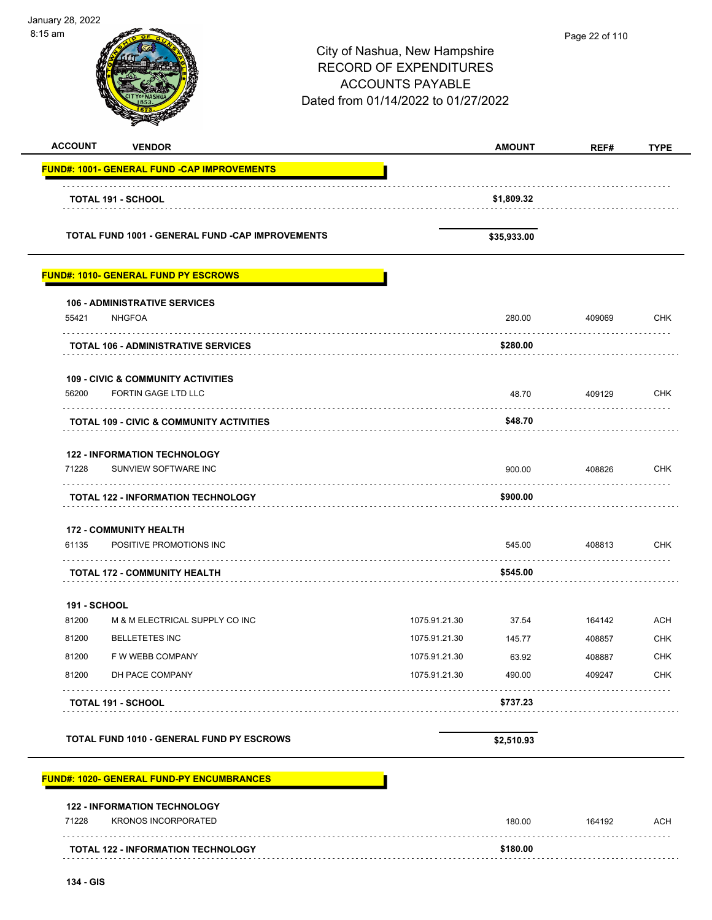| January 28, 2022<br>8:15 am |                                                                      |                                                                                                                                  |               | Page 22 of 110 |             |
|-----------------------------|----------------------------------------------------------------------|----------------------------------------------------------------------------------------------------------------------------------|---------------|----------------|-------------|
|                             |                                                                      | City of Nashua, New Hampshire<br><b>RECORD OF EXPENDITURES</b><br><b>ACCOUNTS PAYABLE</b><br>Dated from 01/14/2022 to 01/27/2022 |               |                |             |
| <b>ACCOUNT</b>              | <b>VENDOR</b>                                                        |                                                                                                                                  | <b>AMOUNT</b> | REF#           | <b>TYPE</b> |
|                             | <b>FUND#: 1001- GENERAL FUND -CAP IMPROVEMENTS</b>                   |                                                                                                                                  |               |                |             |
|                             | <b>TOTAL 191 - SCHOOL</b>                                            |                                                                                                                                  | \$1,809.32    |                |             |
|                             | TOTAL FUND 1001 - GENERAL FUND -CAP IMPROVEMENTS                     |                                                                                                                                  | \$35,933.00   |                |             |
|                             | <b>FUND#: 1010- GENERAL FUND PY ESCROWS</b>                          |                                                                                                                                  |               |                |             |
|                             | <b>106 - ADMINISTRATIVE SERVICES</b>                                 |                                                                                                                                  |               |                |             |
| 55421                       | <b>NHGFOA</b>                                                        |                                                                                                                                  | 280.00        | 409069         | <b>CHK</b>  |
|                             | <b>TOTAL 106 - ADMINISTRATIVE SERVICES</b>                           |                                                                                                                                  | \$280.00      |                |             |
| 56200                       | <b>109 - CIVIC &amp; COMMUNITY ACTIVITIES</b><br>FORTIN GAGE LTD LLC |                                                                                                                                  | 48.70         | 409129         | <b>CHK</b>  |
|                             | <b>TOTAL 109 - CIVIC &amp; COMMUNITY ACTIVITIES</b>                  |                                                                                                                                  | \$48.70       |                |             |
|                             |                                                                      |                                                                                                                                  |               |                |             |
| 71228                       | <b>122 - INFORMATION TECHNOLOGY</b><br>SUNVIEW SOFTWARE INC          |                                                                                                                                  | 900.00        | 408826         | <b>CHK</b>  |
|                             | <b>TOTAL 122 - INFORMATION TECHNOLOGY</b>                            |                                                                                                                                  | \$900.00      |                |             |
| 61135                       | <b>172 - COMMUNITY HEALTH</b><br>POSITIVE PROMOTIONS INC             |                                                                                                                                  | 545.00        | 408813         | CHK         |
|                             | <b>TOTAL 172 - COMMUNITY HEALTH</b>                                  |                                                                                                                                  | \$545.00      |                |             |
| 191 - SCHOOL                |                                                                      |                                                                                                                                  |               |                |             |
| 81200                       | M & M ELECTRICAL SUPPLY CO INC                                       | 1075.91.21.30                                                                                                                    | 37.54         | 164142         | <b>ACH</b>  |
| 81200                       | <b>BELLETETES INC</b>                                                | 1075.91.21.30                                                                                                                    | 145.77        | 408857         | <b>CHK</b>  |
| 81200                       | F W WEBB COMPANY                                                     | 1075.91.21.30                                                                                                                    | 63.92         | 408887         | <b>CHK</b>  |
| 81200                       | DH PACE COMPANY                                                      | 1075.91.21.30                                                                                                                    | 490.00        | 409247         | <b>CHK</b>  |
|                             | <b>TOTAL 191 - SCHOOL</b>                                            |                                                                                                                                  | \$737.23      |                |             |
|                             | TOTAL FUND 1010 - GENERAL FUND PY ESCROWS                            |                                                                                                                                  | \$2,510.93    |                |             |
|                             | <b>FUND#: 1020- GENERAL FUND-PY ENCUMBRANCES</b>                     |                                                                                                                                  |               |                |             |
|                             | <b>122 - INFORMATION TECHNOLOGY</b>                                  |                                                                                                                                  |               |                |             |
| 71228                       | <b>KRONOS INCORPORATED</b>                                           |                                                                                                                                  | 180.00        | 164192         | <b>ACH</b>  |
|                             | <b>TOTAL 122 - INFORMATION TECHNOLOGY</b>                            |                                                                                                                                  | \$180.00      |                |             |

-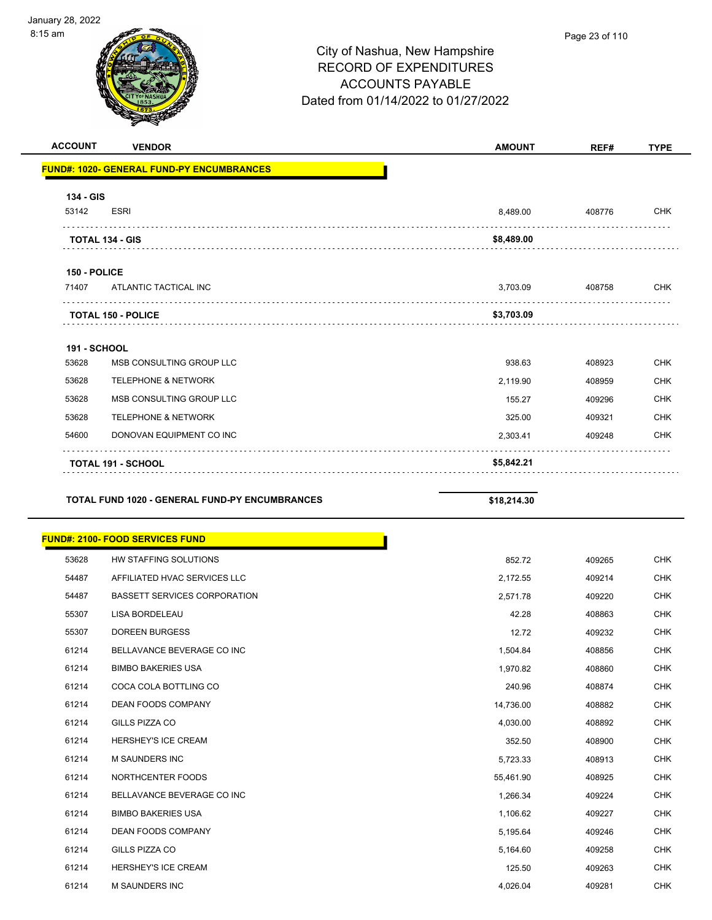| <b>ACCOUNT</b>      | <b>VENDOR</b>                                    | <b>AMOUNT</b> | REF#   | <b>TYPE</b> |
|---------------------|--------------------------------------------------|---------------|--------|-------------|
|                     | <b>FUND#: 1020- GENERAL FUND-PY ENCUMBRANCES</b> |               |        |             |
| 134 - GIS           |                                                  |               |        |             |
| 53142               | <b>ESRI</b>                                      | 8,489.00      | 408776 | <b>CHK</b>  |
|                     | <b>TOTAL 134 - GIS</b>                           | \$8,489.00    |        |             |
| 150 - POLICE        |                                                  |               |        |             |
| 71407               | ATLANTIC TACTICAL INC                            | 3,703.09      | 408758 | <b>CHK</b>  |
|                     | <b>TOTAL 150 - POLICE</b>                        | \$3,703.09    |        |             |
| <b>191 - SCHOOL</b> |                                                  |               |        |             |
| 53628               | MSB CONSULTING GROUP LLC                         | 938.63        | 408923 | <b>CHK</b>  |
| 53628               | <b>TELEPHONE &amp; NETWORK</b>                   | 2,119.90      | 408959 | <b>CHK</b>  |
| 53628               | MSB CONSULTING GROUP LLC                         | 155.27        | 409296 | <b>CHK</b>  |
| 53628               | <b>TELEPHONE &amp; NETWORK</b>                   | 325.00        | 409321 | <b>CHK</b>  |
| 54600               | DONOVAN EQUIPMENT CO INC                         | 2,303.41      | 409248 | <b>CHK</b>  |
|                     | <b>TOTAL 191 - SCHOOL</b>                        | \$5,842.21    |        |             |
|                     |                                                  |               |        |             |

#### **TOTAL FUND 1020 - GENERAL FUND-PY ENCUMBRANCES \$18,214.30**

|       | <b>FUND#: 2100- FOOD SERVICES FUND</b> |           |        |            |
|-------|----------------------------------------|-----------|--------|------------|
| 53628 | <b>HW STAFFING SOLUTIONS</b>           | 852.72    | 409265 | <b>CHK</b> |
| 54487 | AFFILIATED HVAC SERVICES LLC           | 2,172.55  | 409214 | <b>CHK</b> |
| 54487 | <b>BASSETT SERVICES CORPORATION</b>    | 2,571.78  | 409220 | <b>CHK</b> |
| 55307 | <b>LISA BORDELEAU</b>                  | 42.28     | 408863 | <b>CHK</b> |
| 55307 | <b>DOREEN BURGESS</b>                  | 12.72     | 409232 | <b>CHK</b> |
| 61214 | BELLAVANCE BEVERAGE CO INC             | 1,504.84  | 408856 | <b>CHK</b> |
| 61214 | <b>BIMBO BAKERIES USA</b>              | 1,970.82  | 408860 | <b>CHK</b> |
| 61214 | COCA COLA BOTTLING CO                  | 240.96    | 408874 | <b>CHK</b> |
| 61214 | <b>DEAN FOODS COMPANY</b>              | 14,736.00 | 408882 | <b>CHK</b> |
| 61214 | GILLS PIZZA CO                         | 4,030.00  | 408892 | <b>CHK</b> |
| 61214 | <b>HERSHEY'S ICE CREAM</b>             | 352.50    | 408900 | <b>CHK</b> |
| 61214 | M SAUNDERS INC                         | 5,723.33  | 408913 | <b>CHK</b> |
| 61214 | NORTHCENTER FOODS                      | 55,461.90 | 408925 | <b>CHK</b> |
| 61214 | BELLAVANCE BEVERAGE CO INC             | 1,266.34  | 409224 | <b>CHK</b> |
| 61214 | <b>BIMBO BAKERIES USA</b>              | 1,106.62  | 409227 | <b>CHK</b> |
| 61214 | <b>DEAN FOODS COMPANY</b>              | 5,195.64  | 409246 | <b>CHK</b> |
| 61214 | <b>GILLS PIZZA CO</b>                  | 5,164.60  | 409258 | <b>CHK</b> |
| 61214 | HERSHEY'S ICE CREAM                    | 125.50    | 409263 | <b>CHK</b> |
| 61214 | <b>M SAUNDERS INC</b>                  | 4.026.04  | 409281 | <b>CHK</b> |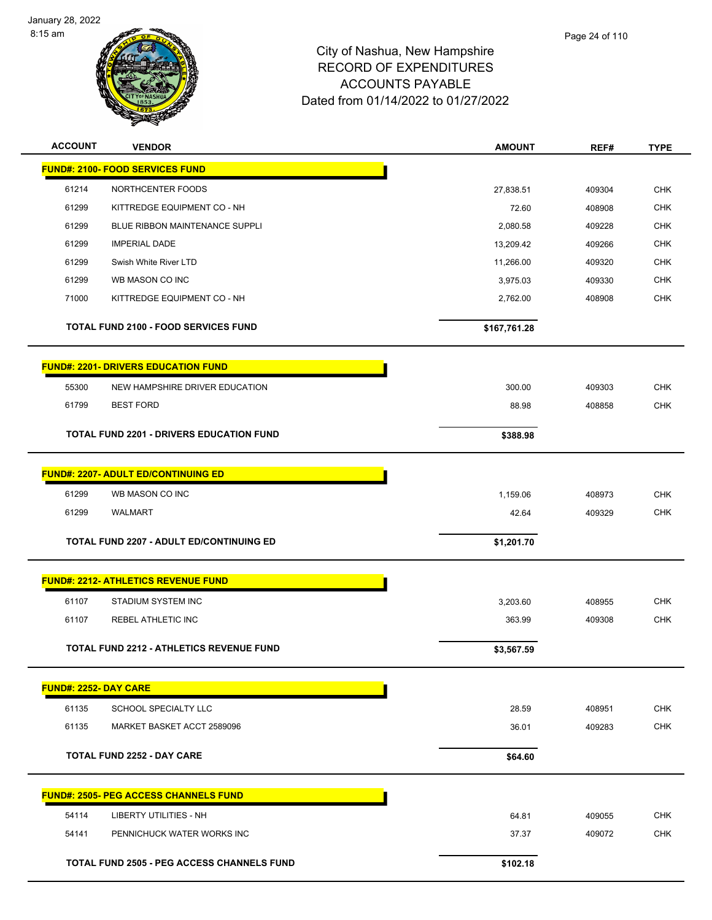

| <b>ACCOUNT</b>               | <b>VENDOR</b>                                     | <b>AMOUNT</b> | REF#   | <b>TYPE</b> |
|------------------------------|---------------------------------------------------|---------------|--------|-------------|
|                              | <b>FUND#: 2100- FOOD SERVICES FUND</b>            |               |        |             |
| 61214                        | NORTHCENTER FOODS                                 | 27,838.51     | 409304 | <b>CHK</b>  |
| 61299                        | KITTREDGE EQUIPMENT CO - NH                       | 72.60         | 408908 | <b>CHK</b>  |
| 61299                        | BLUE RIBBON MAINTENANCE SUPPLI                    | 2,080.58      | 409228 | <b>CHK</b>  |
| 61299                        | <b>IMPERIAL DADE</b>                              | 13,209.42     | 409266 | <b>CHK</b>  |
| 61299                        | Swish White River LTD                             | 11,266.00     | 409320 | <b>CHK</b>  |
| 61299                        | WB MASON CO INC                                   | 3,975.03      | 409330 | <b>CHK</b>  |
| 71000                        | KITTREDGE EQUIPMENT CO - NH                       | 2,762.00      | 408908 | <b>CHK</b>  |
|                              | <b>TOTAL FUND 2100 - FOOD SERVICES FUND</b>       | \$167,761.28  |        |             |
|                              | <b>FUND#: 2201- DRIVERS EDUCATION FUND</b>        |               |        |             |
| 55300                        | NEW HAMPSHIRE DRIVER EDUCATION                    | 300.00        | 409303 | <b>CHK</b>  |
| 61799                        | <b>BEST FORD</b>                                  | 88.98         | 408858 | <b>CHK</b>  |
|                              | <b>TOTAL FUND 2201 - DRIVERS EDUCATION FUND</b>   | \$388.98      |        |             |
|                              | <b>FUND#: 2207- ADULT ED/CONTINUING ED</b>        |               |        |             |
| 61299                        | WB MASON CO INC                                   | 1,159.06      | 408973 | <b>CHK</b>  |
| 61299                        | <b>WALMART</b>                                    | 42.64         | 409329 | <b>CHK</b>  |
|                              | <b>TOTAL FUND 2207 - ADULT ED/CONTINUING ED</b>   | \$1,201.70    |        |             |
|                              | <b>FUND#: 2212- ATHLETICS REVENUE FUND</b>        |               |        |             |
| 61107                        | <b>STADIUM SYSTEM INC</b>                         | 3,203.60      | 408955 | <b>CHK</b>  |
| 61107                        | REBEL ATHLETIC INC                                | 363.99        | 409308 | <b>CHK</b>  |
|                              |                                                   |               |        |             |
|                              | <b>TOTAL FUND 2212 - ATHLETICS REVENUE FUND</b>   | \$3,567.59    |        |             |
| <b>FUND#: 2252- DAY CARE</b> |                                                   |               |        |             |
| 61135                        | SCHOOL SPECIALTY LLC                              | 28.59         | 408951 | <b>CHK</b>  |
| 61135                        | MARKET BASKET ACCT 2589096                        | 36.01         | 409283 | <b>CHK</b>  |
|                              | <b>TOTAL FUND 2252 - DAY CARE</b>                 | \$64.60       |        |             |
|                              | <u> FUND#: 2505- PEG ACCESS CHANNELS FUND</u>     |               |        |             |
| 54114                        | <b>LIBERTY UTILITIES - NH</b>                     | 64.81         | 409055 | <b>CHK</b>  |
| 54141                        | PENNICHUCK WATER WORKS INC                        | 37.37         | 409072 | CHK         |
|                              | <b>TOTAL FUND 2505 - PEG ACCESS CHANNELS FUND</b> | \$102.18      |        |             |
|                              |                                                   |               |        |             |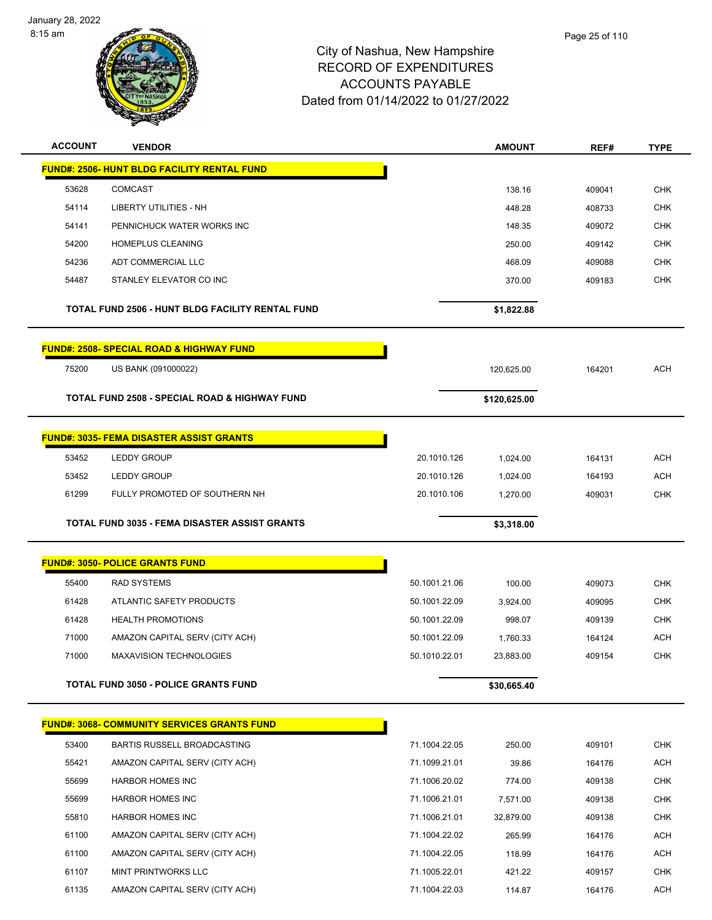

| <b>ACCOUNT</b> | <b>VENDOR</b>                                            |               | <b>AMOUNT</b> | REF#   | <b>TYPE</b> |
|----------------|----------------------------------------------------------|---------------|---------------|--------|-------------|
|                | <b>FUND#: 2506- HUNT BLDG FACILITY RENTAL FUND</b>       |               |               |        |             |
| 53628          | <b>COMCAST</b>                                           |               | 138.16        | 409041 | <b>CHK</b>  |
| 54114          | LIBERTY UTILITIES - NH                                   |               | 448.28        | 408733 | <b>CHK</b>  |
| 54141          | PENNICHUCK WATER WORKS INC                               |               | 148.35        | 409072 | <b>CHK</b>  |
| 54200          | <b>HOMEPLUS CLEANING</b>                                 |               | 250.00        | 409142 | <b>CHK</b>  |
| 54236          | ADT COMMERCIAL LLC                                       |               | 468.09        | 409088 | <b>CHK</b>  |
| 54487          | STANLEY ELEVATOR CO INC                                  |               | 370.00        | 409183 | <b>CHK</b>  |
|                | TOTAL FUND 2506 - HUNT BLDG FACILITY RENTAL FUND         |               | \$1,822.88    |        |             |
|                | <b>FUND#: 2508- SPECIAL ROAD &amp; HIGHWAY FUND</b>      |               |               |        |             |
| 75200          | US BANK (091000022)                                      |               | 120,625.00    | 164201 | <b>ACH</b>  |
|                |                                                          |               |               |        |             |
|                | <b>TOTAL FUND 2508 - SPECIAL ROAD &amp; HIGHWAY FUND</b> |               | \$120,625.00  |        |             |
|                | <u> FUND#: 3035- FEMA DISASTER ASSIST GRANTS</u>         |               |               |        |             |
|                |                                                          |               |               |        |             |
| 53452          | <b>LEDDY GROUP</b>                                       | 20.1010.126   | 1,024.00      | 164131 | <b>ACH</b>  |
| 53452          | <b>LEDDY GROUP</b>                                       | 20.1010.126   | 1,024.00      | 164193 | <b>ACH</b>  |
| 61299          | FULLY PROMOTED OF SOUTHERN NH                            | 20.1010.106   | 1,270.00      | 409031 | <b>CHK</b>  |
|                | <b>TOTAL FUND 3035 - FEMA DISASTER ASSIST GRANTS</b>     |               | \$3,318.00    |        |             |
|                |                                                          |               |               |        |             |
|                | <b>FUND#: 3050- POLICE GRANTS FUND</b>                   |               |               |        |             |
| 55400          | <b>RAD SYSTEMS</b>                                       | 50.1001.21.06 | 100.00        | 409073 | <b>CHK</b>  |
| 61428          | ATLANTIC SAFETY PRODUCTS                                 | 50.1001.22.09 | 3,924.00      | 409095 | <b>CHK</b>  |
| 61428          | <b>HEALTH PROMOTIONS</b>                                 | 50.1001.22.09 | 998.07        | 409139 | CHK         |
| 71000          | AMAZON CAPITAL SERV (CITY ACH)                           | 50.1001.22.09 |               |        | ACH         |
| 71000          |                                                          |               | 1,760.33      | 164124 |             |
|                | MAXAVISION TECHNOLOGIES                                  | 50.1010.22.01 | 23,883.00     | 409154 | <b>CHK</b>  |
|                | <b>TOTAL FUND 3050 - POLICE GRANTS FUND</b>              |               | \$30,665.40   |        |             |
|                |                                                          |               |               |        |             |
|                | <b>FUND#: 3068- COMMUNITY SERVICES GRANTS FUND</b>       |               |               |        |             |
| 53400          | BARTIS RUSSELL BROADCASTING                              | 71.1004.22.05 | 250.00        | 409101 | <b>CHK</b>  |
| 55421          | AMAZON CAPITAL SERV (CITY ACH)                           | 71.1099.21.01 | 39.86         | 164176 | <b>ACH</b>  |
| 55699          | <b>HARBOR HOMES INC</b>                                  | 71.1006.20.02 | 774.00        | 409138 | CHK         |
| 55699          | <b>HARBOR HOMES INC</b>                                  | 71.1006.21.01 | 7,571.00      | 409138 | <b>CHK</b>  |
| 55810          | <b>HARBOR HOMES INC</b>                                  | 71.1006.21.01 | 32,879.00     | 409138 | <b>CHK</b>  |
| 61100          | AMAZON CAPITAL SERV (CITY ACH)                           | 71.1004.22.02 | 265.99        | 164176 | <b>ACH</b>  |
| 61100          | AMAZON CAPITAL SERV (CITY ACH)                           | 71.1004.22.05 | 118.99        | 164176 | ACH         |
| 61107          | MINT PRINTWORKS LLC                                      | 71.1005.22.01 | 421.22        | 409157 | <b>CHK</b>  |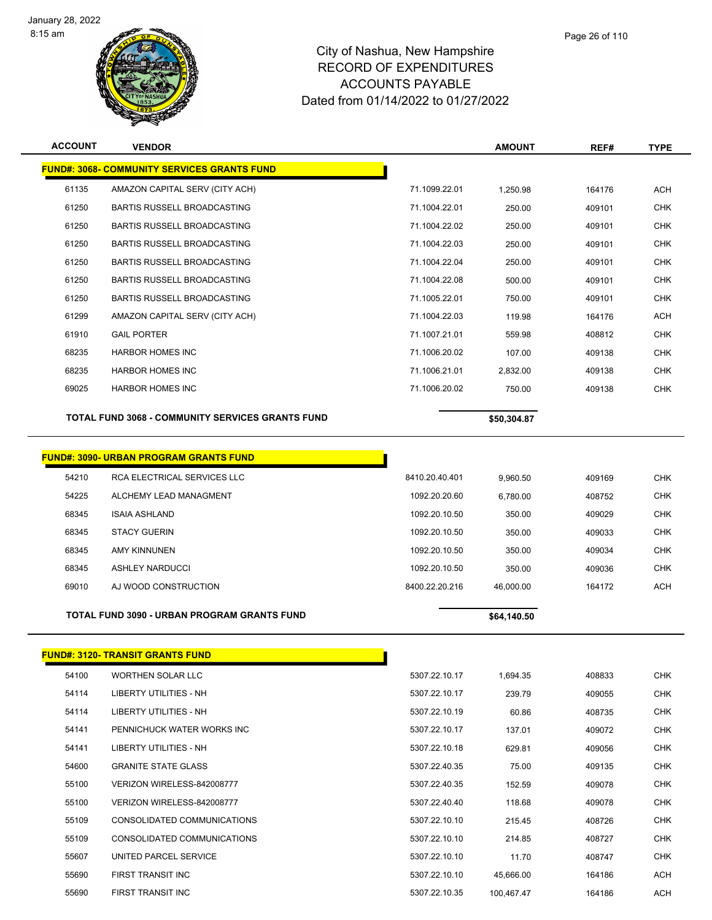

| <b>ACCOUNT</b> | <b>VENDOR</b>                                           |                | <b>AMOUNT</b> | REF#   | <b>TYPE</b> |
|----------------|---------------------------------------------------------|----------------|---------------|--------|-------------|
|                | <b>FUND#: 3068- COMMUNITY SERVICES GRANTS FUND</b>      |                |               |        |             |
| 61135          | AMAZON CAPITAL SERV (CITY ACH)                          | 71.1099.22.01  | 1,250.98      | 164176 | <b>ACH</b>  |
| 61250          | <b>BARTIS RUSSELL BROADCASTING</b>                      | 71.1004.22.01  | 250.00        | 409101 | <b>CHK</b>  |
| 61250          | BARTIS RUSSELL BROADCASTING                             | 71.1004.22.02  | 250.00        | 409101 | <b>CHK</b>  |
| 61250          | <b>BARTIS RUSSELL BROADCASTING</b>                      | 71.1004.22.03  | 250.00        | 409101 | <b>CHK</b>  |
| 61250          | <b>BARTIS RUSSELL BROADCASTING</b>                      | 71.1004.22.04  | 250.00        | 409101 | <b>CHK</b>  |
| 61250          | <b>BARTIS RUSSELL BROADCASTING</b>                      | 71.1004.22.08  | 500.00        | 409101 | <b>CHK</b>  |
| 61250          | BARTIS RUSSELL BROADCASTING                             | 71.1005.22.01  | 750.00        | 409101 | <b>CHK</b>  |
| 61299          | AMAZON CAPITAL SERV (CITY ACH)                          | 71.1004.22.03  | 119.98        | 164176 | <b>ACH</b>  |
| 61910          | <b>GAIL PORTER</b>                                      | 71.1007.21.01  | 559.98        | 408812 | <b>CHK</b>  |
| 68235          | <b>HARBOR HOMES INC</b>                                 | 71.1006.20.02  | 107.00        | 409138 | <b>CHK</b>  |
| 68235          | <b>HARBOR HOMES INC</b>                                 | 71.1006.21.01  | 2,832.00      | 409138 | <b>CHK</b>  |
| 69025          | <b>HARBOR HOMES INC</b>                                 | 71.1006.20.02  | 750.00        | 409138 | <b>CHK</b>  |
|                | <b>TOTAL FUND 3068 - COMMUNITY SERVICES GRANTS FUND</b> |                |               |        |             |
|                |                                                         |                | \$50,304.87   |        |             |
|                |                                                         |                |               |        |             |
|                | <b>FUND#: 3090- URBAN PROGRAM GRANTS FUND</b>           |                |               |        |             |
| 54210          | RCA ELECTRICAL SERVICES LLC                             | 8410.20.40.401 | 9,960.50      | 409169 | <b>CHK</b>  |
| 54225          | ALCHEMY LEAD MANAGMENT                                  | 1092.20.20.60  | 6,780.00      | 408752 | <b>CHK</b>  |
| 68345          | <b>ISAIA ASHLAND</b>                                    | 1092.20.10.50  | 350.00        | 409029 | <b>CHK</b>  |
| 68345          | <b>STACY GUERIN</b>                                     | 1092.20.10.50  | 350.00        | 409033 | <b>CHK</b>  |
| 68345          | <b>AMY KINNUNEN</b>                                     | 1092.20.10.50  | 350.00        | 409034 | <b>CHK</b>  |
| 68345          | <b>ASHLEY NARDUCCI</b>                                  | 1092.20.10.50  | 350.00        | 409036 | <b>CHK</b>  |
| 69010          | AJ WOOD CONSTRUCTION                                    | 8400.22.20.216 | 46,000.00     | 164172 | <b>ACH</b>  |
|                | TOTAL FUND 3090 - URBAN PROGRAM GRANTS FUND             |                | \$64,140.50   |        |             |
|                | <u> FUND#: 3120- TRANSIT GRANTS FUND</u>                |                |               |        |             |

| 54100 | <b>WORTHEN SOLAR LLC</b>    | 5307.22.10.17 | 1.694.35   | 408833 | <b>CHK</b> |
|-------|-----------------------------|---------------|------------|--------|------------|
| 54114 | LIBERTY UTILITIES - NH      | 5307.22.10.17 | 239.79     | 409055 | <b>CHK</b> |
| 54114 | LIBERTY UTILITIES - NH      | 5307.22.10.19 | 60.86      | 408735 | CHK        |
| 54141 | PENNICHUCK WATER WORKS INC  | 5307.22.10.17 | 137.01     | 409072 | <b>CHK</b> |
| 54141 | LIBERTY UTILITIES - NH      | 5307.22.10.18 | 629.81     | 409056 | CHK        |
| 54600 | <b>GRANITE STATE GLASS</b>  | 5307.22.40.35 | 75.00      | 409135 | CHK        |
| 55100 | VERIZON WIRELESS-842008777  | 5307.22.40.35 | 152.59     | 409078 | <b>CHK</b> |
| 55100 | VERIZON WIRELESS-842008777  | 5307.22.40.40 | 118.68     | 409078 | CHK        |
| 55109 | CONSOLIDATED COMMUNICATIONS | 5307.22.10.10 | 215.45     | 408726 | <b>CHK</b> |
| 55109 | CONSOLIDATED COMMUNICATIONS | 5307.22.10.10 | 214.85     | 408727 | CHK        |
| 55607 | UNITED PARCEL SERVICE       | 5307.22.10.10 | 11.70      | 408747 | CHK        |
| 55690 | FIRST TRANSIT INC           | 5307.22.10.10 | 45,666.00  | 164186 | ACH        |
| 55690 | FIRST TRANSIT INC           | 5307.22.10.35 | 100.467.47 | 164186 | ACH        |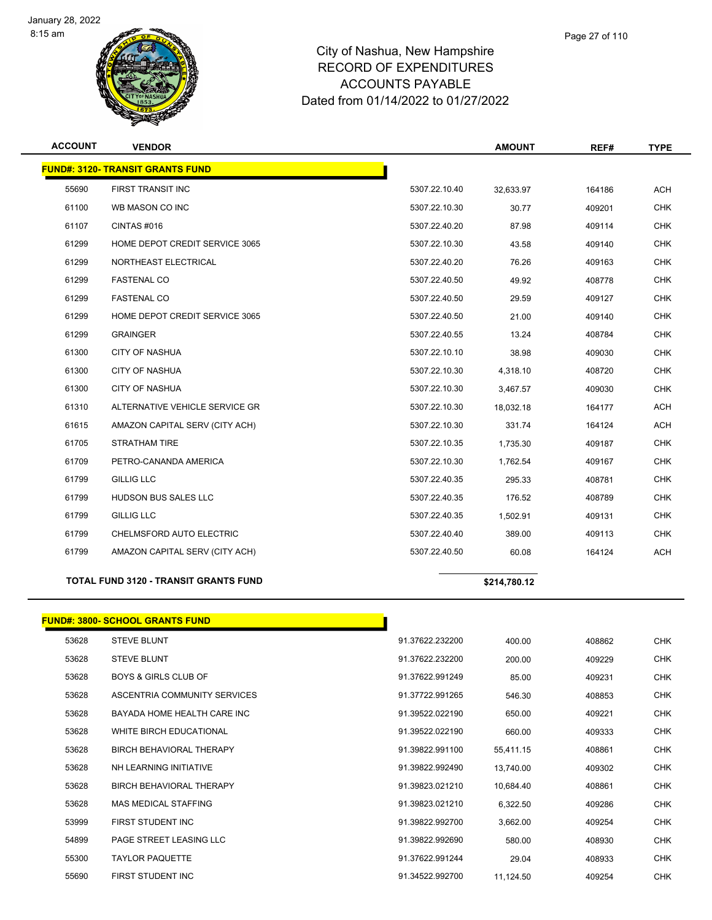

| <b>ACCOUNT</b> | <b>VENDOR</b>                                |               | <b>AMOUNT</b> | REF#   | <b>TYPE</b> |
|----------------|----------------------------------------------|---------------|---------------|--------|-------------|
|                | <b>FUND#: 3120- TRANSIT GRANTS FUND</b>      |               |               |        |             |
| 55690          | FIRST TRANSIT INC                            | 5307.22.10.40 | 32,633.97     | 164186 | <b>ACH</b>  |
| 61100          | WB MASON CO INC                              | 5307.22.10.30 | 30.77         | 409201 | <b>CHK</b>  |
| 61107          | CINTAS #016                                  | 5307.22.40.20 | 87.98         | 409114 | <b>CHK</b>  |
| 61299          | HOME DEPOT CREDIT SERVICE 3065               | 5307.22.10.30 | 43.58         | 409140 | <b>CHK</b>  |
| 61299          | NORTHEAST ELECTRICAL                         | 5307.22.40.20 | 76.26         | 409163 | <b>CHK</b>  |
| 61299          | <b>FASTENAL CO</b>                           | 5307.22.40.50 | 49.92         | 408778 | <b>CHK</b>  |
| 61299          | <b>FASTENAL CO</b>                           | 5307.22.40.50 | 29.59         | 409127 | <b>CHK</b>  |
| 61299          | HOME DEPOT CREDIT SERVICE 3065               | 5307.22.40.50 | 21.00         | 409140 | <b>CHK</b>  |
| 61299          | <b>GRAINGER</b>                              | 5307.22.40.55 | 13.24         | 408784 | <b>CHK</b>  |
| 61300          | <b>CITY OF NASHUA</b>                        | 5307.22.10.10 | 38.98         | 409030 | <b>CHK</b>  |
| 61300          | <b>CITY OF NASHUA</b>                        | 5307.22.10.30 | 4,318.10      | 408720 | <b>CHK</b>  |
| 61300          | <b>CITY OF NASHUA</b>                        | 5307.22.10.30 | 3,467.57      | 409030 | <b>CHK</b>  |
| 61310          | ALTERNATIVE VEHICLE SERVICE GR               | 5307.22.10.30 | 18,032.18     | 164177 | <b>ACH</b>  |
| 61615          | AMAZON CAPITAL SERV (CITY ACH)               | 5307.22.10.30 | 331.74        | 164124 | <b>ACH</b>  |
| 61705          | <b>STRATHAM TIRE</b>                         | 5307.22.10.35 | 1,735.30      | 409187 | <b>CHK</b>  |
| 61709          | PETRO-CANANDA AMERICA                        | 5307.22.10.30 | 1,762.54      | 409167 | <b>CHK</b>  |
| 61799          | <b>GILLIG LLC</b>                            | 5307.22.40.35 | 295.33        | 408781 | <b>CHK</b>  |
| 61799          | <b>HUDSON BUS SALES LLC</b>                  | 5307.22.40.35 | 176.52        | 408789 | <b>CHK</b>  |
| 61799          | <b>GILLIG LLC</b>                            | 5307.22.40.35 | 1,502.91      | 409131 | <b>CHK</b>  |
| 61799          | CHELMSFORD AUTO ELECTRIC                     | 5307.22.40.40 | 389.00        | 409113 | <b>CHK</b>  |
| 61799          | AMAZON CAPITAL SERV (CITY ACH)               | 5307.22.40.50 | 60.08         | 164124 | <b>ACH</b>  |
|                | <b>TOTAL FUND 3120 - TRANSIT GRANTS FUND</b> |               | \$214,780.12  |        |             |

## **FUND#: 3800- SCHOOL GRANTS FUND** STEVE BLUNT 91.37622.232200 400.00 408862 CHK STEVE BLUNT 91.37622.232200 200.00 409229 CHK BOYS & GIRLS CLUB OF 91.37622.991249 85.00 409231 CHK ASCENTRIA COMMUNITY SERVICES 91.37722.991265 546.30 408853 CHK BAYADA HOME HEALTH CARE INC 91.39522.022190 650.00 409221 CHK WHITE BIRCH EDUCATIONAL 91.39522.022190 660.00 409333 CHK BIRCH BEHAVIORAL THERAPY 91.39822.991100 55,411.15 408861 CHK NH LEARNING INITIATIVE 91.39822.992490 13,740.00 409302 CHK BIRCH BEHAVIORAL THERAPY 91.39823.021210 10,684.40 408861 CHK MAS MEDICAL STAFFING 91.39823.021210 6,322.50 409286 CHK FIRST STUDENT INC 91.39822.992700 3,662.00 409254 CHK PAGE STREET LEASING LLC 91.39822.992690 580.00 408930 CHK TAYLOR PAQUETTE 91.37622.991244 29.04 408933 CHK FIRST STUDENT INC 91.34522.992700 11,124.50 409254 CHK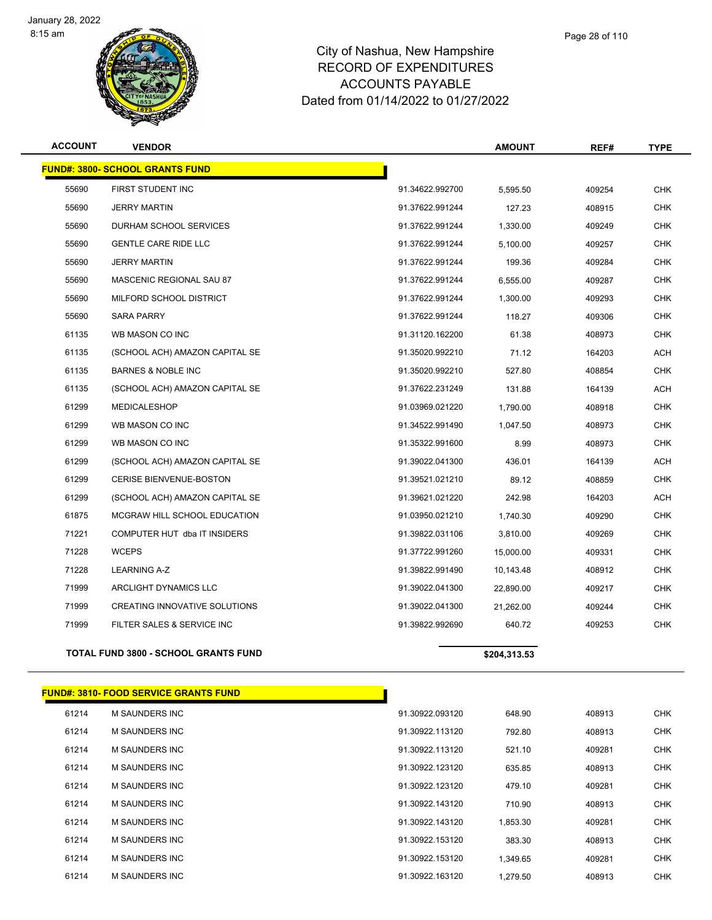



| <b>ACCOUNT</b> | <b>VENDOR</b>                          |                 | <b>AMOUNT</b> | REF#   | <b>TYPE</b> |
|----------------|----------------------------------------|-----------------|---------------|--------|-------------|
|                | <b>FUND#: 3800- SCHOOL GRANTS FUND</b> |                 |               |        |             |
| 55690          | FIRST STUDENT INC                      | 91.34622.992700 | 5,595.50      | 409254 | <b>CHK</b>  |
| 55690          | <b>JERRY MARTIN</b>                    | 91.37622.991244 | 127.23        | 408915 | <b>CHK</b>  |
| 55690          | DURHAM SCHOOL SERVICES                 | 91.37622.991244 | 1,330.00      | 409249 | <b>CHK</b>  |
| 55690          | <b>GENTLE CARE RIDE LLC</b>            | 91.37622.991244 | 5,100.00      | 409257 | <b>CHK</b>  |
| 55690          | <b>JERRY MARTIN</b>                    | 91.37622.991244 | 199.36        | 409284 | <b>CHK</b>  |
| 55690          | MASCENIC REGIONAL SAU 87               | 91.37622.991244 | 6,555.00      | 409287 | <b>CHK</b>  |
| 55690          | MILFORD SCHOOL DISTRICT                | 91.37622.991244 | 1,300.00      | 409293 | <b>CHK</b>  |
| 55690          | <b>SARA PARRY</b>                      | 91.37622.991244 | 118.27        | 409306 | <b>CHK</b>  |
| 61135          | WB MASON CO INC                        | 91.31120.162200 | 61.38         | 408973 | <b>CHK</b>  |
| 61135          | (SCHOOL ACH) AMAZON CAPITAL SE         | 91.35020.992210 | 71.12         | 164203 | <b>ACH</b>  |
| 61135          | <b>BARNES &amp; NOBLE INC</b>          | 91.35020.992210 | 527.80        | 408854 | <b>CHK</b>  |
| 61135          | (SCHOOL ACH) AMAZON CAPITAL SE         | 91.37622.231249 | 131.88        | 164139 | <b>ACH</b>  |
| 61299          | <b>MEDICALESHOP</b>                    | 91.03969.021220 | 1,790.00      | 408918 | <b>CHK</b>  |
| 61299          | WB MASON CO INC                        | 91.34522.991490 | 1,047.50      | 408973 | <b>CHK</b>  |
| 61299          | WB MASON CO INC                        | 91.35322.991600 | 8.99          | 408973 | <b>CHK</b>  |
| 61299          | (SCHOOL ACH) AMAZON CAPITAL SE         | 91.39022.041300 | 436.01        | 164139 | <b>ACH</b>  |
| 61299          | CERISE BIENVENUE-BOSTON                | 91.39521.021210 | 89.12         | 408859 | <b>CHK</b>  |
| 61299          | (SCHOOL ACH) AMAZON CAPITAL SE         | 91.39621.021220 | 242.98        | 164203 | <b>ACH</b>  |
| 61875          | <b>MCGRAW HILL SCHOOL EDUCATION</b>    | 91.03950.021210 | 1,740.30      | 409290 | <b>CHK</b>  |
| 71221          | COMPUTER HUT dba IT INSIDERS           | 91.39822.031106 | 3,810.00      | 409269 | <b>CHK</b>  |
| 71228          | <b>WCEPS</b>                           | 91.37722.991260 | 15,000.00     | 409331 | <b>CHK</b>  |
| 71228          | <b>LEARNING A-Z</b>                    | 91.39822.991490 | 10,143.48     | 408912 | <b>CHK</b>  |
| 71999          | ARCLIGHT DYNAMICS LLC                  | 91.39022.041300 | 22,890.00     | 409217 | <b>CHK</b>  |
| 71999          | CREATING INNOVATIVE SOLUTIONS          | 91.39022.041300 | 21,262.00     | 409244 | <b>CHK</b>  |
| 71999          | FILTER SALES & SERVICE INC             | 91.39822.992690 | 640.72        | 409253 | <b>CHK</b>  |
|                |                                        |                 |               |        |             |

#### **TOTAL FUND 3800 - SCHOOL GRANTS FUND \$204,313.53**

|       | <b>FUND#: 3810- FOOD SERVICE GRANTS FUND</b> |                 |          |        |            |
|-------|----------------------------------------------|-----------------|----------|--------|------------|
| 61214 | <b>M SAUNDERS INC</b>                        | 91.30922.093120 | 648.90   | 408913 | <b>CHK</b> |
| 61214 | M SAUNDERS INC                               | 91.30922.113120 | 792.80   | 408913 | <b>CHK</b> |
| 61214 | M SAUNDERS INC                               | 91.30922.113120 | 521.10   | 409281 | <b>CHK</b> |
| 61214 | M SAUNDERS INC                               | 91.30922.123120 | 635.85   | 408913 | <b>CHK</b> |
| 61214 | M SAUNDERS INC                               | 91.30922.123120 | 479.10   | 409281 | <b>CHK</b> |
| 61214 | M SAUNDERS INC                               | 91.30922.143120 | 710.90   | 408913 | <b>CHK</b> |
| 61214 | M SAUNDERS INC                               | 91.30922.143120 | 1,853.30 | 409281 | <b>CHK</b> |
| 61214 | <b>M SAUNDERS INC</b>                        | 91.30922.153120 | 383.30   | 408913 | <b>CHK</b> |
| 61214 | <b>M SAUNDERS INC</b>                        | 91.30922.153120 | 1,349.65 | 409281 | <b>CHK</b> |
| 61214 | <b>M SAUNDERS INC</b>                        | 91.30922.163120 | 1,279.50 | 408913 | <b>CHK</b> |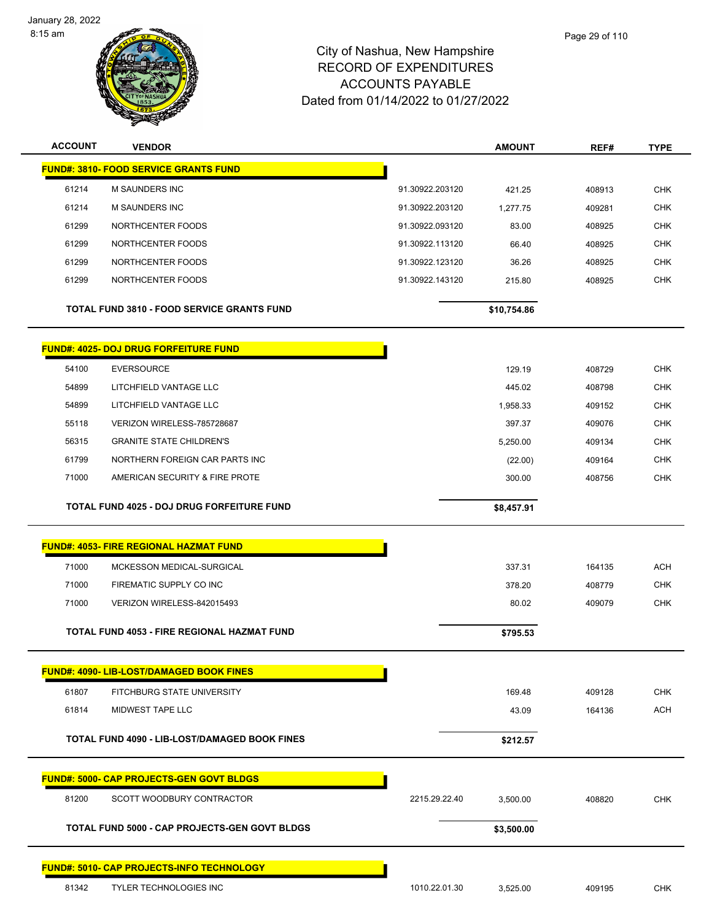



| <b>ACCOUNT</b> | <b>VENDOR</b>                                        |                 | <b>AMOUNT</b> | REF#   | <b>TYPE</b> |
|----------------|------------------------------------------------------|-----------------|---------------|--------|-------------|
|                | <b>FUND#: 3810- FOOD SERVICE GRANTS FUND</b>         |                 |               |        |             |
| 61214          | M SAUNDERS INC                                       | 91.30922.203120 | 421.25        | 408913 | <b>CHK</b>  |
| 61214          | <b>M SAUNDERS INC</b>                                | 91.30922.203120 | 1,277.75      | 409281 | <b>CHK</b>  |
| 61299          | NORTHCENTER FOODS                                    | 91.30922.093120 | 83.00         | 408925 | <b>CHK</b>  |
| 61299          | NORTHCENTER FOODS                                    | 91.30922.113120 | 66.40         | 408925 | <b>CHK</b>  |
| 61299          | NORTHCENTER FOODS                                    | 91.30922.123120 | 36.26         | 408925 | <b>CHK</b>  |
| 61299          | NORTHCENTER FOODS                                    | 91.30922.143120 | 215.80        | 408925 | <b>CHK</b>  |
|                | <b>TOTAL FUND 3810 - FOOD SERVICE GRANTS FUND</b>    |                 | \$10,754.86   |        |             |
|                | <u> FUND#: 4025- DOJ DRUG FORFEITURE FUND</u>        |                 |               |        |             |
| 54100          | <b>EVERSOURCE</b>                                    |                 | 129.19        | 408729 | <b>CHK</b>  |
| 54899          | LITCHFIELD VANTAGE LLC                               |                 | 445.02        | 408798 | <b>CHK</b>  |
| 54899          | LITCHFIELD VANTAGE LLC                               |                 | 1,958.33      | 409152 | <b>CHK</b>  |
| 55118          | VERIZON WIRELESS-785728687                           |                 | 397.37        | 409076 | <b>CHK</b>  |
| 56315          | <b>GRANITE STATE CHILDREN'S</b>                      |                 | 5,250.00      | 409134 | <b>CHK</b>  |
| 61799          | NORTHERN FOREIGN CAR PARTS INC                       |                 | (22.00)       | 409164 | <b>CHK</b>  |
| 71000          | AMERICAN SECURITY & FIRE PROTE                       |                 | 300.00        | 408756 | <b>CHK</b>  |
|                |                                                      |                 |               |        |             |
|                | TOTAL FUND 4025 - DOJ DRUG FORFEITURE FUND           |                 | \$8,457.91    |        |             |
|                | <b>FUND#: 4053- FIRE REGIONAL HAZMAT FUND</b>        |                 |               |        |             |
| 71000          | MCKESSON MEDICAL-SURGICAL                            |                 | 337.31        | 164135 | <b>ACH</b>  |
| 71000          | FIREMATIC SUPPLY CO INC                              |                 | 378.20        | 408779 | <b>CHK</b>  |
| 71000          | VERIZON WIRELESS-842015493                           |                 | 80.02         | 409079 | <b>CHK</b>  |
|                | <b>TOTAL FUND 4053 - FIRE REGIONAL HAZMAT FUND</b>   |                 | \$795.53      |        |             |
|                | <b>FUND#: 4090- LIB-LOST/DAMAGED BOOK FINES</b>      |                 |               |        |             |
| 61807          | <b>FITCHBURG STATE UNIVERSITY</b>                    |                 | 169.48        | 409128 | <b>CHK</b>  |
| 61814          | <b>MIDWEST TAPE LLC</b>                              |                 | 43.09         | 164136 | <b>ACH</b>  |
|                | TOTAL FUND 4090 - LIB-LOST/DAMAGED BOOK FINES        |                 | \$212.57      |        |             |
|                |                                                      |                 |               |        |             |
|                | <b>FUND#: 5000- CAP PROJECTS-GEN GOVT BLDGS</b>      |                 |               |        |             |
| 81200          | SCOTT WOODBURY CONTRACTOR                            | 2215.29.22.40   | 3,500.00      | 408820 | <b>CHK</b>  |
|                | <b>TOTAL FUND 5000 - CAP PROJECTS-GEN GOVT BLDGS</b> |                 | \$3,500.00    |        |             |
|                | FUND#: 5010- CAP PROJECTS-INFO TECHNOLOGY            |                 |               |        |             |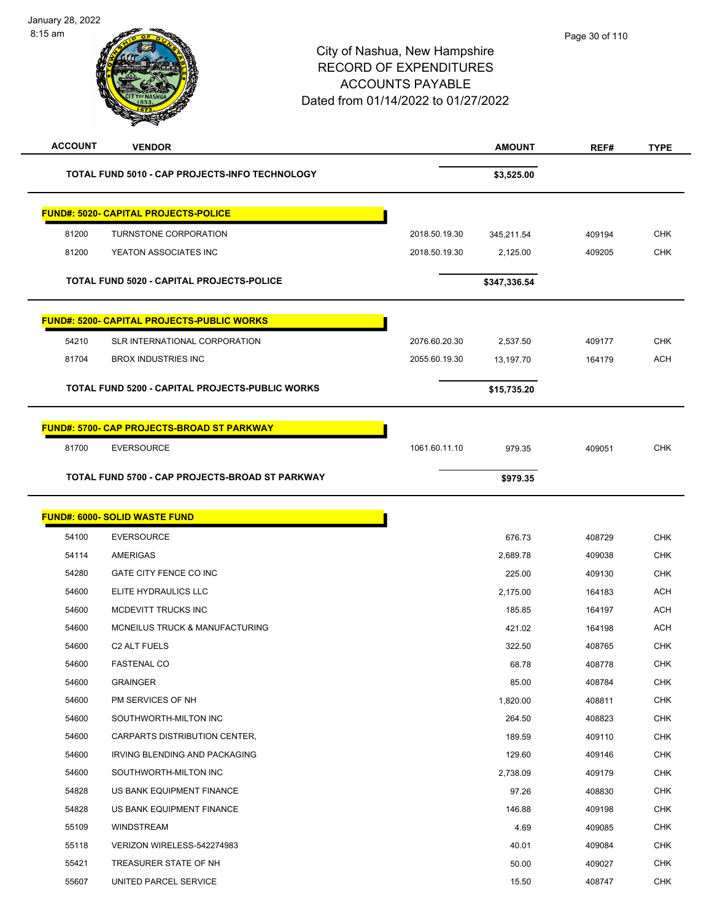

| <b>ACCOUNT</b> | <b>VENDOR</b>                                     |               | <b>AMOUNT</b> | REF#   | <b>TYPE</b> |
|----------------|---------------------------------------------------|---------------|---------------|--------|-------------|
|                | TOTAL FUND 5010 - CAP PROJECTS-INFO TECHNOLOGY    |               | \$3,525.00    |        |             |
|                | <b>FUND#: 5020- CAPITAL PROJECTS-POLICE</b>       |               |               |        |             |
| 81200          | TURNSTONE CORPORATION                             | 2018.50.19.30 | 345,211.54    | 409194 | <b>CHK</b>  |
| 81200          | YEATON ASSOCIATES INC                             | 2018.50.19.30 | 2,125.00      | 409205 | <b>CHK</b>  |
|                | <b>TOTAL FUND 5020 - CAPITAL PROJECTS-POLICE</b>  |               | \$347,336.54  |        |             |
|                | <b>FUND#: 5200- CAPITAL PROJECTS-PUBLIC WORKS</b> |               |               |        |             |
| 54210          | SLR INTERNATIONAL CORPORATION                     | 2076.60.20.30 | 2,537.50      | 409177 | <b>CHK</b>  |
| 81704          | <b>BROX INDUSTRIES INC</b>                        | 2055.60.19.30 | 13,197.70     | 164179 | <b>ACH</b>  |
|                | TOTAL FUND 5200 - CAPITAL PROJECTS-PUBLIC WORKS   |               | \$15,735.20   |        |             |
|                | <b>FUND#: 5700- CAP PROJECTS-BROAD ST PARKWAY</b> |               |               |        |             |
| 81700          | <b>EVERSOURCE</b>                                 | 1061.60.11.10 | 979.35        | 409051 | <b>CHK</b>  |
|                | TOTAL FUND 5700 - CAP PROJECTS-BROAD ST PARKWAY   |               | \$979.35      |        |             |
|                | <b>FUND#: 6000- SOLID WASTE FUND</b>              |               |               |        |             |
| 54100          | <b>EVERSOURCE</b>                                 |               | 676.73        | 408729 | <b>CHK</b>  |
| 54114          | AMERIGAS                                          |               | 2,689.78      | 409038 | <b>CHK</b>  |
| 54280          | GATE CITY FENCE CO INC                            |               | 225.00        | 409130 | <b>CHK</b>  |
| 54600          | ELITE HYDRAULICS LLC                              |               | 2,175.00      | 164183 | <b>ACH</b>  |
| 54600          | MCDEVITT TRUCKS INC                               |               | 185.85        | 164197 | <b>ACH</b>  |
| 54600          | <b>MCNEILUS TRUCK &amp; MANUFACTURING</b>         |               | 421.02        | 164198 | <b>ACH</b>  |
| 54600          | C <sub>2</sub> ALT FUELS                          |               | 322.50        | 408765 | <b>CHK</b>  |
| 54600          | <b>FASTENAL CO</b>                                |               | 68.78         | 408778 | <b>CHK</b>  |
| 54600          | <b>GRAINGER</b>                                   |               | 85.00         | 408784 | CHK         |
| 54600          | PM SERVICES OF NH                                 |               | 1,820.00      | 408811 | <b>CHK</b>  |
| 54600          | SOUTHWORTH-MILTON INC                             |               | 264.50        | 408823 | <b>CHK</b>  |
| 54600          | CARPARTS DISTRIBUTION CENTER,                     |               | 189.59        | 409110 | <b>CHK</b>  |
| 54600          | IRVING BLENDING AND PACKAGING                     |               | 129.60        | 409146 | <b>CHK</b>  |
| 54600          | SOUTHWORTH-MILTON INC                             |               | 2,738.09      | 409179 | CHK         |
| 54828          | US BANK EQUIPMENT FINANCE                         |               | 97.26         | 408830 | <b>CHK</b>  |
| 54828          | US BANK EQUIPMENT FINANCE                         |               | 146.88        | 409198 | <b>CHK</b>  |
| 55109          | WINDSTREAM                                        |               | 4.69          | 409085 | CHK         |
| 55118          | VERIZON WIRELESS-542274983                        |               | 40.01         | 409084 | <b>CHK</b>  |
| 55421          | TREASURER STATE OF NH                             |               | 50.00         | 409027 | <b>CHK</b>  |
| 55607          | UNITED PARCEL SERVICE                             |               | 15.50         | 408747 | <b>CHK</b>  |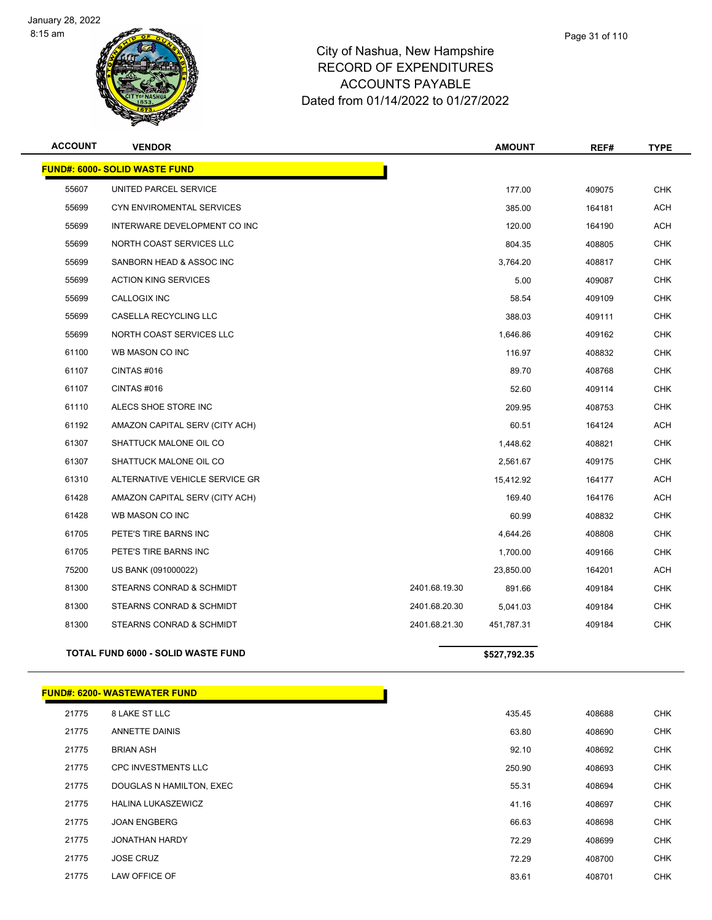



|      | Page 31 of 110 |
|------|----------------|
| iire |                |

| <b>ACCOUNT</b> | <b>VENDOR</b>                             |               | <b>AMOUNT</b> | REF#   | TYPE       |
|----------------|-------------------------------------------|---------------|---------------|--------|------------|
|                | <b>FUND#: 6000- SOLID WASTE FUND</b>      |               |               |        |            |
| 55607          | UNITED PARCEL SERVICE                     |               | 177.00        | 409075 | <b>CHK</b> |
| 55699          | <b>CYN ENVIROMENTAL SERVICES</b>          |               | 385.00        | 164181 | <b>ACH</b> |
| 55699          | INTERWARE DEVELOPMENT CO INC              |               | 120.00        | 164190 | <b>ACH</b> |
| 55699          | NORTH COAST SERVICES LLC                  |               | 804.35        | 408805 | <b>CHK</b> |
| 55699          | SANBORN HEAD & ASSOC INC                  |               | 3,764.20      | 408817 | <b>CHK</b> |
| 55699          | <b>ACTION KING SERVICES</b>               |               | 5.00          | 409087 | <b>CHK</b> |
| 55699          | CALLOGIX INC                              |               | 58.54         | 409109 | <b>CHK</b> |
| 55699          | CASELLA RECYCLING LLC                     |               | 388.03        | 409111 | <b>CHK</b> |
| 55699          | NORTH COAST SERVICES LLC                  |               | 1,646.86      | 409162 | <b>CHK</b> |
| 61100          | WB MASON CO INC                           |               | 116.97        | 408832 | <b>CHK</b> |
| 61107          | CINTAS #016                               |               | 89.70         | 408768 | <b>CHK</b> |
| 61107          | CINTAS #016                               |               | 52.60         | 409114 | <b>CHK</b> |
| 61110          | ALECS SHOE STORE INC                      |               | 209.95        | 408753 | <b>CHK</b> |
| 61192          | AMAZON CAPITAL SERV (CITY ACH)            |               | 60.51         | 164124 | <b>ACH</b> |
| 61307          | SHATTUCK MALONE OIL CO                    |               | 1,448.62      | 408821 | <b>CHK</b> |
| 61307          | SHATTUCK MALONE OIL CO                    |               | 2,561.67      | 409175 | <b>CHK</b> |
| 61310          | ALTERNATIVE VEHICLE SERVICE GR            |               | 15,412.92     | 164177 | <b>ACH</b> |
| 61428          | AMAZON CAPITAL SERV (CITY ACH)            |               | 169.40        | 164176 | <b>ACH</b> |
| 61428          | WB MASON CO INC                           |               | 60.99         | 408832 | <b>CHK</b> |
| 61705          | PETE'S TIRE BARNS INC                     |               | 4,644.26      | 408808 | <b>CHK</b> |
| 61705          | PETE'S TIRE BARNS INC                     |               | 1,700.00      | 409166 | <b>CHK</b> |
| 75200          | US BANK (091000022)                       |               | 23,850.00     | 164201 | <b>ACH</b> |
| 81300          | STEARNS CONRAD & SCHMIDT                  | 2401.68.19.30 | 891.66        | 409184 | <b>CHK</b> |
| 81300          | STEARNS CONRAD & SCHMIDT                  | 2401.68.20.30 | 5,041.03      | 409184 | <b>CHK</b> |
| 81300          | STEARNS CONRAD & SCHMIDT                  | 2401.68.21.30 | 451,787.31    | 409184 | <b>CHK</b> |
|                | <b>TOTAL FUND 6000 - SOLID WASTE FUND</b> |               | \$527,792.35  |        |            |
|                |                                           |               |               |        |            |

|       | <b>FUND#: 6200-WASTEWATER FUND</b> |        |        |            |
|-------|------------------------------------|--------|--------|------------|
| 21775 | 8 LAKE ST LLC                      | 435.45 | 408688 | <b>CHK</b> |
| 21775 | <b>ANNETTE DAINIS</b>              | 63.80  | 408690 | <b>CHK</b> |
| 21775 | <b>BRIAN ASH</b>                   | 92.10  | 408692 | CHK        |
| 21775 | <b>CPC INVESTMENTS LLC</b>         | 250.90 | 408693 | <b>CHK</b> |
| 21775 | DOUGLAS N HAMILTON, EXEC           | 55.31  | 408694 | <b>CHK</b> |
| 21775 | <b>HALINA LUKASZEWICZ</b>          | 41.16  | 408697 | <b>CHK</b> |
| 21775 | <b>JOAN ENGBERG</b>                | 66.63  | 408698 | <b>CHK</b> |
| 21775 | <b>JONATHAN HARDY</b>              | 72.29  | 408699 | CHK        |
| 21775 | <b>JOSE CRUZ</b>                   | 72.29  | 408700 |            |
| 21775 | LAW OFFICE OF                      | 83.61  | 408701 |            |
|       |                                    |        |        |            |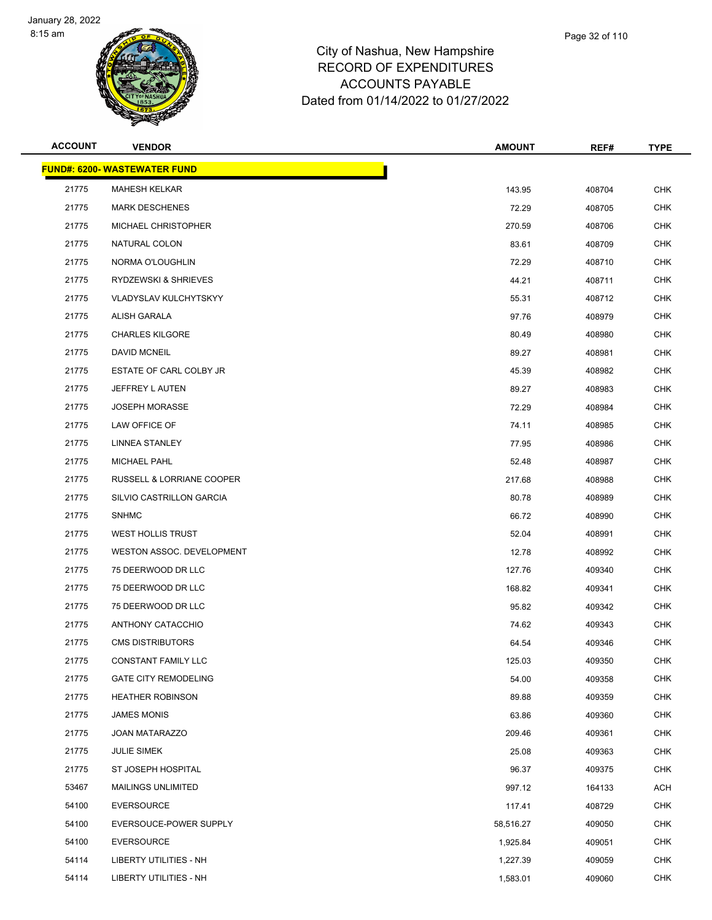

| <b>ACCOUNT</b> | <b>VENDOR</b>                       | <b>AMOUNT</b> | REF#   | <b>TYPE</b> |
|----------------|-------------------------------------|---------------|--------|-------------|
|                | <b>FUND#: 6200- WASTEWATER FUND</b> |               |        |             |
| 21775          | <b>MAHESH KELKAR</b>                | 143.95        | 408704 | <b>CHK</b>  |
| 21775          | <b>MARK DESCHENES</b>               | 72.29         | 408705 | <b>CHK</b>  |
| 21775          | MICHAEL CHRISTOPHER                 | 270.59        | 408706 | <b>CHK</b>  |
| 21775          | NATURAL COLON                       | 83.61         | 408709 | <b>CHK</b>  |
| 21775          | NORMA O'LOUGHLIN                    | 72.29         | 408710 | <b>CHK</b>  |
| 21775          | RYDZEWSKI & SHRIEVES                | 44.21         | 408711 | <b>CHK</b>  |
| 21775          | <b>VLADYSLAV KULCHYTSKYY</b>        | 55.31         | 408712 | <b>CHK</b>  |
| 21775          | ALISH GARALA                        | 97.76         | 408979 | <b>CHK</b>  |
| 21775          | <b>CHARLES KILGORE</b>              | 80.49         | 408980 | <b>CHK</b>  |
| 21775          | <b>DAVID MCNEIL</b>                 | 89.27         | 408981 | <b>CHK</b>  |
| 21775          | ESTATE OF CARL COLBY JR             | 45.39         | 408982 | <b>CHK</b>  |
| 21775          | JEFFREY L AUTEN                     | 89.27         | 408983 | <b>CHK</b>  |
| 21775          | <b>JOSEPH MORASSE</b>               | 72.29         | 408984 | <b>CHK</b>  |
| 21775          | LAW OFFICE OF                       | 74.11         | 408985 | <b>CHK</b>  |
| 21775          | <b>LINNEA STANLEY</b>               | 77.95         | 408986 | <b>CHK</b>  |
| 21775          | <b>MICHAEL PAHL</b>                 | 52.48         | 408987 | <b>CHK</b>  |
| 21775          | RUSSELL & LORRIANE COOPER           | 217.68        | 408988 | <b>CHK</b>  |
| 21775          | SILVIO CASTRILLON GARCIA            | 80.78         | 408989 | <b>CHK</b>  |
| 21775          | <b>SNHMC</b>                        | 66.72         | 408990 | <b>CHK</b>  |
| 21775          | <b>WEST HOLLIS TRUST</b>            | 52.04         | 408991 | <b>CHK</b>  |
| 21775          | WESTON ASSOC. DEVELOPMENT           | 12.78         | 408992 | <b>CHK</b>  |
| 21775          | 75 DEERWOOD DR LLC                  | 127.76        | 409340 | <b>CHK</b>  |
| 21775          | 75 DEERWOOD DR LLC                  | 168.82        | 409341 | <b>CHK</b>  |
| 21775          | 75 DEERWOOD DR LLC                  | 95.82         | 409342 | <b>CHK</b>  |
| 21775          | ANTHONY CATACCHIO                   | 74.62         | 409343 | CHK         |
| 21775          | <b>CMS DISTRIBUTORS</b>             | 64.54         | 409346 | CHK         |
| 21775          | CONSTANT FAMILY LLC                 | 125.03        | 409350 | <b>CHK</b>  |
| 21775          | <b>GATE CITY REMODELING</b>         | 54.00         | 409358 | <b>CHK</b>  |
| 21775          | <b>HEATHER ROBINSON</b>             | 89.88         | 409359 | <b>CHK</b>  |
| 21775          | <b>JAMES MONIS</b>                  | 63.86         | 409360 | <b>CHK</b>  |
| 21775          | <b>JOAN MATARAZZO</b>               | 209.46        | 409361 | <b>CHK</b>  |
| 21775          | <b>JULIE SIMEK</b>                  | 25.08         | 409363 | <b>CHK</b>  |
| 21775          | ST JOSEPH HOSPITAL                  | 96.37         | 409375 | <b>CHK</b>  |
| 53467          | <b>MAILINGS UNLIMITED</b>           | 997.12        | 164133 | <b>ACH</b>  |
| 54100          | <b>EVERSOURCE</b>                   | 117.41        | 408729 | <b>CHK</b>  |
| 54100          | EVERSOUCE-POWER SUPPLY              | 58,516.27     | 409050 | <b>CHK</b>  |
| 54100          | <b>EVERSOURCE</b>                   | 1,925.84      | 409051 | <b>CHK</b>  |
| 54114          | LIBERTY UTILITIES - NH              | 1,227.39      | 409059 | <b>CHK</b>  |
| 54114          | LIBERTY UTILITIES - NH              | 1,583.01      | 409060 | <b>CHK</b>  |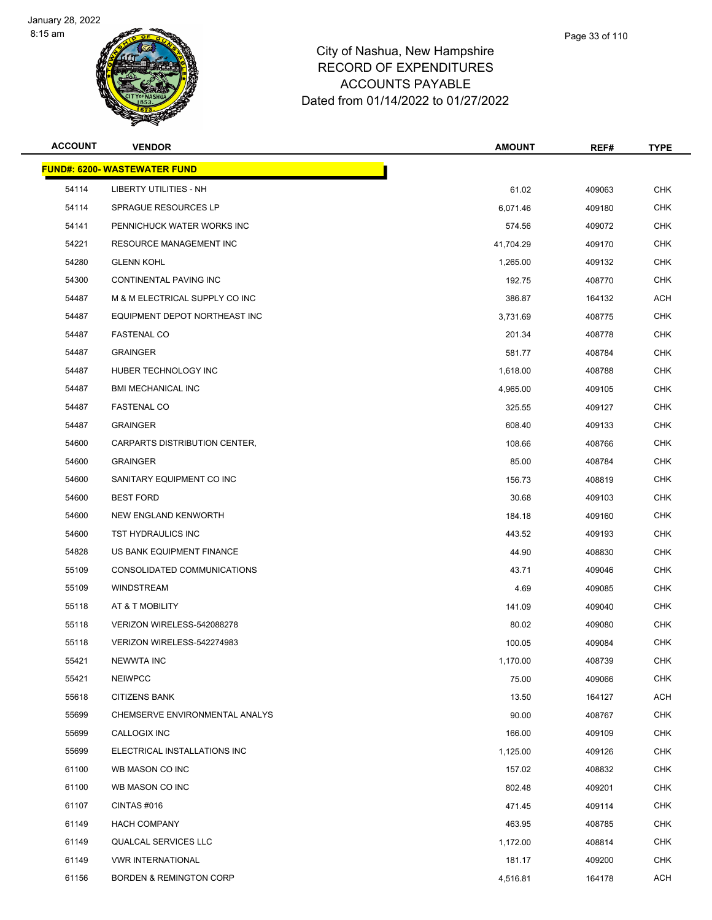



| <b>VENDOR</b>                  | <b>AMOUNT</b>                       | REF#   | <b>TYPE</b> |
|--------------------------------|-------------------------------------|--------|-------------|
|                                |                                     |        |             |
| LIBERTY UTILITIES - NH         | 61.02                               | 409063 | <b>CHK</b>  |
| SPRAGUE RESOURCES LP           | 6,071.46                            | 409180 | <b>CHK</b>  |
| PENNICHUCK WATER WORKS INC     | 574.56                              | 409072 | <b>CHK</b>  |
| <b>RESOURCE MANAGEMENT INC</b> | 41,704.29                           | 409170 | <b>CHK</b>  |
| <b>GLENN KOHL</b>              | 1,265.00                            | 409132 | <b>CHK</b>  |
| CONTINENTAL PAVING INC         | 192.75                              | 408770 | <b>CHK</b>  |
| M & M ELECTRICAL SUPPLY CO INC | 386.87                              | 164132 | <b>ACH</b>  |
| EQUIPMENT DEPOT NORTHEAST INC  | 3,731.69                            | 408775 | <b>CHK</b>  |
| <b>FASTENAL CO</b>             | 201.34                              | 408778 | <b>CHK</b>  |
| <b>GRAINGER</b>                | 581.77                              | 408784 | <b>CHK</b>  |
| HUBER TECHNOLOGY INC           | 1,618.00                            | 408788 | <b>CHK</b>  |
| <b>BMI MECHANICAL INC</b>      | 4,965.00                            | 409105 | <b>CHK</b>  |
| <b>FASTENAL CO</b>             | 325.55                              | 409127 | <b>CHK</b>  |
| <b>GRAINGER</b>                | 608.40                              | 409133 | <b>CHK</b>  |
| CARPARTS DISTRIBUTION CENTER,  | 108.66                              | 408766 | <b>CHK</b>  |
| <b>GRAINGER</b>                | 85.00                               | 408784 | <b>CHK</b>  |
| SANITARY EQUIPMENT CO INC      | 156.73                              | 408819 | <b>CHK</b>  |
| <b>BEST FORD</b>               | 30.68                               | 409103 | <b>CHK</b>  |
| NEW ENGLAND KENWORTH           | 184.18                              | 409160 | <b>CHK</b>  |
| TST HYDRAULICS INC             | 443.52                              | 409193 | <b>CHK</b>  |
| US BANK EQUIPMENT FINANCE      | 44.90                               | 408830 | <b>CHK</b>  |
| CONSOLIDATED COMMUNICATIONS    | 43.71                               | 409046 | <b>CHK</b>  |
| <b>WINDSTREAM</b>              | 4.69                                | 409085 | <b>CHK</b>  |
| AT & T MOBILITY                | 141.09                              | 409040 | <b>CHK</b>  |
| VERIZON WIRELESS-542088278     | 80.02                               | 409080 | <b>CHK</b>  |
| VERIZON WIRELESS-542274983     | 100.05                              | 409084 | <b>CHK</b>  |
| <b>NEWWTA INC</b>              | 1,170.00                            | 408739 | <b>CHK</b>  |
| <b>NEIWPCC</b>                 | 75.00                               | 409066 | CHK         |
| <b>CITIZENS BANK</b>           | 13.50                               | 164127 | <b>ACH</b>  |
| CHEMSERVE ENVIRONMENTAL ANALYS | 90.00                               | 408767 | <b>CHK</b>  |
| CALLOGIX INC                   | 166.00                              | 409109 | <b>CHK</b>  |
| ELECTRICAL INSTALLATIONS INC   | 1,125.00                            | 409126 | <b>CHK</b>  |
| WB MASON CO INC                | 157.02                              | 408832 | <b>CHK</b>  |
| WB MASON CO INC                | 802.48                              | 409201 | <b>CHK</b>  |
| CINTAS #016                    | 471.45                              | 409114 | <b>CHK</b>  |
| <b>HACH COMPANY</b>            | 463.95                              | 408785 | <b>CHK</b>  |
|                                | <b>FUND#: 6200- WASTEWATER FUND</b> |        |             |

 QUALCAL SERVICES LLC 1,172.00 408814 CHK VWR INTERNATIONAL 181.17 409200 CHK er and the set of the set of the set of the set of the set of the set of the set of the set of the set of the set of the set of the set of the set of the set of the set of the set of the set of the set of the set of the se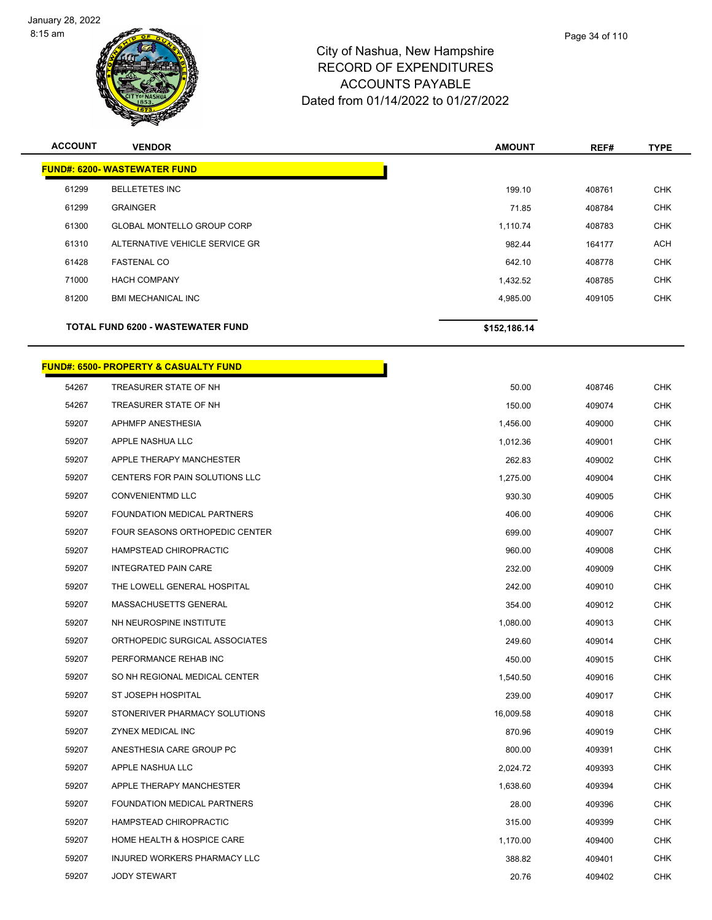



| Page 34 of 110 |
|----------------|
|                |

| <b>ACCOUNT</b> | <b>VENDOR</b>                            | <b>AMOUNT</b> | REF#   | <b>TYPE</b> |
|----------------|------------------------------------------|---------------|--------|-------------|
|                | <b>FUND#: 6200-WASTEWATER FUND</b>       |               |        |             |
| 61299          | <b>BELLETETES INC</b>                    | 199.10        | 408761 | <b>CHK</b>  |
| 61299          | <b>GRAINGER</b>                          | 71.85         | 408784 | <b>CHK</b>  |
| 61300          | <b>GLOBAL MONTELLO GROUP CORP</b>        | 1,110.74      | 408783 | <b>CHK</b>  |
| 61310          | ALTERNATIVE VEHICLE SERVICE GR           | 982.44        | 164177 | <b>ACH</b>  |
| 61428          | <b>FASTENAL CO</b>                       | 642.10        | 408778 | <b>CHK</b>  |
| 71000          | <b>HACH COMPANY</b>                      | 1,432.52      | 408785 | <b>CHK</b>  |
| 81200          | <b>BMI MECHANICAL INC</b>                | 4,985.00      | 409105 | <b>CHK</b>  |
|                | <b>TOTAL FUND 6200 - WASTEWATER FUND</b> | \$152,186.14  |        |             |

<u> 1999 - Johann Barbara, ma</u>

#### **FUND#: 6500- PROPERTY & CASUALTY FUND**

| 54267 | TREASURER STATE OF NH              | 50.00     | 408746 | <b>CHK</b> |
|-------|------------------------------------|-----------|--------|------------|
| 54267 | TREASURER STATE OF NH              | 150.00    | 409074 | <b>CHK</b> |
| 59207 | APHMFP ANESTHESIA                  | 1,456.00  | 409000 | <b>CHK</b> |
| 59207 | APPLE NASHUA LLC                   | 1,012.36  | 409001 | <b>CHK</b> |
| 59207 | APPLE THERAPY MANCHESTER           | 262.83    | 409002 | <b>CHK</b> |
| 59207 | CENTERS FOR PAIN SOLUTIONS LLC     | 1,275.00  | 409004 | <b>CHK</b> |
| 59207 | <b>CONVENIENTMD LLC</b>            | 930.30    | 409005 | <b>CHK</b> |
| 59207 | <b>FOUNDATION MEDICAL PARTNERS</b> | 406.00    | 409006 | <b>CHK</b> |
| 59207 | FOUR SEASONS ORTHOPEDIC CENTER     | 699.00    | 409007 | <b>CHK</b> |
| 59207 | HAMPSTEAD CHIROPRACTIC             | 960.00    | 409008 | <b>CHK</b> |
| 59207 | <b>INTEGRATED PAIN CARE</b>        | 232.00    | 409009 | CHK        |
| 59207 | THE LOWELL GENERAL HOSPITAL        | 242.00    | 409010 | <b>CHK</b> |
| 59207 | MASSACHUSETTS GENERAL              | 354.00    | 409012 | <b>CHK</b> |
| 59207 | NH NEUROSPINE INSTITUTE            | 1,080.00  | 409013 | CHK        |
| 59207 | ORTHOPEDIC SURGICAL ASSOCIATES     | 249.60    | 409014 | <b>CHK</b> |
| 59207 | PERFORMANCE REHAB INC              | 450.00    | 409015 | <b>CHK</b> |
| 59207 | SO NH REGIONAL MEDICAL CENTER      | 1,540.50  | 409016 | <b>CHK</b> |
| 59207 | ST JOSEPH HOSPITAL                 | 239.00    | 409017 | <b>CHK</b> |
| 59207 | STONERIVER PHARMACY SOLUTIONS      | 16,009.58 | 409018 | <b>CHK</b> |
| 59207 | <b>ZYNEX MEDICAL INC</b>           | 870.96    | 409019 | <b>CHK</b> |
| 59207 | ANESTHESIA CARE GROUP PC           | 800.00    | 409391 | <b>CHK</b> |
| 59207 | APPLE NASHUA LLC                   | 2,024.72  | 409393 | <b>CHK</b> |
| 59207 | APPLE THERAPY MANCHESTER           | 1,638.60  | 409394 | <b>CHK</b> |
| 59207 | FOUNDATION MEDICAL PARTNERS        | 28.00     | 409396 | <b>CHK</b> |
| 59207 | HAMPSTEAD CHIROPRACTIC             | 315.00    | 409399 | <b>CHK</b> |
| 59207 | HOME HEALTH & HOSPICE CARE         | 1,170.00  | 409400 | CHK        |
| 59207 | INJURED WORKERS PHARMACY LLC       | 388.82    | 409401 | <b>CHK</b> |
| 59207 | <b>JODY STEWART</b>                | 20.76     | 409402 | <b>CHK</b> |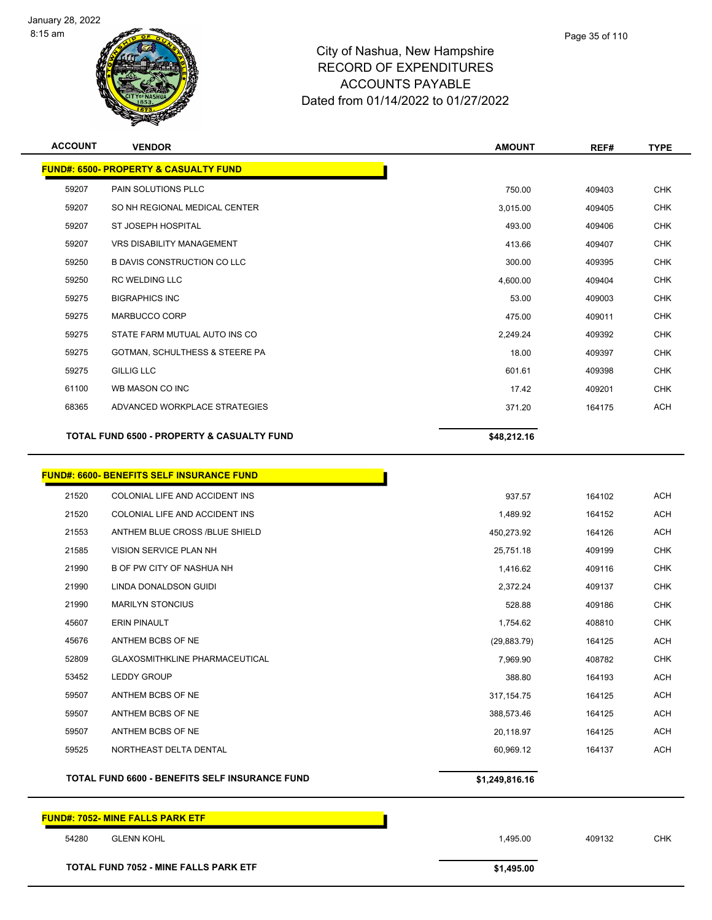



| Page 35 of 110 |
|----------------|
|                |

| <b>ACCOUNT</b> | <b>VENDOR</b>                                         | <b>AMOUNT</b> | REF#   | <b>TYPE</b> |
|----------------|-------------------------------------------------------|---------------|--------|-------------|
|                | <b>FUND#: 6500- PROPERTY &amp; CASUALTY FUND</b>      |               |        |             |
| 59207          | PAIN SOLUTIONS PLLC                                   | 750.00        | 409403 | <b>CHK</b>  |
| 59207          | SO NH REGIONAL MEDICAL CENTER                         | 3,015.00      | 409405 | <b>CHK</b>  |
| 59207          | <b>ST JOSEPH HOSPITAL</b>                             | 493.00        | 409406 | <b>CHK</b>  |
| 59207          | <b>VRS DISABILITY MANAGEMENT</b>                      | 413.66        | 409407 | <b>CHK</b>  |
| 59250          | <b>B DAVIS CONSTRUCTION CO LLC</b>                    | 300.00        | 409395 | <b>CHK</b>  |
| 59250          | <b>RC WELDING LLC</b>                                 | 4,600.00      | 409404 | <b>CHK</b>  |
| 59275          | <b>BIGRAPHICS INC</b>                                 | 53.00         | 409003 | <b>CHK</b>  |
| 59275          | MARBUCCO CORP                                         | 475.00        | 409011 | <b>CHK</b>  |
| 59275          | STATE FARM MUTUAL AUTO INS CO                         | 2,249.24      | 409392 | <b>CHK</b>  |
| 59275          | GOTMAN, SCHULTHESS & STEERE PA                        | 18.00         | 409397 | <b>CHK</b>  |
| 59275          | <b>GILLIG LLC</b>                                     | 601.61        | 409398 | <b>CHK</b>  |
| 61100          | WB MASON CO INC                                       | 17.42         | 409201 | <b>CHK</b>  |
| 68365          | ADVANCED WORKPLACE STRATEGIES                         | 371.20        | 164175 | <b>ACH</b>  |
|                | <b>TOTAL FUND 6500 - PROPERTY &amp; CASUALTY FUND</b> | \$48,212.16   |        |             |

|       | <b>FUND#: 6600- BENEFITS SELF INSURANCE FUND</b>      |                |        |            |
|-------|-------------------------------------------------------|----------------|--------|------------|
| 21520 | COLONIAL LIFE AND ACCIDENT INS                        | 937.57         | 164102 | ACH        |
| 21520 | COLONIAL LIFE AND ACCIDENT INS                        | 1,489.92       | 164152 | ACH        |
| 21553 | ANTHEM BLUE CROSS /BLUE SHIELD                        | 450,273.92     | 164126 | ACH        |
| 21585 | VISION SERVICE PLAN NH                                | 25,751.18      | 409199 | <b>CHK</b> |
| 21990 | <b>B OF PW CITY OF NASHUA NH</b>                      | 1,416.62       | 409116 | <b>CHK</b> |
| 21990 | LINDA DONALDSON GUIDI                                 | 2,372.24       | 409137 | <b>CHK</b> |
| 21990 | <b>MARILYN STONCIUS</b>                               | 528.88         | 409186 | <b>CHK</b> |
| 45607 | <b>ERIN PINAULT</b>                                   | 1,754.62       | 408810 | <b>CHK</b> |
| 45676 | ANTHEM BCBS OF NE                                     | (29, 883.79)   | 164125 | <b>ACH</b> |
| 52809 | <b>GLAXOSMITHKLINE PHARMACEUTICAL</b>                 | 7,969.90       | 408782 | <b>CHK</b> |
| 53452 | <b>LEDDY GROUP</b>                                    | 388.80         | 164193 | <b>ACH</b> |
| 59507 | ANTHEM BCBS OF NE                                     | 317, 154. 75   | 164125 | ACH        |
| 59507 | ANTHEM BCBS OF NE                                     | 388,573.46     | 164125 | ACH        |
| 59507 | ANTHEM BCBS OF NE                                     | 20,118.97      | 164125 | ACH        |
| 59525 | NORTHEAST DELTA DENTAL                                | 60,969.12      | 164137 | <b>ACH</b> |
|       | <b>TOTAL FUND 6600 - BENEFITS SELF INSURANCE FUND</b> | \$1,249,816.16 |        |            |
|       |                                                       |                |        |            |

# **FUND#: 7052- MINE FALLS PARK ETF** GLENN KOHL 1,495.00 409132 CHK **TOTAL FUND 7052 - MINE FALLS PARK ETF \$1,495.00**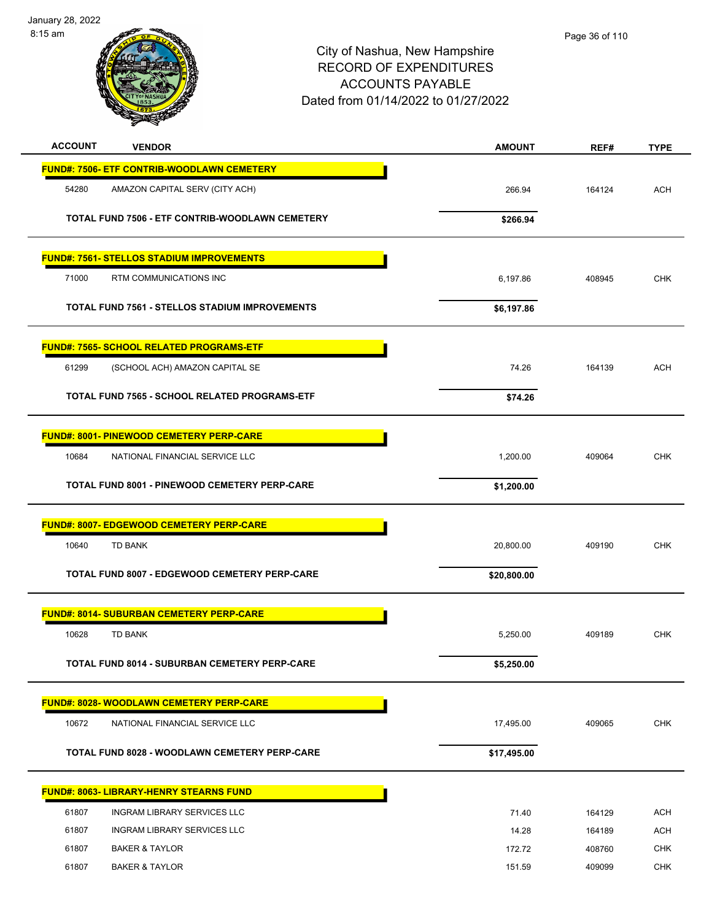

Page 36 of 110

| <b>ACCOUNT</b><br><b>VENDOR</b>                   | <b>AMOUNT</b> | REF#   | <b>TYPE</b> |
|---------------------------------------------------|---------------|--------|-------------|
| <b>FUND#: 7506- ETF CONTRIB-WOODLAWN CEMETERY</b> |               |        |             |
| 54280<br>AMAZON CAPITAL SERV (CITY ACH)           | 266.94        | 164124 | <b>ACH</b>  |
| TOTAL FUND 7506 - ETF CONTRIB-WOODLAWN CEMETERY   | \$266.94      |        |             |
| <b>FUND#: 7561- STELLOS STADIUM IMPROVEMENTS</b>  |               |        |             |
| 71000<br>RTM COMMUNICATIONS INC                   | 6,197.86      | 408945 | <b>CHK</b>  |
| TOTAL FUND 7561 - STELLOS STADIUM IMPROVEMENTS    | \$6,197.86    |        |             |
| <b>FUND#: 7565- SCHOOL RELATED PROGRAMS-ETF</b>   |               |        |             |
| 61299<br>(SCHOOL ACH) AMAZON CAPITAL SE           | 74.26         | 164139 | <b>ACH</b>  |
| TOTAL FUND 7565 - SCHOOL RELATED PROGRAMS-ETF     | \$74.26       |        |             |
| <b>FUND#: 8001- PINEWOOD CEMETERY PERP-CARE</b>   |               |        |             |
| 10684<br>NATIONAL FINANCIAL SERVICE LLC           | 1,200.00      | 409064 | <b>CHK</b>  |
| TOTAL FUND 8001 - PINEWOOD CEMETERY PERP-CARE     | \$1,200.00    |        |             |
| <b>FUND#: 8007- EDGEWOOD CEMETERY PERP-CARE</b>   |               |        |             |
| 10640<br><b>TD BANK</b>                           | 20,800.00     | 409190 | <b>CHK</b>  |
| TOTAL FUND 8007 - EDGEWOOD CEMETERY PERP-CARE     | \$20,800.00   |        |             |
| <b>FUND#: 8014- SUBURBAN CEMETERY PERP-CARE</b>   |               |        |             |
| 10628<br><b>TD BANK</b>                           | 5,250.00      | 409189 | <b>CHK</b>  |
| TOTAL FUND 8014 - SUBURBAN CEMETERY PERP-CARE     | \$5,250.00    |        |             |
| FUND#: 8028- WOODLAWN CEMETERY PERP-CARE          |               |        |             |
| 10672<br>NATIONAL FINANCIAL SERVICE LLC           | 17,495.00     | 409065 | CHK         |
| TOTAL FUND 8028 - WOODLAWN CEMETERY PERP-CARE     | \$17,495.00   |        |             |
| <u> FUND#: 8063- LIBRARY-HENRY STEARNS FUND</u>   |               |        |             |
| <b>INGRAM LIBRARY SERVICES LLC</b><br>61807       | 71.40         | 164129 | <b>ACH</b>  |
| 61807<br>INGRAM LIBRARY SERVICES LLC              | 14.28         | 164189 | <b>ACH</b>  |
| 61807<br><b>BAKER &amp; TAYLOR</b>                | 172.72        | 408760 | <b>CHK</b>  |
| 61807<br><b>BAKER &amp; TAYLOR</b>                | 151.59        | 409099 | <b>CHK</b>  |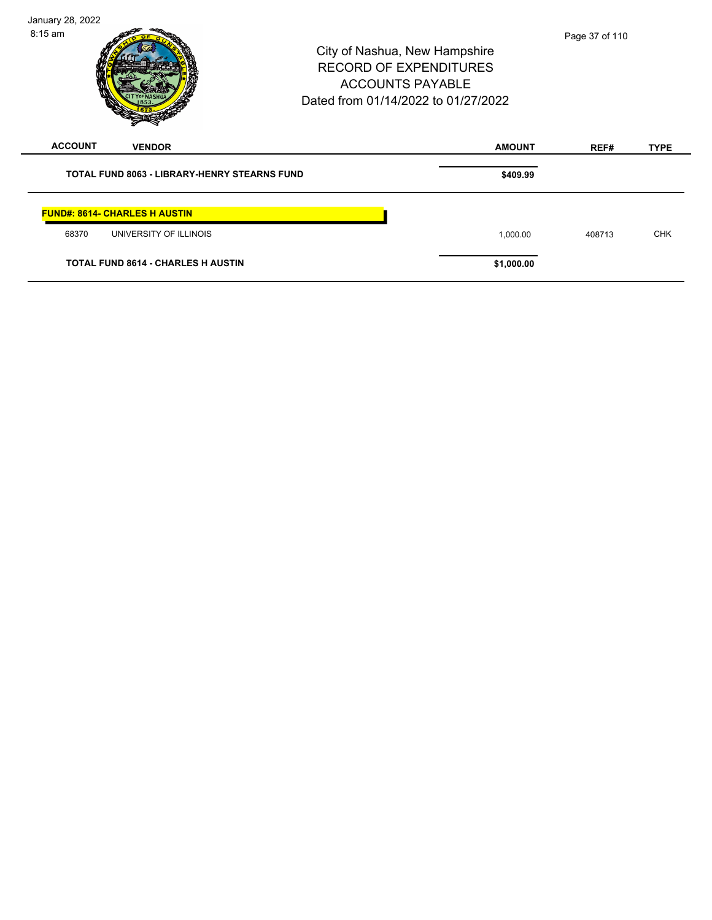City of Nashua, New Hampshire RECORD OF EXPENDITURES ACCOUNTS PAYABLE Dated from 01/14/2022 to 01/27/2022 January 28, 2022 8:15 am **ACCOUNT VENDOR AMOUNT REF# TYPE TOTAL FUND 8063 - LIBRARY-HENRY STEARNS FUND \$409.99 FUND#: 8614- CHARLES H AUSTIN** 68370 UNIVERSITY OF ILLINOIS 1,000.00 408713 CHK **TOTAL FUND 8614 - CHARLES H AUSTIN \$1,000.00**  Page 37 of 110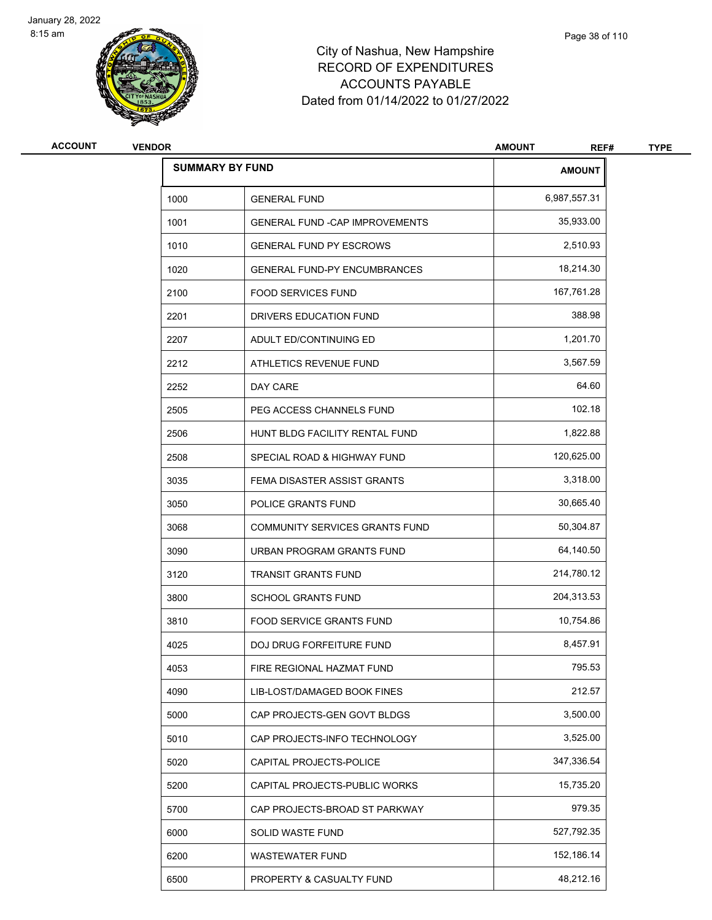



# City of Nashua, New Hampshi RECORD OF EXPENDITURE ACCOUNTS PAYABLE Dated from 01/14/2022 to 01/27/2022

| ٠<br>ire |  |  |  |
|----------|--|--|--|
| ΞS       |  |  |  |
|          |  |  |  |

Page 38 of 110

| <b>ACCOUNT</b> | <b>ENDOR</b><br>VF | <b>AMOUNT</b><br>$   -$ | REF# | TVDE |
|----------------|--------------------|-------------------------|------|------|
|                |                    |                         |      |      |

| u |
|---|

| <b>SUMMARY BY FUND</b> |                                        | AMOUNT       |
|------------------------|----------------------------------------|--------------|
| 1000                   | <b>GENERAL FUND</b>                    | 6,987,557.31 |
| 1001                   | <b>GENERAL FUND - CAP IMPROVEMENTS</b> | 35,933.00    |
| 1010                   | <b>GENERAL FUND PY ESCROWS</b>         | 2,510.93     |
| 1020                   | <b>GENERAL FUND-PY ENCUMBRANCES</b>    | 18,214.30    |
| 2100                   | <b>FOOD SERVICES FUND</b>              | 167,761.28   |
| 2201                   | DRIVERS EDUCATION FUND                 | 388.98       |
| 2207                   | ADULT ED/CONTINUING ED                 | 1,201.70     |
| 2212                   | ATHLETICS REVENUE FUND                 | 3,567.59     |
| 2252                   | DAY CARE                               | 64.60        |
| 2505                   | PEG ACCESS CHANNELS FUND               | 102.18       |
| 2506                   | HUNT BLDG FACILITY RENTAL FUND         | 1,822.88     |
| 2508                   | SPECIAL ROAD & HIGHWAY FUND            | 120,625.00   |
| 3035                   | FEMA DISASTER ASSIST GRANTS            | 3,318.00     |
| 3050                   | POLICE GRANTS FUND                     | 30,665.40    |
| 3068                   | <b>COMMUNITY SERVICES GRANTS FUND</b>  | 50,304.87    |
| 3090                   | URBAN PROGRAM GRANTS FUND              | 64,140.50    |
| 3120                   | <b>TRANSIT GRANTS FUND</b>             | 214,780.12   |
| 3800                   | <b>SCHOOL GRANTS FUND</b>              | 204,313.53   |
| 3810                   | <b>FOOD SERVICE GRANTS FUND</b>        | 10,754.86    |
| 4025                   | DOJ DRUG FORFEITURE FUND               | 8,457.91     |
| 4053                   | FIRE REGIONAL HAZMAT FUND              | 795.53       |
| 4090                   | LIB-LOST/DAMAGED BOOK FINES            | 212.57       |
| 5000                   | CAP PROJECTS-GEN GOVT BLDGS            | 3,500.00     |
| 5010                   | CAP PROJECTS-INFO TECHNOLOGY           | 3,525.00     |
| 5020                   | CAPITAL PROJECTS-POLICE                | 347,336.54   |
| 5200                   | CAPITAL PROJECTS-PUBLIC WORKS          | 15,735.20    |
| 5700                   | CAP PROJECTS-BROAD ST PARKWAY          | 979.35       |
| 6000                   | SOLID WASTE FUND                       | 527,792.35   |
| 6200                   | WASTEWATER FUND                        | 152,186.14   |
| 6500                   | PROPERTY & CASUALTY FUND               | 48,212.16    |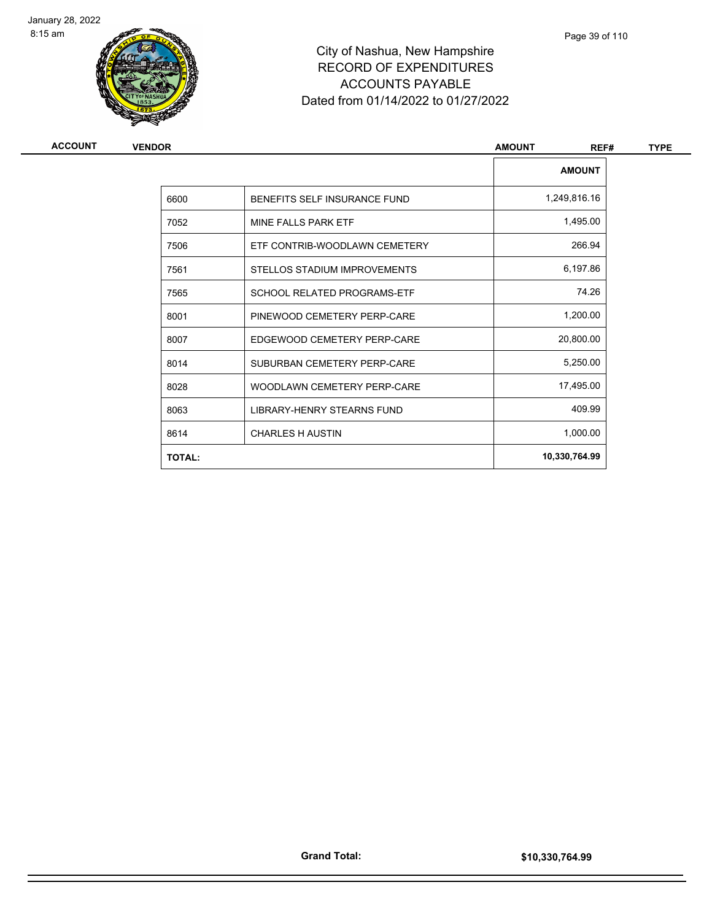



# City of Nashua, New Hampshire RECORD OF EXPENDITURES ACCOUNTS PAYABLE Dated from 01/14/2022 to 01/27/2022

| <b>ACCOUNT</b> |  |
|----------------|--|
|----------------|--|

| ACCOUNT | <b>VENDOR</b> |                                    | <b>AMOUNT</b><br>REF# | <b>TYPE</b> |
|---------|---------------|------------------------------------|-----------------------|-------------|
|         |               |                                    | <b>AMOUNT</b>         |             |
|         | 6600          | BENEFITS SELF INSURANCE FUND       | 1,249,816.16          |             |
|         | 7052          | MINE FALLS PARK ETF                | 1,495.00              |             |
|         | 7506          | ETF CONTRIB-WOODLAWN CEMETERY      | 266.94                |             |
|         | 7561          | STELLOS STADIUM IMPROVEMENTS       | 6,197.86              |             |
|         | 7565          | <b>SCHOOL RELATED PROGRAMS-ETF</b> | 74.26                 |             |
|         | 8001          | PINEWOOD CEMETERY PERP-CARE        | 1,200.00              |             |
|         | 8007          | EDGEWOOD CEMETERY PERP-CARE        | 20,800.00             |             |
|         | 8014          | SUBURBAN CEMETERY PERP-CARE        | 5,250.00              |             |
|         | 8028          | WOODLAWN CEMETERY PERP-CARE        | 17,495.00             |             |
|         | 8063          | LIBRARY-HENRY STEARNS FUND         | 409.99                |             |
|         | 8614          | <b>CHARLES H AUSTIN</b>            | 1,000.00              |             |
|         | <b>TOTAL:</b> |                                    | 10,330,764.99         |             |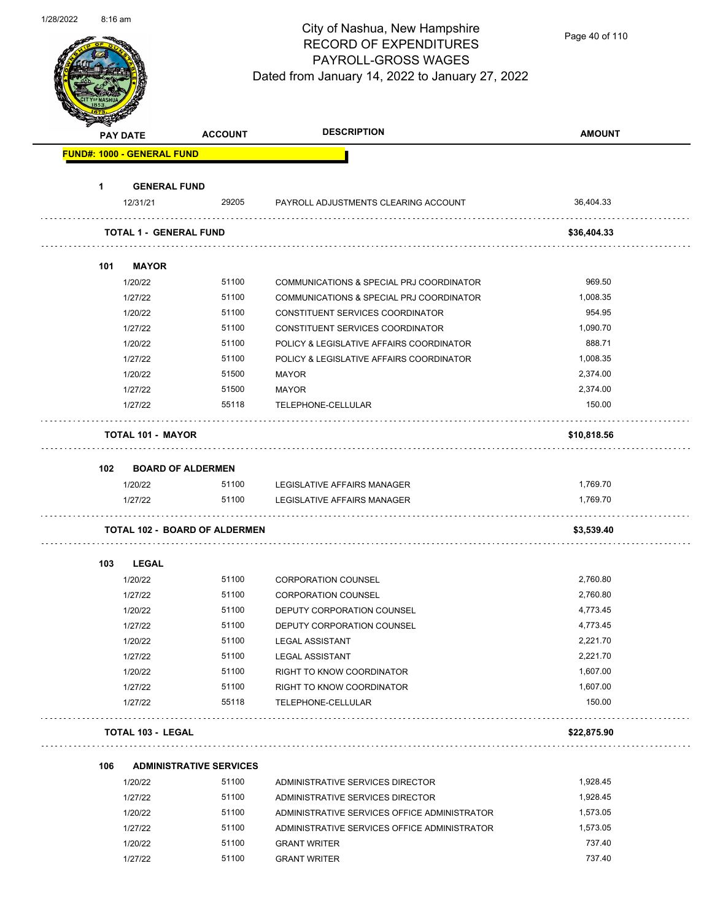

Page 40 of 110

|     | <b>PAY DATE</b>                   | <b>ACCOUNT</b>                       | <b>DESCRIPTION</b>                           | <b>AMOUNT</b> |
|-----|-----------------------------------|--------------------------------------|----------------------------------------------|---------------|
|     | <b>FUND#: 1000 - GENERAL FUND</b> |                                      |                                              |               |
| 1   | <b>GENERAL FUND</b>               |                                      |                                              |               |
|     | 12/31/21                          | 29205                                | PAYROLL ADJUSTMENTS CLEARING ACCOUNT         | 36,404.33     |
|     | <b>TOTAL 1 - GENERAL FUND</b>     |                                      |                                              | \$36,404.33   |
| 101 | <b>MAYOR</b>                      |                                      |                                              |               |
|     | 1/20/22                           | 51100                                | COMMUNICATIONS & SPECIAL PRJ COORDINATOR     | 969.50        |
|     | 1/27/22                           | 51100                                | COMMUNICATIONS & SPECIAL PRJ COORDINATOR     | 1,008.35      |
|     | 1/20/22                           | 51100                                | CONSTITUENT SERVICES COORDINATOR             | 954.95        |
|     | 1/27/22                           | 51100                                | CONSTITUENT SERVICES COORDINATOR             | 1,090.70      |
|     | 1/20/22                           | 51100                                | POLICY & LEGISLATIVE AFFAIRS COORDINATOR     | 888.71        |
|     | 1/27/22                           | 51100                                | POLICY & LEGISLATIVE AFFAIRS COORDINATOR     | 1,008.35      |
|     | 1/20/22                           | 51500                                | MAYOR                                        | 2,374.00      |
|     | 1/27/22                           | 51500                                | <b>MAYOR</b>                                 | 2,374.00      |
|     | 1/27/22                           | 55118                                | TELEPHONE-CELLULAR                           | 150.00        |
|     | <b>TOTAL 101 - MAYOR</b>          |                                      |                                              | \$10,818.56   |
| 102 |                                   | <b>BOARD OF ALDERMEN</b>             |                                              |               |
|     | 1/20/22                           | 51100                                | LEGISLATIVE AFFAIRS MANAGER                  | 1,769.70      |
|     | 1/27/22                           | 51100                                | LEGISLATIVE AFFAIRS MANAGER                  | 1,769.70      |
|     |                                   | <b>TOTAL 102 - BOARD OF ALDERMEN</b> |                                              | \$3,539.40    |
| 103 | LEGAL                             |                                      |                                              |               |
|     | 1/20/22                           | 51100                                | <b>CORPORATION COUNSEL</b>                   | 2,760.80      |
|     | 1/27/22                           | 51100                                | <b>CORPORATION COUNSEL</b>                   | 2,760.80      |
|     | 1/20/22                           | 51100                                | DEPUTY CORPORATION COUNSEL                   | 4,773.45      |
|     | 1/27/22                           | 51100                                | DEPUTY CORPORATION COUNSEL                   | 4,773.45      |
|     | 1/20/22                           | 51100                                | <b>LEGAL ASSISTANT</b>                       | 2,221.70      |
|     | 1/27/22                           | 51100                                | <b>LEGAL ASSISTANT</b>                       | 2,221.70      |
|     | 1/20/22                           | 51100                                | RIGHT TO KNOW COORDINATOR                    | 1,607.00      |
|     | 1/27/22                           | 51100                                | RIGHT TO KNOW COORDINATOR                    | 1,607.00      |
|     | 1/27/22                           | 55118                                | TELEPHONE-CELLULAR                           | 150.00        |
|     | <b>TOTAL 103 - LEGAL</b>          | .                                    |                                              | \$22,875.90   |
| 106 |                                   | <b>ADMINISTRATIVE SERVICES</b>       |                                              |               |
|     | 1/20/22                           | 51100                                | ADMINISTRATIVE SERVICES DIRECTOR             | 1,928.45      |
|     | 1/27/22                           | 51100                                | ADMINISTRATIVE SERVICES DIRECTOR             | 1,928.45      |
|     | 1/20/22                           | 51100                                | ADMINISTRATIVE SERVICES OFFICE ADMINISTRATOR | 1,573.05      |
|     | 1/27/22                           | 51100                                | ADMINISTRATIVE SERVICES OFFICE ADMINISTRATOR | 1,573.05      |
|     | 1/20/22                           | 51100                                | <b>GRANT WRITER</b>                          | 737.40        |
|     |                                   |                                      |                                              |               |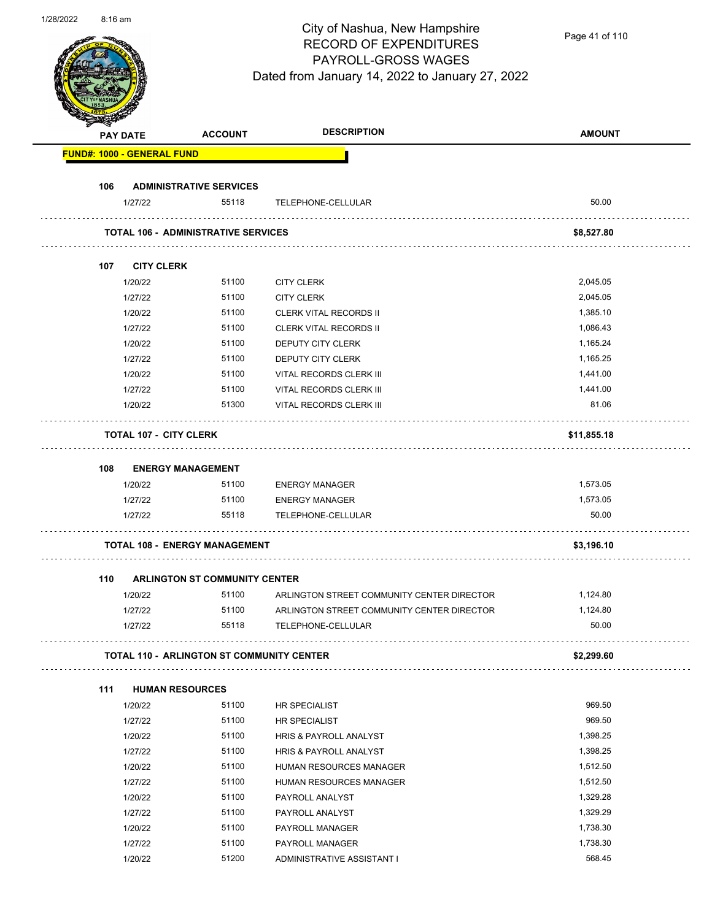| 1/28/2022 | 8:16 am |                               |                                                  | City of Nashua, New Hampshire<br><b>RECORD OF EXPENDITURES</b><br>PAYROLL-GROSS WAGES<br>Dated from January 14, 2022 to January 27, 2022 | Page 41 of 110 |
|-----------|---------|-------------------------------|--------------------------------------------------|------------------------------------------------------------------------------------------------------------------------------------------|----------------|
|           |         | <b>PAY DATE</b>               | <b>ACCOUNT</b>                                   | <b>DESCRIPTION</b>                                                                                                                       | <b>AMOUNT</b>  |
|           |         | FUND#: 1000 - GENERAL FUND    |                                                  |                                                                                                                                          |                |
|           | 106     |                               | <b>ADMINISTRATIVE SERVICES</b>                   |                                                                                                                                          |                |
|           |         | 1/27/22                       | 55118                                            | TELEPHONE-CELLULAR                                                                                                                       | 50.00          |
|           |         |                               | <b>TOTAL 106 - ADMINISTRATIVE SERVICES</b>       |                                                                                                                                          | \$8,527.80     |
|           | 107     | <b>CITY CLERK</b>             |                                                  |                                                                                                                                          |                |
|           |         | 1/20/22                       | 51100                                            | <b>CITY CLERK</b>                                                                                                                        | 2,045.05       |
|           |         | 1/27/22                       | 51100                                            | <b>CITY CLERK</b>                                                                                                                        | 2,045.05       |
|           |         | 1/20/22                       | 51100                                            | <b>CLERK VITAL RECORDS II</b>                                                                                                            | 1,385.10       |
|           |         | 1/27/22                       | 51100                                            | <b>CLERK VITAL RECORDS II</b>                                                                                                            | 1,086.43       |
|           |         |                               | 51100                                            |                                                                                                                                          |                |
|           |         | 1/20/22                       |                                                  | DEPUTY CITY CLERK                                                                                                                        | 1,165.24       |
|           |         | 1/27/22                       | 51100                                            | DEPUTY CITY CLERK                                                                                                                        | 1,165.25       |
|           |         | 1/20/22                       | 51100                                            | VITAL RECORDS CLERK III                                                                                                                  | 1,441.00       |
|           |         | 1/27/22                       | 51100                                            | VITAL RECORDS CLERK III                                                                                                                  | 1,441.00       |
|           |         | 1/20/22                       | 51300                                            | VITAL RECORDS CLERK III                                                                                                                  | 81.06          |
|           |         | <b>TOTAL 107 - CITY CLERK</b> |                                                  |                                                                                                                                          | \$11,855.18    |
|           | 108     |                               | <b>ENERGY MANAGEMENT</b>                         |                                                                                                                                          |                |
|           |         | 1/20/22                       | 51100                                            | <b>ENERGY MANAGER</b>                                                                                                                    | 1,573.05       |
|           |         | 1/27/22                       | 51100                                            | <b>ENERGY MANAGER</b>                                                                                                                    | 1,573.05       |
|           |         | 1/27/22                       | 55118                                            | TELEPHONE-CELLULAR                                                                                                                       | 50.00          |
|           |         |                               | <b>TOTAL 108 - ENERGY MANAGEMENT</b>             |                                                                                                                                          |                |
|           |         |                               |                                                  |                                                                                                                                          | \$3,196.10     |
|           | 110     |                               | ARLINGTON ST COMMUNITY CENTER                    |                                                                                                                                          |                |
|           |         | 1/20/22                       | 51100                                            | ARLINGTON STREET COMMUNITY CENTER DIRECTOR                                                                                               | 1,124.80       |
|           |         | 1/27/22                       | 51100                                            | ARLINGTON STREET COMMUNITY CENTER DIRECTOR                                                                                               | 1,124.80       |
|           |         | 1/27/22                       | 55118                                            | TELEPHONE-CELLULAR                                                                                                                       | 50.00          |
|           |         |                               | <b>TOTAL 110 - ARLINGTON ST COMMUNITY CENTER</b> |                                                                                                                                          | \$2,299.60     |
|           | 111     |                               | <b>HUMAN RESOURCES</b>                           |                                                                                                                                          |                |
|           |         | 1/20/22                       | 51100                                            | HR SPECIALIST                                                                                                                            | 969.50         |
|           |         | 1/27/22                       | 51100                                            | HR SPECIALIST                                                                                                                            | 969.50         |
|           |         | 1/20/22                       | 51100                                            | HRIS & PAYROLL ANALYST                                                                                                                   | 1,398.25       |
|           |         | 1/27/22                       | 51100                                            | HRIS & PAYROLL ANALYST                                                                                                                   | 1,398.25       |
|           |         | 1/20/22                       | 51100                                            | HUMAN RESOURCES MANAGER                                                                                                                  | 1,512.50       |
|           |         | 1/27/22                       | 51100                                            | HUMAN RESOURCES MANAGER                                                                                                                  | 1,512.50       |
|           |         | 1/20/22                       | 51100                                            | PAYROLL ANALYST                                                                                                                          | 1,329.28       |
|           |         | 1/27/22                       | 51100                                            | PAYROLL ANALYST                                                                                                                          | 1,329.29       |
|           |         | 1/20/22                       | 51100                                            | PAYROLL MANAGER                                                                                                                          | 1,738.30       |
|           |         | 1/27/22                       | 51100                                            | PAYROLL MANAGER                                                                                                                          | 1,738.30       |
|           |         | 1/20/22                       | 51200                                            | ADMINISTRATIVE ASSISTANT I                                                                                                               | 568.45         |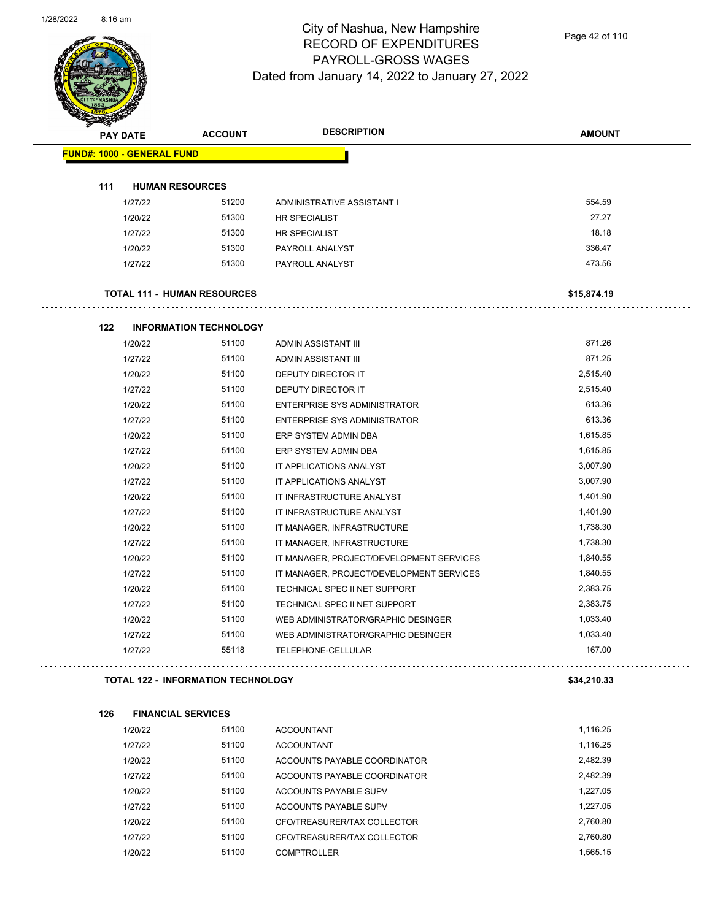

Page 42 of 110

| <b>RESERVE</b>                    |                                           |                                          |               |
|-----------------------------------|-------------------------------------------|------------------------------------------|---------------|
| <b>PAY DATE</b>                   | <b>ACCOUNT</b>                            | <b>DESCRIPTION</b>                       | <b>AMOUNT</b> |
| <b>FUND#: 1000 - GENERAL FUND</b> |                                           |                                          |               |
|                                   |                                           |                                          |               |
| 111                               | <b>HUMAN RESOURCES</b>                    |                                          |               |
| 1/27/22                           | 51200                                     | ADMINISTRATIVE ASSISTANT I               | 554.59        |
| 1/20/22                           | 51300                                     | <b>HR SPECIALIST</b>                     | 27.27         |
| 1/27/22                           | 51300                                     | <b>HR SPECIALIST</b>                     | 18.18         |
| 1/20/22                           | 51300                                     | PAYROLL ANALYST                          | 336.47        |
| 1/27/22                           | 51300                                     | PAYROLL ANALYST                          | 473.56        |
|                                   | <b>TOTAL 111 - HUMAN RESOURCES</b>        |                                          | \$15,874.19   |
| 122                               | <b>INFORMATION TECHNOLOGY</b>             |                                          |               |
| 1/20/22                           | 51100                                     | ADMIN ASSISTANT III                      | 871.26        |
| 1/27/22                           | 51100                                     | ADMIN ASSISTANT III                      | 871.25        |
| 1/20/22                           | 51100                                     | <b>DEPUTY DIRECTOR IT</b>                | 2,515.40      |
| 1/27/22                           | 51100                                     | DEPUTY DIRECTOR IT                       | 2,515.40      |
| 1/20/22                           | 51100                                     | <b>ENTERPRISE SYS ADMINISTRATOR</b>      | 613.36        |
| 1/27/22                           | 51100                                     | <b>ENTERPRISE SYS ADMINISTRATOR</b>      | 613.36        |
| 1/20/22                           | 51100                                     | ERP SYSTEM ADMIN DBA                     | 1,615.85      |
| 1/27/22                           | 51100                                     | ERP SYSTEM ADMIN DBA                     | 1,615.85      |
| 1/20/22                           | 51100                                     | IT APPLICATIONS ANALYST                  | 3,007.90      |
| 1/27/22                           | 51100                                     | IT APPLICATIONS ANALYST                  | 3,007.90      |
| 1/20/22                           | 51100                                     | IT INFRASTRUCTURE ANALYST                | 1,401.90      |
| 1/27/22                           | 51100                                     | IT INFRASTRUCTURE ANALYST                | 1,401.90      |
| 1/20/22                           | 51100                                     | IT MANAGER, INFRASTRUCTURE               | 1,738.30      |
| 1/27/22                           | 51100                                     | IT MANAGER, INFRASTRUCTURE               | 1,738.30      |
| 1/20/22                           | 51100                                     | IT MANAGER, PROJECT/DEVELOPMENT SERVICES | 1,840.55      |
| 1/27/22                           | 51100                                     | IT MANAGER, PROJECT/DEVELOPMENT SERVICES | 1,840.55      |
| 1/20/22                           | 51100                                     | TECHNICAL SPEC II NET SUPPORT            | 2,383.75      |
| 1/27/22                           | 51100                                     | TECHNICAL SPEC II NET SUPPORT            | 2,383.75      |
| 1/20/22                           | 51100                                     | WEB ADMINISTRATOR/GRAPHIC DESINGER       | 1,033.40      |
| 1/27/22                           | 51100                                     | WEB ADMINISTRATOR/GRAPHIC DESINGER       | 1,033.40      |
| 1/27/22                           | 55118                                     | TELEPHONE-CELLULAR                       | 167.00        |
|                                   | <b>TOTAL 122 - INFORMATION TECHNOLOGY</b> |                                          | \$34,210.33   |
| 126                               | <b>FINANCIAL SERVICES</b>                 |                                          |               |
| 1/20/22                           | 51100                                     | <b>ACCOUNTANT</b>                        | 1,116.25      |
| 1/27/22                           | 51100                                     | <b>ACCOUNTANT</b>                        | 1,116.25      |
| 1/20/22                           | 51100                                     | ACCOUNTS PAYABLE COORDINATOR             | 2,482.39      |
| 1/27/22                           | 51100                                     | ACCOUNTS PAYABLE COORDINATOR             | 2,482.39      |
| 1/20/22                           | 51100                                     | ACCOUNTS PAYABLE SUPV                    | 1,227.05      |
| 1/27/22                           | 51100                                     | ACCOUNTS PAYABLE SUPV                    | 1,227.05      |
| 1/20/22                           | 51100                                     | CFO/TREASURER/TAX COLLECTOR              | 2,760.80      |
| 1/27/22                           | 51100                                     | CFO/TREASURER/TAX COLLECTOR              | 2,760.80      |

1/20/22 51100 COMPTROLLER 1,565.15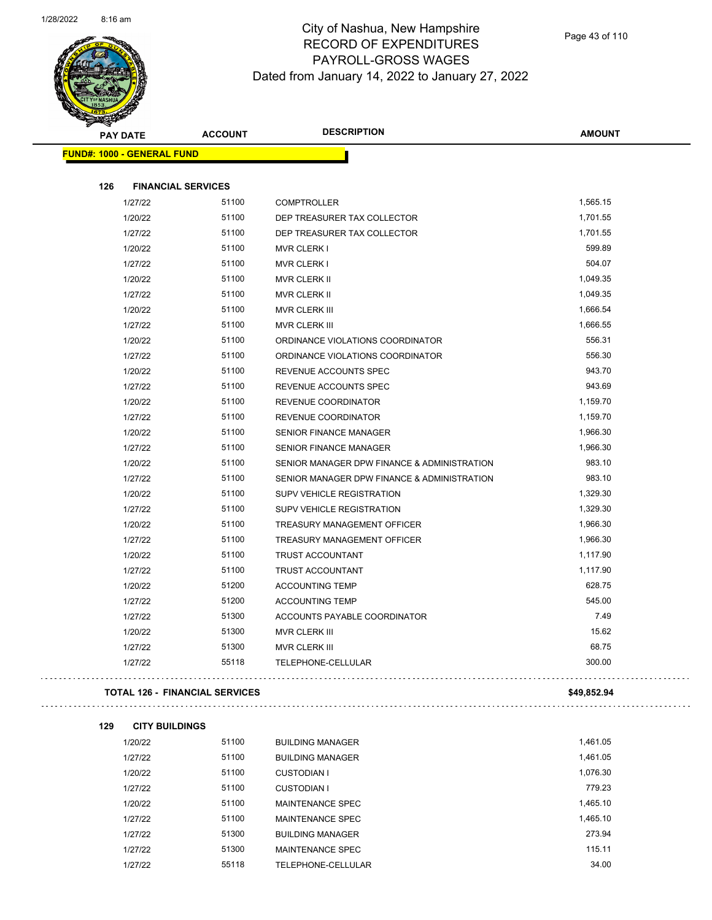

Page 43 of 110

| <b>PAY DATE</b>                   | <b>ACCOUNT</b>                        | <b>DESCRIPTION</b>                          | <b>AMOUNT</b> |
|-----------------------------------|---------------------------------------|---------------------------------------------|---------------|
| <b>FUND#: 1000 - GENERAL FUND</b> |                                       |                                             |               |
|                                   |                                       |                                             |               |
| 126                               | <b>FINANCIAL SERVICES</b>             |                                             |               |
| 1/27/22                           | 51100                                 | <b>COMPTROLLER</b>                          | 1,565.15      |
| 1/20/22                           | 51100                                 | DEP TREASURER TAX COLLECTOR                 | 1,701.55      |
| 1/27/22                           | 51100                                 | DEP TREASURER TAX COLLECTOR                 | 1,701.55      |
| 1/20/22                           | 51100                                 | MVR CLERK I                                 | 599.89        |
| 1/27/22                           | 51100                                 | MVR CLERK I                                 | 504.07        |
| 1/20/22                           | 51100                                 | MVR CLERK II                                | 1,049.35      |
| 1/27/22                           | 51100                                 | MVR CLERK II                                | 1,049.35      |
| 1/20/22                           | 51100                                 | MVR CLERK III                               | 1,666.54      |
| 1/27/22                           | 51100                                 | MVR CLERK III                               | 1,666.55      |
| 1/20/22                           | 51100                                 | ORDINANCE VIOLATIONS COORDINATOR            | 556.31        |
| 1/27/22                           | 51100                                 | ORDINANCE VIOLATIONS COORDINATOR            | 556.30        |
| 1/20/22                           | 51100                                 | REVENUE ACCOUNTS SPEC                       | 943.70        |
| 1/27/22                           | 51100                                 | REVENUE ACCOUNTS SPEC                       | 943.69        |
| 1/20/22                           | 51100                                 | REVENUE COORDINATOR                         | 1,159.70      |
| 1/27/22                           | 51100                                 | REVENUE COORDINATOR                         | 1,159.70      |
| 1/20/22                           | 51100                                 | SENIOR FINANCE MANAGER                      | 1,966.30      |
| 1/27/22                           | 51100                                 | <b>SENIOR FINANCE MANAGER</b>               | 1,966.30      |
| 1/20/22                           | 51100                                 | SENIOR MANAGER DPW FINANCE & ADMINISTRATION | 983.10        |
| 1/27/22                           | 51100                                 | SENIOR MANAGER DPW FINANCE & ADMINISTRATION | 983.10        |
| 1/20/22                           | 51100                                 | <b>SUPV VEHICLE REGISTRATION</b>            | 1,329.30      |
| 1/27/22                           | 51100                                 | <b>SUPV VEHICLE REGISTRATION</b>            | 1,329.30      |
| 1/20/22                           | 51100                                 | TREASURY MANAGEMENT OFFICER                 | 1,966.30      |
| 1/27/22                           | 51100                                 | TREASURY MANAGEMENT OFFICER                 | 1,966.30      |
| 1/20/22                           | 51100                                 | TRUST ACCOUNTANT                            | 1,117.90      |
| 1/27/22                           | 51100                                 | <b>TRUST ACCOUNTANT</b>                     | 1,117.90      |
| 1/20/22                           | 51200                                 | <b>ACCOUNTING TEMP</b>                      | 628.75        |
| 1/27/22                           | 51200                                 | <b>ACCOUNTING TEMP</b>                      | 545.00        |
| 1/27/22                           | 51300                                 | ACCOUNTS PAYABLE COORDINATOR                | 7.49          |
| 1/20/22                           | 51300                                 | MVR CLERK III                               | 15.62         |
| 1/27/22                           | 51300                                 | MVR CLERK III                               | 68.75         |
| 1/27/22                           | 55118                                 | TELEPHONE-CELLULAR                          | 300.00        |
|                                   | <b>TOTAL 126 - FINANCIAL SERVICES</b> |                                             | \$49,852.94   |
|                                   |                                       |                                             |               |
| 129<br><b>CITY BUILDINGS</b>      | 51100                                 |                                             | 1,461.05      |
| 1/20/22                           | 51100                                 | <b>BUILDING MANAGER</b>                     | 1,461.05      |
| 1/27/22                           |                                       | <b>BUILDING MANAGER</b>                     | 1,076.30      |
| 1/20/22                           | 51100                                 | <b>CUSTODIAN I</b>                          | 779.23        |
| 1/27/22                           | 51100<br>51100                        | <b>CUSTODIAN I</b>                          | 1,465.10      |
| 1/20/22<br>1/27/22                | 51100                                 | MAINTENANCE SPEC<br><b>MAINTENANCE SPEC</b> | 1,465.10      |
| 1/27/22                           | 51300                                 | <b>BUILDING MANAGER</b>                     | 273.94        |
| 1/27/22                           | 51300                                 | MAINTENANCE SPEC                            | 115.11        |
|                                   |                                       |                                             |               |

1/27/22 55118 TELEPHONE-CELLULAR 34.00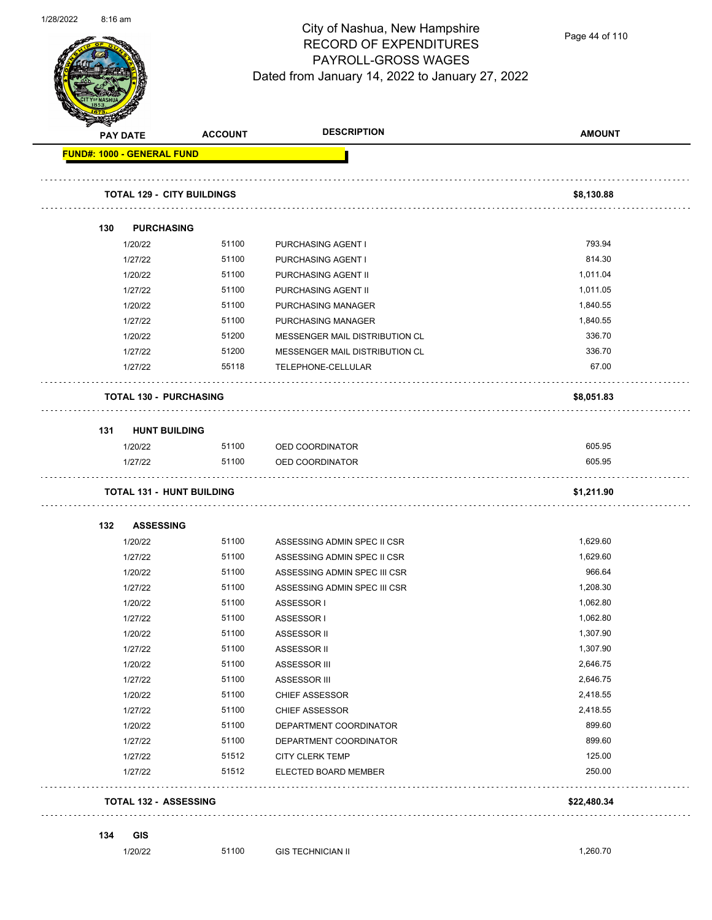

Page 44 of 110

|     | <b>PAY DATE</b>                   | <b>ACCOUNT</b> | <b>DESCRIPTION</b>                      | <b>AMOUNT</b> |
|-----|-----------------------------------|----------------|-----------------------------------------|---------------|
|     | <b>FUND#: 1000 - GENERAL FUND</b> |                |                                         |               |
|     | <b>TOTAL 129 - CITY BUILDINGS</b> |                |                                         | \$8,130.88    |
| 130 | <b>PURCHASING</b>                 |                |                                         |               |
|     | 1/20/22                           | 51100          | PURCHASING AGENT I                      | 793.94        |
|     | 1/27/22                           | 51100          | PURCHASING AGENT I                      | 814.30        |
|     | 1/20/22                           | 51100          | PURCHASING AGENT II                     | 1,011.04      |
|     | 1/27/22                           | 51100          | PURCHASING AGENT II                     | 1,011.05      |
|     | 1/20/22                           | 51100          | PURCHASING MANAGER                      | 1,840.55      |
|     | 1/27/22                           | 51100          | PURCHASING MANAGER                      | 1,840.55      |
|     | 1/20/22                           | 51200          | MESSENGER MAIL DISTRIBUTION CL          | 336.70        |
|     | 1/27/22                           | 51200          | MESSENGER MAIL DISTRIBUTION CL          | 336.70        |
|     | 1/27/22                           | 55118          | TELEPHONE-CELLULAR                      | 67.00         |
|     | <b>TOTAL 130 - PURCHASING</b>     |                |                                         | \$8,051.83    |
| 131 | <b>HUNT BUILDING</b>              |                |                                         |               |
|     | 1/20/22                           | 51100          | OED COORDINATOR                         | 605.95        |
|     | 1/27/22                           | 51100          | OED COORDINATOR                         | 605.95        |
|     | <b>TOTAL 131 - HUNT BUILDING</b>  |                |                                         | \$1,211.90    |
|     |                                   |                |                                         |               |
|     |                                   |                |                                         |               |
| 132 | <b>ASSESSING</b><br>1/20/22       | 51100          | ASSESSING ADMIN SPEC II CSR             | 1,629.60      |
|     | 1/27/22                           | 51100          | ASSESSING ADMIN SPEC II CSR             | 1,629.60      |
|     | 1/20/22                           | 51100          | ASSESSING ADMIN SPEC III CSR            | 966.64        |
|     | 1/27/22                           | 51100          | ASSESSING ADMIN SPEC III CSR            | 1,208.30      |
|     | 1/20/22                           | 51100          | ASSESSOR I                              | 1,062.80      |
|     | 1/27/22                           | 51100          | ASSESSOR I                              | 1,062.80      |
|     | 1/20/22                           | 51100          | ASSESSOR II                             | 1,307.90      |
|     | 1/27/22                           | 51100          | ASSESSOR II                             | 1,307.90      |
|     | 1/20/22                           | 51100          | ASSESSOR III                            | 2,646.75      |
|     | 1/27/22                           | 51100          | ASSESSOR III                            | 2,646.75      |
|     | 1/20/22                           | 51100          | <b>CHIEF ASSESSOR</b>                   | 2,418.55      |
|     | 1/27/22                           | 51100          | <b>CHIEF ASSESSOR</b>                   | 2,418.55      |
|     | 1/20/22                           | 51100          | DEPARTMENT COORDINATOR                  | 899.60        |
|     |                                   | 51100          |                                         | 899.60        |
|     | 1/27/22                           | 51512          | DEPARTMENT COORDINATOR                  | 125.00        |
|     | 1/27/22<br>1/27/22                | 51512          | CITY CLERK TEMP<br>ELECTED BOARD MEMBER | 250.00        |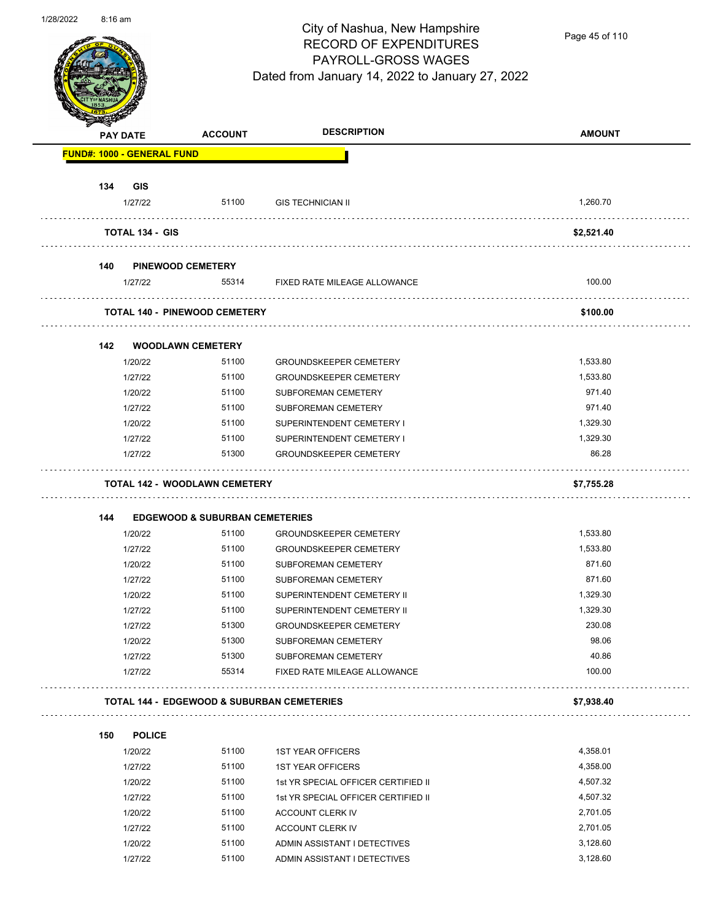

Page 45 of 110

|     | <b>PAY DATE</b>                   | <b>ACCOUNT</b>                                                                    | <b>DESCRIPTION</b>                         | <b>AMOUNT</b> |
|-----|-----------------------------------|-----------------------------------------------------------------------------------|--------------------------------------------|---------------|
|     | <b>FUND#: 1000 - GENERAL FUND</b> |                                                                                   |                                            |               |
| 134 | <b>GIS</b>                        |                                                                                   |                                            |               |
|     | 1/27/22                           | 51100                                                                             | <b>GIS TECHNICIAN II</b>                   | 1,260.70      |
|     | <b>TOTAL 134 - GIS</b>            |                                                                                   |                                            | \$2,521.40    |
| 140 |                                   | <b>PINEWOOD CEMETERY</b>                                                          |                                            |               |
|     | 1/27/22                           |                                                                                   | 55314 FIXED RATE MILEAGE ALLOWANCE         | 100.00        |
|     |                                   | <b>TOTAL 140 - PINEWOOD CEMETERY</b>                                              |                                            | \$100.00      |
| 142 |                                   | <b>WOODLAWN CEMETERY</b>                                                          |                                            |               |
|     | 1/20/22                           | 51100                                                                             | <b>GROUNDSKEEPER CEMETERY</b>              | 1,533.80      |
|     | 1/27/22                           | 51100                                                                             | <b>GROUNDSKEEPER CEMETERY</b>              | 1,533.80      |
|     | 1/20/22                           | 51100                                                                             | SUBFOREMAN CEMETERY                        | 971.40        |
|     | 1/27/22                           | 51100                                                                             | SUBFOREMAN CEMETERY                        | 971.40        |
|     | 1/20/22                           | 51100                                                                             | SUPERINTENDENT CEMETERY I                  | 1,329.30      |
|     | 1/27/22                           | 51100                                                                             | SUPERINTENDENT CEMETERY I                  | 1,329.30      |
|     | 1/27/22                           | 51300                                                                             | <b>GROUNDSKEEPER CEMETERY</b>              | 86.28         |
|     |                                   |                                                                                   |                                            |               |
| 144 |                                   | <b>TOTAL 142 - WOODLAWN CEMETERY</b><br><b>EDGEWOOD &amp; SUBURBAN CEMETERIES</b> |                                            | \$7,755.28    |
|     | 1/20/22                           | 51100                                                                             | <b>GROUNDSKEEPER CEMETERY</b>              | 1,533.80      |
|     | 1/27/22                           | 51100                                                                             | <b>GROUNDSKEEPER CEMETERY</b>              | 1,533.80      |
|     | 1/20/22                           | 51100                                                                             | SUBFOREMAN CEMETERY                        | 871.60        |
|     | 1/27/22                           | 51100                                                                             | SUBFOREMAN CEMETERY                        | 871.60        |
|     | 1/20/22                           | 51100                                                                             | SUPERINTENDENT CEMETERY II                 | 1,329.30      |
|     | 1/27/22                           | 51100                                                                             | SUPERINTENDENT CEMETERY II                 | 1,329.30      |
|     | 1/27/22                           | 51300                                                                             | GROUNDSKEEPER CEMETERY                     | 230.08        |
|     | 1/20/22                           | 51300                                                                             | SUBFOREMAN CEMETERY                        | 98.06         |
|     | 1/27/22                           | 51300                                                                             | SUBFOREMAN CEMETERY                        | 40.86         |
|     | 1/27/22                           | 55314                                                                             | FIXED RATE MILEAGE ALLOWANCE               | 100.00        |
|     |                                   |                                                                                   | TOTAL 144 - EDGEWOOD & SUBURBAN CEMETERIES | \$7,938.40    |
| 150 | <b>POLICE</b>                     |                                                                                   |                                            |               |
|     | 1/20/22                           | 51100                                                                             | <b>1ST YEAR OFFICERS</b>                   | 4,358.01      |
|     | 1/27/22                           | 51100                                                                             | <b>1ST YEAR OFFICERS</b>                   | 4,358.00      |
|     | 1/20/22                           | 51100                                                                             | 1st YR SPECIAL OFFICER CERTIFIED II        | 4,507.32      |
|     | 1/27/22                           | 51100                                                                             | 1st YR SPECIAL OFFICER CERTIFIED II        | 4,507.32      |
|     | 1/20/22                           | 51100                                                                             | ACCOUNT CLERK IV                           | 2,701.05      |
|     | 1/27/22                           | 51100                                                                             | ACCOUNT CLERK IV                           | 2,701.05      |
|     | 1/20/22                           | 51100                                                                             | ADMIN ASSISTANT I DETECTIVES               | 3,128.60      |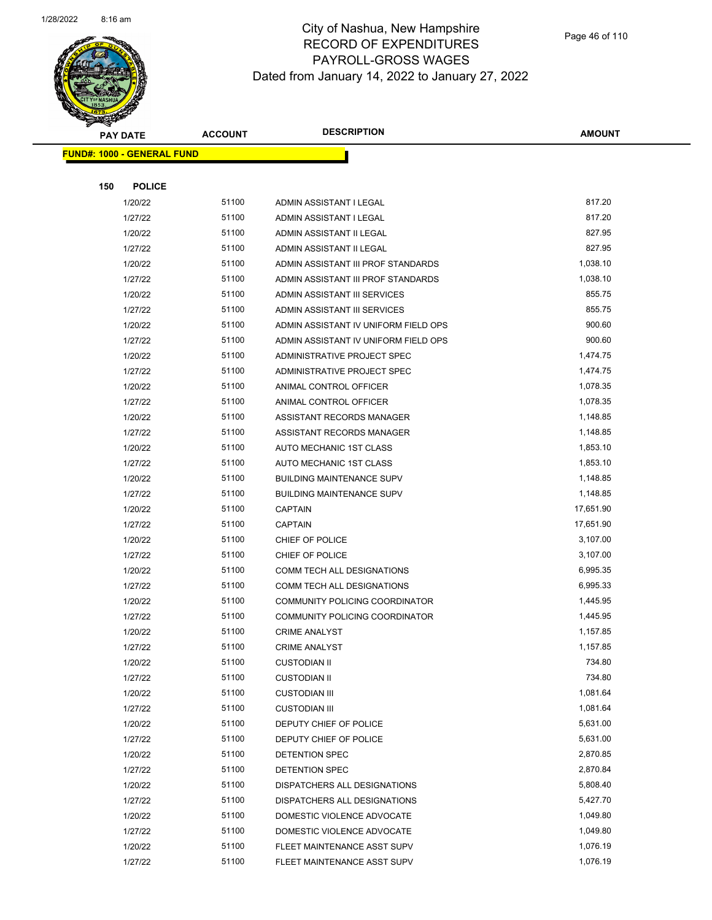

|     | <b>PAY DATE</b>                   | <b>ACCOUNT</b> | <b>DESCRIPTION</b>                   | <b>AMOUNT</b> |
|-----|-----------------------------------|----------------|--------------------------------------|---------------|
|     | <b>FUND#: 1000 - GENERAL FUND</b> |                |                                      |               |
|     |                                   |                |                                      |               |
| 150 | <b>POLICE</b>                     |                |                                      |               |
|     | 1/20/22                           | 51100          | ADMIN ASSISTANT I LEGAL              | 817.20        |
|     | 1/27/22                           | 51100          | ADMIN ASSISTANT I LEGAL              | 817.20        |
|     | 1/20/22                           | 51100          | ADMIN ASSISTANT II LEGAL             | 827.95        |
|     | 1/27/22                           | 51100          | ADMIN ASSISTANT II LEGAL             | 827.95        |
|     | 1/20/22                           | 51100          | ADMIN ASSISTANT III PROF STANDARDS   | 1,038.10      |
|     | 1/27/22                           | 51100          | ADMIN ASSISTANT III PROF STANDARDS   | 1,038.10      |
|     | 1/20/22                           | 51100          | ADMIN ASSISTANT III SERVICES         | 855.75        |
|     | 1/27/22                           | 51100          | ADMIN ASSISTANT III SERVICES         | 855.75        |
|     | 1/20/22                           | 51100          | ADMIN ASSISTANT IV UNIFORM FIELD OPS | 900.60        |
|     | 1/27/22                           | 51100          | ADMIN ASSISTANT IV UNIFORM FIELD OPS | 900.60        |
|     | 1/20/22                           | 51100          | ADMINISTRATIVE PROJECT SPEC          | 1,474.75      |
|     | 1/27/22                           | 51100          | ADMINISTRATIVE PROJECT SPEC          | 1,474.75      |
|     | 1/20/22                           | 51100          | ANIMAL CONTROL OFFICER               | 1,078.35      |
|     | 1/27/22                           | 51100          | ANIMAL CONTROL OFFICER               | 1,078.35      |
|     | 1/20/22                           | 51100          | ASSISTANT RECORDS MANAGER            | 1,148.85      |
|     | 1/27/22                           | 51100          | ASSISTANT RECORDS MANAGER            | 1,148.85      |
|     | 1/20/22                           | 51100          | AUTO MECHANIC 1ST CLASS              | 1,853.10      |
|     | 1/27/22                           | 51100          | AUTO MECHANIC 1ST CLASS              | 1,853.10      |
|     | 1/20/22                           | 51100          | <b>BUILDING MAINTENANCE SUPV</b>     | 1,148.85      |
|     | 1/27/22                           | 51100          | <b>BUILDING MAINTENANCE SUPV</b>     | 1,148.85      |
|     | 1/20/22                           | 51100          | <b>CAPTAIN</b>                       | 17,651.90     |
|     | 1/27/22                           | 51100          | <b>CAPTAIN</b>                       | 17,651.90     |
|     | 1/20/22                           | 51100          | CHIEF OF POLICE                      | 3,107.00      |
|     | 1/27/22                           | 51100          | CHIEF OF POLICE                      | 3,107.00      |
|     | 1/20/22                           | 51100          | COMM TECH ALL DESIGNATIONS           | 6,995.35      |
|     | 1/27/22                           | 51100          | <b>COMM TECH ALL DESIGNATIONS</b>    | 6,995.33      |
|     | 1/20/22                           | 51100          | COMMUNITY POLICING COORDINATOR       | 1,445.95      |
|     | 1/27/22                           | 51100          | COMMUNITY POLICING COORDINATOR       | 1,445.95      |
|     | 1/20/22                           | 51100          | <b>CRIME ANALYST</b>                 | 1,157.85      |
|     | 1/27/22                           | 51100          | <b>CRIME ANALYST</b>                 | 1,157.85      |
|     | 1/20/22                           | 51100          | <b>CUSTODIAN II</b>                  | 734.80        |
|     | 1/27/22                           | 51100          | <b>CUSTODIAN II</b>                  | 734.80        |
|     | 1/20/22                           | 51100          | <b>CUSTODIAN III</b>                 | 1,081.64      |
|     | 1/27/22                           | 51100          | <b>CUSTODIAN III</b>                 | 1,081.64      |
|     | 1/20/22                           | 51100          | DEPUTY CHIEF OF POLICE               | 5,631.00      |
|     | 1/27/22                           | 51100          | DEPUTY CHIEF OF POLICE               | 5,631.00      |
|     | 1/20/22                           | 51100          | <b>DETENTION SPEC</b>                | 2,870.85      |
|     | 1/27/22                           | 51100          | DETENTION SPEC                       | 2,870.84      |
|     | 1/20/22                           | 51100          | DISPATCHERS ALL DESIGNATIONS         | 5,808.40      |
|     | 1/27/22                           | 51100          | DISPATCHERS ALL DESIGNATIONS         | 5,427.70      |
|     | 1/20/22                           | 51100          | DOMESTIC VIOLENCE ADVOCATE           | 1,049.80      |
|     | 1/27/22                           | 51100          | DOMESTIC VIOLENCE ADVOCATE           | 1,049.80      |
|     | 1/20/22                           | 51100          | FLEET MAINTENANCE ASST SUPV          | 1,076.19      |
|     | 1/27/22                           | 51100          | FLEET MAINTENANCE ASST SUPV          | 1,076.19      |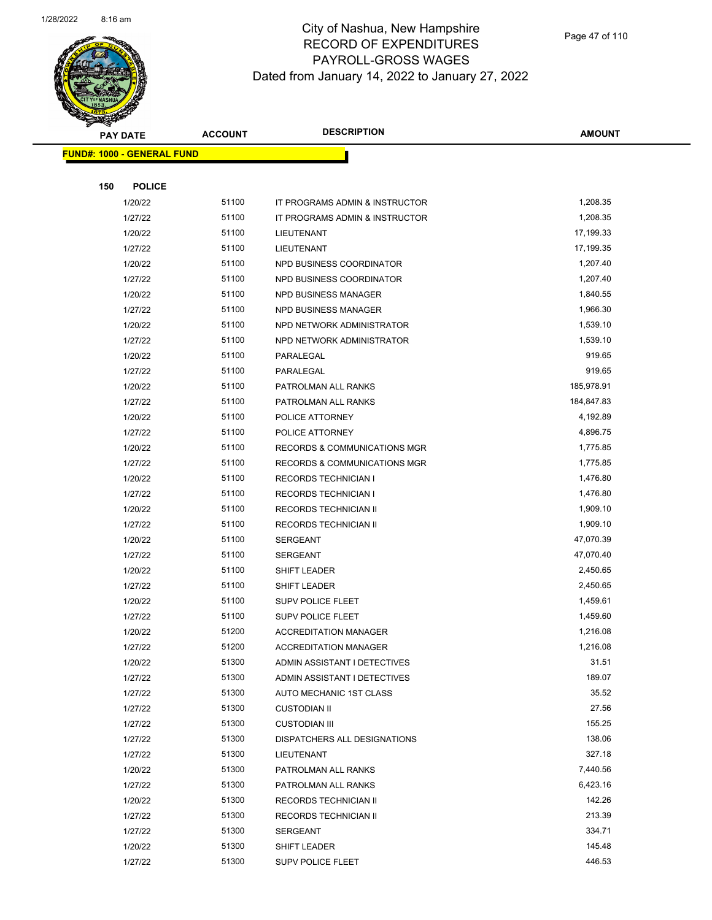

|     | <b>PAY DATE</b>                   | <b>ACCOUNT</b> | <b>DESCRIPTION</b>                      | <b>AMOUNT</b> |
|-----|-----------------------------------|----------------|-----------------------------------------|---------------|
|     | <b>FUND#: 1000 - GENERAL FUND</b> |                |                                         |               |
|     |                                   |                |                                         |               |
| 150 | <b>POLICE</b>                     |                |                                         |               |
|     | 1/20/22                           | 51100          | IT PROGRAMS ADMIN & INSTRUCTOR          | 1,208.35      |
|     | 1/27/22                           | 51100          | IT PROGRAMS ADMIN & INSTRUCTOR          | 1,208.35      |
|     | 1/20/22                           | 51100          | LIEUTENANT                              | 17,199.33     |
|     | 1/27/22                           | 51100          | LIEUTENANT                              | 17,199.35     |
|     | 1/20/22                           | 51100          | NPD BUSINESS COORDINATOR                | 1,207.40      |
|     | 1/27/22                           | 51100          | NPD BUSINESS COORDINATOR                | 1,207.40      |
|     | 1/20/22                           | 51100          | <b>NPD BUSINESS MANAGER</b>             | 1,840.55      |
|     | 1/27/22                           | 51100          | NPD BUSINESS MANAGER                    | 1,966.30      |
|     | 1/20/22                           | 51100          | NPD NETWORK ADMINISTRATOR               | 1,539.10      |
|     | 1/27/22                           | 51100          | NPD NETWORK ADMINISTRATOR               | 1,539.10      |
|     | 1/20/22                           | 51100          | PARALEGAL                               | 919.65        |
|     | 1/27/22                           | 51100          | PARALEGAL                               | 919.65        |
|     | 1/20/22                           | 51100          | PATROLMAN ALL RANKS                     | 185,978.91    |
|     | 1/27/22                           | 51100          | PATROLMAN ALL RANKS                     | 184,847.83    |
|     | 1/20/22                           | 51100          | POLICE ATTORNEY                         | 4,192.89      |
|     | 1/27/22                           | 51100          | POLICE ATTORNEY                         | 4,896.75      |
|     | 1/20/22                           | 51100          | <b>RECORDS &amp; COMMUNICATIONS MGR</b> | 1,775.85      |
|     | 1/27/22                           | 51100          | <b>RECORDS &amp; COMMUNICATIONS MGR</b> | 1,775.85      |
|     | 1/20/22                           | 51100          | <b>RECORDS TECHNICIAN I</b>             | 1,476.80      |
|     | 1/27/22                           | 51100          | <b>RECORDS TECHNICIAN I</b>             | 1,476.80      |
|     | 1/20/22                           | 51100          | RECORDS TECHNICIAN II                   | 1,909.10      |
|     | 1/27/22                           | 51100          | RECORDS TECHNICIAN II                   | 1,909.10      |
|     | 1/20/22                           | 51100          | <b>SERGEANT</b>                         | 47,070.39     |
|     | 1/27/22                           | 51100          | <b>SERGEANT</b>                         | 47,070.40     |
|     | 1/20/22                           | 51100          | SHIFT LEADER                            | 2,450.65      |
|     | 1/27/22                           | 51100          | SHIFT LEADER                            | 2,450.65      |
|     | 1/20/22                           | 51100          | <b>SUPV POLICE FLEET</b>                | 1,459.61      |
|     | 1/27/22                           | 51100          | <b>SUPV POLICE FLEET</b>                | 1,459.60      |
|     | 1/20/22                           | 51200          | <b>ACCREDITATION MANAGER</b>            | 1,216.08      |
|     | 1/27/22                           | 51200          | <b>ACCREDITATION MANAGER</b>            | 1,216.08      |
|     | 1/20/22                           | 51300          | ADMIN ASSISTANT I DETECTIVES            | 31.51         |
|     | 1/27/22                           | 51300          | ADMIN ASSISTANT I DETECTIVES            | 189.07        |
|     | 1/27/22                           | 51300          | AUTO MECHANIC 1ST CLASS                 | 35.52         |
|     | 1/27/22                           | 51300          | <b>CUSTODIAN II</b>                     | 27.56         |
|     | 1/27/22                           | 51300          | <b>CUSTODIAN III</b>                    | 155.25        |
|     | 1/27/22                           | 51300          | DISPATCHERS ALL DESIGNATIONS            | 138.06        |
|     | 1/27/22                           | 51300          | LIEUTENANT                              | 327.18        |
|     | 1/20/22                           | 51300          | PATROLMAN ALL RANKS                     | 7,440.56      |
|     | 1/27/22                           | 51300          | PATROLMAN ALL RANKS                     | 6,423.16      |
|     | 1/20/22                           | 51300          | RECORDS TECHNICIAN II                   | 142.26        |
|     | 1/27/22                           | 51300          | RECORDS TECHNICIAN II                   | 213.39        |
|     | 1/27/22                           | 51300          | <b>SERGEANT</b>                         | 334.71        |
|     | 1/20/22                           | 51300          | SHIFT LEADER                            | 145.48        |
|     | 1/27/22                           | 51300          | SUPV POLICE FLEET                       | 446.53        |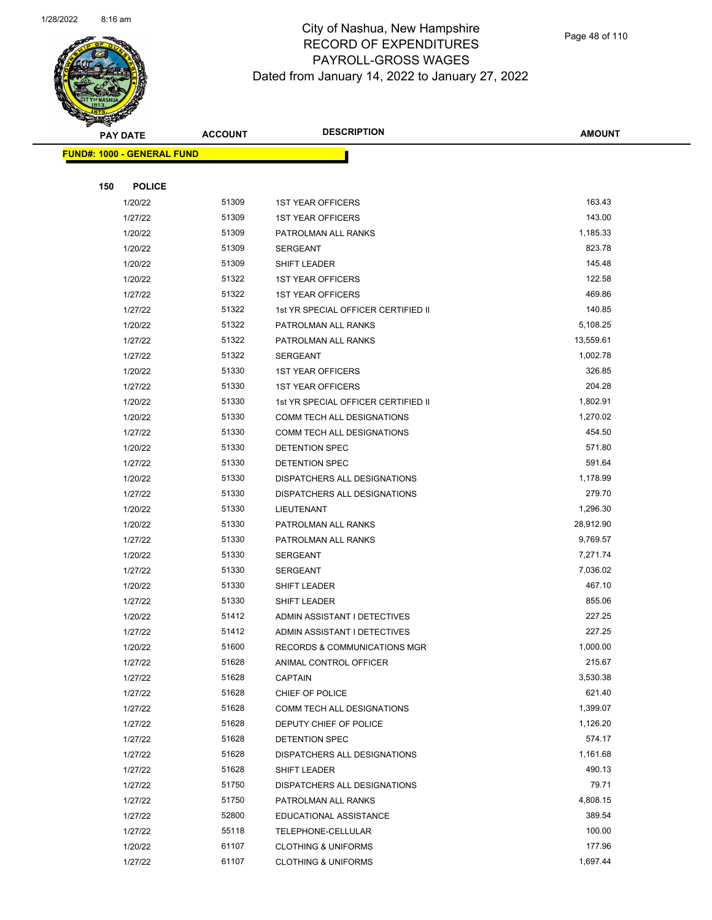

Page 48 of 110

|     | <b>PAY DATE</b>                    | <b>ACCOUNT</b> | <b>DESCRIPTION</b>                      | <b>AMOUNT</b> |
|-----|------------------------------------|----------------|-----------------------------------------|---------------|
|     | <u> FUND#: 1000 - GENERAL FUND</u> |                |                                         |               |
|     |                                    |                |                                         |               |
| 150 | <b>POLICE</b>                      |                |                                         |               |
|     | 1/20/22                            | 51309          | <b>1ST YEAR OFFICERS</b>                | 163.43        |
|     | 1/27/22                            | 51309          | <b>1ST YEAR OFFICERS</b>                | 143.00        |
|     | 1/20/22                            | 51309          | PATROLMAN ALL RANKS                     | 1,185.33      |
|     | 1/20/22                            | 51309          | SERGEANT                                | 823.78        |
|     | 1/20/22                            | 51309          | SHIFT LEADER                            | 145.48        |
|     | 1/20/22                            | 51322          | <b>1ST YEAR OFFICERS</b>                | 122.58        |
|     | 1/27/22                            | 51322          | <b>1ST YEAR OFFICERS</b>                | 469.86        |
|     | 1/27/22                            | 51322          | 1st YR SPECIAL OFFICER CERTIFIED II     | 140.85        |
|     | 1/20/22                            | 51322          | PATROLMAN ALL RANKS                     | 5,108.25      |
|     | 1/27/22                            | 51322          | PATROLMAN ALL RANKS                     | 13,559.61     |
|     | 1/27/22                            | 51322          | <b>SERGEANT</b>                         | 1,002.78      |
|     | 1/20/22                            | 51330          | <b>1ST YEAR OFFICERS</b>                | 326.85        |
|     | 1/27/22                            | 51330          | <b>1ST YEAR OFFICERS</b>                | 204.28        |
|     | 1/20/22                            | 51330          | 1st YR SPECIAL OFFICER CERTIFIED II     | 1,802.91      |
|     | 1/20/22                            | 51330          | COMM TECH ALL DESIGNATIONS              | 1,270.02      |
|     | 1/27/22                            | 51330          | COMM TECH ALL DESIGNATIONS              | 454.50        |
|     | 1/20/22                            | 51330          | <b>DETENTION SPEC</b>                   | 571.80        |
|     | 1/27/22                            | 51330          | <b>DETENTION SPEC</b>                   | 591.64        |
|     | 1/20/22                            | 51330          | DISPATCHERS ALL DESIGNATIONS            | 1,178.99      |
|     | 1/27/22                            | 51330          | DISPATCHERS ALL DESIGNATIONS            | 279.70        |
|     | 1/20/22                            | 51330          | LIEUTENANT                              | 1,296.30      |
|     | 1/20/22                            | 51330          | PATROLMAN ALL RANKS                     | 28,912.90     |
|     | 1/27/22                            | 51330          | PATROLMAN ALL RANKS                     | 9,769.57      |
|     | 1/20/22                            | 51330          | SERGEANT                                | 7,271.74      |
|     | 1/27/22                            | 51330          | <b>SERGEANT</b>                         | 7,036.02      |
|     | 1/20/22                            | 51330          | SHIFT LEADER                            | 467.10        |
|     | 1/27/22                            | 51330          | SHIFT LEADER                            | 855.06        |
|     | 1/20/22                            | 51412          | ADMIN ASSISTANT I DETECTIVES            | 227.25        |
|     | 1/27/22                            | 51412          | ADMIN ASSISTANT I DETECTIVES            | 227.25        |
|     | 1/20/22                            | 51600          | <b>RECORDS &amp; COMMUNICATIONS MGR</b> | 1,000.00      |
|     | 1/27/22                            | 51628          | ANIMAL CONTROL OFFICER                  | 215.67        |
|     | 1/27/22                            | 51628          | CAPTAIN                                 | 3,530.38      |
|     | 1/27/22                            | 51628          | CHIEF OF POLICE                         | 621.40        |
|     | 1/27/22                            | 51628          | COMM TECH ALL DESIGNATIONS              | 1,399.07      |
|     | 1/27/22                            | 51628          | DEPUTY CHIEF OF POLICE                  | 1,126.20      |
|     | 1/27/22                            | 51628          | DETENTION SPEC                          | 574.17        |
|     | 1/27/22                            | 51628          | DISPATCHERS ALL DESIGNATIONS            | 1,161.68      |
|     | 1/27/22                            | 51628          | SHIFT LEADER                            | 490.13        |
|     | 1/27/22                            | 51750          | DISPATCHERS ALL DESIGNATIONS            | 79.71         |
|     | 1/27/22                            | 51750          | PATROLMAN ALL RANKS                     | 4,808.15      |
|     | 1/27/22                            | 52800          | EDUCATIONAL ASSISTANCE                  | 389.54        |
|     | 1/27/22                            | 55118          | TELEPHONE-CELLULAR                      | 100.00        |
|     | 1/20/22                            | 61107          | <b>CLOTHING &amp; UNIFORMS</b>          | 177.96        |
|     | 1/27/22                            | 61107          | <b>CLOTHING &amp; UNIFORMS</b>          | 1,697.44      |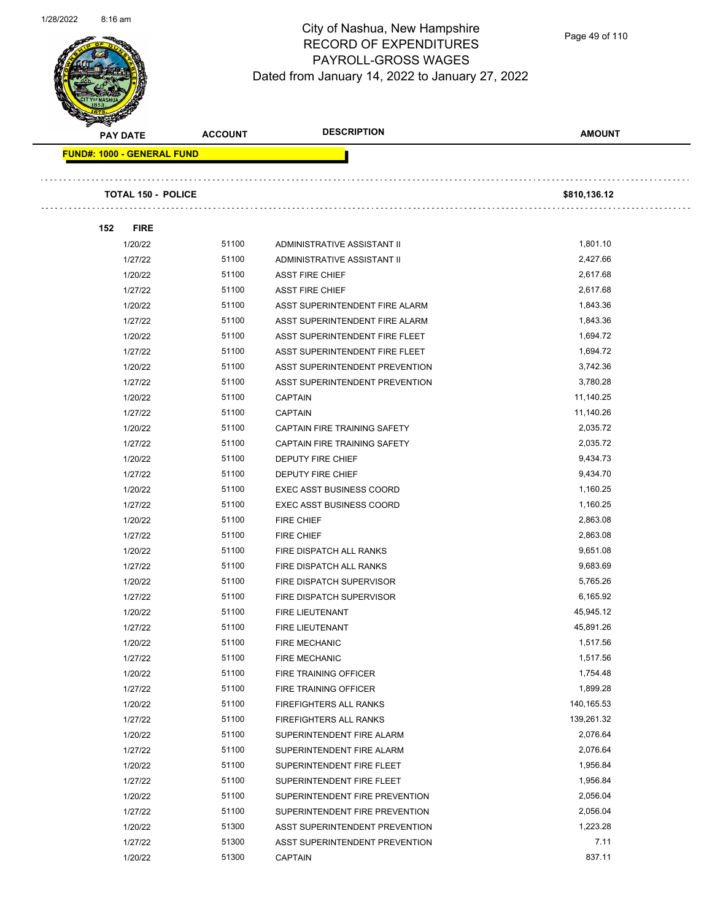

Page 49 of 110

| <b>Allen</b><br><b>PAY DATE</b> | <b>ACCOUNT</b> | <b>DESCRIPTION</b>                    | <b>AMOUNT</b> |  |
|---------------------------------|----------------|---------------------------------------|---------------|--|
| FUND#: 1000 - GENERAL FUND      |                |                                       |               |  |
|                                 |                |                                       |               |  |
| <b>TOTAL 150 - POLICE</b>       |                |                                       | \$810,136.12  |  |
|                                 |                |                                       |               |  |
| 152<br><b>FIRE</b>              |                |                                       |               |  |
| 1/20/22                         | 51100          | ADMINISTRATIVE ASSISTANT II           | 1,801.10      |  |
| 1/27/22                         | 51100          | ADMINISTRATIVE ASSISTANT II           | 2,427.66      |  |
| 1/20/22                         | 51100          | <b>ASST FIRE CHIEF</b>                | 2,617.68      |  |
| 1/27/22                         | 51100          | <b>ASST FIRE CHIEF</b>                | 2,617.68      |  |
| 1/20/22                         | 51100          | ASST SUPERINTENDENT FIRE ALARM        | 1,843.36      |  |
| 1/27/22                         | 51100          | ASST SUPERINTENDENT FIRE ALARM        | 1,843.36      |  |
| 1/20/22                         | 51100          | ASST SUPERINTENDENT FIRE FLEET        | 1,694.72      |  |
| 1/27/22                         | 51100          | ASST SUPERINTENDENT FIRE FLEET        | 1,694.72      |  |
| 1/20/22                         | 51100          | <b>ASST SUPERINTENDENT PREVENTION</b> | 3,742.36      |  |
| 1/27/22                         | 51100          | ASST SUPERINTENDENT PREVENTION        | 3,780.28      |  |
| 1/20/22                         | 51100          | <b>CAPTAIN</b>                        | 11,140.25     |  |
| 1/27/22                         | 51100          | <b>CAPTAIN</b>                        | 11,140.26     |  |
| 1/20/22                         | 51100          | <b>CAPTAIN FIRE TRAINING SAFETY</b>   | 2,035.72      |  |
| 1/27/22                         | 51100          | CAPTAIN FIRE TRAINING SAFETY          | 2,035.72      |  |
| 1/20/22                         | 51100          | <b>DEPUTY FIRE CHIEF</b>              | 9,434.73      |  |
| 1/27/22                         | 51100          | DEPUTY FIRE CHIEF                     | 9,434.70      |  |
| 1/20/22                         | 51100          | <b>EXEC ASST BUSINESS COORD</b>       | 1,160.25      |  |
| 1/27/22                         | 51100          | <b>EXEC ASST BUSINESS COORD</b>       | 1,160.25      |  |
| 1/20/22                         | 51100          | FIRE CHIEF                            | 2,863.08      |  |
| 1/27/22                         | 51100          | <b>FIRE CHIEF</b>                     | 2,863.08      |  |
| 1/20/22                         | 51100          | FIRE DISPATCH ALL RANKS               | 9,651.08      |  |
| 1/27/22                         | 51100          | FIRE DISPATCH ALL RANKS               | 9,683.69      |  |
| 1/20/22                         | 51100          | FIRE DISPATCH SUPERVISOR              | 5,765.26      |  |
| 1/27/22                         | 51100          | FIRE DISPATCH SUPERVISOR              | 6,165.92      |  |
| 1/20/22                         | 51100          | <b>FIRE LIEUTENANT</b>                | 45,945.12     |  |
| 1/27/22                         | 51100          | FIRE LIEUTENANT                       | 45,891.26     |  |
| 1/20/22                         | 51100          | FIRE MECHANIC                         | 1,517.56      |  |
| 1/27/22                         | 51100          | <b>FIRE MECHANIC</b>                  | 1,517.56      |  |
| 1/20/22                         | 51100          | FIRE TRAINING OFFICER                 | 1,754.48      |  |
| 1/27/22                         | 51100          | FIRE TRAINING OFFICER                 | 1,899.28      |  |
| 1/20/22                         | 51100          | FIREFIGHTERS ALL RANKS                | 140,165.53    |  |
| 1/27/22                         | 51100          | <b>FIREFIGHTERS ALL RANKS</b>         | 139,261.32    |  |
| 1/20/22                         | 51100          | SUPERINTENDENT FIRE ALARM             | 2,076.64      |  |
| 1/27/22                         | 51100          | SUPERINTENDENT FIRE ALARM             | 2,076.64      |  |
| 1/20/22                         | 51100          | SUPERINTENDENT FIRE FLEET             | 1,956.84      |  |
| 1/27/22                         | 51100          | SUPERINTENDENT FIRE FLEET             | 1,956.84      |  |
| 1/20/22                         | 51100          | SUPERINTENDENT FIRE PREVENTION        | 2,056.04      |  |
| 1/27/22                         | 51100          | SUPERINTENDENT FIRE PREVENTION        | 2,056.04      |  |
| 1/20/22                         | 51300          | ASST SUPERINTENDENT PREVENTION        | 1,223.28      |  |
| 1/27/22                         | 51300          | ASST SUPERINTENDENT PREVENTION        | 7.11          |  |
| 1/20/22                         | 51300          | <b>CAPTAIN</b>                        | 837.11        |  |
|                                 |                |                                       |               |  |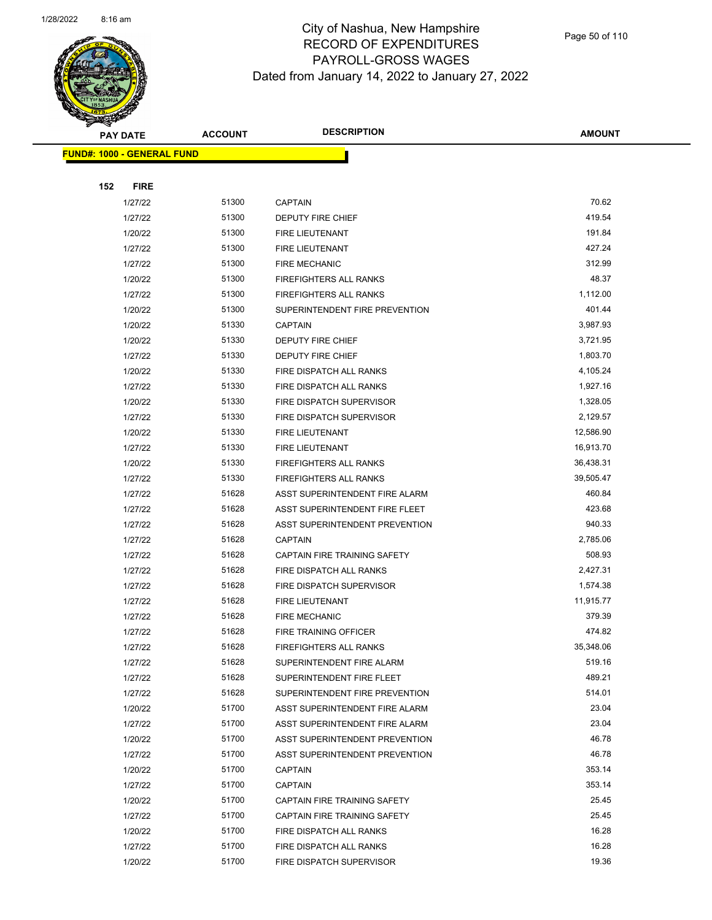

|     | <b>PAY DATE</b>                   | <b>ACCOUNT</b> | <b>DESCRIPTION</b>             | <b>AMOUNT</b> |
|-----|-----------------------------------|----------------|--------------------------------|---------------|
|     | <b>FUND#: 1000 - GENERAL FUND</b> |                |                                |               |
|     |                                   |                |                                |               |
| 152 | <b>FIRE</b>                       |                |                                |               |
|     | 1/27/22                           | 51300          | <b>CAPTAIN</b>                 | 70.62         |
|     | 1/27/22                           | 51300          | <b>DEPUTY FIRE CHIEF</b>       | 419.54        |
|     | 1/20/22                           | 51300          | <b>FIRE LIEUTENANT</b>         | 191.84        |
|     | 1/27/22                           | 51300          | FIRE LIEUTENANT                | 427.24        |
|     | 1/27/22                           | 51300          | <b>FIRE MECHANIC</b>           | 312.99        |
|     | 1/20/22                           | 51300          | <b>FIREFIGHTERS ALL RANKS</b>  | 48.37         |
|     | 1/27/22                           | 51300          | <b>FIREFIGHTERS ALL RANKS</b>  | 1,112.00      |
|     | 1/20/22                           | 51300          | SUPERINTENDENT FIRE PREVENTION | 401.44        |
|     | 1/20/22                           | 51330          | <b>CAPTAIN</b>                 | 3,987.93      |
|     | 1/20/22                           | 51330          | <b>DEPUTY FIRE CHIEF</b>       | 3,721.95      |
|     | 1/27/22                           | 51330          | <b>DEPUTY FIRE CHIEF</b>       | 1,803.70      |
|     | 1/20/22                           | 51330          | FIRE DISPATCH ALL RANKS        | 4,105.24      |
|     | 1/27/22                           | 51330          | FIRE DISPATCH ALL RANKS        | 1,927.16      |
|     | 1/20/22                           | 51330          | FIRE DISPATCH SUPERVISOR       | 1,328.05      |
|     | 1/27/22                           | 51330          | FIRE DISPATCH SUPERVISOR       | 2,129.57      |
|     | 1/20/22                           | 51330          | FIRE LIEUTENANT                | 12,586.90     |
|     | 1/27/22                           | 51330          | <b>FIRE LIEUTENANT</b>         | 16,913.70     |
|     | 1/20/22                           | 51330          | <b>FIREFIGHTERS ALL RANKS</b>  | 36,438.31     |
|     | 1/27/22                           | 51330          | FIREFIGHTERS ALL RANKS         | 39,505.47     |
|     | 1/27/22                           | 51628          | ASST SUPERINTENDENT FIRE ALARM | 460.84        |
|     | 1/27/22                           | 51628          | ASST SUPERINTENDENT FIRE FLEET | 423.68        |
|     | 1/27/22                           | 51628          | ASST SUPERINTENDENT PREVENTION | 940.33        |
|     | 1/27/22                           | 51628          | <b>CAPTAIN</b>                 | 2,785.06      |
|     | 1/27/22                           | 51628          | CAPTAIN FIRE TRAINING SAFETY   | 508.93        |
|     | 1/27/22                           | 51628          | FIRE DISPATCH ALL RANKS        | 2,427.31      |
|     | 1/27/22                           | 51628          | FIRE DISPATCH SUPERVISOR       | 1,574.38      |
|     | 1/27/22                           | 51628          | <b>FIRE LIEUTENANT</b>         | 11,915.77     |
|     | 1/27/22                           | 51628          | <b>FIRE MECHANIC</b>           | 379.39        |
|     | 1/27/22                           | 51628          | <b>FIRE TRAINING OFFICER</b>   | 474.82        |
|     | 1/27/22                           | 51628          | <b>FIREFIGHTERS ALL RANKS</b>  | 35,348.06     |
|     | 1/27/22                           | 51628          | SUPERINTENDENT FIRE ALARM      | 519.16        |
|     | 1/27/22                           | 51628          | SUPERINTENDENT FIRE FLEET      | 489.21        |
|     | 1/27/22                           | 51628          | SUPERINTENDENT FIRE PREVENTION | 514.01        |
|     | 1/20/22                           | 51700          | ASST SUPERINTENDENT FIRE ALARM | 23.04         |
|     | 1/27/22                           | 51700          | ASST SUPERINTENDENT FIRE ALARM | 23.04         |
|     | 1/20/22                           | 51700          | ASST SUPERINTENDENT PREVENTION | 46.78         |
|     | 1/27/22                           | 51700          | ASST SUPERINTENDENT PREVENTION | 46.78         |
|     | 1/20/22                           | 51700          | <b>CAPTAIN</b>                 | 353.14        |
|     | 1/27/22                           | 51700          | <b>CAPTAIN</b>                 | 353.14        |
|     | 1/20/22                           | 51700          | CAPTAIN FIRE TRAINING SAFETY   | 25.45         |
|     | 1/27/22                           | 51700          | CAPTAIN FIRE TRAINING SAFETY   | 25.45         |
|     | 1/20/22                           | 51700          | FIRE DISPATCH ALL RANKS        | 16.28         |
|     | 1/27/22                           | 51700          | FIRE DISPATCH ALL RANKS        | 16.28         |
|     | 1/20/22                           | 51700          | FIRE DISPATCH SUPERVISOR       | 19.36         |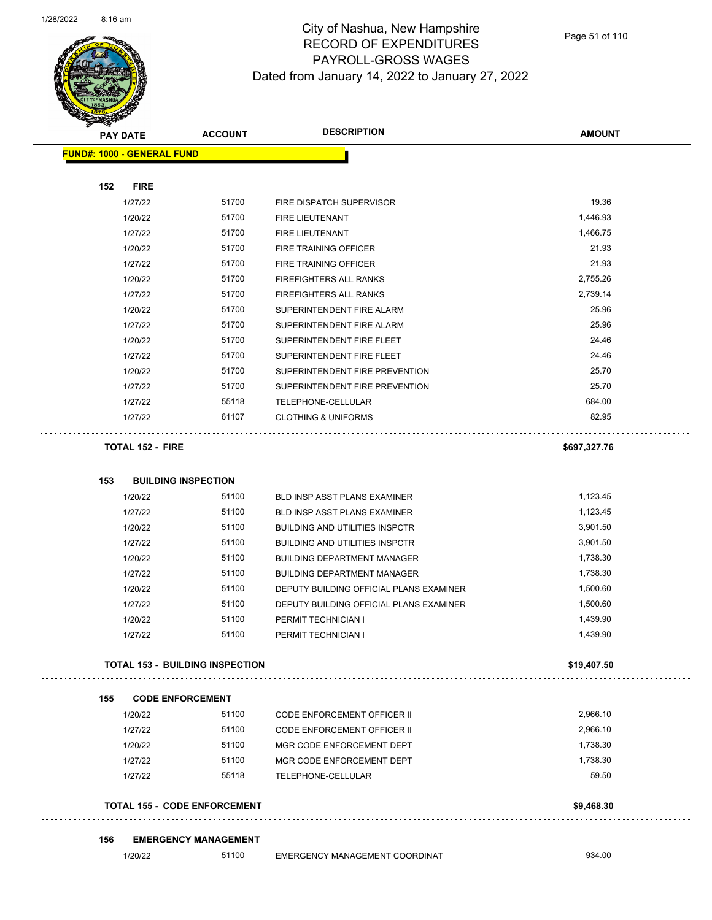

Page 51 of 110

|     | <b>PAY DATE</b>            | <b>ACCOUNT</b>                         | <b>DESCRIPTION</b>                      | <b>AMOUNT</b> |
|-----|----------------------------|----------------------------------------|-----------------------------------------|---------------|
|     | FUND#: 1000 - GENERAL FUND |                                        |                                         |               |
|     |                            |                                        |                                         |               |
| 152 | <b>FIRE</b>                |                                        |                                         |               |
|     | 1/27/22                    | 51700                                  | FIRE DISPATCH SUPERVISOR                | 19.36         |
|     | 1/20/22                    | 51700                                  | FIRE LIEUTENANT                         | 1,446.93      |
|     | 1/27/22                    | 51700                                  | FIRE LIEUTENANT                         | 1,466.75      |
|     | 1/20/22                    | 51700                                  | <b>FIRE TRAINING OFFICER</b>            | 21.93         |
|     | 1/27/22                    | 51700                                  | FIRE TRAINING OFFICER                   | 21.93         |
|     | 1/20/22                    | 51700                                  | FIREFIGHTERS ALL RANKS                  | 2,755.26      |
|     | 1/27/22                    | 51700                                  | FIREFIGHTERS ALL RANKS                  | 2,739.14      |
|     | 1/20/22                    | 51700                                  | SUPERINTENDENT FIRE ALARM               | 25.96         |
|     | 1/27/22                    | 51700                                  | SUPERINTENDENT FIRE ALARM               | 25.96         |
|     | 1/20/22                    | 51700                                  | SUPERINTENDENT FIRE FLEET               | 24.46         |
|     | 1/27/22                    | 51700                                  | SUPERINTENDENT FIRE FLEET               | 24.46         |
|     | 1/20/22                    | 51700                                  | SUPERINTENDENT FIRE PREVENTION          | 25.70         |
|     | 1/27/22                    | 51700                                  | SUPERINTENDENT FIRE PREVENTION          | 25.70         |
|     | 1/27/22                    | 55118                                  | TELEPHONE-CELLULAR                      | 684.00        |
|     | 1/27/22                    | 61107                                  | <b>CLOTHING &amp; UNIFORMS</b>          | 82.95         |
|     | <b>TOTAL 152 - FIRE</b>    |                                        |                                         | \$697,327.76  |
| 153 |                            | <b>BUILDING INSPECTION</b>             |                                         |               |
|     | 1/20/22                    | 51100                                  | BLD INSP ASST PLANS EXAMINER            | 1,123.45      |
|     | 1/27/22                    | 51100                                  | BLD INSP ASST PLANS EXAMINER            | 1,123.45      |
|     | 1/20/22                    | 51100                                  | <b>BUILDING AND UTILITIES INSPCTR</b>   | 3,901.50      |
|     | 1/27/22                    | 51100                                  | <b>BUILDING AND UTILITIES INSPCTR</b>   | 3,901.50      |
|     | 1/20/22                    | 51100                                  | <b>BUILDING DEPARTMENT MANAGER</b>      | 1,738.30      |
|     | 1/27/22                    | 51100                                  | <b>BUILDING DEPARTMENT MANAGER</b>      | 1,738.30      |
|     | 1/20/22                    | 51100                                  | DEPUTY BUILDING OFFICIAL PLANS EXAMINER | 1,500.60      |
|     | 1/27/22                    | 51100                                  | DEPUTY BUILDING OFFICIAL PLANS EXAMINER | 1,500.60      |
|     | 1/20/22                    | 51100                                  | PERMIT TECHNICIAN I                     | 1,439.90      |
|     | 1/27/22                    | 51100                                  | PERMIT TECHNICIAN I                     | 1,439.90      |
|     |                            | <b>TOTAL 153 - BUILDING INSPECTION</b> |                                         | \$19,407.50   |
| 155 |                            | <b>CODE ENFORCEMENT</b>                |                                         |               |
|     | 1/20/22                    | 51100                                  | <b>CODE ENFORCEMENT OFFICER II</b>      | 2,966.10      |
|     | 1/27/22                    | 51100                                  | <b>CODE ENFORCEMENT OFFICER II</b>      | 2,966.10      |
|     | 1/20/22                    | 51100                                  | MGR CODE ENFORCEMENT DEPT               | 1,738.30      |
|     | 1/27/22                    | 51100                                  | MGR CODE ENFORCEMENT DEPT               | 1,738.30      |
|     | 1/27/22                    | 55118                                  | TELEPHONE-CELLULAR                      | 59.50         |
|     |                            | <b>TOTAL 155 - CODE ENFORCEMENT</b>    |                                         | \$9,468.30    |
| 156 |                            | <b>EMERGENCY MANAGEMENT</b>            |                                         |               |
|     | 1/20/22                    | 51100                                  | EMERGENCY MANAGEMENT COORDINAT          | 934.00        |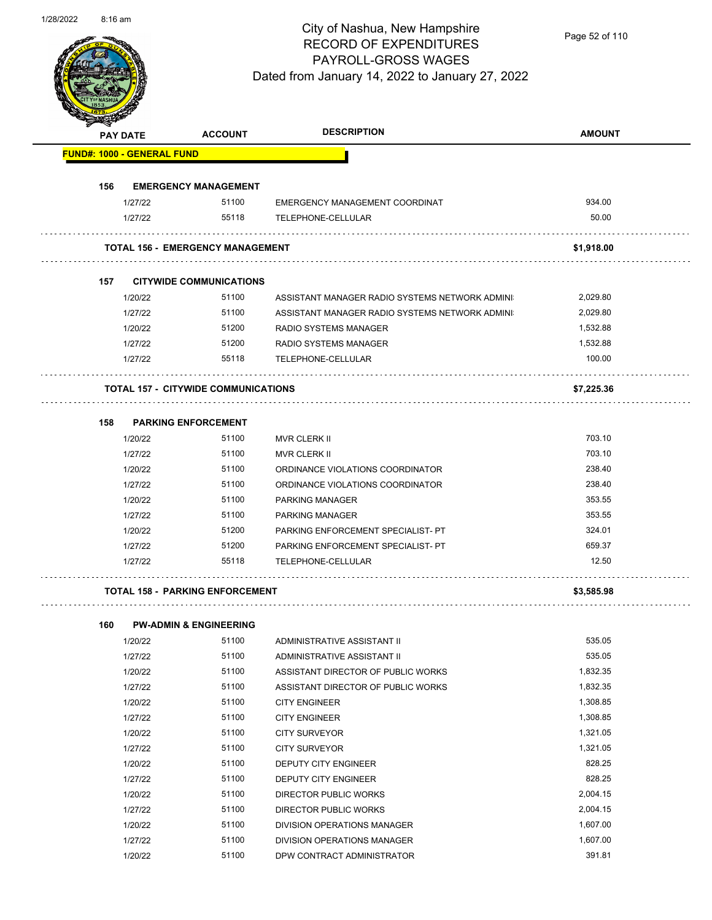

Page 52 of 110

| Santa Contra Contra Contra Contra Contra Contra Contra Contra Contra Contra Contra Contra Contra Contra Contra | <b>PAY DATE</b>    | <b>ACCOUNT</b>                             | <b>DESCRIPTION</b>                                                | <b>AMOUNT</b> |
|----------------------------------------------------------------------------------------------------------------|--------------------|--------------------------------------------|-------------------------------------------------------------------|---------------|
| <b>FUND#: 1000 - GENERAL FUND</b>                                                                              |                    |                                            |                                                                   |               |
| 156                                                                                                            |                    | <b>EMERGENCY MANAGEMENT</b>                |                                                                   |               |
|                                                                                                                | 1/27/22            | 51100                                      | EMERGENCY MANAGEMENT COORDINAT                                    | 934.00        |
|                                                                                                                | 1/27/22            | 55118                                      | TELEPHONE-CELLULAR                                                | 50.00         |
|                                                                                                                |                    |                                            |                                                                   |               |
|                                                                                                                |                    | <b>TOTAL 156 - EMERGENCY MANAGEMENT</b>    |                                                                   | \$1,918.00    |
| 157                                                                                                            |                    | <b>CITYWIDE COMMUNICATIONS</b>             |                                                                   |               |
|                                                                                                                | 1/20/22            | 51100                                      | ASSISTANT MANAGER RADIO SYSTEMS NETWORK ADMINI                    | 2,029.80      |
|                                                                                                                | 1/27/22            | 51100                                      | ASSISTANT MANAGER RADIO SYSTEMS NETWORK ADMINI                    | 2,029.80      |
|                                                                                                                | 1/20/22            | 51200                                      | RADIO SYSTEMS MANAGER                                             | 1,532.88      |
|                                                                                                                | 1/27/22            | 51200                                      | RADIO SYSTEMS MANAGER                                             | 1,532.88      |
|                                                                                                                | 1/27/22            | 55118                                      | TELEPHONE-CELLULAR                                                | 100.00        |
|                                                                                                                |                    | <b>TOTAL 157 - CITYWIDE COMMUNICATIONS</b> |                                                                   | \$7,225.36    |
| 158                                                                                                            |                    | <b>PARKING ENFORCEMENT</b>                 |                                                                   |               |
|                                                                                                                | 1/20/22            | 51100                                      | MVR CLERK II                                                      | 703.10        |
|                                                                                                                | 1/27/22            | 51100                                      | <b>MVR CLERK II</b>                                               | 703.10        |
|                                                                                                                | 1/20/22            | 51100                                      | ORDINANCE VIOLATIONS COORDINATOR                                  | 238.40        |
|                                                                                                                | 1/27/22            | 51100                                      | ORDINANCE VIOLATIONS COORDINATOR                                  | 238.40        |
|                                                                                                                | 1/20/22            | 51100                                      | PARKING MANAGER                                                   | 353.55        |
|                                                                                                                | 1/27/22            | 51100                                      | <b>PARKING MANAGER</b>                                            | 353.55        |
|                                                                                                                | 1/20/22            | 51200                                      | PARKING ENFORCEMENT SPECIALIST- PT                                | 324.01        |
|                                                                                                                | 1/27/22            | 51200                                      | PARKING ENFORCEMENT SPECIALIST- PT                                | 659.37        |
|                                                                                                                | 1/27/22            | 55118                                      | TELEPHONE-CELLULAR                                                | 12.50         |
|                                                                                                                |                    | <b>TOTAL 158 - PARKING ENFORCEMENT</b>     |                                                                   | \$3,585.98    |
|                                                                                                                |                    |                                            |                                                                   |               |
| 160                                                                                                            |                    | <b>PW-ADMIN &amp; ENGINEERING</b><br>51100 |                                                                   | 535.05        |
|                                                                                                                | 1/20/22<br>1/27/22 | 51100                                      | ADMINISTRATIVE ASSISTANT II                                       | 535.05        |
|                                                                                                                | 1/20/22            | 51100                                      | ADMINISTRATIVE ASSISTANT II<br>ASSISTANT DIRECTOR OF PUBLIC WORKS | 1,832.35      |
|                                                                                                                | 1/27/22            | 51100                                      | ASSISTANT DIRECTOR OF PUBLIC WORKS                                | 1,832.35      |
|                                                                                                                | 1/20/22            | 51100                                      | <b>CITY ENGINEER</b>                                              | 1,308.85      |
|                                                                                                                | 1/27/22            | 51100                                      | <b>CITY ENGINEER</b>                                              | 1,308.85      |
|                                                                                                                | 1/20/22            | 51100                                      | <b>CITY SURVEYOR</b>                                              | 1,321.05      |
|                                                                                                                | 1/27/22            | 51100                                      | <b>CITY SURVEYOR</b>                                              | 1,321.05      |
|                                                                                                                | 1/20/22            | 51100                                      | DEPUTY CITY ENGINEER                                              | 828.25        |
|                                                                                                                | 1/27/22            | 51100                                      | DEPUTY CITY ENGINEER                                              | 828.25        |
|                                                                                                                |                    |                                            |                                                                   |               |

1/20/22 51100 DIRECTOR PUBLIC WORKS 2,004.15 1/27/22 51100 DIRECTOR PUBLIC WORKS 2,004.15 1/20/22 51100 DIVISION OPERATIONS MANAGER 1,607.00 1/27/22 51100 DIVISION OPERATIONS MANAGER 1,607.00 1/20/22 51100 DPW CONTRACT ADMINISTRATOR 391.81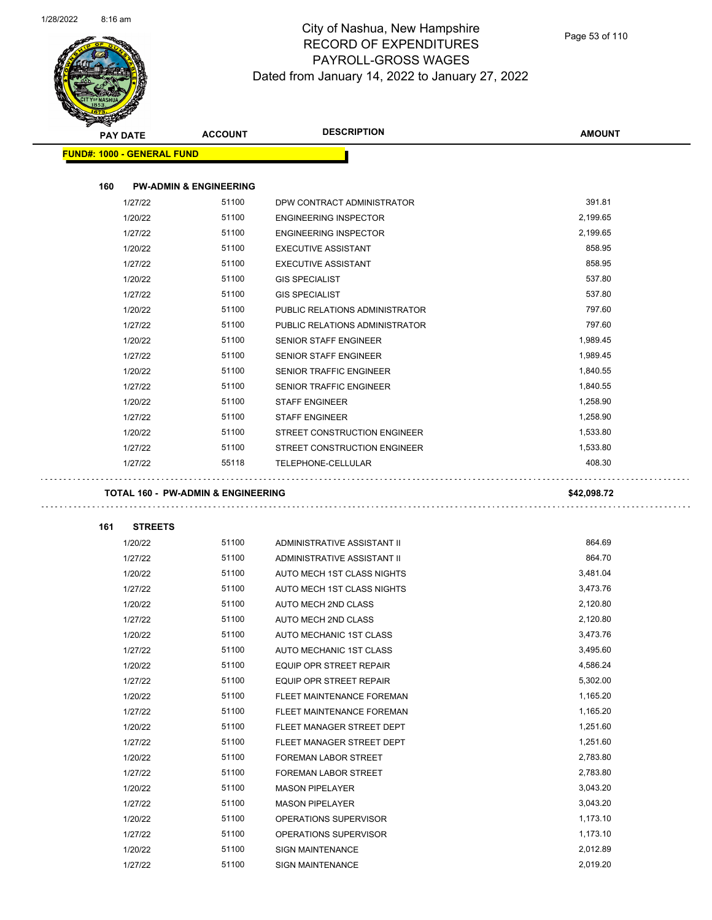$\overline{\phantom{0}}$ 

÷,



|     | <b>PAY DATE</b>                               | <b>ACCOUNT</b>                    | <b>DESCRIPTION</b>             | <b>AMOUNT</b> |
|-----|-----------------------------------------------|-----------------------------------|--------------------------------|---------------|
|     | <b>FUND#: 1000 - GENERAL FUND</b>             |                                   |                                |               |
|     |                                               |                                   |                                |               |
| 160 |                                               | <b>PW-ADMIN &amp; ENGINEERING</b> |                                |               |
|     | 1/27/22                                       | 51100                             | DPW CONTRACT ADMINISTRATOR     | 391.81        |
|     | 1/20/22                                       | 51100                             | <b>ENGINEERING INSPECTOR</b>   | 2,199.65      |
|     | 1/27/22                                       | 51100                             | <b>ENGINEERING INSPECTOR</b>   | 2,199.65      |
|     | 1/20/22                                       | 51100                             | <b>EXECUTIVE ASSISTANT</b>     | 858.95        |
|     | 1/27/22                                       | 51100                             | <b>EXECUTIVE ASSISTANT</b>     | 858.95        |
|     | 1/20/22                                       | 51100                             | <b>GIS SPECIALIST</b>          | 537.80        |
|     | 1/27/22                                       | 51100                             | <b>GIS SPECIALIST</b>          | 537.80        |
|     | 1/20/22                                       | 51100                             | PUBLIC RELATIONS ADMINISTRATOR | 797.60        |
|     | 1/27/22                                       | 51100                             | PUBLIC RELATIONS ADMINISTRATOR | 797.60        |
|     | 1/20/22                                       | 51100                             | <b>SENIOR STAFF ENGINEER</b>   | 1,989.45      |
|     | 1/27/22                                       | 51100                             | <b>SENIOR STAFF ENGINEER</b>   | 1,989.45      |
|     | 1/20/22                                       | 51100                             | <b>SENIOR TRAFFIC ENGINEER</b> | 1,840.55      |
|     | 1/27/22                                       | 51100                             | SENIOR TRAFFIC ENGINEER        | 1,840.55      |
|     | 1/20/22                                       | 51100                             | <b>STAFF ENGINEER</b>          | 1,258.90      |
|     | 1/27/22                                       | 51100                             | <b>STAFF ENGINEER</b>          | 1,258.90      |
|     | 1/20/22                                       | 51100                             | STREET CONSTRUCTION ENGINEER   | 1,533.80      |
|     | 1/27/22                                       | 51100                             | STREET CONSTRUCTION ENGINEER   | 1,533.80      |
|     | 1/27/22                                       | 55118                             | TELEPHONE-CELLULAR             | 408.30        |
|     | <b>TOTAL 160 - PW-ADMIN &amp; ENGINEERING</b> |                                   |                                | \$42,098.72   |
|     |                                               |                                   |                                |               |
| 161 | <b>STREETS</b>                                |                                   |                                |               |
|     | 1/20/22                                       | 51100                             | ADMINISTRATIVE ASSISTANT II    | 864.69        |
|     | 1/27/22                                       | 51100                             | ADMINISTRATIVE ASSISTANT II    | 864.70        |
|     | 1/20/22                                       | 51100                             | AUTO MECH 1ST CLASS NIGHTS     | 3,481.04      |
|     | 1/27/22                                       | 51100                             | AUTO MECH 1ST CLASS NIGHTS     | 3,473.76      |
|     | 1/20/22                                       | 51100                             | AUTO MECH 2ND CLASS            | 2,120.80      |
|     | 1/27/22                                       | 51100                             | <b>AUTO MECH 2ND CLASS</b>     | 2,120.80      |
|     | 1/20/22                                       | 51100                             | AUTO MECHANIC 1ST CLASS        | 3,473.76      |
|     | 1/27/22                                       | 51100                             | AUTO MECHANIC 1ST CLASS        | 3,495.60      |
|     | 1/20/22                                       | 51100                             | <b>EQUIP OPR STREET REPAIR</b> | 4,586.24      |
|     | 1/27/22                                       | 51100                             | EQUIP OPR STREET REPAIR        | 5,302.00      |
|     | 1/20/22                                       | 51100                             | FLEET MAINTENANCE FOREMAN      | 1,165.20      |
|     | 1/27/22                                       | 51100                             | FLEET MAINTENANCE FOREMAN      | 1,165.20      |
|     | 1/20/22                                       | 51100                             | FLEET MANAGER STREET DEPT      | 1,251.60      |
|     | 1/27/22                                       | 51100                             | FLEET MANAGER STREET DEPT      | 1,251.60      |
|     | 1/20/22                                       | 51100                             | FOREMAN LABOR STREET           | 2,783.80      |
|     | 1/27/22                                       | 51100                             | FOREMAN LABOR STREET           | 2,783.80      |
|     | 1/20/22                                       | 51100                             | <b>MASON PIPELAYER</b>         | 3,043.20      |
|     | 1/27/22                                       | 51100                             | <b>MASON PIPELAYER</b>         | 3,043.20      |
|     | 1/20/22                                       | 51100                             | OPERATIONS SUPERVISOR          | 1,173.10      |
|     | 1/27/22                                       | 51100                             | OPERATIONS SUPERVISOR          | 1,173.10      |
|     | 1/20/22                                       | 51100                             | <b>SIGN MAINTENANCE</b>        | 2,012.89      |
|     | 1/27/22                                       | 51100                             | SIGN MAINTENANCE               | 2,019.20      |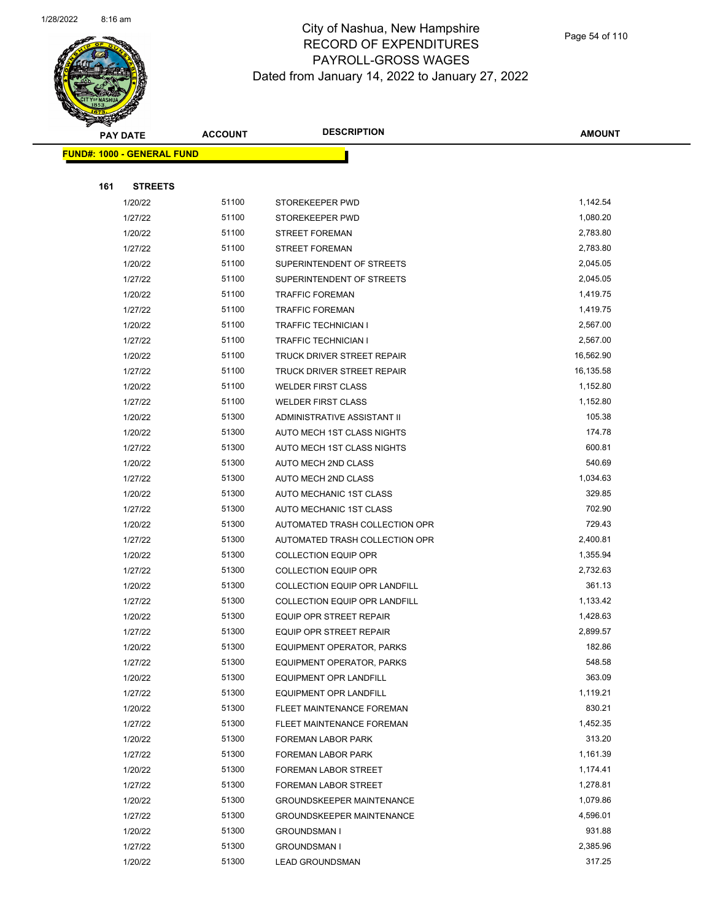

|     | <b>PAY DATE</b>                   | <b>ACCOUNT</b> | <b>DESCRIPTION</b>                   | <b>AMOUNT</b> |
|-----|-----------------------------------|----------------|--------------------------------------|---------------|
|     | <b>FUND#: 1000 - GENERAL FUND</b> |                |                                      |               |
|     |                                   |                |                                      |               |
| 161 | <b>STREETS</b>                    |                |                                      |               |
|     | 1/20/22                           | 51100          | STOREKEEPER PWD                      | 1,142.54      |
|     | 1/27/22                           | 51100          | STOREKEEPER PWD                      | 1,080.20      |
|     | 1/20/22                           | 51100          | <b>STREET FOREMAN</b>                | 2,783.80      |
|     | 1/27/22                           | 51100          | <b>STREET FOREMAN</b>                | 2,783.80      |
|     | 1/20/22                           | 51100          | SUPERINTENDENT OF STREETS            | 2,045.05      |
|     | 1/27/22                           | 51100          | SUPERINTENDENT OF STREETS            | 2,045.05      |
|     | 1/20/22                           | 51100          | <b>TRAFFIC FOREMAN</b>               | 1,419.75      |
|     | 1/27/22                           | 51100          | <b>TRAFFIC FOREMAN</b>               | 1,419.75      |
|     | 1/20/22                           | 51100          | <b>TRAFFIC TECHNICIAN I</b>          | 2,567.00      |
|     | 1/27/22                           | 51100          | <b>TRAFFIC TECHNICIAN I</b>          | 2,567.00      |
|     | 1/20/22                           | 51100          | TRUCK DRIVER STREET REPAIR           | 16,562.90     |
|     | 1/27/22                           | 51100          | TRUCK DRIVER STREET REPAIR           | 16,135.58     |
|     | 1/20/22                           | 51100          | <b>WELDER FIRST CLASS</b>            | 1,152.80      |
|     | 1/27/22                           | 51100          | <b>WELDER FIRST CLASS</b>            | 1,152.80      |
|     | 1/20/22                           | 51300          | ADMINISTRATIVE ASSISTANT II          | 105.38        |
|     | 1/20/22                           | 51300          | AUTO MECH 1ST CLASS NIGHTS           | 174.78        |
|     | 1/27/22                           | 51300          | AUTO MECH 1ST CLASS NIGHTS           | 600.81        |
|     | 1/20/22                           | 51300          | AUTO MECH 2ND CLASS                  | 540.69        |
|     | 1/27/22                           | 51300          | AUTO MECH 2ND CLASS                  | 1,034.63      |
|     | 1/20/22                           | 51300          | AUTO MECHANIC 1ST CLASS              | 329.85        |
|     | 1/27/22                           | 51300          | AUTO MECHANIC 1ST CLASS              | 702.90        |
|     | 1/20/22                           | 51300          | AUTOMATED TRASH COLLECTION OPR       | 729.43        |
|     | 1/27/22                           | 51300          | AUTOMATED TRASH COLLECTION OPR       | 2,400.81      |
|     | 1/20/22                           | 51300          | <b>COLLECTION EQUIP OPR</b>          | 1,355.94      |
|     | 1/27/22                           | 51300          | <b>COLLECTION EQUIP OPR</b>          | 2,732.63      |
|     | 1/20/22                           | 51300          | <b>COLLECTION EQUIP OPR LANDFILL</b> | 361.13        |
|     | 1/27/22                           | 51300          | COLLECTION EQUIP OPR LANDFILL        | 1,133.42      |
|     | 1/20/22                           | 51300          | <b>EQUIP OPR STREET REPAIR</b>       | 1,428.63      |
|     | 1/27/22                           | 51300          | EQUIP OPR STREET REPAIR              | 2,899.57      |
|     | 1/20/22                           | 51300          | <b>EQUIPMENT OPERATOR, PARKS</b>     | 182.86        |
|     | 1/27/22                           | 51300          | EQUIPMENT OPERATOR, PARKS            | 548.58        |
|     | 1/20/22                           | 51300          | <b>EQUIPMENT OPR LANDFILL</b>        | 363.09        |
|     | 1/27/22                           | 51300          | <b>EQUIPMENT OPR LANDFILL</b>        | 1,119.21      |
|     | 1/20/22                           | 51300          | FLEET MAINTENANCE FOREMAN            | 830.21        |
|     | 1/27/22                           | 51300          | FLEET MAINTENANCE FOREMAN            | 1,452.35      |
|     | 1/20/22                           | 51300          | FOREMAN LABOR PARK                   | 313.20        |
|     | 1/27/22                           | 51300          | FOREMAN LABOR PARK                   | 1,161.39      |
|     | 1/20/22                           | 51300          | FOREMAN LABOR STREET                 | 1,174.41      |
|     | 1/27/22                           | 51300          | FOREMAN LABOR STREET                 | 1,278.81      |
|     | 1/20/22                           | 51300          | <b>GROUNDSKEEPER MAINTENANCE</b>     | 1,079.86      |
|     | 1/27/22                           | 51300          | <b>GROUNDSKEEPER MAINTENANCE</b>     | 4,596.01      |
|     | 1/20/22                           | 51300          | <b>GROUNDSMAN I</b>                  | 931.88        |
|     | 1/27/22                           | 51300          | <b>GROUNDSMAN I</b>                  | 2,385.96      |
|     | 1/20/22                           | 51300          | <b>LEAD GROUNDSMAN</b>               | 317.25        |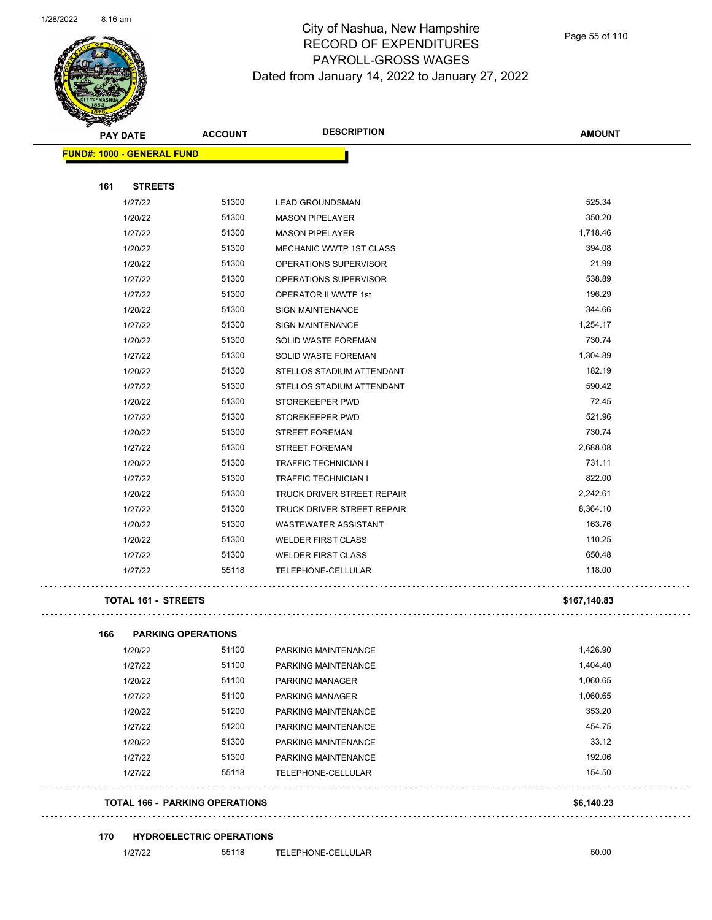

#### City of Nashua, New Hampshire RECORD OF EXPENDITURES PAYROLL-GROSS WAGES Dated from January 14, 2022 to January 27, 2022

Page 55 of 110

| Sential Contract of the Contract of the Contract of The Contract of The Contract of The Contract of The Contract of The Contract of The Contract of The Contract of The Contract of The Contract of The Contract of The Contra<br><b>PAY DATE</b> | <b>ACCOUNT</b>                  | <b>DESCRIPTION</b>          | <b>AMOUNT</b> |
|---------------------------------------------------------------------------------------------------------------------------------------------------------------------------------------------------------------------------------------------------|---------------------------------|-----------------------------|---------------|
| <b>FUND#: 1000 - GENERAL FUND</b>                                                                                                                                                                                                                 |                                 |                             |               |
|                                                                                                                                                                                                                                                   |                                 |                             |               |
| 161<br><b>STREETS</b><br>1/27/22                                                                                                                                                                                                                  | 51300                           | <b>LEAD GROUNDSMAN</b>      | 525.34        |
| 1/20/22                                                                                                                                                                                                                                           | 51300                           | <b>MASON PIPELAYER</b>      | 350.20        |
| 1/27/22                                                                                                                                                                                                                                           | 51300                           | <b>MASON PIPELAYER</b>      | 1,718.46      |
| 1/20/22                                                                                                                                                                                                                                           | 51300                           | MECHANIC WWTP 1ST CLASS     | 394.08        |
| 1/20/22                                                                                                                                                                                                                                           | 51300                           | OPERATIONS SUPERVISOR       | 21.99         |
| 1/27/22                                                                                                                                                                                                                                           | 51300                           | OPERATIONS SUPERVISOR       | 538.89        |
| 1/27/22                                                                                                                                                                                                                                           | 51300                           | OPERATOR II WWTP 1st        | 196.29        |
| 1/20/22                                                                                                                                                                                                                                           | 51300                           | <b>SIGN MAINTENANCE</b>     | 344.66        |
| 1/27/22                                                                                                                                                                                                                                           | 51300                           | <b>SIGN MAINTENANCE</b>     | 1,254.17      |
| 1/20/22                                                                                                                                                                                                                                           | 51300                           | SOLID WASTE FOREMAN         | 730.74        |
| 1/27/22                                                                                                                                                                                                                                           | 51300                           | SOLID WASTE FOREMAN         | 1,304.89      |
| 1/20/22                                                                                                                                                                                                                                           | 51300                           | STELLOS STADIUM ATTENDANT   | 182.19        |
| 1/27/22                                                                                                                                                                                                                                           | 51300                           | STELLOS STADIUM ATTENDANT   | 590.42        |
| 1/20/22                                                                                                                                                                                                                                           | 51300                           | STOREKEEPER PWD             | 72.45         |
| 1/27/22                                                                                                                                                                                                                                           | 51300                           | STOREKEEPER PWD             | 521.96        |
| 1/20/22                                                                                                                                                                                                                                           | 51300                           | <b>STREET FOREMAN</b>       | 730.74        |
| 1/27/22                                                                                                                                                                                                                                           | 51300                           | <b>STREET FOREMAN</b>       | 2,688.08      |
| 1/20/22                                                                                                                                                                                                                                           | 51300                           | <b>TRAFFIC TECHNICIAN I</b> | 731.11        |
| 1/27/22                                                                                                                                                                                                                                           | 51300                           | <b>TRAFFIC TECHNICIAN I</b> | 822.00        |
| 1/20/22                                                                                                                                                                                                                                           | 51300                           | TRUCK DRIVER STREET REPAIR  | 2,242.61      |
| 1/27/22                                                                                                                                                                                                                                           | 51300                           | TRUCK DRIVER STREET REPAIR  | 8,364.10      |
| 1/20/22                                                                                                                                                                                                                                           | 51300                           | <b>WASTEWATER ASSISTANT</b> | 163.76        |
| 1/20/22                                                                                                                                                                                                                                           | 51300                           | <b>WELDER FIRST CLASS</b>   | 110.25        |
| 1/27/22                                                                                                                                                                                                                                           | 51300                           | <b>WELDER FIRST CLASS</b>   | 650.48        |
| 1/27/22                                                                                                                                                                                                                                           | 55118                           | TELEPHONE-CELLULAR          | 118.00        |
| <b>TOTAL 161 - STREETS</b>                                                                                                                                                                                                                        |                                 |                             | \$167,140.83  |
| <b>PARKING OPERATIONS</b><br>166                                                                                                                                                                                                                  |                                 |                             |               |
| 1/20/22                                                                                                                                                                                                                                           | 51100                           | PARKING MAINTENANCE         | 1,426.90      |
| 1/27/22                                                                                                                                                                                                                                           | 51100                           | PARKING MAINTENANCE         | 1,404.40      |
| 1/20/22                                                                                                                                                                                                                                           | 51100                           | PARKING MANAGER             | 1,060.65      |
| 1/27/22                                                                                                                                                                                                                                           | 51100                           | PARKING MANAGER             | 1,060.65      |
| 1/20/22                                                                                                                                                                                                                                           | 51200                           | PARKING MAINTENANCE         | 353.20        |
| 1/27/22                                                                                                                                                                                                                                           | 51200                           | PARKING MAINTENANCE         | 454.75        |
| 1/20/22                                                                                                                                                                                                                                           | 51300                           | PARKING MAINTENANCE         | 33.12         |
| 1/27/22                                                                                                                                                                                                                                           | 51300                           | PARKING MAINTENANCE         | 192.06        |
| 1/27/22                                                                                                                                                                                                                                           | 55118                           | TELEPHONE-CELLULAR          | 154.50        |
| <b>TOTAL 166 - PARKING OPERATIONS</b>                                                                                                                                                                                                             |                                 |                             | \$6,140.23    |
| 170                                                                                                                                                                                                                                               | <b>HYDROELECTRIC OPERATIONS</b> |                             |               |
| 1/27/22                                                                                                                                                                                                                                           | 55118                           | TELEPHONE-CELLULAR          | 50.00         |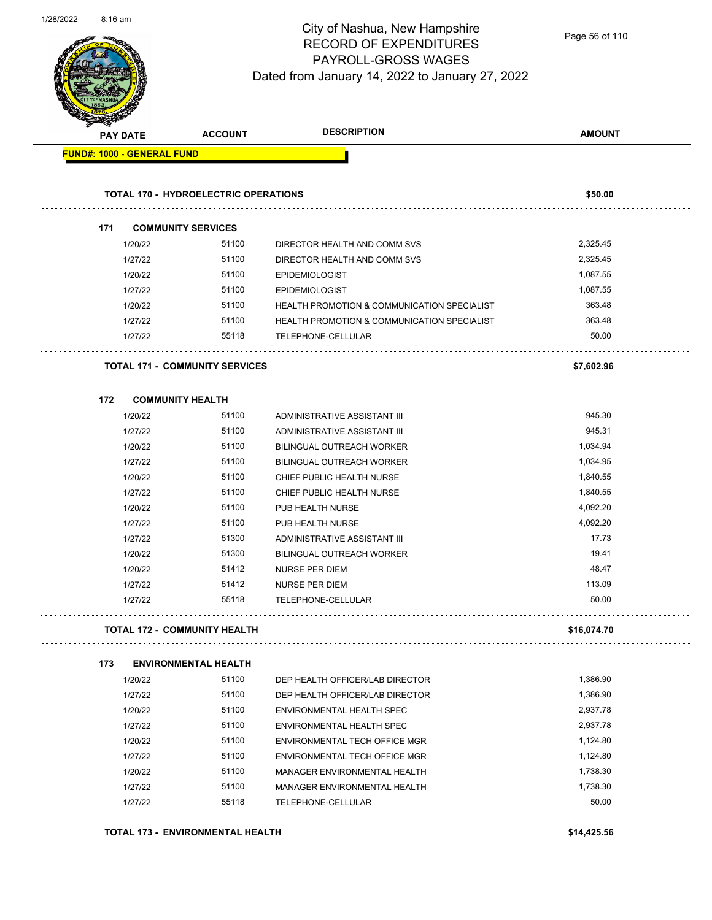

Page 56 of 110

|                                   |                    |                                             | <b>DESCRIPTION</b>                                        |               |
|-----------------------------------|--------------------|---------------------------------------------|-----------------------------------------------------------|---------------|
| <b>PAY DATE</b>                   |                    | <b>ACCOUNT</b>                              |                                                           | <b>AMOUNT</b> |
| <b>FUND#: 1000 - GENERAL FUND</b> |                    |                                             |                                                           |               |
|                                   |                    |                                             |                                                           |               |
|                                   |                    | <b>TOTAL 170 - HYDROELECTRIC OPERATIONS</b> |                                                           | \$50.00       |
|                                   |                    |                                             |                                                           |               |
| 171                               |                    | <b>COMMUNITY SERVICES</b>                   |                                                           |               |
|                                   | 1/20/22            | 51100                                       | DIRECTOR HEALTH AND COMM SVS                              | 2,325.45      |
|                                   | 1/27/22            | 51100                                       | DIRECTOR HEALTH AND COMM SVS                              | 2,325.45      |
|                                   | 1/20/22            | 51100                                       | <b>EPIDEMIOLOGIST</b>                                     | 1,087.55      |
|                                   | 1/27/22            | 51100                                       | <b>EPIDEMIOLOGIST</b>                                     | 1,087.55      |
|                                   | 1/20/22            | 51100                                       | <b>HEALTH PROMOTION &amp; COMMUNICATION SPECIALIST</b>    | 363.48        |
|                                   | 1/27/22            | 51100                                       | <b>HEALTH PROMOTION &amp; COMMUNICATION SPECIALIST</b>    | 363.48        |
|                                   | 1/27/22            | 55118                                       | TELEPHONE-CELLULAR                                        | 50.00         |
|                                   |                    | <b>TOTAL 171 - COMMUNITY SERVICES</b>       |                                                           | \$7,602.96    |
| 172                               |                    |                                             |                                                           |               |
|                                   | 1/20/22            | <b>COMMUNITY HEALTH</b><br>51100            | ADMINISTRATIVE ASSISTANT III                              | 945.30        |
|                                   | 1/27/22            | 51100                                       | ADMINISTRATIVE ASSISTANT III                              | 945.31        |
|                                   | 1/20/22            | 51100                                       | <b>BILINGUAL OUTREACH WORKER</b>                          | 1,034.94      |
|                                   | 1/27/22            | 51100                                       | <b>BILINGUAL OUTREACH WORKER</b>                          | 1,034.95      |
|                                   | 1/20/22            | 51100                                       | CHIEF PUBLIC HEALTH NURSE                                 | 1,840.55      |
|                                   | 1/27/22            | 51100                                       | CHIEF PUBLIC HEALTH NURSE                                 | 1,840.55      |
|                                   |                    | 51100                                       |                                                           | 4,092.20      |
|                                   | 1/20/22<br>1/27/22 | 51100                                       | PUB HEALTH NURSE                                          | 4,092.20      |
|                                   | 1/27/22            | 51300                                       | PUB HEALTH NURSE<br>ADMINISTRATIVE ASSISTANT III          | 17.73         |
|                                   |                    | 51300                                       |                                                           | 19.41         |
|                                   | 1/20/22<br>1/20/22 | 51412                                       | <b>BILINGUAL OUTREACH WORKER</b><br><b>NURSE PER DIEM</b> | 48.47         |
|                                   | 1/27/22            | 51412                                       |                                                           | 113.09        |
|                                   |                    | 55118                                       | <b>NURSE PER DIEM</b>                                     | 50.00         |
|                                   | 1/27/22            |                                             | TELEPHONE-CELLULAR                                        |               |
|                                   |                    | <b>TOTAL 172 - COMMUNITY HEALTH</b>         |                                                           | \$16,074.70   |
| 173                               |                    | <b>ENVIRONMENTAL HEALTH</b>                 |                                                           |               |
|                                   | 1/20/22            | 51100                                       | DEP HEALTH OFFICER/LAB DIRECTOR                           | 1,386.90      |
|                                   | 1/27/22            | 51100                                       | DEP HEALTH OFFICER/LAB DIRECTOR                           | 1,386.90      |
|                                   | 1/20/22            | 51100                                       | ENVIRONMENTAL HEALTH SPEC                                 | 2,937.78      |
|                                   | 1/27/22            | 51100                                       | ENVIRONMENTAL HEALTH SPEC                                 | 2,937.78      |
|                                   | 1/20/22            | 51100                                       | ENVIRONMENTAL TECH OFFICE MGR                             | 1,124.80      |
|                                   | 1/27/22            | 51100                                       | ENVIRONMENTAL TECH OFFICE MGR                             | 1,124.80      |
|                                   | 1/20/22            | 51100                                       | MANAGER ENVIRONMENTAL HEALTH                              | 1,738.30      |
|                                   | 1/27/22            | 51100                                       | MANAGER ENVIRONMENTAL HEALTH                              | 1,738.30      |
|                                   | 1/27/22            | 55118                                       | TELEPHONE-CELLULAR                                        | 50.00         |
|                                   |                    |                                             |                                                           |               |
|                                   |                    | TOTAL 173 - ENVIRONMENTAL HEALTH            |                                                           | \$14,425.56   |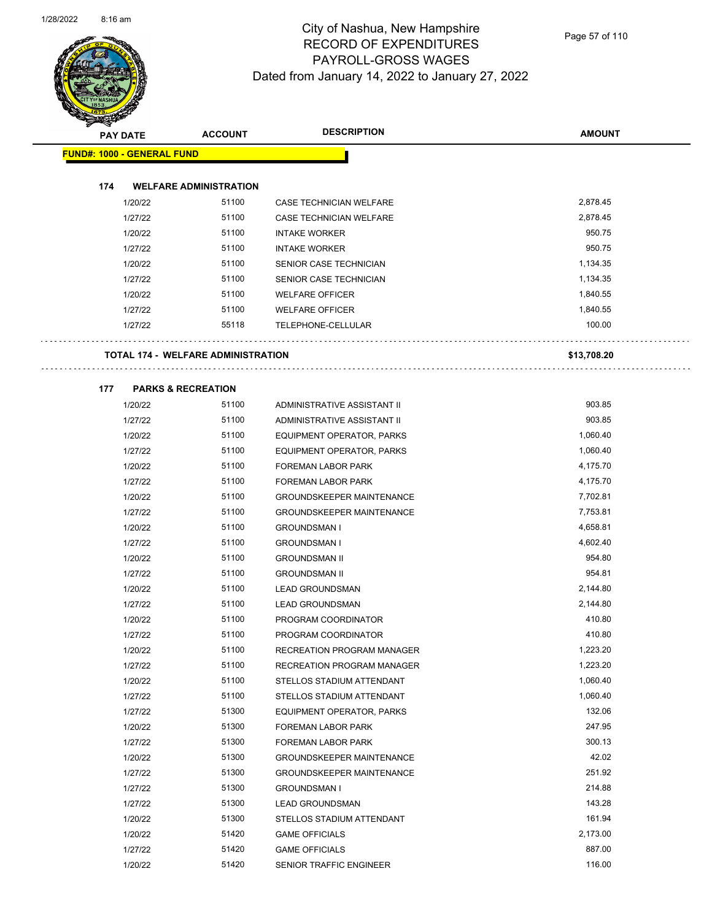

Page 57 of 110

| $\sum_{i=1}^n a_i$                | <b>PAY DATE</b> | <b>ACCOUNT</b>                            | <b>DESCRIPTION</b>               | <b>AMOUNT</b> |
|-----------------------------------|-----------------|-------------------------------------------|----------------------------------|---------------|
| <b>FUND#: 1000 - GENERAL FUND</b> |                 |                                           |                                  |               |
|                                   |                 |                                           |                                  |               |
| 174                               |                 | <b>WELFARE ADMINISTRATION</b>             |                                  |               |
|                                   | 1/20/22         | 51100                                     | CASE TECHNICIAN WELFARE          | 2,878.45      |
|                                   | 1/27/22         | 51100                                     | CASE TECHNICIAN WELFARE          | 2,878.45      |
|                                   | 1/20/22         | 51100                                     | <b>INTAKE WORKER</b>             | 950.75        |
|                                   | 1/27/22         | 51100                                     | <b>INTAKE WORKER</b>             | 950.75        |
|                                   | 1/20/22         | 51100                                     | SENIOR CASE TECHNICIAN           | 1,134.35      |
|                                   | 1/27/22         | 51100                                     | SENIOR CASE TECHNICIAN           | 1,134.35      |
|                                   | 1/20/22         | 51100                                     | <b>WELFARE OFFICER</b>           | 1,840.55      |
|                                   | 1/27/22         | 51100                                     | <b>WELFARE OFFICER</b>           | 1,840.55      |
|                                   | 1/27/22         | 55118                                     | TELEPHONE-CELLULAR               | 100.00        |
|                                   |                 | <b>TOTAL 174 - WELFARE ADMINISTRATION</b> |                                  | \$13,708.20   |
|                                   |                 |                                           |                                  |               |
| 177                               |                 | <b>PARKS &amp; RECREATION</b>             |                                  |               |
|                                   | 1/20/22         | 51100                                     | ADMINISTRATIVE ASSISTANT II      | 903.85        |
|                                   | 1/27/22         | 51100                                     | ADMINISTRATIVE ASSISTANT II      | 903.85        |
|                                   | 1/20/22         | 51100                                     | EQUIPMENT OPERATOR, PARKS        | 1,060.40      |
|                                   | 1/27/22         | 51100                                     | EQUIPMENT OPERATOR, PARKS        | 1,060.40      |
|                                   | 1/20/22         | 51100                                     | FOREMAN LABOR PARK               | 4,175.70      |
|                                   | 1/27/22         | 51100                                     | FOREMAN LABOR PARK               | 4,175.70      |
|                                   | 1/20/22         | 51100                                     | <b>GROUNDSKEEPER MAINTENANCE</b> | 7,702.81      |
|                                   | 1/27/22         | 51100                                     | <b>GROUNDSKEEPER MAINTENANCE</b> | 7,753.81      |
|                                   | 1/20/22         | 51100                                     | <b>GROUNDSMAN I</b>              | 4,658.81      |
|                                   | 1/27/22         | 51100                                     | <b>GROUNDSMAN I</b>              | 4,602.40      |
|                                   | 1/20/22         | 51100                                     | <b>GROUNDSMAN II</b>             | 954.80        |
|                                   | 1/27/22         | 51100                                     | <b>GROUNDSMAN II</b>             | 954.81        |
|                                   | 1/20/22         | 51100                                     | <b>LEAD GROUNDSMAN</b>           | 2,144.80      |
|                                   | 1/27/22         | 51100                                     | <b>LEAD GROUNDSMAN</b>           | 2,144.80      |
|                                   | 1/20/22         | 51100                                     | PROGRAM COORDINATOR              | 410.80        |
|                                   | 1/27/22         | 51100                                     | PROGRAM COORDINATOR              | 410.80        |
|                                   | 1/20/22         | 51100                                     | RECREATION PROGRAM MANAGER       | 1,223.20      |
|                                   | 1/27/22         | 51100                                     | RECREATION PROGRAM MANAGER       | 1,223.20      |
|                                   | 1/20/22         | 51100                                     | STELLOS STADIUM ATTENDANT        | 1,060.40      |
|                                   | 1/27/22         | 51100                                     | STELLOS STADIUM ATTENDANT        | 1,060.40      |
|                                   | 1/27/22         | 51300                                     | EQUIPMENT OPERATOR, PARKS        | 132.06        |
|                                   | 1/20/22         | 51300                                     | FOREMAN LABOR PARK               | 247.95        |
|                                   | 1/27/22         | 51300                                     | FOREMAN LABOR PARK               | 300.13        |
|                                   | 1/20/22         | 51300                                     | <b>GROUNDSKEEPER MAINTENANCE</b> | 42.02         |
|                                   | 1/27/22         | 51300                                     | <b>GROUNDSKEEPER MAINTENANCE</b> | 251.92        |
|                                   | 1/27/22         | 51300                                     | <b>GROUNDSMAN I</b>              | 214.88        |
|                                   | 1/27/22         | 51300                                     | <b>LEAD GROUNDSMAN</b>           | 143.28        |
|                                   | 1/20/22         | 51300                                     | STELLOS STADIUM ATTENDANT        | 161.94        |
|                                   | 1/20/22         | 51420                                     | <b>GAME OFFICIALS</b>            | 2,173.00      |
|                                   | 1/27/22         | 51420                                     | <b>GAME OFFICIALS</b>            | 887.00        |
|                                   | 1/20/22         | 51420                                     | SENIOR TRAFFIC ENGINEER          | 116.00        |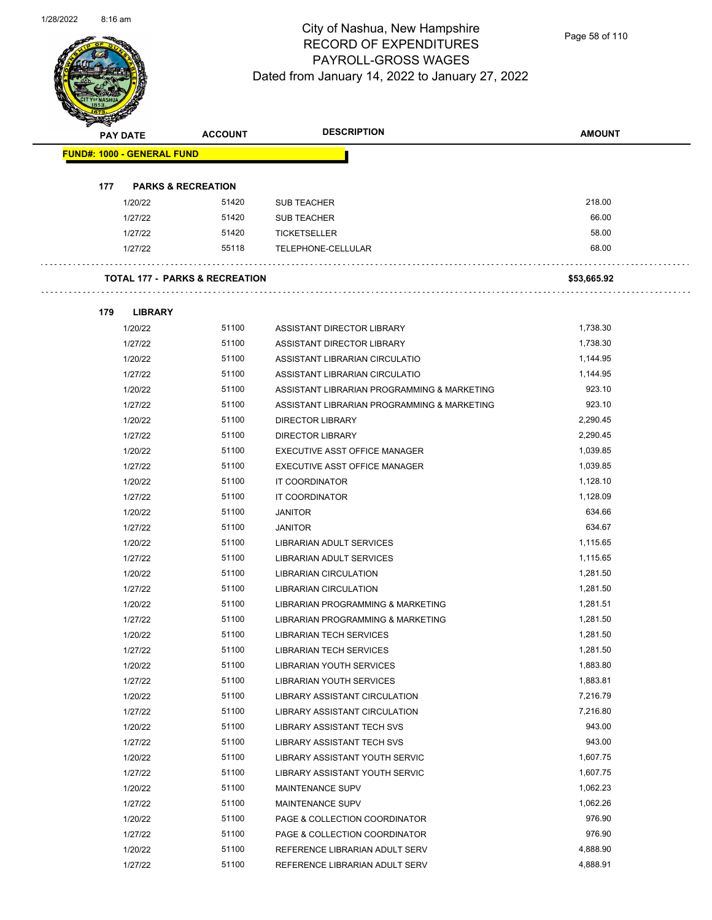

Page 58 of 110

| PAY DATE                          | <b>ACCOUNT</b>                            | <b>DESCRIPTION</b>                          | <b>AMOUNT</b> |
|-----------------------------------|-------------------------------------------|---------------------------------------------|---------------|
| <b>FUND#: 1000 - GENERAL FUND</b> |                                           |                                             |               |
|                                   |                                           |                                             |               |
| 177                               | <b>PARKS &amp; RECREATION</b>             |                                             |               |
| 1/20/22                           | 51420                                     | <b>SUB TEACHER</b>                          | 218.00        |
| 1/27/22                           | 51420                                     | <b>SUB TEACHER</b>                          | 66.00         |
| 1/27/22                           | 51420                                     | TICKETSELLER                                | 58.00         |
| 1/27/22                           | 55118                                     | TELEPHONE-CELLULAR                          | 68.00         |
|                                   |                                           |                                             |               |
|                                   | <b>TOTAL 177 - PARKS &amp; RECREATION</b> |                                             | \$53,665.92   |
|                                   |                                           |                                             |               |
| <b>LIBRARY</b><br>179             |                                           |                                             |               |
| 1/20/22                           | 51100                                     | ASSISTANT DIRECTOR LIBRARY                  | 1,738.30      |
| 1/27/22                           | 51100                                     | ASSISTANT DIRECTOR LIBRARY                  | 1,738.30      |
| 1/20/22                           | 51100                                     | ASSISTANT LIBRARIAN CIRCULATIO              | 1,144.95      |
| 1/27/22                           | 51100                                     | ASSISTANT LIBRARIAN CIRCULATIO              | 1,144.95      |
| 1/20/22                           | 51100                                     | ASSISTANT LIBRARIAN PROGRAMMING & MARKETING | 923.10        |
| 1/27/22                           | 51100                                     | ASSISTANT LIBRARIAN PROGRAMMING & MARKETING | 923.10        |
| 1/20/22                           | 51100                                     | <b>DIRECTOR LIBRARY</b>                     | 2,290.45      |
| 1/27/22                           | 51100                                     | <b>DIRECTOR LIBRARY</b>                     | 2,290.45      |
| 1/20/22                           | 51100                                     | EXECUTIVE ASST OFFICE MANAGER               | 1,039.85      |
| 1/27/22                           | 51100                                     | EXECUTIVE ASST OFFICE MANAGER               | 1,039.85      |
| 1/20/22                           | 51100                                     | IT COORDINATOR                              | 1,128.10      |
| 1/27/22                           | 51100                                     | IT COORDINATOR                              | 1,128.09      |
| 1/20/22                           | 51100                                     | <b>JANITOR</b>                              | 634.66        |
| 1/27/22                           | 51100                                     | <b>JANITOR</b>                              | 634.67        |
| 1/20/22                           | 51100                                     | LIBRARIAN ADULT SERVICES                    | 1,115.65      |
| 1/27/22                           | 51100                                     | LIBRARIAN ADULT SERVICES                    | 1,115.65      |
| 1/20/22                           | 51100                                     | LIBRARIAN CIRCULATION                       | 1,281.50      |
| 1/27/22                           | 51100                                     | <b>LIBRARIAN CIRCULATION</b>                | 1,281.50      |
| 1/20/22                           | 51100                                     | LIBRARIAN PROGRAMMING & MARKETING           | 1,281.51      |
| 1/27/22                           | 51100                                     | LIBRARIAN PROGRAMMING & MARKETING           | 1,281.50      |
| 1/20/22                           | 51100                                     | <b>LIBRARIAN TECH SERVICES</b>              | 1,281.50      |
| 1/27/22                           | 51100                                     | <b>LIBRARIAN TECH SERVICES</b>              | 1,281.50      |
| 1/20/22                           | 51100                                     | LIBRARIAN YOUTH SERVICES                    | 1,883.80      |
| 1/27/22                           | 51100                                     | LIBRARIAN YOUTH SERVICES                    | 1,883.81      |
| 1/20/22                           | 51100                                     | LIBRARY ASSISTANT CIRCULATION               | 7,216.79      |
| 1/27/22                           | 51100                                     | LIBRARY ASSISTANT CIRCULATION               | 7,216.80      |
| 1/20/22                           | 51100                                     | <b>LIBRARY ASSISTANT TECH SVS</b>           | 943.00        |
| 1/27/22                           | 51100                                     | LIBRARY ASSISTANT TECH SVS                  | 943.00        |
| 1/20/22                           | 51100                                     | LIBRARY ASSISTANT YOUTH SERVIC              | 1,607.75      |
| 1/27/22                           | 51100                                     | LIBRARY ASSISTANT YOUTH SERVIC              | 1,607.75      |
| 1/20/22                           | 51100                                     | MAINTENANCE SUPV                            | 1,062.23      |
| 1/27/22                           | 51100                                     | MAINTENANCE SUPV                            | 1,062.26      |
| 1/20/22                           | 51100                                     | PAGE & COLLECTION COORDINATOR               | 976.90        |
| 1/27/22                           | 51100                                     | PAGE & COLLECTION COORDINATOR               | 976.90        |
| 1/20/22                           | 51100                                     | REFERENCE LIBRARIAN ADULT SERV              | 4,888.90      |
| 1/27/22                           | 51100                                     | REFERENCE LIBRARIAN ADULT SERV              | 4,888.91      |
|                                   |                                           |                                             |               |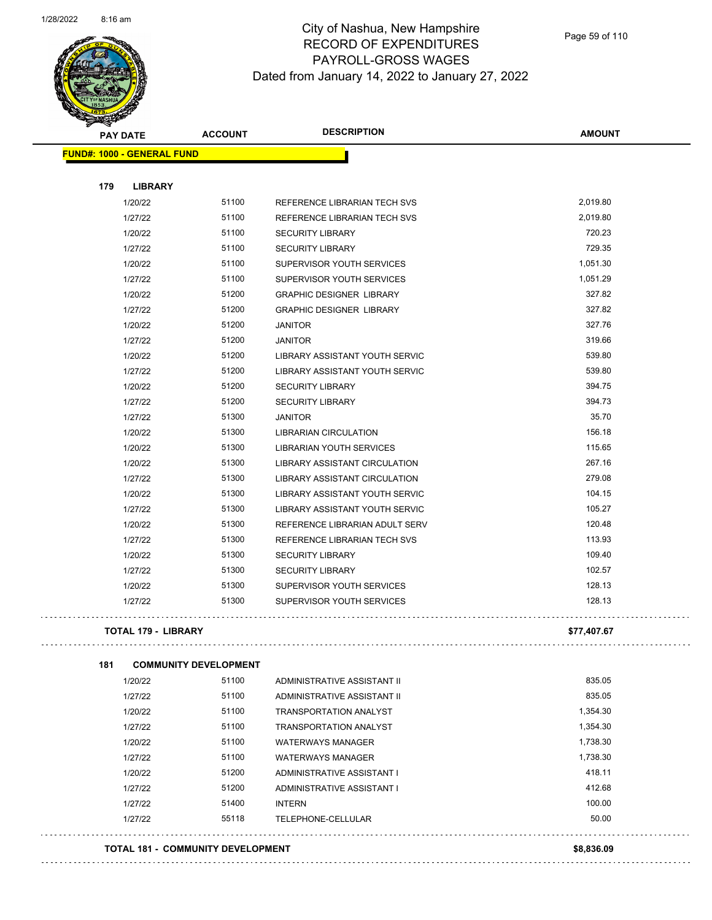

Page 59 of 110

| <b>STARBAN</b>                    |                              |                                 |               |
|-----------------------------------|------------------------------|---------------------------------|---------------|
| <b>PAY DATE</b>                   | <b>ACCOUNT</b>               | <b>DESCRIPTION</b>              | <b>AMOUNT</b> |
| <b>FUND#: 1000 - GENERAL FUND</b> |                              |                                 |               |
|                                   |                              |                                 |               |
| 179<br><b>LIBRARY</b>             |                              |                                 |               |
| 1/20/22                           | 51100                        | REFERENCE LIBRARIAN TECH SVS    | 2,019.80      |
| 1/27/22                           | 51100                        | REFERENCE LIBRARIAN TECH SVS    | 2,019.80      |
| 1/20/22                           | 51100                        | <b>SECURITY LIBRARY</b>         | 720.23        |
| 1/27/22                           | 51100                        | <b>SECURITY LIBRARY</b>         | 729.35        |
| 1/20/22                           | 51100                        | SUPERVISOR YOUTH SERVICES       | 1,051.30      |
| 1/27/22                           | 51100                        | SUPERVISOR YOUTH SERVICES       | 1,051.29      |
| 1/20/22                           | 51200                        | <b>GRAPHIC DESIGNER LIBRARY</b> | 327.82        |
| 1/27/22                           | 51200                        | <b>GRAPHIC DESIGNER LIBRARY</b> | 327.82        |
| 1/20/22                           | 51200                        | <b>JANITOR</b>                  | 327.76        |
| 1/27/22                           | 51200                        | JANITOR                         | 319.66        |
| 1/20/22                           | 51200                        | LIBRARY ASSISTANT YOUTH SERVIC  | 539.80        |
| 1/27/22                           | 51200                        | LIBRARY ASSISTANT YOUTH SERVIC  | 539.80        |
| 1/20/22                           | 51200                        | <b>SECURITY LIBRARY</b>         | 394.75        |
| 1/27/22                           | 51200                        | <b>SECURITY LIBRARY</b>         | 394.73        |
| 1/27/22                           | 51300                        | <b>JANITOR</b>                  | 35.70         |
| 1/20/22                           | 51300                        | LIBRARIAN CIRCULATION           | 156.18        |
| 1/20/22                           | 51300                        | LIBRARIAN YOUTH SERVICES        | 115.65        |
| 1/20/22                           | 51300                        | LIBRARY ASSISTANT CIRCULATION   | 267.16        |
| 1/27/22                           | 51300                        | LIBRARY ASSISTANT CIRCULATION   | 279.08        |
| 1/20/22                           | 51300                        | LIBRARY ASSISTANT YOUTH SERVIC  | 104.15        |
| 1/27/22                           | 51300                        | LIBRARY ASSISTANT YOUTH SERVIC  | 105.27        |
| 1/20/22                           | 51300                        | REFERENCE LIBRARIAN ADULT SERV  | 120.48        |
| 1/27/22                           | 51300                        | REFERENCE LIBRARIAN TECH SVS    | 113.93        |
| 1/20/22                           | 51300                        | <b>SECURITY LIBRARY</b>         | 109.40        |
| 1/27/22                           | 51300                        | <b>SECURITY LIBRARY</b>         | 102.57        |
| 1/20/22                           | 51300                        | SUPERVISOR YOUTH SERVICES       | 128.13        |
| 1/27/22                           | 51300                        | SUPERVISOR YOUTH SERVICES       | 128.13        |
| <b>TOTAL 179 - LIBRARY</b>        |                              |                                 | \$77,407.67   |
| 181                               | <b>COMMUNITY DEVELOPMENT</b> |                                 |               |
| 1/20/22                           | 51100                        | ADMINISTRATIVE ASSISTANT II     | 835.05        |
| 1/27/22                           | 51100                        | ADMINISTRATIVE ASSISTANT II     | 835.05        |
| 1/20/22                           | 51100                        | <b>TRANSPORTATION ANALYST</b>   | 1,354.30      |
| 1/27/22                           | 51100                        | <b>TRANSPORTATION ANALYST</b>   | 1,354.30      |
| 1/20/22                           | 51100                        | <b>WATERWAYS MANAGER</b>        | 1,738.30      |
| 1/27/22                           | 51100                        | <b>WATERWAYS MANAGER</b>        | 1,738.30      |
|                                   |                              |                                 | 418.11        |
| 1/20/22                           | 51200                        | ADMINISTRATIVE ASSISTANT I      |               |
| 1/27/22                           | 51200                        | ADMINISTRATIVE ASSISTANT I      | 412.68        |

1/27/22 51400 INTERN 5000 100.00

1/27/22 55118 TELEPHONE-CELLULAR 50.00 

**TOTAL 181 - COMMUNITY DEVELOPMENT \$8,836.09**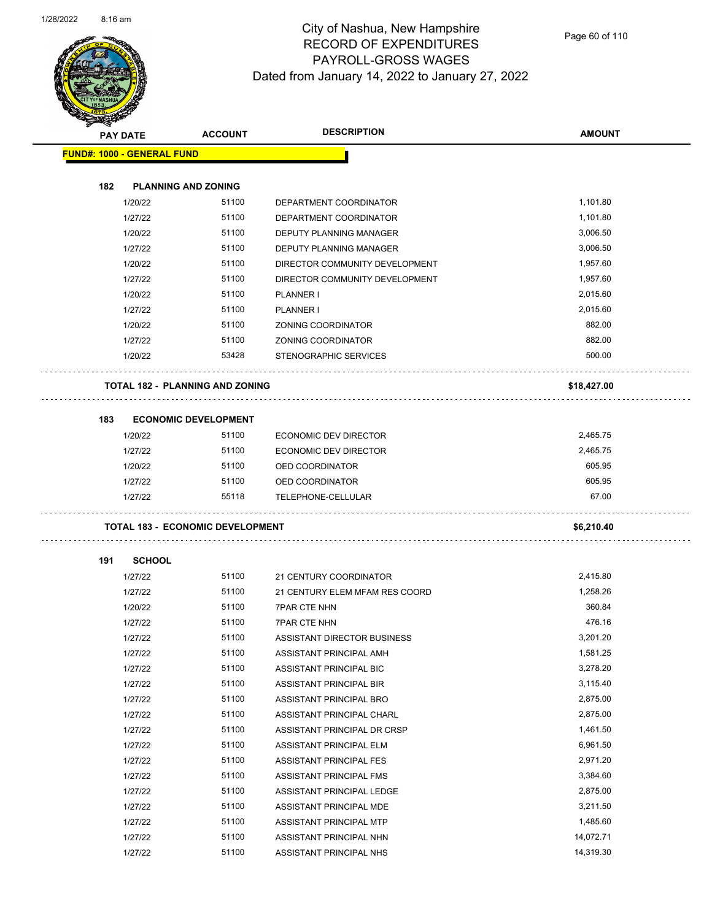

Page 60 of 110

| <b>SANGRAPH</b> | <b>PAY DATE</b>                         | <b>ACCOUNT</b> | <b>DESCRIPTION</b>                 | <b>AMOUNT</b> |
|-----------------|-----------------------------------------|----------------|------------------------------------|---------------|
|                 | <b>FUND#: 1000 - GENERAL FUND</b>       |                |                                    |               |
|                 |                                         |                |                                    |               |
| 182             | <b>PLANNING AND ZONING</b>              |                |                                    |               |
|                 | 1/20/22                                 | 51100          | DEPARTMENT COORDINATOR             | 1,101.80      |
|                 | 1/27/22                                 | 51100          | DEPARTMENT COORDINATOR             | 1,101.80      |
|                 | 1/20/22                                 | 51100          | DEPUTY PLANNING MANAGER            | 3,006.50      |
|                 | 1/27/22                                 | 51100          | DEPUTY PLANNING MANAGER            | 3,006.50      |
|                 | 1/20/22                                 | 51100          | DIRECTOR COMMUNITY DEVELOPMENT     | 1,957.60      |
|                 | 1/27/22                                 | 51100          | DIRECTOR COMMUNITY DEVELOPMENT     | 1,957.60      |
|                 | 1/20/22                                 | 51100          | <b>PLANNER I</b>                   | 2,015.60      |
|                 | 1/27/22                                 | 51100          | PLANNER I                          | 2,015.60      |
|                 | 1/20/22                                 | 51100          | ZONING COORDINATOR                 | 882.00        |
|                 | 1/27/22                                 | 51100          | ZONING COORDINATOR                 | 882.00        |
|                 | 1/20/22                                 | 53428          | STENOGRAPHIC SERVICES              | 500.00        |
|                 |                                         |                |                                    |               |
|                 | <b>TOTAL 182 - PLANNING AND ZONING</b>  |                |                                    | \$18,427.00   |
| 183             | <b>ECONOMIC DEVELOPMENT</b>             |                |                                    |               |
|                 | 1/20/22                                 | 51100          | ECONOMIC DEV DIRECTOR              | 2,465.75      |
|                 | 1/27/22                                 | 51100          | ECONOMIC DEV DIRECTOR              | 2,465.75      |
|                 | 1/20/22                                 | 51100          | OED COORDINATOR                    | 605.95        |
|                 | 1/27/22                                 | 51100          | OED COORDINATOR                    | 605.95        |
|                 | 1/27/22                                 | 55118          | TELEPHONE-CELLULAR                 | 67.00         |
|                 |                                         |                |                                    |               |
|                 | <b>TOTAL 183 - ECONOMIC DEVELOPMENT</b> |                |                                    | \$6,210.40    |
| 191             | <b>SCHOOL</b>                           |                |                                    |               |
|                 | 1/27/22                                 | 51100          | 21 CENTURY COORDINATOR             | 2,415.80      |
|                 | 1/27/22                                 | 51100          | 21 CENTURY ELEM MFAM RES COORD     | 1,258.26      |
|                 | 1/20/22                                 | 51100          | <b>7PAR CTE NHN</b>                | 360.84        |
|                 | 1/27/22                                 | 51100          | <b>7PAR CTE NHN</b>                | 476.16        |
|                 | 1/27/22                                 | 51100          | <b>ASSISTANT DIRECTOR BUSINESS</b> | 3,201.20      |
|                 | 1/27/22                                 | 51100          | ASSISTANT PRINCIPAL AMH            | 1,581.25      |
|                 | 1/27/22                                 | 51100          | ASSISTANT PRINCIPAL BIC            | 3,278.20      |
|                 | 1/27/22                                 | 51100          | ASSISTANT PRINCIPAL BIR            | 3,115.40      |
|                 | 1/27/22                                 | 51100          | ASSISTANT PRINCIPAL BRO            | 2,875.00      |
|                 | 1/27/22                                 | 51100          | ASSISTANT PRINCIPAL CHARL          | 2,875.00      |
|                 | 1/27/22                                 | 51100          | ASSISTANT PRINCIPAL DR CRSP        | 1,461.50      |
|                 | 1/27/22                                 | 51100          | ASSISTANT PRINCIPAL ELM            | 6,961.50      |
|                 | 1/27/22                                 | 51100          | ASSISTANT PRINCIPAL FES            | 2,971.20      |
|                 | 1/27/22                                 | 51100          | ASSISTANT PRINCIPAL FMS            | 3,384.60      |
|                 | 1/27/22                                 | 51100          | ASSISTANT PRINCIPAL LEDGE          | 2,875.00      |
|                 | 1/27/22                                 | 51100          | ASSISTANT PRINCIPAL MDE            | 3,211.50      |
|                 | 1/27/22                                 | 51100          | ASSISTANT PRINCIPAL MTP            | 1,485.60      |
|                 | 1/27/22                                 | 51100          | ASSISTANT PRINCIPAL NHN            | 14,072.71     |
|                 | 1/27/22                                 | 51100          | ASSISTANT PRINCIPAL NHS            | 14,319.30     |
|                 |                                         |                |                                    |               |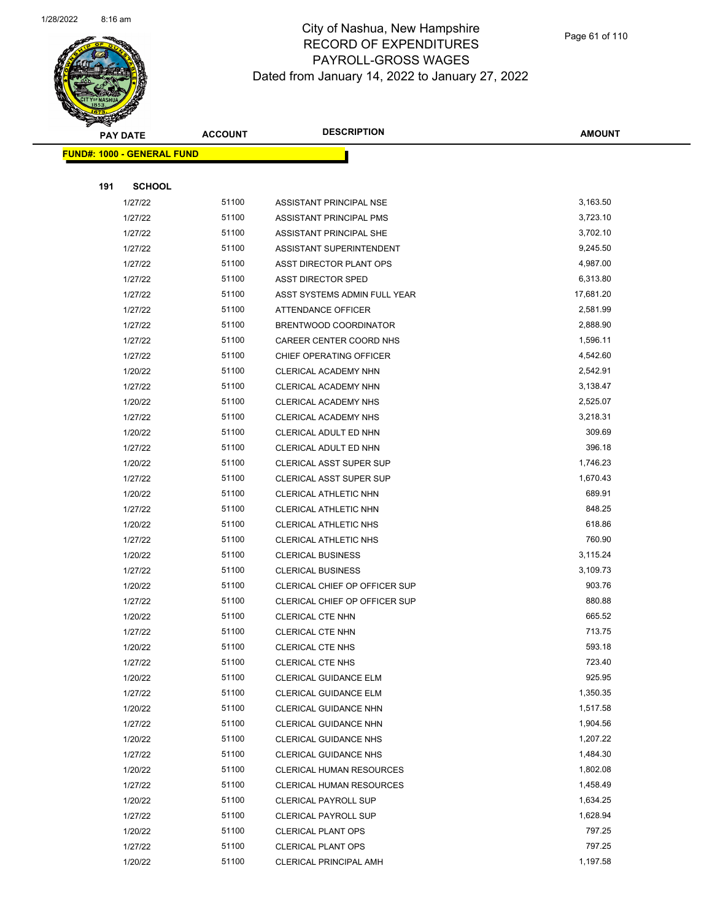

Page 61 of 110

|     | <b>PAY DATE</b>                   | <b>ACCOUNT</b> | <b>DESCRIPTION</b>              | <b>AMOUNT</b> |
|-----|-----------------------------------|----------------|---------------------------------|---------------|
|     | <b>FUND#: 1000 - GENERAL FUND</b> |                |                                 |               |
|     |                                   |                |                                 |               |
| 191 | <b>SCHOOL</b>                     |                |                                 |               |
|     | 1/27/22                           | 51100          | ASSISTANT PRINCIPAL NSE         | 3,163.50      |
|     | 1/27/22                           | 51100          | ASSISTANT PRINCIPAL PMS         | 3,723.10      |
|     | 1/27/22                           | 51100          | ASSISTANT PRINCIPAL SHE         | 3,702.10      |
|     | 1/27/22                           | 51100          | ASSISTANT SUPERINTENDENT        | 9,245.50      |
|     | 1/27/22                           | 51100          | ASST DIRECTOR PLANT OPS         | 4,987.00      |
|     | 1/27/22                           | 51100          | <b>ASST DIRECTOR SPED</b>       | 6,313.80      |
|     | 1/27/22                           | 51100          | ASST SYSTEMS ADMIN FULL YEAR    | 17,681.20     |
|     | 1/27/22                           | 51100          | ATTENDANCE OFFICER              | 2,581.99      |
|     | 1/27/22                           | 51100          | BRENTWOOD COORDINATOR           | 2,888.90      |
|     | 1/27/22                           | 51100          | CAREER CENTER COORD NHS         | 1,596.11      |
|     | 1/27/22                           | 51100          | CHIEF OPERATING OFFICER         | 4,542.60      |
|     | 1/20/22                           | 51100          | CLERICAL ACADEMY NHN            | 2,542.91      |
|     | 1/27/22                           | 51100          | CLERICAL ACADEMY NHN            | 3,138.47      |
|     | 1/20/22                           | 51100          | CLERICAL ACADEMY NHS            | 2,525.07      |
|     | 1/27/22                           | 51100          | CLERICAL ACADEMY NHS            | 3,218.31      |
|     | 1/20/22                           | 51100          | CLERICAL ADULT ED NHN           | 309.69        |
|     | 1/27/22                           | 51100          | CLERICAL ADULT ED NHN           | 396.18        |
|     | 1/20/22                           | 51100          | <b>CLERICAL ASST SUPER SUP</b>  | 1,746.23      |
|     | 1/27/22                           | 51100          | CLERICAL ASST SUPER SUP         | 1,670.43      |
|     | 1/20/22                           | 51100          | CLERICAL ATHLETIC NHN           | 689.91        |
|     | 1/27/22                           | 51100          | CLERICAL ATHLETIC NHN           | 848.25        |
|     | 1/20/22                           | 51100          | CLERICAL ATHLETIC NHS           | 618.86        |
|     | 1/27/22                           | 51100          | CLERICAL ATHLETIC NHS           | 760.90        |
|     | 1/20/22                           | 51100          | <b>CLERICAL BUSINESS</b>        | 3,115.24      |
|     | 1/27/22                           | 51100          | <b>CLERICAL BUSINESS</b>        | 3,109.73      |
|     | 1/20/22                           | 51100          | CLERICAL CHIEF OP OFFICER SUP   | 903.76        |
|     | 1/27/22                           | 51100          | CLERICAL CHIEF OP OFFICER SUP   | 880.88        |
|     | 1/20/22                           | 51100          | CLERICAL CTE NHN                | 665.52        |
|     | 1/27/22                           | 51100          | CLERICAL CTE NHN                | 713.75        |
|     | 1/20/22                           | 51100          | <b>CLERICAL CTE NHS</b>         | 593.18        |
|     | 1/27/22                           | 51100          | CLERICAL CTE NHS                | 723.40        |
|     | 1/20/22                           | 51100          | CLERICAL GUIDANCE ELM           | 925.95        |
|     | 1/27/22                           | 51100          | CLERICAL GUIDANCE ELM           | 1,350.35      |
|     | 1/20/22                           | 51100          | CLERICAL GUIDANCE NHN           | 1,517.58      |
|     | 1/27/22                           | 51100          | CLERICAL GUIDANCE NHN           | 1,904.56      |
|     | 1/20/22                           | 51100          | <b>CLERICAL GUIDANCE NHS</b>    | 1,207.22      |
|     | 1/27/22                           | 51100          | <b>CLERICAL GUIDANCE NHS</b>    | 1,484.30      |
|     | 1/20/22                           | 51100          | <b>CLERICAL HUMAN RESOURCES</b> | 1,802.08      |
|     | 1/27/22                           | 51100          | <b>CLERICAL HUMAN RESOURCES</b> | 1,458.49      |
|     | 1/20/22                           | 51100          | <b>CLERICAL PAYROLL SUP</b>     | 1,634.25      |
|     | 1/27/22                           | 51100          | <b>CLERICAL PAYROLL SUP</b>     | 1,628.94      |
|     | 1/20/22                           | 51100          | <b>CLERICAL PLANT OPS</b>       | 797.25        |
|     | 1/27/22                           | 51100          | <b>CLERICAL PLANT OPS</b>       | 797.25        |
|     | 1/20/22                           | 51100          | CLERICAL PRINCIPAL AMH          | 1,197.58      |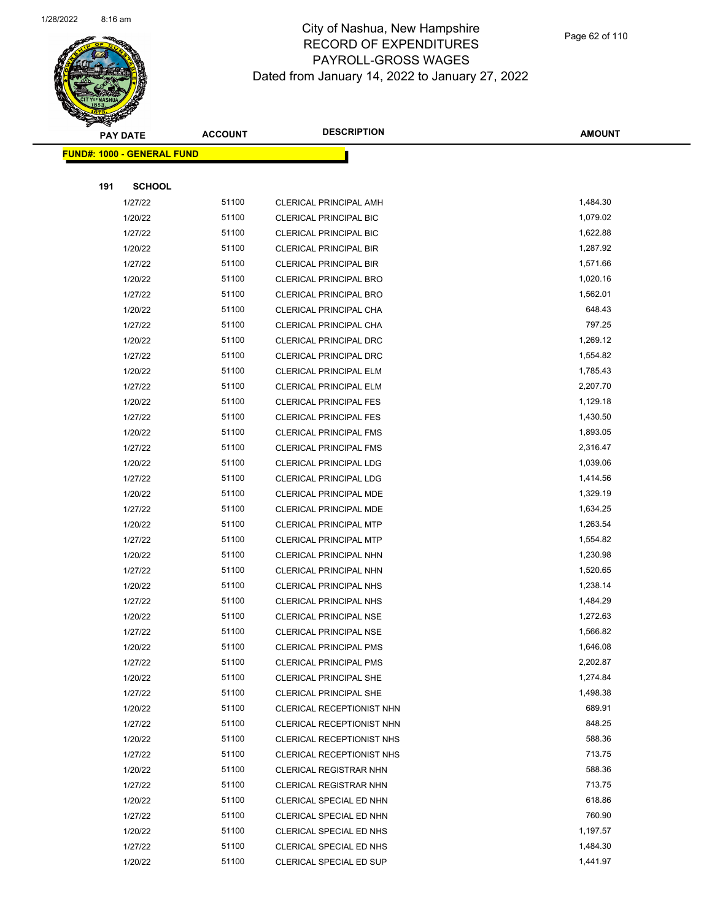

|     | <b>PAY DATE</b>                   | <b>ACCOUNT</b> | <b>DESCRIPTION</b>               | <b>AMOUNT</b> |
|-----|-----------------------------------|----------------|----------------------------------|---------------|
|     | <b>FUND#: 1000 - GENERAL FUND</b> |                |                                  |               |
|     |                                   |                |                                  |               |
| 191 | <b>SCHOOL</b>                     |                |                                  |               |
|     | 1/27/22                           | 51100          | CLERICAL PRINCIPAL AMH           | 1,484.30      |
|     | 1/20/22                           | 51100          | <b>CLERICAL PRINCIPAL BIC</b>    | 1,079.02      |
|     | 1/27/22                           | 51100          | <b>CLERICAL PRINCIPAL BIC</b>    | 1,622.88      |
|     | 1/20/22                           | 51100          | <b>CLERICAL PRINCIPAL BIR</b>    | 1,287.92      |
|     | 1/27/22                           | 51100          | CLERICAL PRINCIPAL BIR           | 1,571.66      |
|     | 1/20/22                           | 51100          | CLERICAL PRINCIPAL BRO           | 1,020.16      |
|     | 1/27/22                           | 51100          | CLERICAL PRINCIPAL BRO           | 1,562.01      |
|     | 1/20/22                           | 51100          | CLERICAL PRINCIPAL CHA           | 648.43        |
|     | 1/27/22                           | 51100          | CLERICAL PRINCIPAL CHA           | 797.25        |
|     | 1/20/22                           | 51100          | CLERICAL PRINCIPAL DRC           | 1,269.12      |
|     | 1/27/22                           | 51100          | CLERICAL PRINCIPAL DRC           | 1,554.82      |
|     | 1/20/22                           | 51100          | <b>CLERICAL PRINCIPAL ELM</b>    | 1,785.43      |
|     | 1/27/22                           | 51100          | <b>CLERICAL PRINCIPAL ELM</b>    | 2,207.70      |
|     | 1/20/22                           | 51100          | <b>CLERICAL PRINCIPAL FES</b>    | 1,129.18      |
|     | 1/27/22                           | 51100          | <b>CLERICAL PRINCIPAL FES</b>    | 1,430.50      |
|     | 1/20/22                           | 51100          | <b>CLERICAL PRINCIPAL FMS</b>    | 1,893.05      |
|     | 1/27/22                           | 51100          | <b>CLERICAL PRINCIPAL FMS</b>    | 2,316.47      |
|     | 1/20/22                           | 51100          | CLERICAL PRINCIPAL LDG           | 1,039.06      |
|     | 1/27/22                           | 51100          | <b>CLERICAL PRINCIPAL LDG</b>    | 1,414.56      |
|     | 1/20/22                           | 51100          | CLERICAL PRINCIPAL MDE           | 1,329.19      |
|     | 1/27/22                           | 51100          | CLERICAL PRINCIPAL MDE           | 1,634.25      |
|     | 1/20/22                           | 51100          | <b>CLERICAL PRINCIPAL MTP</b>    | 1,263.54      |
|     | 1/27/22                           | 51100          | <b>CLERICAL PRINCIPAL MTP</b>    | 1,554.82      |
|     | 1/20/22                           | 51100          | CLERICAL PRINCIPAL NHN           | 1,230.98      |
|     | 1/27/22                           | 51100          | CLERICAL PRINCIPAL NHN           | 1,520.65      |
|     | 1/20/22                           | 51100          | CLERICAL PRINCIPAL NHS           | 1,238.14      |
|     | 1/27/22                           | 51100          | <b>CLERICAL PRINCIPAL NHS</b>    | 1,484.29      |
|     | 1/20/22                           | 51100          | CLERICAL PRINCIPAL NSE           | 1,272.63      |
|     | 1/27/22                           | 51100          | <b>CLERICAL PRINCIPAL NSE</b>    | 1,566.82      |
|     | 1/20/22                           | 51100          | CLERICAL PRINCIPAL PMS           | 1,646.08      |
|     | 1/27/22                           | 51100          | <b>CLERICAL PRINCIPAL PMS</b>    | 2,202.87      |
|     | 1/20/22                           | 51100          | <b>CLERICAL PRINCIPAL SHE</b>    | 1,274.84      |
|     | 1/27/22                           | 51100          | CLERICAL PRINCIPAL SHE           | 1,498.38      |
|     | 1/20/22                           | 51100          | CLERICAL RECEPTIONIST NHN        | 689.91        |
|     | 1/27/22                           | 51100          | CLERICAL RECEPTIONIST NHN        | 848.25        |
|     | 1/20/22                           | 51100          | <b>CLERICAL RECEPTIONIST NHS</b> | 588.36        |
|     | 1/27/22                           | 51100          | CLERICAL RECEPTIONIST NHS        | 713.75        |
|     | 1/20/22                           | 51100          | CLERICAL REGISTRAR NHN           | 588.36        |
|     | 1/27/22                           | 51100          | CLERICAL REGISTRAR NHN           | 713.75        |
|     | 1/20/22                           | 51100          | CLERICAL SPECIAL ED NHN          | 618.86        |
|     | 1/27/22                           | 51100          | CLERICAL SPECIAL ED NHN          | 760.90        |
|     | 1/20/22                           | 51100          | CLERICAL SPECIAL ED NHS          | 1,197.57      |
|     | 1/27/22                           | 51100          | CLERICAL SPECIAL ED NHS          | 1,484.30      |
|     | 1/20/22                           | 51100          | CLERICAL SPECIAL ED SUP          | 1,441.97      |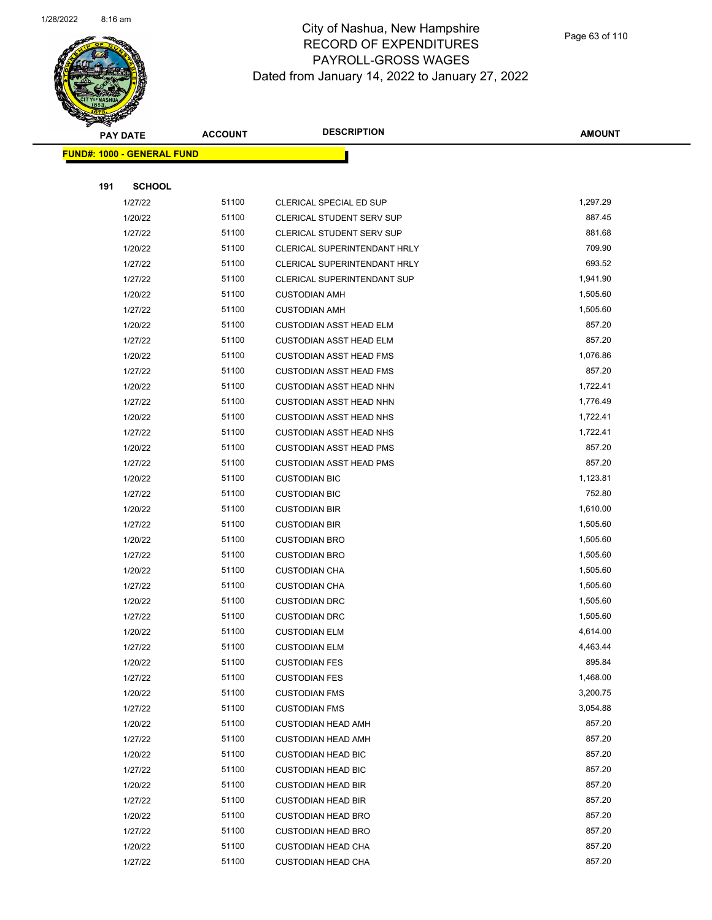

| <b>PAY DATE</b>                    | <b>ACCOUNT</b> | <b>DESCRIPTION</b>                  | <b>AMOUNT</b> |
|------------------------------------|----------------|-------------------------------------|---------------|
| <u> FUND#: 1000 - GENERAL FUND</u> |                |                                     |               |
|                                    |                |                                     |               |
| 191                                | <b>SCHOOL</b>  |                                     |               |
| 1/27/22                            | 51100          | CLERICAL SPECIAL ED SUP             | 1,297.29      |
| 1/20/22                            | 51100          | CLERICAL STUDENT SERV SUP           | 887.45        |
| 1/27/22                            | 51100          | CLERICAL STUDENT SERV SUP           | 881.68        |
| 1/20/22                            | 51100          | CLERICAL SUPERINTENDANT HRLY        | 709.90        |
| 1/27/22                            | 51100          | <b>CLERICAL SUPERINTENDANT HRLY</b> | 693.52        |
| 1/27/22                            | 51100          | CLERICAL SUPERINTENDANT SUP         | 1,941.90      |
| 1/20/22                            | 51100          | <b>CUSTODIAN AMH</b>                | 1,505.60      |
| 1/27/22                            | 51100          | <b>CUSTODIAN AMH</b>                | 1,505.60      |
| 1/20/22                            | 51100          | <b>CUSTODIAN ASST HEAD ELM</b>      | 857.20        |
| 1/27/22                            | 51100          | <b>CUSTODIAN ASST HEAD ELM</b>      | 857.20        |
| 1/20/22                            | 51100          | <b>CUSTODIAN ASST HEAD FMS</b>      | 1,076.86      |
| 1/27/22                            | 51100          | <b>CUSTODIAN ASST HEAD FMS</b>      | 857.20        |
| 1/20/22                            | 51100          | <b>CUSTODIAN ASST HEAD NHN</b>      | 1,722.41      |
| 1/27/22                            | 51100          | <b>CUSTODIAN ASST HEAD NHN</b>      | 1,776.49      |
| 1/20/22                            | 51100          | <b>CUSTODIAN ASST HEAD NHS</b>      | 1,722.41      |
| 1/27/22                            | 51100          | <b>CUSTODIAN ASST HEAD NHS</b>      | 1,722.41      |
| 1/20/22                            | 51100          | <b>CUSTODIAN ASST HEAD PMS</b>      | 857.20        |
| 1/27/22                            | 51100          | <b>CUSTODIAN ASST HEAD PMS</b>      | 857.20        |
| 1/20/22                            | 51100          | <b>CUSTODIAN BIC</b>                | 1,123.81      |
| 1/27/22                            | 51100          | <b>CUSTODIAN BIC</b>                | 752.80        |
| 1/20/22                            | 51100          | <b>CUSTODIAN BIR</b>                | 1,610.00      |
| 1/27/22                            | 51100          | <b>CUSTODIAN BIR</b>                | 1,505.60      |
| 1/20/22                            | 51100          | <b>CUSTODIAN BRO</b>                | 1,505.60      |
| 1/27/22                            | 51100          | <b>CUSTODIAN BRO</b>                | 1,505.60      |
| 1/20/22                            | 51100          | <b>CUSTODIAN CHA</b>                | 1,505.60      |
| 1/27/22                            | 51100          | <b>CUSTODIAN CHA</b>                | 1,505.60      |
| 1/20/22                            | 51100          | <b>CUSTODIAN DRC</b>                | 1,505.60      |
| 1/27/22                            | 51100          | <b>CUSTODIAN DRC</b>                | 1,505.60      |
| 1/20/22                            | 51100          | <b>CUSTODIAN ELM</b>                | 4,614.00      |
| 1/27/22                            | 51100          | <b>CUSTODIAN ELM</b>                | 4,463.44      |
| 1/20/22                            | 51100          | <b>CUSTODIAN FES</b>                | 895.84        |
| 1/27/22                            | 51100          | <b>CUSTODIAN FES</b>                | 1,468.00      |
| 1/20/22                            | 51100          | <b>CUSTODIAN FMS</b>                | 3,200.75      |
| 1/27/22                            | 51100          | <b>CUSTODIAN FMS</b>                | 3,054.88      |
| 1/20/22                            | 51100          | <b>CUSTODIAN HEAD AMH</b>           | 857.20        |
| 1/27/22                            | 51100          | <b>CUSTODIAN HEAD AMH</b>           | 857.20        |
| 1/20/22                            | 51100          | <b>CUSTODIAN HEAD BIC</b>           | 857.20        |
| 1/27/22                            | 51100          | <b>CUSTODIAN HEAD BIC</b>           | 857.20        |
| 1/20/22                            | 51100          | <b>CUSTODIAN HEAD BIR</b>           | 857.20        |
| 1/27/22                            | 51100          | <b>CUSTODIAN HEAD BIR</b>           | 857.20        |
| 1/20/22                            | 51100          | <b>CUSTODIAN HEAD BRO</b>           | 857.20        |
| 1/27/22                            | 51100          | <b>CUSTODIAN HEAD BRO</b>           | 857.20        |
| 1/20/22                            | 51100          | <b>CUSTODIAN HEAD CHA</b>           | 857.20        |
| 1/27/22                            | 51100          | <b>CUSTODIAN HEAD CHA</b>           | 857.20        |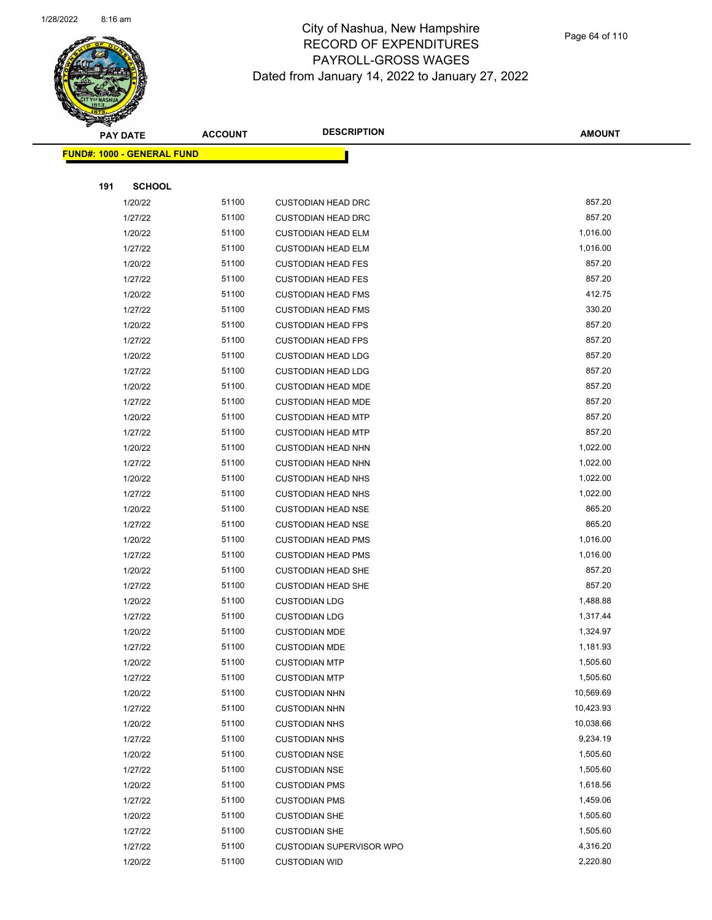

Page 64 of 110

|     | <b>PAY DATE</b>                    | <b>ACCOUNT</b> | <b>DESCRIPTION</b>              | <b>AMOUNT</b> |  |
|-----|------------------------------------|----------------|---------------------------------|---------------|--|
|     | <u> FUND#: 1000 - GENERAL FUND</u> |                |                                 |               |  |
|     |                                    |                |                                 |               |  |
| 191 | <b>SCHOOL</b>                      |                |                                 |               |  |
|     | 1/20/22                            | 51100          | <b>CUSTODIAN HEAD DRC</b>       | 857.20        |  |
|     | 1/27/22                            | 51100          | <b>CUSTODIAN HEAD DRC</b>       | 857.20        |  |
|     | 1/20/22                            | 51100          | <b>CUSTODIAN HEAD ELM</b>       | 1,016.00      |  |
|     | 1/27/22                            | 51100          | <b>CUSTODIAN HEAD ELM</b>       | 1,016.00      |  |
|     | 1/20/22                            | 51100          | <b>CUSTODIAN HEAD FES</b>       | 857.20        |  |
|     | 1/27/22                            | 51100          | <b>CUSTODIAN HEAD FES</b>       | 857.20        |  |
|     | 1/20/22                            | 51100          | <b>CUSTODIAN HEAD FMS</b>       | 412.75        |  |
|     | 1/27/22                            | 51100          | <b>CUSTODIAN HEAD FMS</b>       | 330.20        |  |
|     | 1/20/22                            | 51100          | <b>CUSTODIAN HEAD FPS</b>       | 857.20        |  |
|     | 1/27/22                            | 51100          | <b>CUSTODIAN HEAD FPS</b>       | 857.20        |  |
|     | 1/20/22                            | 51100          | <b>CUSTODIAN HEAD LDG</b>       | 857.20        |  |
|     | 1/27/22                            | 51100          | <b>CUSTODIAN HEAD LDG</b>       | 857.20        |  |
|     | 1/20/22                            | 51100          | <b>CUSTODIAN HEAD MDE</b>       | 857.20        |  |
|     | 1/27/22                            | 51100          | <b>CUSTODIAN HEAD MDE</b>       | 857.20        |  |
|     | 1/20/22                            | 51100          | <b>CUSTODIAN HEAD MTP</b>       | 857.20        |  |
|     | 1/27/22                            | 51100          | <b>CUSTODIAN HEAD MTP</b>       | 857.20        |  |
|     | 1/20/22                            | 51100          | <b>CUSTODIAN HEAD NHN</b>       | 1,022.00      |  |
|     | 1/27/22                            | 51100          | <b>CUSTODIAN HEAD NHN</b>       | 1,022.00      |  |
|     | 1/20/22                            | 51100          | <b>CUSTODIAN HEAD NHS</b>       | 1,022.00      |  |
|     | 1/27/22                            | 51100          | <b>CUSTODIAN HEAD NHS</b>       | 1,022.00      |  |
|     | 1/20/22                            | 51100          | <b>CUSTODIAN HEAD NSE</b>       | 865.20        |  |
|     | 1/27/22                            | 51100          | <b>CUSTODIAN HEAD NSE</b>       | 865.20        |  |
|     | 1/20/22                            | 51100          | <b>CUSTODIAN HEAD PMS</b>       | 1,016.00      |  |
|     | 1/27/22                            | 51100          | <b>CUSTODIAN HEAD PMS</b>       | 1,016.00      |  |
|     | 1/20/22                            | 51100          | <b>CUSTODIAN HEAD SHE</b>       | 857.20        |  |
|     | 1/27/22                            | 51100          | <b>CUSTODIAN HEAD SHE</b>       | 857.20        |  |
|     | 1/20/22                            | 51100          | <b>CUSTODIAN LDG</b>            | 1,488.88      |  |
|     | 1/27/22                            | 51100          | <b>CUSTODIAN LDG</b>            | 1,317.44      |  |
|     | 1/20/22                            | 51100          | <b>CUSTODIAN MDE</b>            | 1,324.97      |  |
|     | 1/27/22                            | 51100          | <b>CUSTODIAN MDE</b>            | 1,181.93      |  |
|     | 1/20/22                            | 51100          | <b>CUSTODIAN MTP</b>            | 1,505.60      |  |
|     | 1/27/22                            | 51100          | <b>CUSTODIAN MTP</b>            | 1,505.60      |  |
|     | 1/20/22                            | 51100          | <b>CUSTODIAN NHN</b>            | 10,569.69     |  |
|     | 1/27/22                            | 51100          | <b>CUSTODIAN NHN</b>            | 10,423.93     |  |
|     | 1/20/22                            | 51100          | <b>CUSTODIAN NHS</b>            | 10,038.66     |  |
|     | 1/27/22                            | 51100          | <b>CUSTODIAN NHS</b>            | 9,234.19      |  |
|     | 1/20/22                            | 51100          | <b>CUSTODIAN NSE</b>            | 1,505.60      |  |
|     | 1/27/22                            | 51100          | <b>CUSTODIAN NSE</b>            | 1,505.60      |  |
|     | 1/20/22                            | 51100          | <b>CUSTODIAN PMS</b>            | 1,618.56      |  |
|     | 1/27/22                            | 51100          | <b>CUSTODIAN PMS</b>            | 1,459.06      |  |
|     | 1/20/22                            | 51100          | <b>CUSTODIAN SHE</b>            | 1,505.60      |  |
|     | 1/27/22                            | 51100          | <b>CUSTODIAN SHE</b>            | 1,505.60      |  |
|     | 1/27/22                            | 51100          | <b>CUSTODIAN SUPERVISOR WPO</b> | 4,316.20      |  |
|     | 1/20/22                            | 51100          | <b>CUSTODIAN WID</b>            | 2,220.80      |  |
|     |                                    |                |                                 |               |  |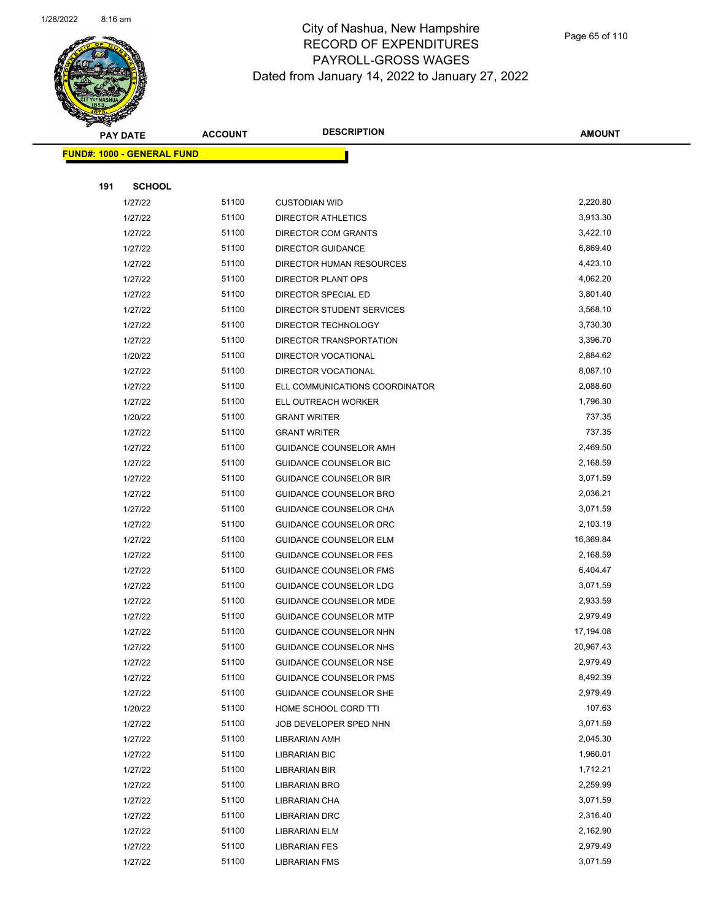

Page 65 of 110

|     | <b>PAY DATE</b>                   | <b>ACCOUNT</b> | <b>DESCRIPTION</b>                    | <b>AMOUNT</b>        |
|-----|-----------------------------------|----------------|---------------------------------------|----------------------|
|     | <b>FUND#: 1000 - GENERAL FUND</b> |                |                                       |                      |
|     |                                   |                |                                       |                      |
| 191 | <b>SCHOOL</b>                     |                |                                       |                      |
|     | 1/27/22                           | 51100          | <b>CUSTODIAN WID</b>                  | 2,220.80             |
|     | 1/27/22                           | 51100          | <b>DIRECTOR ATHLETICS</b>             | 3,913.30             |
|     | 1/27/22                           | 51100          | DIRECTOR COM GRANTS                   | 3,422.10             |
|     | 1/27/22                           | 51100          | <b>DIRECTOR GUIDANCE</b>              | 6,869.40             |
|     | 1/27/22                           | 51100          | <b>DIRECTOR HUMAN RESOURCES</b>       | 4,423.10             |
|     | 1/27/22                           | 51100          | <b>DIRECTOR PLANT OPS</b>             | 4,062.20             |
|     | 1/27/22                           | 51100          | DIRECTOR SPECIAL ED                   | 3,801.40             |
|     | 1/27/22                           | 51100          | DIRECTOR STUDENT SERVICES             | 3,568.10             |
|     | 1/27/22                           | 51100          | DIRECTOR TECHNOLOGY                   | 3,730.30             |
|     | 1/27/22                           | 51100          | DIRECTOR TRANSPORTATION               | 3,396.70             |
|     | 1/20/22                           | 51100          | DIRECTOR VOCATIONAL                   | 2,884.62             |
|     | 1/27/22                           | 51100          | DIRECTOR VOCATIONAL                   | 8,087.10             |
|     | 1/27/22                           | 51100          | ELL COMMUNICATIONS COORDINATOR        | 2,088.60             |
|     | 1/27/22                           | 51100          | ELL OUTREACH WORKER                   | 1,796.30             |
|     | 1/20/22                           | 51100          | <b>GRANT WRITER</b>                   | 737.35               |
|     | 1/27/22                           | 51100          | <b>GRANT WRITER</b>                   | 737.35               |
|     | 1/27/22                           | 51100          | GUIDANCE COUNSELOR AMH                | 2,469.50             |
|     | 1/27/22                           | 51100          | <b>GUIDANCE COUNSELOR BIC</b>         | 2,168.59             |
|     | 1/27/22                           | 51100          | <b>GUIDANCE COUNSELOR BIR</b>         | 3,071.59             |
|     | 1/27/22                           | 51100          | <b>GUIDANCE COUNSELOR BRO</b>         | 2,036.21             |
|     | 1/27/22                           | 51100          | GUIDANCE COUNSELOR CHA                | 3,071.59             |
|     | 1/27/22                           | 51100          | GUIDANCE COUNSELOR DRC                | 2,103.19             |
|     | 1/27/22                           | 51100          | <b>GUIDANCE COUNSELOR ELM</b>         | 16,369.84            |
|     | 1/27/22                           | 51100          | <b>GUIDANCE COUNSELOR FES</b>         | 2,168.59             |
|     | 1/27/22                           | 51100          | <b>GUIDANCE COUNSELOR FMS</b>         | 6,404.47             |
|     | 1/27/22                           | 51100          | GUIDANCE COUNSELOR LDG                | 3,071.59             |
|     | 1/27/22                           | 51100          | <b>GUIDANCE COUNSELOR MDE</b>         | 2,933.59             |
|     | 1/27/22                           | 51100          | <b>GUIDANCE COUNSELOR MTP</b>         | 2,979.49             |
|     | 1/27/22                           | 51100          | <b>GUIDANCE COUNSELOR NHN</b>         | 17,194.08            |
|     | 1/27/22                           | 51100          | GUIDANCE COUNSELOR NHS                | 20,967.43            |
|     | 1/27/22                           | 51100          | <b>GUIDANCE COUNSELOR NSE</b>         | 2,979.49             |
|     | 1/27/22                           | 51100          | <b>GUIDANCE COUNSELOR PMS</b>         | 8,492.39             |
|     | 1/27/22                           | 51100          | GUIDANCE COUNSELOR SHE                | 2,979.49             |
|     | 1/20/22                           | 51100          | HOME SCHOOL CORD TTI                  | 107.63               |
|     | 1/27/22                           | 51100          | JOB DEVELOPER SPED NHN                | 3,071.59             |
|     | 1/27/22                           | 51100          | LIBRARIAN AMH                         | 2,045.30             |
|     | 1/27/22                           | 51100          | <b>LIBRARIAN BIC</b>                  | 1,960.01             |
|     | 1/27/22                           | 51100          | LIBRARIAN BIR                         | 1,712.21             |
|     | 1/27/22                           | 51100<br>51100 | <b>LIBRARIAN BRO</b>                  | 2,259.99<br>3,071.59 |
|     | 1/27/22<br>1/27/22                | 51100          | LIBRARIAN CHA<br><b>LIBRARIAN DRC</b> | 2,316.40             |
|     | 1/27/22                           | 51100          | LIBRARIAN ELM                         | 2,162.90             |
|     | 1/27/22                           | 51100          | <b>LIBRARIAN FES</b>                  | 2,979.49             |
|     | 1/27/22                           | 51100          | <b>LIBRARIAN FMS</b>                  | 3,071.59             |
|     |                                   |                |                                       |                      |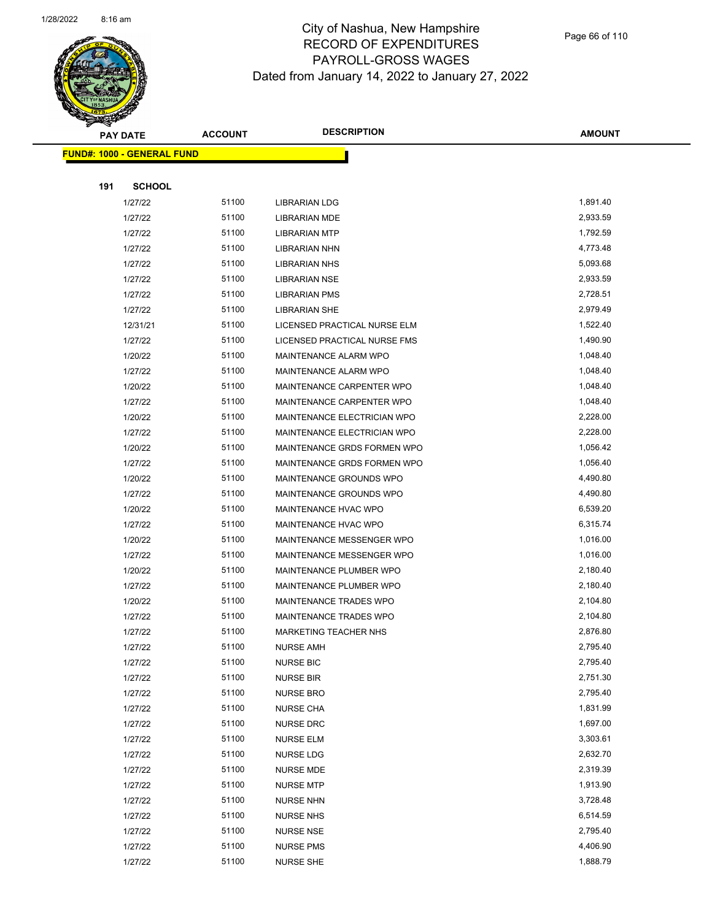

|     | <b>PAY DATE</b>                    | <b>ACCOUNT</b> | <b>DESCRIPTION</b>            | <b>AMOUNT</b> |
|-----|------------------------------------|----------------|-------------------------------|---------------|
|     | <u> FUND#: 1000 - GENERAL FUND</u> |                |                               |               |
|     |                                    |                |                               |               |
| 191 | <b>SCHOOL</b>                      |                |                               |               |
|     | 1/27/22                            | 51100          | <b>LIBRARIAN LDG</b>          | 1,891.40      |
|     | 1/27/22                            | 51100          | <b>LIBRARIAN MDE</b>          | 2,933.59      |
|     | 1/27/22                            | 51100          | <b>LIBRARIAN MTP</b>          | 1,792.59      |
|     | 1/27/22                            | 51100          | <b>LIBRARIAN NHN</b>          | 4,773.48      |
|     | 1/27/22                            | 51100          | <b>LIBRARIAN NHS</b>          | 5,093.68      |
|     | 1/27/22                            | 51100          | <b>LIBRARIAN NSE</b>          | 2,933.59      |
|     | 1/27/22                            | 51100          | <b>LIBRARIAN PMS</b>          | 2,728.51      |
|     | 1/27/22                            | 51100          | <b>LIBRARIAN SHE</b>          | 2,979.49      |
|     | 12/31/21                           | 51100          | LICENSED PRACTICAL NURSE ELM  | 1,522.40      |
|     | 1/27/22                            | 51100          | LICENSED PRACTICAL NURSE FMS  | 1,490.90      |
|     | 1/20/22                            | 51100          | MAINTENANCE ALARM WPO         | 1,048.40      |
|     | 1/27/22                            | 51100          | MAINTENANCE ALARM WPO         | 1,048.40      |
|     | 1/20/22                            | 51100          | MAINTENANCE CARPENTER WPO     | 1,048.40      |
|     | 1/27/22                            | 51100          | MAINTENANCE CARPENTER WPO     | 1,048.40      |
|     | 1/20/22                            | 51100          | MAINTENANCE ELECTRICIAN WPO   | 2,228.00      |
|     | 1/27/22                            | 51100          | MAINTENANCE ELECTRICIAN WPO   | 2,228.00      |
|     | 1/20/22                            | 51100          | MAINTENANCE GRDS FORMEN WPO   | 1,056.42      |
|     | 1/27/22                            | 51100          | MAINTENANCE GRDS FORMEN WPO   | 1,056.40      |
|     | 1/20/22                            | 51100          | MAINTENANCE GROUNDS WPO       | 4,490.80      |
|     | 1/27/22                            | 51100          | MAINTENANCE GROUNDS WPO       | 4,490.80      |
|     | 1/20/22                            | 51100          | MAINTENANCE HVAC WPO          | 6,539.20      |
|     | 1/27/22                            | 51100          | MAINTENANCE HVAC WPO          | 6,315.74      |
|     | 1/20/22                            | 51100          | MAINTENANCE MESSENGER WPO     | 1,016.00      |
|     | 1/27/22                            | 51100          | MAINTENANCE MESSENGER WPO     | 1,016.00      |
|     | 1/20/22                            | 51100          | MAINTENANCE PLUMBER WPO       | 2,180.40      |
|     | 1/27/22                            | 51100          | MAINTENANCE PLUMBER WPO       | 2,180.40      |
|     | 1/20/22                            | 51100          | <b>MAINTENANCE TRADES WPO</b> | 2,104.80      |
|     | 1/27/22                            | 51100          | MAINTENANCE TRADES WPO        | 2,104.80      |
|     | 1/27/22                            | 51100          | <b>MARKETING TEACHER NHS</b>  | 2,876.80      |
|     | 1/27/22                            | 51100          | <b>NURSE AMH</b>              | 2,795.40      |
|     | 1/27/22                            | 51100          | <b>NURSE BIC</b>              | 2,795.40      |
|     | 1/27/22                            | 51100          | <b>NURSE BIR</b>              | 2,751.30      |
|     | 1/27/22                            | 51100          | <b>NURSE BRO</b>              | 2,795.40      |
|     | 1/27/22                            | 51100          | <b>NURSE CHA</b>              | 1,831.99      |
|     | 1/27/22                            | 51100          | NURSE DRC                     | 1,697.00      |
|     | 1/27/22                            | 51100          | <b>NURSE ELM</b>              | 3,303.61      |
|     | 1/27/22                            | 51100          | NURSE LDG                     | 2,632.70      |
|     | 1/27/22                            | 51100          | NURSE MDE                     | 2,319.39      |
|     | 1/27/22                            | 51100          | <b>NURSE MTP</b>              | 1,913.90      |
|     | 1/27/22                            | 51100          | <b>NURSE NHN</b>              | 3,728.48      |
|     | 1/27/22                            | 51100          | <b>NURSE NHS</b>              | 6,514.59      |
|     | 1/27/22                            | 51100          | <b>NURSE NSE</b>              | 2,795.40      |
|     | 1/27/22                            | 51100          | <b>NURSE PMS</b>              | 4,406.90      |
|     | 1/27/22                            | 51100          | <b>NURSE SHE</b>              | 1,888.79      |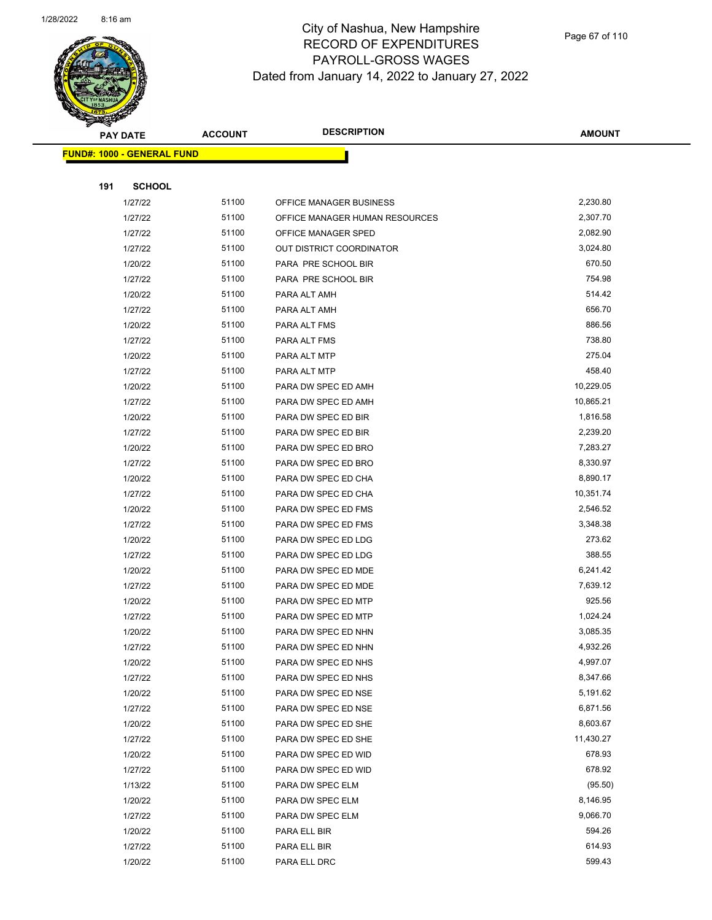

|     | <b>PAY DATE</b>                   | <b>ACCOUNT</b> | <b>DESCRIPTION</b>             | <b>AMOUNT</b> |
|-----|-----------------------------------|----------------|--------------------------------|---------------|
|     | <b>FUND#: 1000 - GENERAL FUND</b> |                |                                |               |
|     |                                   |                |                                |               |
| 191 | <b>SCHOOL</b>                     |                |                                |               |
|     | 1/27/22                           | 51100          | OFFICE MANAGER BUSINESS        | 2,230.80      |
|     | 1/27/22                           | 51100          | OFFICE MANAGER HUMAN RESOURCES | 2,307.70      |
|     | 1/27/22                           | 51100          | OFFICE MANAGER SPED            | 2,082.90      |
|     | 1/27/22                           | 51100          | OUT DISTRICT COORDINATOR       | 3,024.80      |
|     | 1/20/22                           | 51100          | PARA PRE SCHOOL BIR            | 670.50        |
|     | 1/27/22                           | 51100          | PARA PRE SCHOOL BIR            | 754.98        |
|     | 1/20/22                           | 51100          | PARA ALT AMH                   | 514.42        |
|     | 1/27/22                           | 51100          | PARA ALT AMH                   | 656.70        |
|     | 1/20/22                           | 51100          | PARA ALT FMS                   | 886.56        |
|     | 1/27/22                           | 51100          | PARA ALT FMS                   | 738.80        |
|     | 1/20/22                           | 51100          | PARA ALT MTP                   | 275.04        |
|     | 1/27/22                           | 51100          | PARA ALT MTP                   | 458.40        |
|     | 1/20/22                           | 51100          | PARA DW SPEC ED AMH            | 10,229.05     |
|     | 1/27/22                           | 51100          | PARA DW SPEC ED AMH            | 10,865.21     |
|     | 1/20/22                           | 51100          | PARA DW SPEC ED BIR            | 1,816.58      |
|     | 1/27/22                           | 51100          | PARA DW SPEC ED BIR            | 2,239.20      |
|     | 1/20/22                           | 51100          | PARA DW SPEC ED BRO            | 7,283.27      |
|     | 1/27/22                           | 51100          | PARA DW SPEC ED BRO            | 8,330.97      |
|     | 1/20/22                           | 51100          | PARA DW SPEC ED CHA            | 8,890.17      |
|     | 1/27/22                           | 51100          | PARA DW SPEC ED CHA            | 10,351.74     |
|     | 1/20/22                           | 51100          | PARA DW SPEC ED FMS            | 2,546.52      |
|     | 1/27/22                           | 51100          | PARA DW SPEC ED FMS            | 3,348.38      |
|     | 1/20/22                           | 51100          | PARA DW SPEC ED LDG            | 273.62        |
|     | 1/27/22                           | 51100          | PARA DW SPEC ED LDG            | 388.55        |
|     | 1/20/22                           | 51100          | PARA DW SPEC ED MDE            | 6,241.42      |
|     | 1/27/22                           | 51100          | PARA DW SPEC ED MDE            | 7,639.12      |
|     | 1/20/22                           | 51100          | PARA DW SPEC ED MTP            | 925.56        |
|     | 1/27/22                           | 51100          | PARA DW SPEC ED MTP            | 1,024.24      |
|     | 1/20/22                           | 51100          | PARA DW SPEC ED NHN            | 3,085.35      |
|     | 1/27/22                           | 51100          | PARA DW SPEC ED NHN            | 4,932.26      |
|     | 1/20/22                           | 51100          | PARA DW SPEC ED NHS            | 4,997.07      |
|     | 1/27/22                           | 51100          | PARA DW SPEC ED NHS            | 8,347.66      |
|     | 1/20/22                           | 51100          | PARA DW SPEC ED NSE            | 5,191.62      |
|     | 1/27/22                           | 51100          | PARA DW SPEC ED NSE            | 6,871.56      |
|     | 1/20/22                           | 51100          | PARA DW SPEC ED SHE            | 8,603.67      |
|     | 1/27/22                           | 51100          | PARA DW SPEC ED SHE            | 11,430.27     |
|     | 1/20/22                           | 51100          | PARA DW SPEC ED WID            | 678.93        |
|     | 1/27/22                           | 51100          | PARA DW SPEC ED WID            | 678.92        |
|     | 1/13/22                           | 51100          | PARA DW SPEC ELM               | (95.50)       |
|     | 1/20/22                           | 51100          | PARA DW SPEC ELM               | 8,146.95      |
|     | 1/27/22                           | 51100          | PARA DW SPEC ELM               | 9,066.70      |
|     | 1/20/22                           | 51100          | PARA ELL BIR                   | 594.26        |
|     | 1/27/22                           | 51100          | PARA ELL BIR                   | 614.93        |
|     | 1/20/22                           | 51100          | PARA ELL DRC                   | 599.43        |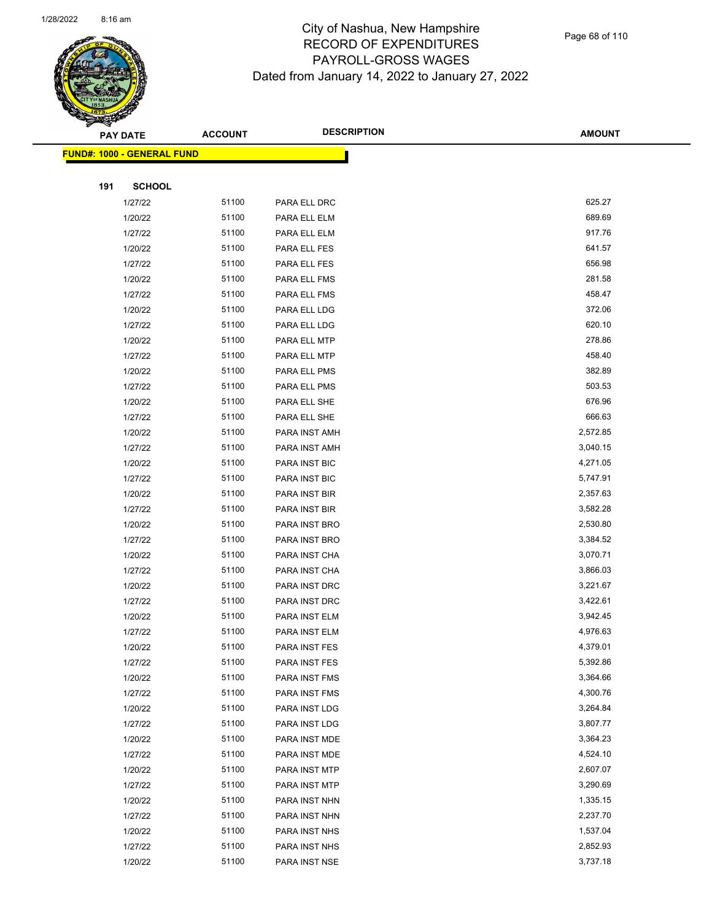

|     | <b>PAY DATE</b>                    | <b>ACCOUNT</b> | <b>DESCRIPTION</b> | <b>AMOUNT</b> |
|-----|------------------------------------|----------------|--------------------|---------------|
|     | <u> FUND#: 1000 - GENERAL FUND</u> |                |                    |               |
|     |                                    |                |                    |               |
| 191 | <b>SCHOOL</b>                      |                |                    |               |
|     | 1/27/22                            | 51100          | PARA ELL DRC       | 625.27        |
|     | 1/20/22                            | 51100          | PARA ELL ELM       | 689.69        |
|     | 1/27/22                            | 51100          | PARA ELL ELM       | 917.76        |
|     | 1/20/22                            | 51100          | PARA ELL FES       | 641.57        |
|     | 1/27/22                            | 51100          | PARA ELL FES       | 656.98        |
|     | 1/20/22                            | 51100          | PARA ELL FMS       | 281.58        |
|     | 1/27/22                            | 51100          | PARA ELL FMS       | 458.47        |
|     | 1/20/22                            | 51100          | PARA ELL LDG       | 372.06        |
|     | 1/27/22                            | 51100          | PARA ELL LDG       | 620.10        |
|     | 1/20/22                            | 51100          | PARA ELL MTP       | 278.86        |
|     | 1/27/22                            | 51100          | PARA ELL MTP       | 458.40        |
|     | 1/20/22                            | 51100          | PARA ELL PMS       | 382.89        |
|     | 1/27/22                            | 51100          | PARA ELL PMS       | 503.53        |
|     | 1/20/22                            | 51100          | PARA ELL SHE       | 676.96        |
|     | 1/27/22                            | 51100          | PARA ELL SHE       | 666.63        |
|     | 1/20/22                            | 51100          | PARA INST AMH      | 2,572.85      |
|     | 1/27/22                            | 51100          | PARA INST AMH      | 3,040.15      |
|     | 1/20/22                            | 51100          | PARA INST BIC      | 4,271.05      |
|     | 1/27/22                            | 51100          | PARA INST BIC      | 5,747.91      |
|     | 1/20/22                            | 51100          | PARA INST BIR      | 2,357.63      |
|     | 1/27/22                            | 51100          | PARA INST BIR      | 3,582.28      |
|     | 1/20/22                            | 51100          | PARA INST BRO      | 2,530.80      |
|     | 1/27/22                            | 51100          | PARA INST BRO      | 3,384.52      |
|     | 1/20/22                            | 51100          | PARA INST CHA      | 3,070.71      |
|     | 1/27/22                            | 51100          | PARA INST CHA      | 3,866.03      |
|     | 1/20/22                            | 51100          | PARA INST DRC      | 3,221.67      |
|     | 1/27/22                            | 51100          | PARA INST DRC      | 3,422.61      |
|     | 1/20/22                            | 51100          | PARA INST ELM      | 3,942.45      |
|     | 1/27/22                            | 51100          | PARA INST ELM      | 4,976.63      |
|     | 1/20/22                            | 51100          | PARA INST FES      | 4,379.01      |
|     | 1/27/22                            | 51100          | PARA INST FES      | 5,392.86      |
|     | 1/20/22                            | 51100          | PARA INST FMS      | 3,364.66      |
|     | 1/27/22                            | 51100          | PARA INST FMS      | 4,300.76      |
|     | 1/20/22                            | 51100          | PARA INST LDG      | 3,264.84      |
|     | 1/27/22                            | 51100          | PARA INST LDG      | 3,807.77      |
|     | 1/20/22                            | 51100          | PARA INST MDE      | 3,364.23      |
|     | 1/27/22                            | 51100          | PARA INST MDE      | 4,524.10      |
|     | 1/20/22                            | 51100          | PARA INST MTP      | 2,607.07      |
|     | 1/27/22                            | 51100          | PARA INST MTP      | 3,290.69      |
|     | 1/20/22                            | 51100          | PARA INST NHN      | 1,335.15      |
|     | 1/27/22                            | 51100          | PARA INST NHN      | 2,237.70      |
|     | 1/20/22                            | 51100          | PARA INST NHS      | 1,537.04      |
|     | 1/27/22                            | 51100          | PARA INST NHS      | 2,852.93      |
|     | 1/20/22                            | 51100          | PARA INST NSE      | 3,737.18      |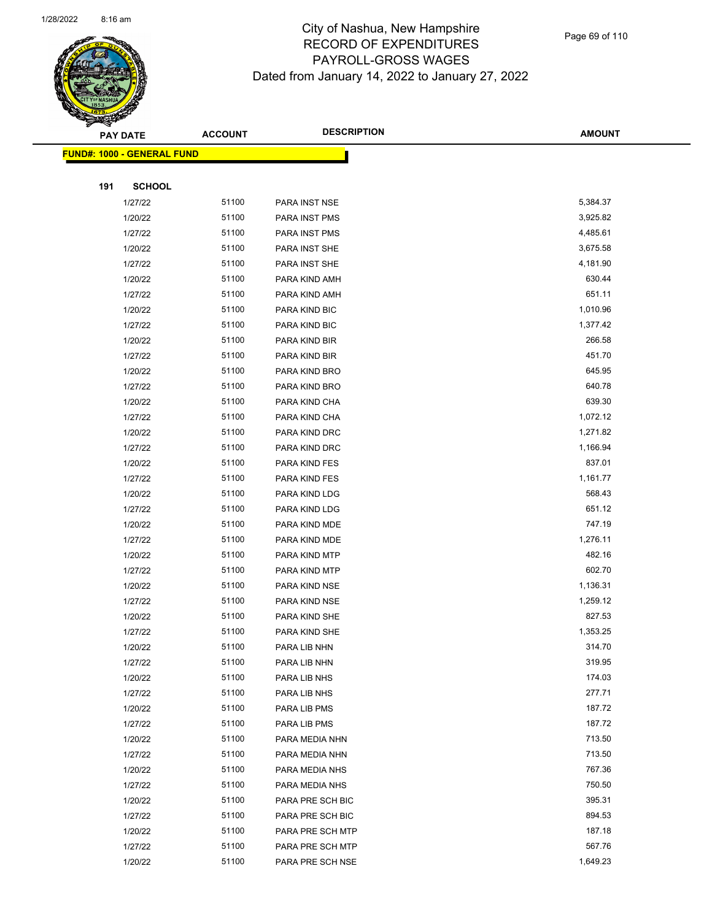

|     | <b>PAY DATE</b>                    | <b>ACCOUNT</b> | <b>DESCRIPTION</b> | <b>AMOUNT</b> |
|-----|------------------------------------|----------------|--------------------|---------------|
|     | <u> FUND#: 1000 - GENERAL FUND</u> |                |                    |               |
|     |                                    |                |                    |               |
| 191 | <b>SCHOOL</b>                      |                |                    |               |
|     | 1/27/22                            | 51100          | PARA INST NSE      | 5,384.37      |
|     | 1/20/22                            | 51100          | PARA INST PMS      | 3,925.82      |
|     | 1/27/22                            | 51100          | PARA INST PMS      | 4,485.61      |
|     | 1/20/22                            | 51100          | PARA INST SHE      | 3,675.58      |
|     | 1/27/22                            | 51100          | PARA INST SHE      | 4,181.90      |
|     | 1/20/22                            | 51100          | PARA KIND AMH      | 630.44        |
|     | 1/27/22                            | 51100          | PARA KIND AMH      | 651.11        |
|     | 1/20/22                            | 51100          | PARA KIND BIC      | 1,010.96      |
|     | 1/27/22                            | 51100          | PARA KIND BIC      | 1,377.42      |
|     | 1/20/22                            | 51100          | PARA KIND BIR      | 266.58        |
|     | 1/27/22                            | 51100          | PARA KIND BIR      | 451.70        |
|     | 1/20/22                            | 51100          | PARA KIND BRO      | 645.95        |
|     | 1/27/22                            | 51100          | PARA KIND BRO      | 640.78        |
|     | 1/20/22                            | 51100          | PARA KIND CHA      | 639.30        |
|     | 1/27/22                            | 51100          | PARA KIND CHA      | 1,072.12      |
|     | 1/20/22                            | 51100          | PARA KIND DRC      | 1,271.82      |
|     | 1/27/22                            | 51100          | PARA KIND DRC      | 1,166.94      |
|     | 1/20/22                            | 51100          | PARA KIND FES      | 837.01        |
|     | 1/27/22                            | 51100          | PARA KIND FES      | 1,161.77      |
|     | 1/20/22                            | 51100          | PARA KIND LDG      | 568.43        |
|     | 1/27/22                            | 51100          | PARA KIND LDG      | 651.12        |
|     | 1/20/22                            | 51100          | PARA KIND MDE      | 747.19        |
|     | 1/27/22                            | 51100          | PARA KIND MDE      | 1,276.11      |
|     | 1/20/22                            | 51100          | PARA KIND MTP      | 482.16        |
|     | 1/27/22                            | 51100          | PARA KIND MTP      | 602.70        |
|     | 1/20/22                            | 51100          | PARA KIND NSE      | 1,136.31      |
|     | 1/27/22                            | 51100          | PARA KIND NSE      | 1,259.12      |
|     | 1/20/22                            | 51100          | PARA KIND SHE      | 827.53        |
|     | 1/27/22                            | 51100          | PARA KIND SHE      | 1,353.25      |
|     | 1/20/22                            | 51100          | PARA LIB NHN       | 314.70        |
|     | 1/27/22                            | 51100          | PARA LIB NHN       | 319.95        |
|     | 1/20/22                            | 51100          | PARA LIB NHS       | 174.03        |
|     | 1/27/22                            | 51100          | PARA LIB NHS       | 277.71        |
|     | 1/20/22                            | 51100          | PARA LIB PMS       | 187.72        |
|     | 1/27/22                            | 51100          | PARA LIB PMS       | 187.72        |
|     | 1/20/22                            | 51100          | PARA MEDIA NHN     | 713.50        |
|     | 1/27/22                            | 51100          | PARA MEDIA NHN     | 713.50        |
|     | 1/20/22                            | 51100          | PARA MEDIA NHS     | 767.36        |
|     | 1/27/22                            | 51100          | PARA MEDIA NHS     | 750.50        |
|     | 1/20/22                            | 51100          | PARA PRE SCH BIC   | 395.31        |
|     | 1/27/22                            | 51100          | PARA PRE SCH BIC   | 894.53        |
|     | 1/20/22                            | 51100          | PARA PRE SCH MTP   | 187.18        |
|     | 1/27/22                            | 51100          | PARA PRE SCH MTP   | 567.76        |
|     | 1/20/22                            | 51100          | PARA PRE SCH NSE   | 1,649.23      |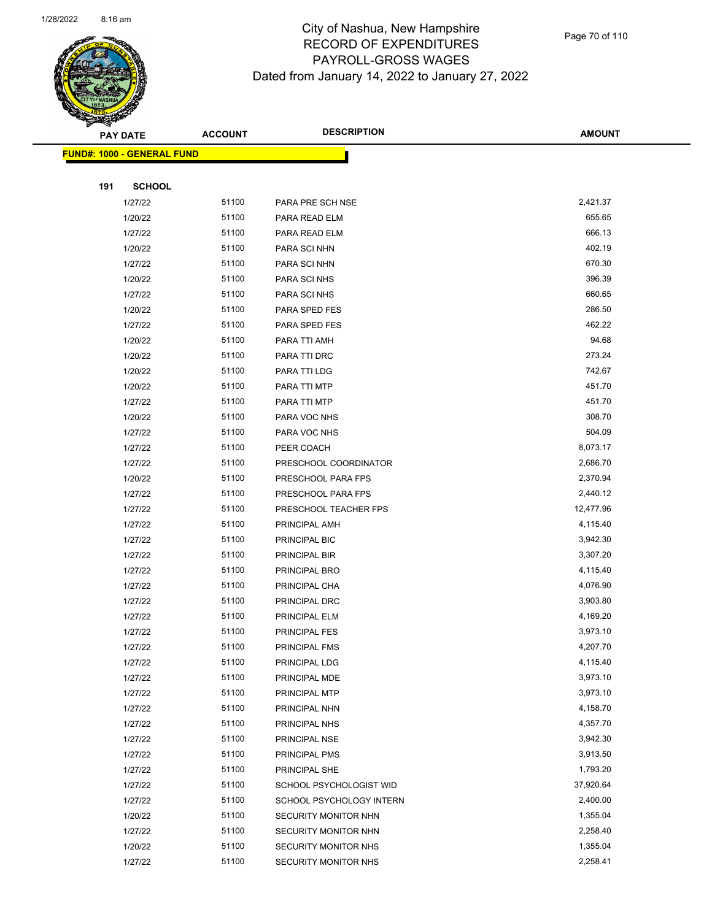

Page 70 of 110

| <b>PAY DATE</b>                    | <b>ACCOUNT</b> | <b>DESCRIPTION</b>       | <b>AMOUNT</b> |
|------------------------------------|----------------|--------------------------|---------------|
| <u> FUND#: 1000 - GENERAL FUND</u> |                |                          |               |
|                                    |                |                          |               |
| 191<br><b>SCHOOL</b>               |                |                          |               |
| 1/27/22                            | 51100          | PARA PRE SCH NSE         | 2,421.37      |
| 1/20/22                            | 51100          | PARA READ ELM            | 655.65        |
| 1/27/22                            | 51100          | PARA READ ELM            | 666.13        |
| 1/20/22                            | 51100          | PARA SCI NHN             | 402.19        |
| 1/27/22                            | 51100          | PARA SCI NHN             | 670.30        |
| 1/20/22                            | 51100          | PARA SCI NHS             | 396.39        |
| 1/27/22                            | 51100          | PARA SCI NHS             | 660.65        |
| 1/20/22                            | 51100          | PARA SPED FES            | 286.50        |
| 1/27/22                            | 51100          | PARA SPED FES            | 462.22        |
| 1/20/22                            | 51100          | PARA TTI AMH             | 94.68         |
| 1/20/22                            | 51100          | PARA TTI DRC             | 273.24        |
| 1/20/22                            | 51100          | PARA TTI LDG             | 742.67        |
| 1/20/22                            | 51100          | PARA TTI MTP             | 451.70        |
| 1/27/22                            | 51100          | PARA TTI MTP             | 451.70        |
| 1/20/22                            | 51100          | PARA VOC NHS             | 308.70        |
| 1/27/22                            | 51100          | PARA VOC NHS             | 504.09        |
| 1/27/22                            | 51100          | PEER COACH               | 8,073.17      |
| 1/27/22                            | 51100          | PRESCHOOL COORDINATOR    | 2,686.70      |
| 1/20/22                            | 51100          | PRESCHOOL PARA FPS       | 2,370.94      |
| 1/27/22                            | 51100          | PRESCHOOL PARA FPS       | 2,440.12      |
| 1/27/22                            | 51100          | PRESCHOOL TEACHER FPS    | 12,477.96     |
| 1/27/22                            | 51100          | PRINCIPAL AMH            | 4,115.40      |
| 1/27/22                            | 51100          | PRINCIPAL BIC            | 3,942.30      |
| 1/27/22                            | 51100          | PRINCIPAL BIR            | 3,307.20      |
| 1/27/22                            | 51100          | PRINCIPAL BRO            | 4,115.40      |
| 1/27/22                            | 51100          | PRINCIPAL CHA            | 4,076.90      |
| 1/27/22                            | 51100          | PRINCIPAL DRC            | 3,903.80      |
| 1/27/22                            | 51100          | PRINCIPAL ELM            | 4,169.20      |
| 1/27/22                            | 51100          | PRINCIPAL FES            | 3,973.10      |
| 1/27/22                            | 51100          | PRINCIPAL FMS            | 4,207.70      |
| 1/27/22                            | 51100          | PRINCIPAL LDG            | 4,115.40      |
| 1/27/22                            | 51100          | PRINCIPAL MDE            | 3,973.10      |
| 1/27/22                            | 51100          | PRINCIPAL MTP            | 3,973.10      |
| 1/27/22                            | 51100          | PRINCIPAL NHN            | 4,158.70      |
| 1/27/22                            | 51100          | PRINCIPAL NHS            | 4,357.70      |
| 1/27/22                            | 51100          | PRINCIPAL NSE            | 3,942.30      |
| 1/27/22                            | 51100          | PRINCIPAL PMS            | 3,913.50      |
| 1/27/22                            | 51100          | PRINCIPAL SHE            | 1,793.20      |
| 1/27/22                            | 51100          | SCHOOL PSYCHOLOGIST WID  | 37,920.64     |
| 1/27/22                            | 51100          | SCHOOL PSYCHOLOGY INTERN | 2,400.00      |
| 1/20/22                            | 51100          | SECURITY MONITOR NHN     | 1,355.04      |
| 1/27/22                            | 51100          | SECURITY MONITOR NHN     | 2,258.40      |
| 1/20/22                            | 51100          | SECURITY MONITOR NHS     | 1,355.04      |
| 1/27/22                            | 51100          | SECURITY MONITOR NHS     | 2,258.41      |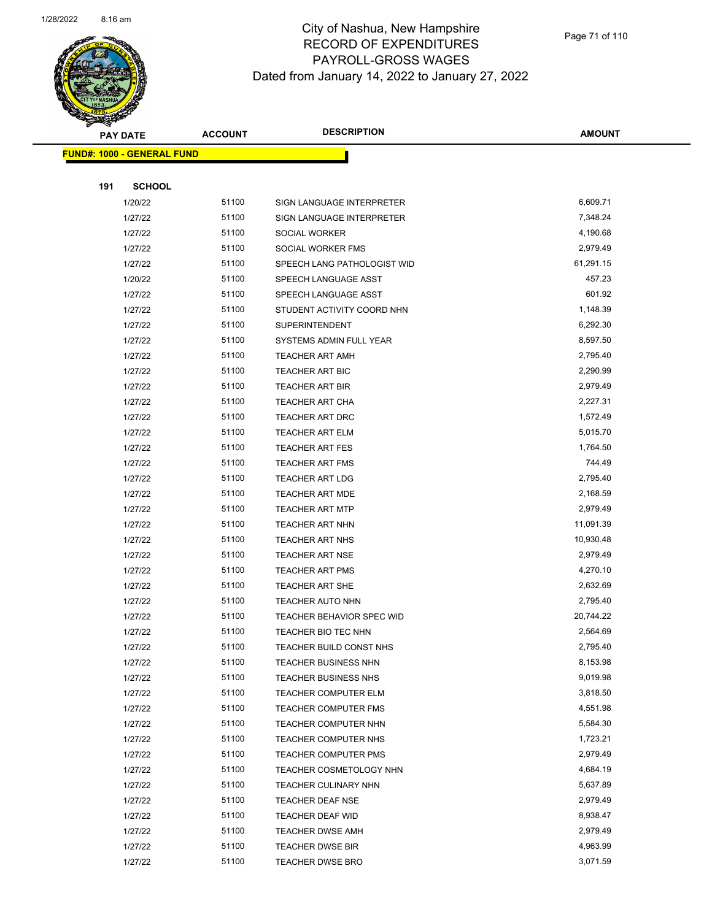

Page 71 of 110

|     | <b>PAY DATE</b>                   | <b>ACCOUNT</b> | <b>DESCRIPTION</b>                              | <b>AMOUNT</b>        |
|-----|-----------------------------------|----------------|-------------------------------------------------|----------------------|
|     | <b>FUND#: 1000 - GENERAL FUND</b> |                |                                                 |                      |
|     |                                   |                |                                                 |                      |
| 191 | <b>SCHOOL</b>                     |                |                                                 |                      |
|     | 1/20/22                           | 51100          | SIGN LANGUAGE INTERPRETER                       | 6,609.71             |
|     | 1/27/22                           | 51100          | SIGN LANGUAGE INTERPRETER                       | 7,348.24             |
|     | 1/27/22                           | 51100          | SOCIAL WORKER                                   | 4,190.68             |
|     | 1/27/22                           | 51100          | SOCIAL WORKER FMS                               | 2,979.49             |
|     | 1/27/22                           | 51100          | SPEECH LANG PATHOLOGIST WID                     | 61,291.15            |
|     | 1/20/22                           | 51100          | SPEECH LANGUAGE ASST                            | 457.23               |
|     | 1/27/22                           | 51100          | SPEECH LANGUAGE ASST                            | 601.92               |
|     | 1/27/22                           | 51100          | STUDENT ACTIVITY COORD NHN                      | 1,148.39             |
|     | 1/27/22                           | 51100          | <b>SUPERINTENDENT</b>                           | 6,292.30             |
|     | 1/27/22                           | 51100          | SYSTEMS ADMIN FULL YEAR                         | 8,597.50             |
|     | 1/27/22                           | 51100          | TEACHER ART AMH                                 | 2,795.40             |
|     | 1/27/22                           | 51100          | TEACHER ART BIC                                 | 2,290.99             |
|     | 1/27/22                           | 51100          | <b>TEACHER ART BIR</b>                          | 2,979.49             |
|     | 1/27/22                           | 51100          | TEACHER ART CHA                                 | 2,227.31             |
|     | 1/27/22                           | 51100          | <b>TEACHER ART DRC</b>                          | 1,572.49             |
|     | 1/27/22                           | 51100          | TEACHER ART ELM                                 | 5,015.70             |
|     | 1/27/22                           | 51100          | <b>TEACHER ART FES</b>                          | 1,764.50             |
|     | 1/27/22                           | 51100          | <b>TEACHER ART FMS</b>                          | 744.49               |
|     | 1/27/22                           | 51100          | <b>TEACHER ART LDG</b>                          | 2,795.40             |
|     | 1/27/22                           | 51100          | <b>TEACHER ART MDE</b>                          | 2,168.59             |
|     | 1/27/22                           | 51100          | <b>TEACHER ART MTP</b>                          | 2,979.49             |
|     | 1/27/22                           | 51100          | TEACHER ART NHN                                 | 11,091.39            |
|     | 1/27/22                           | 51100          | <b>TEACHER ART NHS</b>                          | 10,930.48            |
|     | 1/27/22                           | 51100          | <b>TEACHER ART NSE</b>                          | 2,979.49             |
|     | 1/27/22                           | 51100          | TEACHER ART PMS                                 | 4,270.10             |
|     | 1/27/22                           | 51100          | <b>TEACHER ART SHE</b>                          | 2,632.69             |
|     | 1/27/22                           | 51100          | TEACHER AUTO NHN                                | 2,795.40             |
|     | 1/27/22                           | 51100          | TEACHER BEHAVIOR SPEC WID                       | 20,744.22            |
|     | 1/27/22                           | 51100          | TEACHER BIO TEC NHN                             | 2,564.69             |
|     | 1/27/22                           | 51100          | TEACHER BUILD CONST NHS                         | 2,795.40             |
|     | 1/27/22                           | 51100          | TEACHER BUSINESS NHN                            | 8,153.98             |
|     | 1/27/22                           | 51100          | TEACHER BUSINESS NHS                            | 9,019.98             |
|     | 1/27/22                           | 51100          | <b>TEACHER COMPUTER ELM</b>                     | 3,818.50             |
|     | 1/27/22                           | 51100          | <b>TEACHER COMPUTER FMS</b>                     | 4,551.98             |
|     | 1/27/22                           | 51100          | TEACHER COMPUTER NHN                            | 5,584.30             |
|     | 1/27/22                           | 51100          | <b>TEACHER COMPUTER NHS</b>                     | 1,723.21             |
|     | 1/27/22                           | 51100          | <b>TEACHER COMPUTER PMS</b>                     | 2,979.49             |
|     | 1/27/22<br>1/27/22                | 51100<br>51100 | TEACHER COSMETOLOGY NHN<br>TEACHER CULINARY NHN | 4,684.19<br>5,637.89 |
|     |                                   | 51100          |                                                 | 2,979.49             |
|     | 1/27/22<br>1/27/22                | 51100          | <b>TEACHER DEAF NSE</b><br>TEACHER DEAF WID     | 8,938.47             |
|     | 1/27/22                           | 51100          | <b>TEACHER DWSE AMH</b>                         | 2,979.49             |
|     | 1/27/22                           | 51100          | <b>TEACHER DWSE BIR</b>                         | 4,963.99             |
|     | 1/27/22                           | 51100          | <b>TEACHER DWSE BRO</b>                         | 3,071.59             |
|     |                                   |                |                                                 |                      |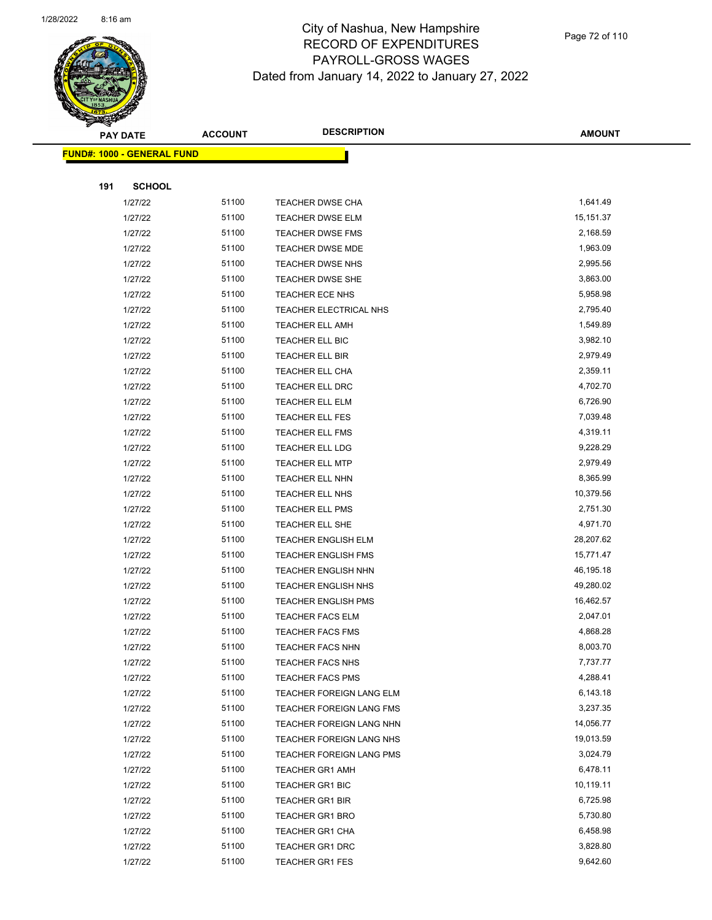

Page 72 of 110

|     | <b>PAY DATE</b>                   | <b>ACCOUNT</b> | <b>DESCRIPTION</b>         | <b>AMOUNT</b> |
|-----|-----------------------------------|----------------|----------------------------|---------------|
|     | <b>FUND#: 1000 - GENERAL FUND</b> |                |                            |               |
|     |                                   |                |                            |               |
| 191 | <b>SCHOOL</b>                     |                |                            |               |
|     | 1/27/22                           | 51100          | TEACHER DWSE CHA           | 1,641.49      |
|     | 1/27/22                           | 51100          | <b>TEACHER DWSE ELM</b>    | 15,151.37     |
|     | 1/27/22                           | 51100          | TEACHER DWSE FMS           | 2,168.59      |
|     | 1/27/22                           | 51100          | TEACHER DWSE MDE           | 1,963.09      |
|     | 1/27/22                           | 51100          | TEACHER DWSE NHS           | 2,995.56      |
|     | 1/27/22                           | 51100          | TEACHER DWSE SHE           | 3,863.00      |
|     | 1/27/22                           | 51100          | TEACHER ECE NHS            | 5,958.98      |
|     | 1/27/22                           | 51100          | TEACHER ELECTRICAL NHS     | 2,795.40      |
|     | 1/27/22                           | 51100          | <b>TEACHER ELL AMH</b>     | 1,549.89      |
|     | 1/27/22                           | 51100          | TEACHER ELL BIC            | 3,982.10      |
|     | 1/27/22                           | 51100          | TEACHER ELL BIR            | 2,979.49      |
|     | 1/27/22                           | 51100          | TEACHER ELL CHA            | 2,359.11      |
|     | 1/27/22                           | 51100          | TEACHER ELL DRC            | 4,702.70      |
|     | 1/27/22                           | 51100          | TEACHER ELL ELM            | 6,726.90      |
|     | 1/27/22                           | 51100          | TEACHER ELL FES            | 7,039.48      |
|     | 1/27/22                           | 51100          | TEACHER ELL FMS            | 4,319.11      |
|     | 1/27/22                           | 51100          | TEACHER ELL LDG            | 9,228.29      |
|     | 1/27/22                           | 51100          | TEACHER ELL MTP            | 2,979.49      |
|     | 1/27/22                           | 51100          | TEACHER ELL NHN            | 8,365.99      |
|     | 1/27/22                           | 51100          | TEACHER ELL NHS            | 10,379.56     |
|     | 1/27/22                           | 51100          | TEACHER ELL PMS            | 2,751.30      |
|     | 1/27/22                           | 51100          | TEACHER ELL SHE            | 4,971.70      |
|     | 1/27/22                           | 51100          | TEACHER ENGLISH ELM        | 28,207.62     |
|     | 1/27/22                           | 51100          | <b>TEACHER ENGLISH FMS</b> | 15,771.47     |
|     | 1/27/22                           | 51100          | TEACHER ENGLISH NHN        | 46,195.18     |
|     | 1/27/22                           | 51100          | TEACHER ENGLISH NHS        | 49,280.02     |
|     | 1/27/22                           | 51100          | <b>TEACHER ENGLISH PMS</b> | 16,462.57     |
|     | 1/27/22                           | 51100          | <b>TEACHER FACS ELM</b>    | 2,047.01      |
|     | 1/27/22                           | 51100          | <b>TEACHER FACS FMS</b>    | 4,868.28      |
|     | 1/27/22                           | 51100          | TEACHER FACS NHN           | 8,003.70      |
|     | 1/27/22                           | 51100          | <b>TEACHER FACS NHS</b>    | 7,737.77      |
|     | 1/27/22                           | 51100          | <b>TEACHER FACS PMS</b>    | 4,288.41      |
|     | 1/27/22                           | 51100          | TEACHER FOREIGN LANG ELM   | 6,143.18      |
|     | 1/27/22                           | 51100          | TEACHER FOREIGN LANG FMS   | 3,237.35      |
|     | 1/27/22                           | 51100          | TEACHER FOREIGN LANG NHN   | 14,056.77     |
|     | 1/27/22                           | 51100          | TEACHER FOREIGN LANG NHS   | 19,013.59     |
|     | 1/27/22                           | 51100          | TEACHER FOREIGN LANG PMS   | 3,024.79      |
|     | 1/27/22                           | 51100          | <b>TEACHER GR1 AMH</b>     | 6,478.11      |
|     | 1/27/22                           | 51100          | <b>TEACHER GR1 BIC</b>     | 10,119.11     |
|     | 1/27/22                           | 51100          | <b>TEACHER GR1 BIR</b>     | 6,725.98      |
|     | 1/27/22                           | 51100          | TEACHER GR1 BRO            | 5,730.80      |
|     | 1/27/22                           | 51100          | TEACHER GR1 CHA            | 6,458.98      |
|     | 1/27/22                           | 51100          | TEACHER GR1 DRC            | 3,828.80      |
|     | 1/27/22                           | 51100          | <b>TEACHER GR1 FES</b>     | 9,642.60      |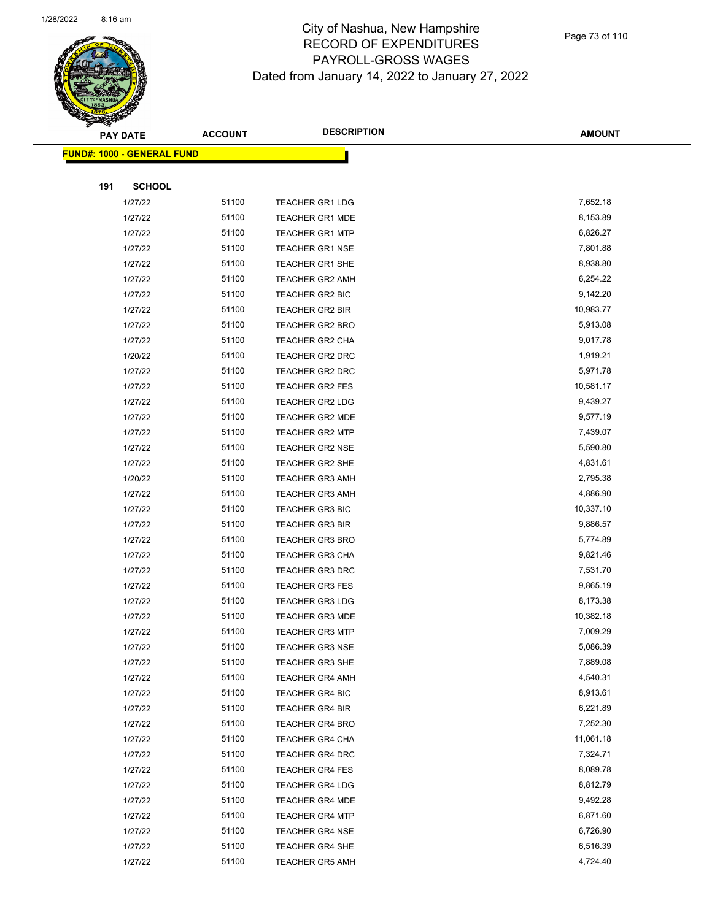

Page 73 of 110

|     | <b>PAY DATE</b>                    | <b>ACCOUNT</b> | <b>DESCRIPTION</b>     | <b>AMOUNT</b> |
|-----|------------------------------------|----------------|------------------------|---------------|
|     | <u> FUND#: 1000 - GENERAL FUND</u> |                |                        |               |
|     |                                    |                |                        |               |
| 191 | <b>SCHOOL</b>                      |                |                        |               |
|     | 1/27/22                            | 51100          | <b>TEACHER GR1 LDG</b> | 7,652.18      |
|     | 1/27/22                            | 51100          | <b>TEACHER GR1 MDE</b> | 8,153.89      |
|     | 1/27/22                            | 51100          | <b>TEACHER GR1 MTP</b> | 6,826.27      |
|     | 1/27/22                            | 51100          | <b>TEACHER GR1 NSE</b> | 7,801.88      |
|     | 1/27/22                            | 51100          | <b>TEACHER GR1 SHE</b> | 8,938.80      |
|     | 1/27/22                            | 51100          | <b>TEACHER GR2 AMH</b> | 6,254.22      |
|     | 1/27/22                            | 51100          | TEACHER GR2 BIC        | 9,142.20      |
|     | 1/27/22                            | 51100          | <b>TEACHER GR2 BIR</b> | 10,983.77     |
|     | 1/27/22                            | 51100          | TEACHER GR2 BRO        | 5,913.08      |
|     | 1/27/22                            | 51100          | <b>TEACHER GR2 CHA</b> | 9,017.78      |
|     | 1/20/22                            | 51100          | TEACHER GR2 DRC        | 1,919.21      |
|     | 1/27/22                            | 51100          | <b>TEACHER GR2 DRC</b> | 5,971.78      |
|     | 1/27/22                            | 51100          | <b>TEACHER GR2 FES</b> | 10,581.17     |
|     | 1/27/22                            | 51100          | TEACHER GR2 LDG        | 9,439.27      |
|     | 1/27/22                            | 51100          | TEACHER GR2 MDE        | 9,577.19      |
|     | 1/27/22                            | 51100          | <b>TEACHER GR2 MTP</b> | 7,439.07      |
|     | 1/27/22                            | 51100          | <b>TEACHER GR2 NSE</b> | 5,590.80      |
|     | 1/27/22                            | 51100          | <b>TEACHER GR2 SHE</b> | 4,831.61      |
|     | 1/20/22                            | 51100          | <b>TEACHER GR3 AMH</b> | 2,795.38      |
|     | 1/27/22                            | 51100          | <b>TEACHER GR3 AMH</b> | 4,886.90      |
|     | 1/27/22                            | 51100          | TEACHER GR3 BIC        | 10,337.10     |
|     | 1/27/22                            | 51100          | <b>TEACHER GR3 BIR</b> | 9,886.57      |
|     | 1/27/22                            | 51100          | <b>TEACHER GR3 BRO</b> | 5,774.89      |
|     | 1/27/22                            | 51100          | <b>TEACHER GR3 CHA</b> | 9,821.46      |
|     | 1/27/22                            | 51100          | <b>TEACHER GR3 DRC</b> | 7,531.70      |
|     | 1/27/22                            | 51100          | <b>TEACHER GR3 FES</b> | 9,865.19      |
|     | 1/27/22                            | 51100          | <b>TEACHER GR3 LDG</b> | 8,173.38      |
|     | 1/27/22                            | 51100          | <b>TEACHER GR3 MDE</b> | 10,382.18     |
|     | 1/27/22                            | 51100          | <b>TEACHER GR3 MTP</b> | 7,009.29      |
|     | 1/27/22                            | 51100          | <b>TEACHER GR3 NSE</b> | 5,086.39      |
|     | 1/27/22                            | 51100          | TEACHER GR3 SHE        | 7,889.08      |
|     | 1/27/22                            | 51100          | <b>TEACHER GR4 AMH</b> | 4,540.31      |
|     | 1/27/22                            | 51100          | <b>TEACHER GR4 BIC</b> | 8,913.61      |
|     | 1/27/22                            | 51100          | TEACHER GR4 BIR        | 6,221.89      |
|     | 1/27/22                            | 51100          | <b>TEACHER GR4 BRO</b> | 7,252.30      |
|     | 1/27/22                            | 51100          | TEACHER GR4 CHA        | 11,061.18     |
|     | 1/27/22                            | 51100          | <b>TEACHER GR4 DRC</b> | 7,324.71      |
|     | 1/27/22                            | 51100          | <b>TEACHER GR4 FES</b> | 8,089.78      |
|     | 1/27/22                            | 51100          | <b>TEACHER GR4 LDG</b> | 8,812.79      |
|     | 1/27/22                            | 51100          | <b>TEACHER GR4 MDE</b> | 9,492.28      |
|     | 1/27/22                            | 51100          | <b>TEACHER GR4 MTP</b> | 6,871.60      |
|     | 1/27/22                            | 51100          | <b>TEACHER GR4 NSE</b> | 6,726.90      |
|     | 1/27/22                            | 51100          | TEACHER GR4 SHE        | 6,516.39      |
|     | 1/27/22                            | 51100          | <b>TEACHER GR5 AMH</b> | 4,724.40      |
|     |                                    |                |                        |               |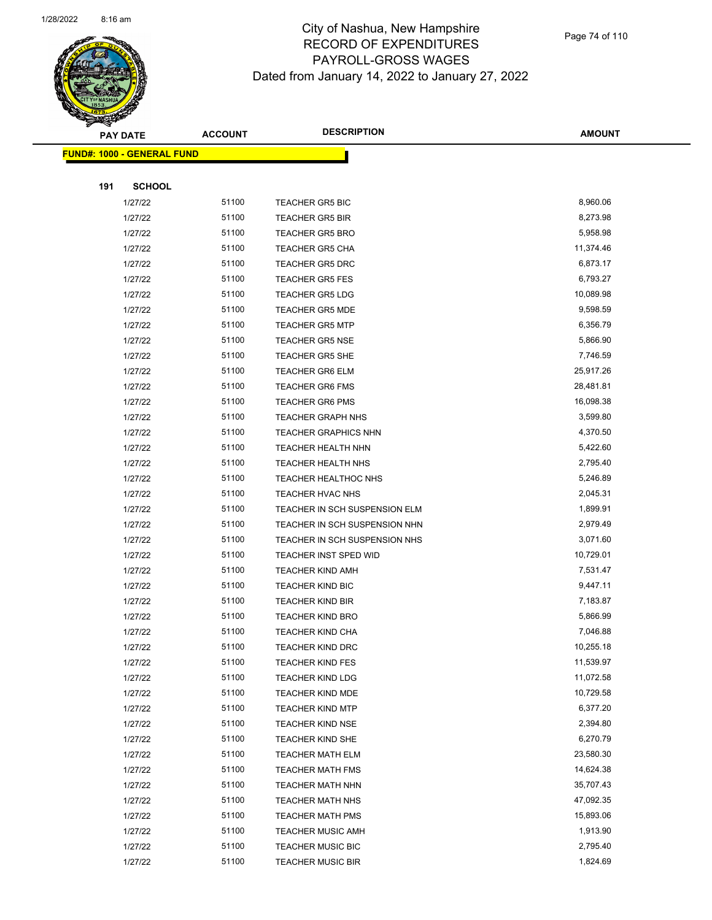

|     | <b>PAY DATE</b>            | <b>ACCOUNT</b> | <b>DESCRIPTION</b>                                  | <b>AMOUNT</b>          |
|-----|----------------------------|----------------|-----------------------------------------------------|------------------------|
|     | FUND#: 1000 - GENERAL FUND |                |                                                     |                        |
|     |                            |                |                                                     |                        |
| 191 | <b>SCHOOL</b>              |                |                                                     |                        |
|     | 1/27/22                    | 51100          | <b>TEACHER GR5 BIC</b>                              | 8,960.06               |
|     | 1/27/22                    | 51100          | <b>TEACHER GR5 BIR</b>                              | 8,273.98               |
|     | 1/27/22                    | 51100          | <b>TEACHER GR5 BRO</b>                              | 5,958.98               |
|     | 1/27/22                    | 51100          | <b>TEACHER GR5 CHA</b>                              | 11,374.46              |
|     | 1/27/22                    | 51100          | <b>TEACHER GR5 DRC</b>                              | 6,873.17               |
|     | 1/27/22                    | 51100          | <b>TEACHER GR5 FES</b>                              | 6,793.27               |
|     | 1/27/22                    | 51100          | <b>TEACHER GR5 LDG</b>                              | 10,089.98              |
|     | 1/27/22                    | 51100          | <b>TEACHER GR5 MDE</b>                              | 9,598.59               |
|     | 1/27/22                    | 51100          | <b>TEACHER GR5 MTP</b>                              | 6,356.79               |
|     | 1/27/22                    | 51100          | <b>TEACHER GR5 NSE</b>                              | 5,866.90               |
|     | 1/27/22                    | 51100          | <b>TEACHER GR5 SHE</b>                              | 7,746.59               |
|     | 1/27/22                    | 51100          | <b>TEACHER GR6 ELM</b>                              | 25,917.26              |
|     | 1/27/22                    | 51100          | <b>TEACHER GR6 FMS</b>                              | 28,481.81              |
|     | 1/27/22                    | 51100          | <b>TEACHER GR6 PMS</b>                              | 16,098.38              |
|     | 1/27/22                    | 51100          | <b>TEACHER GRAPH NHS</b>                            | 3,599.80               |
|     | 1/27/22                    | 51100          | <b>TEACHER GRAPHICS NHN</b>                         | 4,370.50               |
|     | 1/27/22                    | 51100          | <b>TEACHER HEALTH NHN</b>                           | 5,422.60               |
|     | 1/27/22                    | 51100          | <b>TEACHER HEALTH NHS</b>                           | 2,795.40               |
|     | 1/27/22                    | 51100          | <b>TEACHER HEALTHOC NHS</b>                         | 5,246.89               |
|     | 1/27/22                    | 51100          | TEACHER HVAC NHS                                    | 2,045.31               |
|     | 1/27/22                    | 51100          | TEACHER IN SCH SUSPENSION ELM                       | 1,899.91               |
|     | 1/27/22                    | 51100          | TEACHER IN SCH SUSPENSION NHN                       | 2,979.49               |
|     | 1/27/22                    | 51100          | TEACHER IN SCH SUSPENSION NHS                       | 3,071.60               |
|     | 1/27/22                    | 51100          | <b>TEACHER INST SPED WID</b>                        | 10,729.01              |
|     | 1/27/22                    | 51100          | <b>TEACHER KIND AMH</b>                             | 7,531.47               |
|     | 1/27/22                    | 51100          | TEACHER KIND BIC                                    | 9,447.11               |
|     | 1/27/22                    | 51100          | <b>TEACHER KIND BIR</b>                             | 7,183.87               |
|     | 1/27/22                    | 51100          | <b>TEACHER KIND BRO</b>                             | 5,866.99               |
|     | 1/27/22                    | 51100          | <b>TEACHER KIND CHA</b>                             | 7,046.88               |
|     | 1/27/22                    | 51100          | TEACHER KIND DRC                                    | 10,255.18              |
|     | 1/27/22                    | 51100          | <b>TEACHER KIND FES</b>                             | 11,539.97              |
|     | 1/27/22                    | 51100          | <b>TEACHER KIND LDG</b>                             | 11,072.58              |
|     | 1/27/22                    | 51100          | TEACHER KIND MDE                                    | 10,729.58              |
|     | 1/27/22                    | 51100          | <b>TEACHER KIND MTP</b>                             | 6,377.20               |
|     | 1/27/22                    | 51100<br>51100 | <b>TEACHER KIND NSE</b>                             | 2,394.80<br>6,270.79   |
|     | 1/27/22                    | 51100          | <b>TEACHER KIND SHE</b>                             | 23,580.30              |
|     | 1/27/22                    | 51100          | <b>TEACHER MATH ELM</b><br><b>TEACHER MATH FMS</b>  | 14,624.38              |
|     | 1/27/22                    |                |                                                     |                        |
|     | 1/27/22                    | 51100<br>51100 | <b>TEACHER MATH NHN</b>                             | 35,707.43<br>47,092.35 |
|     | 1/27/22                    | 51100          | TEACHER MATH NHS                                    | 15,893.06              |
|     | 1/27/22<br>1/27/22         | 51100          | <b>TEACHER MATH PMS</b><br><b>TEACHER MUSIC AMH</b> | 1,913.90               |
|     | 1/27/22                    | 51100          | <b>TEACHER MUSIC BIC</b>                            | 2,795.40               |
|     | 1/27/22                    | 51100          | <b>TEACHER MUSIC BIR</b>                            | 1,824.69               |
|     |                            |                |                                                     |                        |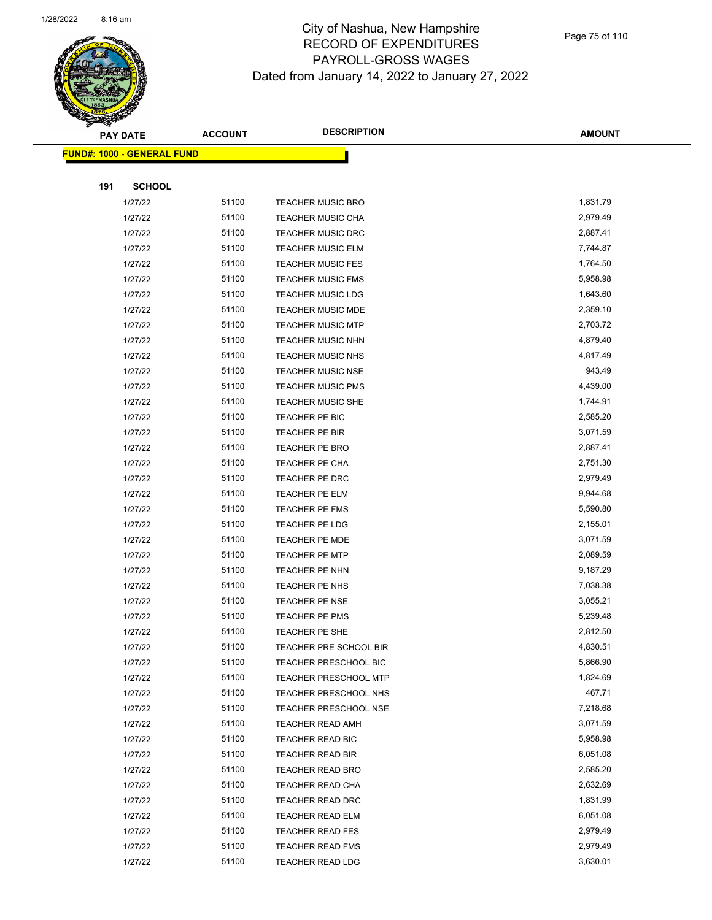

Page 75 of 110

|     | <b>PAY DATE</b>                    | <b>ACCOUNT</b> | <b>DESCRIPTION</b>           | <b>AMOUNT</b> |
|-----|------------------------------------|----------------|------------------------------|---------------|
|     | <u> FUND#: 1000 - GENERAL FUND</u> |                |                              |               |
|     |                                    |                |                              |               |
| 191 | <b>SCHOOL</b>                      |                |                              |               |
|     | 1/27/22                            | 51100          | <b>TEACHER MUSIC BRO</b>     | 1,831.79      |
|     | 1/27/22                            | 51100          | TEACHER MUSIC CHA            | 2,979.49      |
|     | 1/27/22                            | 51100          | <b>TEACHER MUSIC DRC</b>     | 2,887.41      |
|     | 1/27/22                            | 51100          | <b>TEACHER MUSIC ELM</b>     | 7,744.87      |
|     | 1/27/22                            | 51100          | <b>TEACHER MUSIC FES</b>     | 1,764.50      |
|     | 1/27/22                            | 51100          | <b>TEACHER MUSIC FMS</b>     | 5,958.98      |
|     | 1/27/22                            | 51100          | <b>TEACHER MUSIC LDG</b>     | 1,643.60      |
|     | 1/27/22                            | 51100          | TEACHER MUSIC MDE            | 2,359.10      |
|     | 1/27/22                            | 51100          | <b>TEACHER MUSIC MTP</b>     | 2,703.72      |
|     | 1/27/22                            | 51100          | TEACHER MUSIC NHN            | 4,879.40      |
|     | 1/27/22                            | 51100          | <b>TEACHER MUSIC NHS</b>     | 4,817.49      |
|     | 1/27/22                            | 51100          | <b>TEACHER MUSIC NSE</b>     | 943.49        |
|     | 1/27/22                            | 51100          | <b>TEACHER MUSIC PMS</b>     | 4,439.00      |
|     | 1/27/22                            | 51100          | <b>TEACHER MUSIC SHE</b>     | 1,744.91      |
|     | 1/27/22                            | 51100          | TEACHER PE BIC               | 2,585.20      |
|     | 1/27/22                            | 51100          | <b>TEACHER PE BIR</b>        | 3,071.59      |
|     | 1/27/22                            | 51100          | <b>TEACHER PE BRO</b>        | 2,887.41      |
|     | 1/27/22                            | 51100          | TEACHER PE CHA               | 2,751.30      |
|     | 1/27/22                            | 51100          | TEACHER PE DRC               | 2,979.49      |
|     | 1/27/22                            | 51100          | TEACHER PE ELM               | 9,944.68      |
|     | 1/27/22                            | 51100          | <b>TEACHER PE FMS</b>        | 5,590.80      |
|     | 1/27/22                            | 51100          | TEACHER PE LDG               | 2,155.01      |
|     | 1/27/22                            | 51100          | TEACHER PE MDE               | 3,071.59      |
|     | 1/27/22                            | 51100          | <b>TEACHER PE MTP</b>        | 2,089.59      |
|     | 1/27/22                            | 51100          | TEACHER PE NHN               | 9,187.29      |
|     | 1/27/22                            | 51100          | TEACHER PE NHS               | 7,038.38      |
|     | 1/27/22                            | 51100          | TEACHER PE NSE               | 3,055.21      |
|     | 1/27/22                            | 51100          | TEACHER PE PMS               | 5,239.48      |
|     | 1/27/22                            | 51100          | TEACHER PE SHE               | 2,812.50      |
|     | 1/27/22                            | 51100          | TEACHER PRE SCHOOL BIR       | 4,830.51      |
|     | 1/27/22                            | 51100          | <b>TEACHER PRESCHOOL BIC</b> | 5,866.90      |
|     | 1/27/22                            | 51100          | TEACHER PRESCHOOL MTP        | 1,824.69      |
|     | 1/27/22                            | 51100          | TEACHER PRESCHOOL NHS        | 467.71        |
|     | 1/27/22                            | 51100          | <b>TEACHER PRESCHOOL NSE</b> | 7,218.68      |
|     | 1/27/22                            | 51100          | <b>TEACHER READ AMH</b>      | 3,071.59      |
|     | 1/27/22                            | 51100          | TEACHER READ BIC             | 5,958.98      |
|     | 1/27/22                            | 51100          | <b>TEACHER READ BIR</b>      | 6,051.08      |
|     | 1/27/22                            | 51100          | <b>TEACHER READ BRO</b>      | 2,585.20      |
|     | 1/27/22                            | 51100          | TEACHER READ CHA             | 2,632.69      |
|     | 1/27/22                            | 51100          | <b>TEACHER READ DRC</b>      | 1,831.99      |
|     | 1/27/22                            | 51100          | <b>TEACHER READ ELM</b>      | 6,051.08      |
|     | 1/27/22                            | 51100          | <b>TEACHER READ FES</b>      | 2,979.49      |
|     | 1/27/22                            | 51100          | <b>TEACHER READ FMS</b>      | 2,979.49      |
|     | 1/27/22                            | 51100          | <b>TEACHER READ LDG</b>      | 3,630.01      |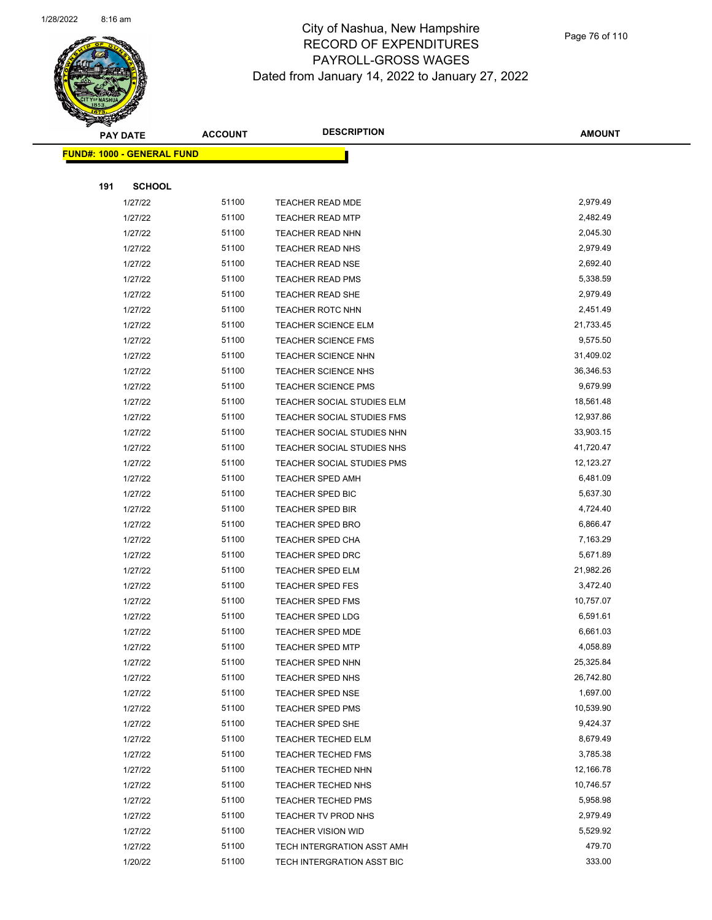

Page 76 of 110

|     | <b>PAY DATE</b>                   | <b>ACCOUNT</b> | <b>DESCRIPTION</b>         | <b>AMOUNT</b> |
|-----|-----------------------------------|----------------|----------------------------|---------------|
|     | <b>FUND#: 1000 - GENERAL FUND</b> |                |                            |               |
|     |                                   |                |                            |               |
| 191 | <b>SCHOOL</b>                     |                |                            |               |
|     | 1/27/22                           | 51100          | TEACHER READ MDE           | 2,979.49      |
|     | 1/27/22                           | 51100          | <b>TEACHER READ MTP</b>    | 2,482.49      |
|     | 1/27/22                           | 51100          | <b>TEACHER READ NHN</b>    | 2,045.30      |
|     | 1/27/22                           | 51100          | <b>TEACHER READ NHS</b>    | 2,979.49      |
|     | 1/27/22                           | 51100          | TEACHER READ NSE           | 2,692.40      |
|     | 1/27/22                           | 51100          | <b>TEACHER READ PMS</b>    | 5,338.59      |
|     | 1/27/22                           | 51100          | TEACHER READ SHE           | 2,979.49      |
|     | 1/27/22                           | 51100          | TEACHER ROTC NHN           | 2,451.49      |
|     | 1/27/22                           | 51100          | <b>TEACHER SCIENCE ELM</b> | 21,733.45     |
|     | 1/27/22                           | 51100          | <b>TEACHER SCIENCE FMS</b> | 9,575.50      |
|     | 1/27/22                           | 51100          | <b>TEACHER SCIENCE NHN</b> | 31,409.02     |
|     | 1/27/22                           | 51100          | TEACHER SCIENCE NHS        | 36,346.53     |
|     | 1/27/22                           | 51100          | <b>TEACHER SCIENCE PMS</b> | 9,679.99      |
|     | 1/27/22                           | 51100          | TEACHER SOCIAL STUDIES ELM | 18,561.48     |
|     | 1/27/22                           | 51100          | TEACHER SOCIAL STUDIES FMS | 12,937.86     |
|     | 1/27/22                           | 51100          | TEACHER SOCIAL STUDIES NHN | 33,903.15     |
|     | 1/27/22                           | 51100          | TEACHER SOCIAL STUDIES NHS | 41,720.47     |
|     | 1/27/22                           | 51100          | TEACHER SOCIAL STUDIES PMS | 12,123.27     |
|     | 1/27/22                           | 51100          | <b>TEACHER SPED AMH</b>    | 6,481.09      |
|     | 1/27/22                           | 51100          | TEACHER SPED BIC           | 5,637.30      |
|     | 1/27/22                           | 51100          | TEACHER SPED BIR           | 4,724.40      |
|     | 1/27/22                           | 51100          | <b>TEACHER SPED BRO</b>    | 6,866.47      |
|     | 1/27/22                           | 51100          | <b>TEACHER SPED CHA</b>    | 7,163.29      |
|     | 1/27/22                           | 51100          | <b>TEACHER SPED DRC</b>    | 5,671.89      |
|     | 1/27/22                           | 51100          | TEACHER SPED ELM           | 21,982.26     |
|     | 1/27/22                           | 51100          | <b>TEACHER SPED FES</b>    | 3,472.40      |
|     | 1/27/22                           | 51100          | <b>TEACHER SPED FMS</b>    | 10,757.07     |
|     | 1/27/22                           | 51100          | TEACHER SPED LDG           | 6,591.61      |
|     | 1/27/22                           | 51100          | <b>TEACHER SPED MDE</b>    | 6,661.03      |
|     | 1/27/22                           | 51100          | TEACHER SPED MTP           | 4,058.89      |
|     | 1/27/22                           | 51100          | <b>TEACHER SPED NHN</b>    | 25,325.84     |
|     | 1/27/22                           | 51100          | <b>TEACHER SPED NHS</b>    | 26,742.80     |
|     | 1/27/22                           | 51100          | <b>TEACHER SPED NSE</b>    | 1,697.00      |
|     | 1/27/22                           | 51100          | <b>TEACHER SPED PMS</b>    | 10,539.90     |
|     | 1/27/22                           | 51100          | TEACHER SPED SHE           | 9,424.37      |
|     | 1/27/22                           | 51100          | <b>TEACHER TECHED ELM</b>  | 8,679.49      |
|     | 1/27/22                           | 51100          | <b>TEACHER TECHED FMS</b>  | 3,785.38      |
|     | 1/27/22                           | 51100          | <b>TEACHER TECHED NHN</b>  | 12,166.78     |
|     | 1/27/22                           | 51100          | <b>TEACHER TECHED NHS</b>  | 10,746.57     |
|     | 1/27/22                           | 51100          | <b>TEACHER TECHED PMS</b>  | 5,958.98      |
|     | 1/27/22                           | 51100          | TEACHER TV PROD NHS        | 2,979.49      |
|     | 1/27/22                           | 51100          | <b>TEACHER VISION WID</b>  | 5,529.92      |
|     | 1/27/22                           | 51100          | TECH INTERGRATION ASST AMH | 479.70        |
|     | 1/20/22                           | 51100          | TECH INTERGRATION ASST BIC | 333.00        |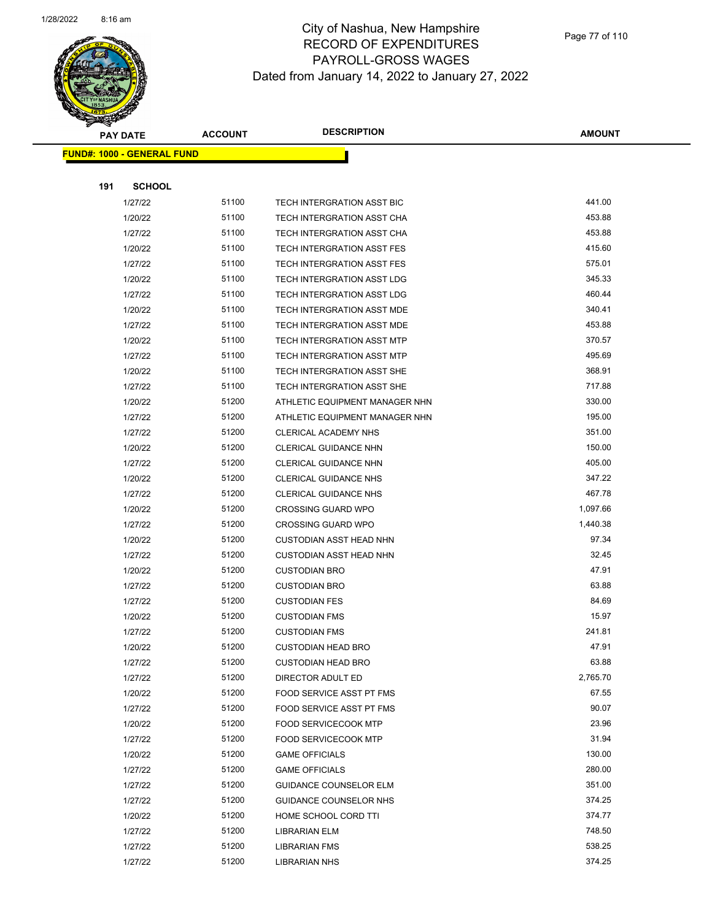

|     | <b>PAY DATE</b>                   | <b>ACCOUNT</b> | <b>DESCRIPTION</b>                | <b>AMOUNT</b> |
|-----|-----------------------------------|----------------|-----------------------------------|---------------|
|     | <b>FUND#: 1000 - GENERAL FUND</b> |                |                                   |               |
|     |                                   |                |                                   |               |
| 191 | <b>SCHOOL</b>                     |                |                                   |               |
|     | 1/27/22                           | 51100          | TECH INTERGRATION ASST BIC        | 441.00        |
|     | 1/20/22                           | 51100          | TECH INTERGRATION ASST CHA        | 453.88        |
|     | 1/27/22                           | 51100          | TECH INTERGRATION ASST CHA        | 453.88        |
|     | 1/20/22                           | 51100          | <b>TECH INTERGRATION ASST FES</b> | 415.60        |
|     | 1/27/22                           | 51100          | TECH INTERGRATION ASST FES        | 575.01        |
|     | 1/20/22                           | 51100          | TECH INTERGRATION ASST LDG        | 345.33        |
|     | 1/27/22                           | 51100          | TECH INTERGRATION ASST LDG        | 460.44        |
|     | 1/20/22                           | 51100          | TECH INTERGRATION ASST MDE        | 340.41        |
|     | 1/27/22                           | 51100          | TECH INTERGRATION ASST MDE        | 453.88        |
|     | 1/20/22                           | 51100          | TECH INTERGRATION ASST MTP        | 370.57        |
|     | 1/27/22                           | 51100          | TECH INTERGRATION ASST MTP        | 495.69        |
|     | 1/20/22                           | 51100          | TECH INTERGRATION ASST SHE        | 368.91        |
|     | 1/27/22                           | 51100          | TECH INTERGRATION ASST SHE        | 717.88        |
|     | 1/20/22                           | 51200          | ATHLETIC EQUIPMENT MANAGER NHN    | 330.00        |
|     | 1/27/22                           | 51200          | ATHLETIC EQUIPMENT MANAGER NHN    | 195.00        |
|     | 1/27/22                           | 51200          | <b>CLERICAL ACADEMY NHS</b>       | 351.00        |
|     | 1/20/22                           | 51200          | CLERICAL GUIDANCE NHN             | 150.00        |
|     | 1/27/22                           | 51200          | CLERICAL GUIDANCE NHN             | 405.00        |
|     | 1/20/22                           | 51200          | <b>CLERICAL GUIDANCE NHS</b>      | 347.22        |
|     | 1/27/22                           | 51200          | <b>CLERICAL GUIDANCE NHS</b>      | 467.78        |
|     | 1/20/22                           | 51200          | <b>CROSSING GUARD WPO</b>         | 1,097.66      |
|     | 1/27/22                           | 51200          | <b>CROSSING GUARD WPO</b>         | 1,440.38      |
|     | 1/20/22                           | 51200          | <b>CUSTODIAN ASST HEAD NHN</b>    | 97.34         |
|     | 1/27/22                           | 51200          | <b>CUSTODIAN ASST HEAD NHN</b>    | 32.45         |
|     | 1/20/22                           | 51200          | <b>CUSTODIAN BRO</b>              | 47.91         |
|     | 1/27/22                           | 51200          | <b>CUSTODIAN BRO</b>              | 63.88         |
|     | 1/27/22                           | 51200          | <b>CUSTODIAN FES</b>              | 84.69         |
|     | 1/20/22                           | 51200          | <b>CUSTODIAN FMS</b>              | 15.97         |
|     | 1/27/22                           | 51200          | <b>CUSTODIAN FMS</b>              | 241.81        |
|     | 1/20/22                           | 51200          | CUSTODIAN HEAD BRO                | 47.91         |
|     | 1/27/22                           | 51200          | <b>CUSTODIAN HEAD BRO</b>         | 63.88         |
|     | 1/27/22                           | 51200          | DIRECTOR ADULT ED                 | 2,765.70      |
|     | 1/20/22                           | 51200          | FOOD SERVICE ASST PT FMS          | 67.55         |
|     | 1/27/22                           | 51200          | FOOD SERVICE ASST PT FMS          | 90.07         |
|     | 1/20/22                           | 51200          | <b>FOOD SERVICECOOK MTP</b>       | 23.96         |
|     | 1/27/22                           | 51200          | FOOD SERVICECOOK MTP              | 31.94         |
|     | 1/20/22                           | 51200          | <b>GAME OFFICIALS</b>             | 130.00        |
|     | 1/27/22                           | 51200          | <b>GAME OFFICIALS</b>             | 280.00        |
|     | 1/27/22                           | 51200          | <b>GUIDANCE COUNSELOR ELM</b>     | 351.00        |
|     | 1/27/22                           | 51200          | <b>GUIDANCE COUNSELOR NHS</b>     | 374.25        |
|     | 1/20/22                           | 51200          | HOME SCHOOL CORD TTI              | 374.77        |
|     | 1/27/22                           | 51200          | LIBRARIAN ELM                     | 748.50        |
|     | 1/27/22                           | 51200          | <b>LIBRARIAN FMS</b>              | 538.25        |
|     | 1/27/22                           | 51200          | <b>LIBRARIAN NHS</b>              | 374.25        |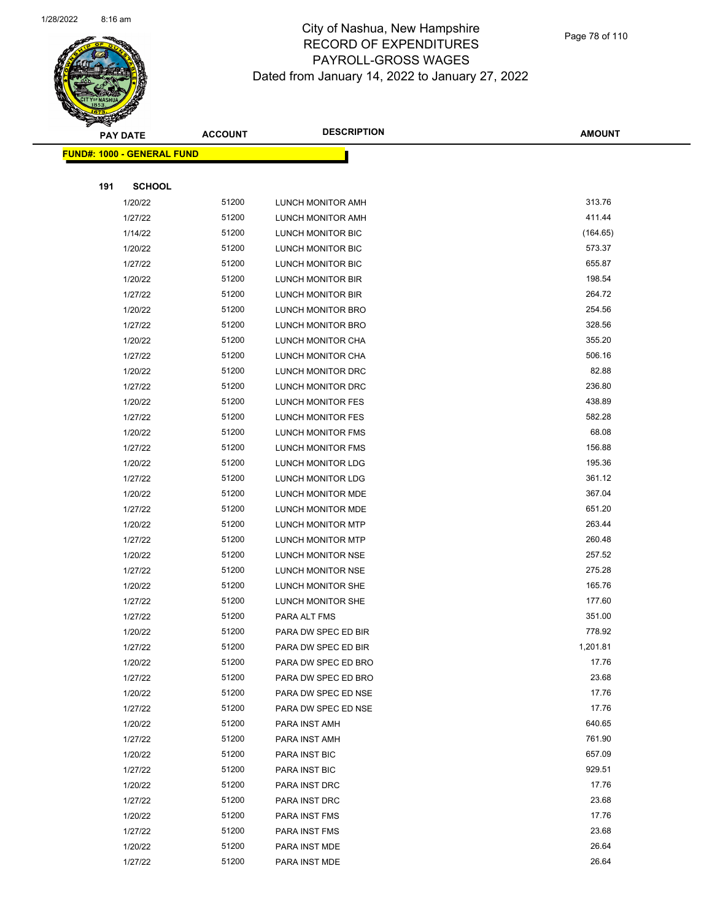

Page 78 of 110

|     | <b>PAY DATE</b>                   | <b>ACCOUNT</b> | <b>DESCRIPTION</b>       | <b>AMOUNT</b> |  |
|-----|-----------------------------------|----------------|--------------------------|---------------|--|
|     | <b>FUND#: 1000 - GENERAL FUND</b> |                |                          |               |  |
|     |                                   |                |                          |               |  |
| 191 | <b>SCHOOL</b>                     |                |                          |               |  |
|     | 1/20/22                           | 51200          | LUNCH MONITOR AMH        | 313.76        |  |
|     | 1/27/22                           | 51200          | LUNCH MONITOR AMH        | 411.44        |  |
|     | 1/14/22                           | 51200          | LUNCH MONITOR BIC        | (164.65)      |  |
|     | 1/20/22                           | 51200          | LUNCH MONITOR BIC        | 573.37        |  |
|     | 1/27/22                           | 51200          | LUNCH MONITOR BIC        | 655.87        |  |
|     | 1/20/22                           | 51200          | LUNCH MONITOR BIR        | 198.54        |  |
|     | 1/27/22                           | 51200          | LUNCH MONITOR BIR        | 264.72        |  |
|     | 1/20/22                           | 51200          | LUNCH MONITOR BRO        | 254.56        |  |
|     | 1/27/22                           | 51200          | LUNCH MONITOR BRO        | 328.56        |  |
|     | 1/20/22                           | 51200          | LUNCH MONITOR CHA        | 355.20        |  |
|     | 1/27/22                           | 51200          | LUNCH MONITOR CHA        | 506.16        |  |
|     | 1/20/22                           | 51200          | LUNCH MONITOR DRC        | 82.88         |  |
|     | 1/27/22                           | 51200          | LUNCH MONITOR DRC        | 236.80        |  |
|     | 1/20/22                           | 51200          | LUNCH MONITOR FES        | 438.89        |  |
|     | 1/27/22                           | 51200          | LUNCH MONITOR FES        | 582.28        |  |
|     | 1/20/22                           | 51200          | <b>LUNCH MONITOR FMS</b> | 68.08         |  |
|     | 1/27/22                           | 51200          | LUNCH MONITOR FMS        | 156.88        |  |
|     | 1/20/22                           | 51200          | LUNCH MONITOR LDG        | 195.36        |  |
|     | 1/27/22                           | 51200          | LUNCH MONITOR LDG        | 361.12        |  |
|     | 1/20/22                           | 51200          | LUNCH MONITOR MDE        | 367.04        |  |
|     | 1/27/22                           | 51200          | LUNCH MONITOR MDE        | 651.20        |  |
|     | 1/20/22                           | 51200          | LUNCH MONITOR MTP        | 263.44        |  |
|     | 1/27/22                           | 51200          | LUNCH MONITOR MTP        | 260.48        |  |
|     | 1/20/22                           | 51200          | LUNCH MONITOR NSE        | 257.52        |  |
|     | 1/27/22                           | 51200          | LUNCH MONITOR NSE        | 275.28        |  |
|     | 1/20/22                           | 51200          | LUNCH MONITOR SHE        | 165.76        |  |
|     | 1/27/22                           | 51200          | LUNCH MONITOR SHE        | 177.60        |  |
|     | 1/27/22                           | 51200          | PARA ALT FMS             | 351.00        |  |
|     | 1/20/22                           | 51200          | PARA DW SPEC ED BIR      | 778.92        |  |
|     | 1/27/22                           | 51200          | PARA DW SPEC ED BIR      | 1,201.81      |  |
|     | 1/20/22                           | 51200          | PARA DW SPEC ED BRO      | 17.76         |  |
|     | 1/27/22                           | 51200          | PARA DW SPEC ED BRO      | 23.68         |  |
|     | 1/20/22                           | 51200          | PARA DW SPEC ED NSE      | 17.76         |  |
|     | 1/27/22                           | 51200          | PARA DW SPEC ED NSE      | 17.76         |  |
|     | 1/20/22                           | 51200          | PARA INST AMH            | 640.65        |  |
|     | 1/27/22                           | 51200          | PARA INST AMH            | 761.90        |  |
|     | 1/20/22                           | 51200          | PARA INST BIC            | 657.09        |  |
|     | 1/27/22                           | 51200          | PARA INST BIC            | 929.51        |  |
|     | 1/20/22                           | 51200          | PARA INST DRC            | 17.76         |  |
|     | 1/27/22                           | 51200          | PARA INST DRC            | 23.68         |  |
|     | 1/20/22                           | 51200          | PARA INST FMS            | 17.76         |  |
|     | 1/27/22                           | 51200          | PARA INST FMS            | 23.68         |  |
|     | 1/20/22                           | 51200          | PARA INST MDE            | 26.64         |  |
|     | 1/27/22                           | 51200          | PARA INST MDE            | 26.64         |  |
|     |                                   |                |                          |               |  |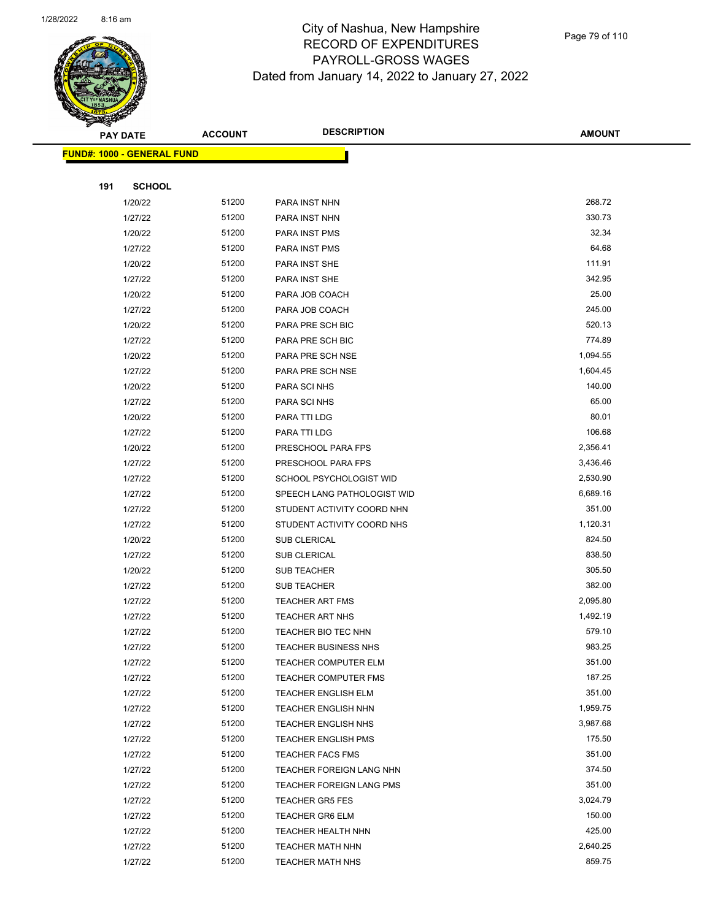

|     | <b>PAY DATE</b>                    | <b>ACCOUNT</b> | <b>DESCRIPTION</b>          | <b>AMOUNT</b> |
|-----|------------------------------------|----------------|-----------------------------|---------------|
|     | <u> FUND#: 1000 - GENERAL FUND</u> |                |                             |               |
|     |                                    |                |                             |               |
| 191 | <b>SCHOOL</b>                      |                |                             |               |
|     | 1/20/22                            | 51200          | PARA INST NHN               | 268.72        |
|     | 1/27/22                            | 51200          | PARA INST NHN               | 330.73        |
|     | 1/20/22                            | 51200          | PARA INST PMS               | 32.34         |
|     | 1/27/22                            | 51200          | PARA INST PMS               | 64.68         |
|     | 1/20/22                            | 51200          | PARA INST SHE               | 111.91        |
|     | 1/27/22                            | 51200          | PARA INST SHE               | 342.95        |
|     | 1/20/22                            | 51200          | PARA JOB COACH              | 25.00         |
|     | 1/27/22                            | 51200          | PARA JOB COACH              | 245.00        |
|     | 1/20/22                            | 51200          | PARA PRE SCH BIC            | 520.13        |
|     | 1/27/22                            | 51200          | PARA PRE SCH BIC            | 774.89        |
|     | 1/20/22                            | 51200          | PARA PRE SCH NSE            | 1,094.55      |
|     | 1/27/22                            | 51200          | PARA PRE SCH NSE            | 1,604.45      |
|     | 1/20/22                            | 51200          | PARA SCI NHS                | 140.00        |
|     | 1/27/22                            | 51200          | PARA SCI NHS                | 65.00         |
|     | 1/20/22                            | 51200          | PARA TTI LDG                | 80.01         |
|     | 1/27/22                            | 51200          | PARA TTI LDG                | 106.68        |
|     | 1/20/22                            | 51200          | PRESCHOOL PARA FPS          | 2,356.41      |
|     | 1/27/22                            | 51200          | PRESCHOOL PARA FPS          | 3,436.46      |
|     | 1/27/22                            | 51200          | SCHOOL PSYCHOLOGIST WID     | 2,530.90      |
|     | 1/27/22                            | 51200          | SPEECH LANG PATHOLOGIST WID | 6,689.16      |
|     | 1/27/22                            | 51200          | STUDENT ACTIVITY COORD NHN  | 351.00        |
|     | 1/27/22                            | 51200          | STUDENT ACTIVITY COORD NHS  | 1,120.31      |
|     | 1/20/22                            | 51200          | <b>SUB CLERICAL</b>         | 824.50        |
|     | 1/27/22                            | 51200          | <b>SUB CLERICAL</b>         | 838.50        |
|     | 1/20/22                            | 51200          | SUB TEACHER                 | 305.50        |
|     | 1/27/22                            | 51200          | <b>SUB TEACHER</b>          | 382.00        |
|     | 1/27/22                            | 51200          | <b>TEACHER ART FMS</b>      | 2,095.80      |
|     | 1/27/22                            | 51200          | <b>TEACHER ART NHS</b>      | 1,492.19      |
|     | 1/27/22                            | 51200          | TEACHER BIO TEC NHN         | 579.10        |
|     | 1/27/22                            | 51200          | TEACHER BUSINESS NHS        | 983.25        |
|     | 1/27/22                            | 51200          | <b>TEACHER COMPUTER ELM</b> | 351.00        |
|     | 1/27/22                            | 51200          | <b>TEACHER COMPUTER FMS</b> | 187.25        |
|     | 1/27/22                            | 51200          | <b>TEACHER ENGLISH ELM</b>  | 351.00        |
|     | 1/27/22                            | 51200          | <b>TEACHER ENGLISH NHN</b>  | 1,959.75      |
|     | 1/27/22                            | 51200          | <b>TEACHER ENGLISH NHS</b>  | 3,987.68      |
|     | 1/27/22                            | 51200          | <b>TEACHER ENGLISH PMS</b>  | 175.50        |
|     | 1/27/22                            | 51200          | <b>TEACHER FACS FMS</b>     | 351.00        |
|     | 1/27/22                            | 51200          | TEACHER FOREIGN LANG NHN    | 374.50        |
|     | 1/27/22                            | 51200          | TEACHER FOREIGN LANG PMS    | 351.00        |
|     | 1/27/22                            | 51200          | <b>TEACHER GR5 FES</b>      | 3,024.79      |
|     | 1/27/22                            | 51200          | <b>TEACHER GR6 ELM</b>      | 150.00        |
|     | 1/27/22                            | 51200          | <b>TEACHER HEALTH NHN</b>   | 425.00        |
|     | 1/27/22                            | 51200          | <b>TEACHER MATH NHN</b>     | 2,640.25      |
|     | 1/27/22                            | 51200          | TEACHER MATH NHS            | 859.75        |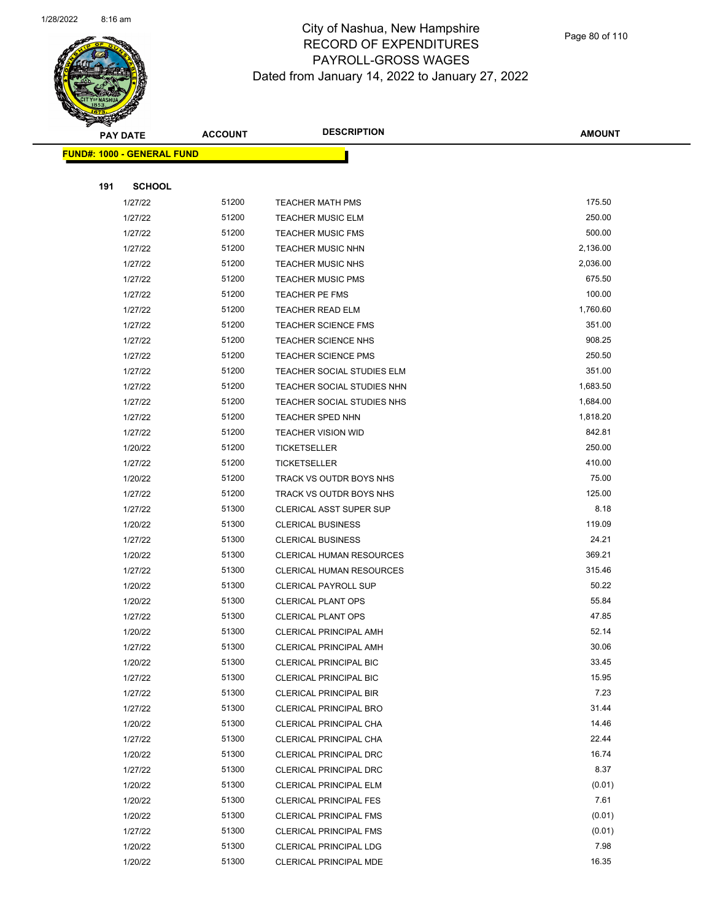

Page 80 of 110

|     | <b>PAY DATE</b>                   | <b>ACCOUNT</b> | <b>DESCRIPTION</b>                                         | <b>AMOUNT</b>  |
|-----|-----------------------------------|----------------|------------------------------------------------------------|----------------|
|     | <b>FUND#: 1000 - GENERAL FUND</b> |                |                                                            |                |
|     |                                   |                |                                                            |                |
| 191 | <b>SCHOOL</b>                     |                |                                                            |                |
|     | 1/27/22                           | 51200          | <b>TEACHER MATH PMS</b>                                    | 175.50         |
|     | 1/27/22                           | 51200          | <b>TEACHER MUSIC ELM</b>                                   | 250.00         |
|     | 1/27/22                           | 51200          | <b>TEACHER MUSIC FMS</b>                                   | 500.00         |
|     | 1/27/22                           | 51200          | <b>TEACHER MUSIC NHN</b>                                   | 2,136.00       |
|     | 1/27/22                           | 51200          | <b>TEACHER MUSIC NHS</b>                                   | 2,036.00       |
|     | 1/27/22                           | 51200          | <b>TEACHER MUSIC PMS</b>                                   | 675.50         |
|     | 1/27/22                           | 51200          | <b>TEACHER PE FMS</b>                                      | 100.00         |
|     | 1/27/22                           | 51200          | <b>TEACHER READ ELM</b>                                    | 1,760.60       |
|     | 1/27/22                           | 51200          | <b>TEACHER SCIENCE FMS</b>                                 | 351.00         |
|     | 1/27/22                           | 51200          | <b>TEACHER SCIENCE NHS</b>                                 | 908.25         |
|     | 1/27/22                           | 51200          | <b>TEACHER SCIENCE PMS</b>                                 | 250.50         |
|     | 1/27/22                           | 51200          | TEACHER SOCIAL STUDIES ELM                                 | 351.00         |
|     | 1/27/22                           | 51200          | TEACHER SOCIAL STUDIES NHN                                 | 1,683.50       |
|     | 1/27/22                           | 51200          | TEACHER SOCIAL STUDIES NHS                                 | 1,684.00       |
|     | 1/27/22                           | 51200          | <b>TEACHER SPED NHN</b>                                    | 1,818.20       |
|     | 1/27/22                           | 51200          | <b>TEACHER VISION WID</b>                                  | 842.81         |
|     | 1/20/22                           | 51200          | <b>TICKETSELLER</b>                                        | 250.00         |
|     | 1/27/22                           | 51200          | <b>TICKETSELLER</b>                                        | 410.00         |
|     | 1/20/22                           | 51200          | TRACK VS OUTDR BOYS NHS                                    | 75.00          |
|     | 1/27/22                           | 51200          | TRACK VS OUTDR BOYS NHS                                    | 125.00         |
|     | 1/27/22                           | 51300          | <b>CLERICAL ASST SUPER SUP</b>                             | 8.18           |
|     | 1/20/22                           | 51300          | <b>CLERICAL BUSINESS</b>                                   | 119.09         |
|     | 1/27/22                           | 51300          | <b>CLERICAL BUSINESS</b>                                   | 24.21          |
|     | 1/20/22                           | 51300          | <b>CLERICAL HUMAN RESOURCES</b>                            | 369.21         |
|     | 1/27/22                           | 51300          | <b>CLERICAL HUMAN RESOURCES</b>                            | 315.46         |
|     | 1/20/22                           | 51300          | <b>CLERICAL PAYROLL SUP</b>                                | 50.22<br>55.84 |
|     | 1/20/22                           | 51300          | <b>CLERICAL PLANT OPS</b>                                  | 47.85          |
|     | 1/27/22<br>1/20/22                | 51300<br>51300 | <b>CLERICAL PLANT OPS</b><br><b>CLERICAL PRINCIPAL AMH</b> | 52.14          |
|     | 1/27/22                           | 51300          |                                                            | 30.06          |
|     | 1/20/22                           | 51300          | CLERICAL PRINCIPAL AMH<br><b>CLERICAL PRINCIPAL BIC</b>    | 33.45          |
|     | 1/27/22                           | 51300          | CLERICAL PRINCIPAL BIC                                     | 15.95          |
|     | 1/27/22                           | 51300          | CLERICAL PRINCIPAL BIR                                     | 7.23           |
|     | 1/27/22                           | 51300          | <b>CLERICAL PRINCIPAL BRO</b>                              | 31.44          |
|     | 1/20/22                           | 51300          | CLERICAL PRINCIPAL CHA                                     | 14.46          |
|     | 1/27/22                           | 51300          | CLERICAL PRINCIPAL CHA                                     | 22.44          |
|     | 1/20/22                           | 51300          | <b>CLERICAL PRINCIPAL DRC</b>                              | 16.74          |
|     | 1/27/22                           | 51300          | CLERICAL PRINCIPAL DRC                                     | 8.37           |
|     | 1/20/22                           | 51300          | <b>CLERICAL PRINCIPAL ELM</b>                              | (0.01)         |
|     | 1/20/22                           | 51300          | <b>CLERICAL PRINCIPAL FES</b>                              | 7.61           |
|     | 1/20/22                           | 51300          | CLERICAL PRINCIPAL FMS                                     | (0.01)         |
|     | 1/27/22                           | 51300          | <b>CLERICAL PRINCIPAL FMS</b>                              | (0.01)         |
|     | 1/20/22                           | 51300          | CLERICAL PRINCIPAL LDG                                     | 7.98           |
|     | 1/20/22                           | 51300          | CLERICAL PRINCIPAL MDE                                     | 16.35          |
|     |                                   |                |                                                            |                |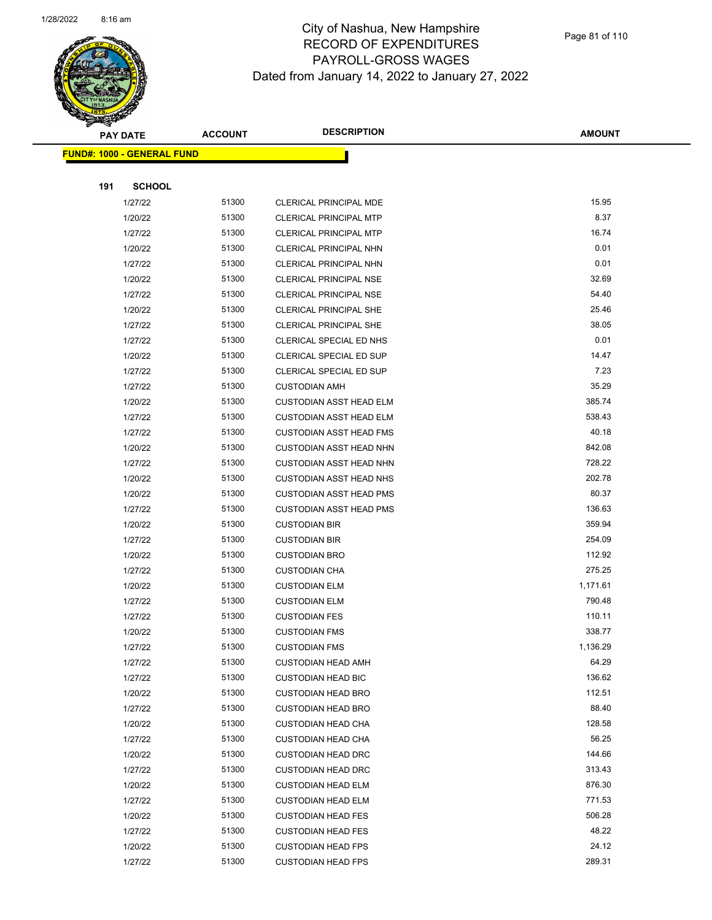

Page 81 of 110

|     | <b>PAY DATE</b>                    | <b>ACCOUNT</b> | <b>DESCRIPTION</b>             | <b>AMOUNT</b> |
|-----|------------------------------------|----------------|--------------------------------|---------------|
|     | <u> FUND#: 1000 - GENERAL FUND</u> |                |                                |               |
|     |                                    |                |                                |               |
| 191 | <b>SCHOOL</b>                      |                |                                |               |
|     | 1/27/22                            | 51300          | <b>CLERICAL PRINCIPAL MDE</b>  | 15.95         |
|     | 1/20/22                            | 51300          | <b>CLERICAL PRINCIPAL MTP</b>  | 8.37          |
|     | 1/27/22                            | 51300          | <b>CLERICAL PRINCIPAL MTP</b>  | 16.74         |
|     | 1/20/22                            | 51300          | CLERICAL PRINCIPAL NHN         | 0.01          |
|     | 1/27/22                            | 51300          | CLERICAL PRINCIPAL NHN         | 0.01          |
|     | 1/20/22                            | 51300          | CLERICAL PRINCIPAL NSE         | 32.69         |
|     | 1/27/22                            | 51300          | <b>CLERICAL PRINCIPAL NSE</b>  | 54.40         |
|     | 1/20/22                            | 51300          | <b>CLERICAL PRINCIPAL SHE</b>  | 25.46         |
|     | 1/27/22                            | 51300          | CLERICAL PRINCIPAL SHE         | 38.05         |
|     | 1/27/22                            | 51300          | CLERICAL SPECIAL ED NHS        | 0.01          |
|     | 1/20/22                            | 51300          | <b>CLERICAL SPECIAL ED SUP</b> | 14.47         |
|     | 1/27/22                            | 51300          | <b>CLERICAL SPECIAL ED SUP</b> | 7.23          |
|     | 1/27/22                            | 51300          | <b>CUSTODIAN AMH</b>           | 35.29         |
|     | 1/20/22                            | 51300          | <b>CUSTODIAN ASST HEAD ELM</b> | 385.74        |
|     | 1/27/22                            | 51300          | <b>CUSTODIAN ASST HEAD ELM</b> | 538.43        |
|     | 1/27/22                            | 51300          | <b>CUSTODIAN ASST HEAD FMS</b> | 40.18         |
|     | 1/20/22                            | 51300          | <b>CUSTODIAN ASST HEAD NHN</b> | 842.08        |
|     | 1/27/22                            | 51300          | <b>CUSTODIAN ASST HEAD NHN</b> | 728.22        |
|     | 1/20/22                            | 51300          | <b>CUSTODIAN ASST HEAD NHS</b> | 202.78        |
|     | 1/20/22                            | 51300          | <b>CUSTODIAN ASST HEAD PMS</b> | 80.37         |
|     | 1/27/22                            | 51300          | <b>CUSTODIAN ASST HEAD PMS</b> | 136.63        |
|     | 1/20/22                            | 51300          | <b>CUSTODIAN BIR</b>           | 359.94        |
|     | 1/27/22                            | 51300          | <b>CUSTODIAN BIR</b>           | 254.09        |
|     | 1/20/22                            | 51300          | <b>CUSTODIAN BRO</b>           | 112.92        |
|     | 1/27/22                            | 51300          | <b>CUSTODIAN CHA</b>           | 275.25        |
|     | 1/20/22                            | 51300          | <b>CUSTODIAN ELM</b>           | 1,171.61      |
|     | 1/27/22                            | 51300          | <b>CUSTODIAN ELM</b>           | 790.48        |
|     | 1/27/22                            | 51300          | <b>CUSTODIAN FES</b>           | 110.11        |
|     | 1/20/22                            | 51300          | <b>CUSTODIAN FMS</b>           | 338.77        |
|     | 1/27/22                            | 51300          | <b>CUSTODIAN FMS</b>           | 1,136.29      |
|     | 1/27/22                            | 51300          | <b>CUSTODIAN HEAD AMH</b>      | 64.29         |
|     | 1/27/22                            | 51300          | <b>CUSTODIAN HEAD BIC</b>      | 136.62        |
|     | 1/20/22                            | 51300          | <b>CUSTODIAN HEAD BRO</b>      | 112.51        |
|     | 1/27/22                            | 51300          | <b>CUSTODIAN HEAD BRO</b>      | 88.40         |
|     | 1/20/22                            | 51300          | <b>CUSTODIAN HEAD CHA</b>      | 128.58        |
|     | 1/27/22                            | 51300          | <b>CUSTODIAN HEAD CHA</b>      | 56.25         |
|     | 1/20/22                            | 51300          | <b>CUSTODIAN HEAD DRC</b>      | 144.66        |
|     | 1/27/22                            | 51300          | <b>CUSTODIAN HEAD DRC</b>      | 313.43        |
|     | 1/20/22                            | 51300          | <b>CUSTODIAN HEAD ELM</b>      | 876.30        |
|     | 1/27/22                            | 51300          | <b>CUSTODIAN HEAD ELM</b>      | 771.53        |
|     | 1/20/22                            | 51300          | <b>CUSTODIAN HEAD FES</b>      | 506.28        |
|     | 1/27/22                            | 51300          | <b>CUSTODIAN HEAD FES</b>      | 48.22         |
|     | 1/20/22                            | 51300          | <b>CUSTODIAN HEAD FPS</b>      | 24.12         |
|     | 1/27/22                            | 51300          | <b>CUSTODIAN HEAD FPS</b>      | 289.31        |
|     |                                    |                |                                |               |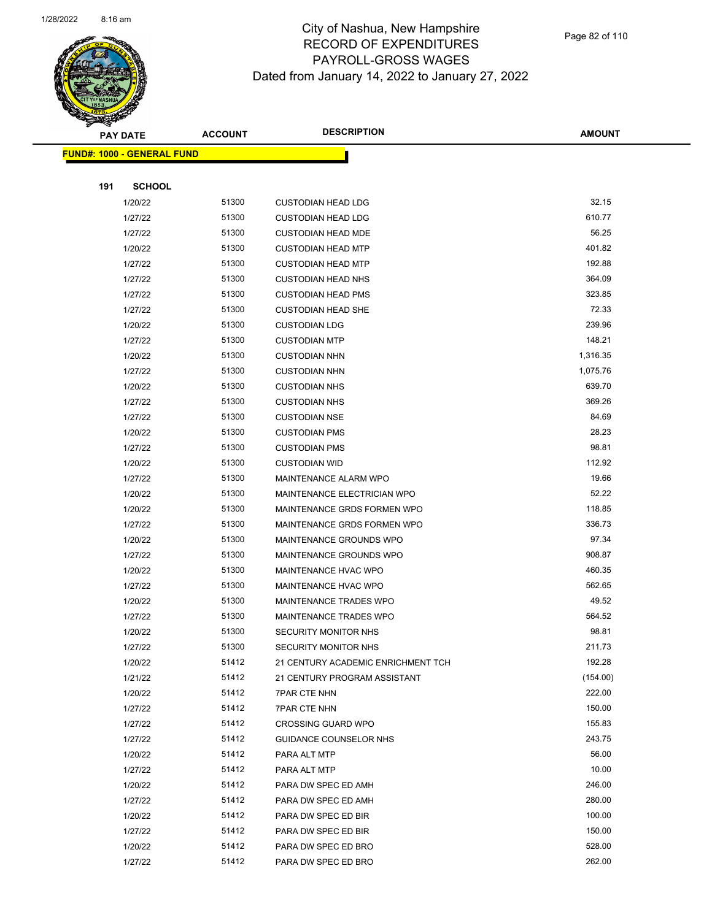

Page 82 of 110

|     | <b>PAY DATE</b>                   | <b>ACCOUNT</b> | <b>DESCRIPTION</b>                                  | <b>AMOUNT</b>    |
|-----|-----------------------------------|----------------|-----------------------------------------------------|------------------|
|     | <b>FUND#: 1000 - GENERAL FUND</b> |                |                                                     |                  |
|     |                                   |                |                                                     |                  |
| 191 | <b>SCHOOL</b>                     |                |                                                     |                  |
|     | 1/20/22                           | 51300          | <b>CUSTODIAN HEAD LDG</b>                           | 32.15            |
|     | 1/27/22                           | 51300          | <b>CUSTODIAN HEAD LDG</b>                           | 610.77           |
|     | 1/27/22                           | 51300          | <b>CUSTODIAN HEAD MDE</b>                           | 56.25            |
|     | 1/20/22                           | 51300          | <b>CUSTODIAN HEAD MTP</b>                           | 401.82           |
|     | 1/27/22                           | 51300          | <b>CUSTODIAN HEAD MTP</b>                           | 192.88           |
|     | 1/27/22                           | 51300          | <b>CUSTODIAN HEAD NHS</b>                           | 364.09           |
|     | 1/27/22                           | 51300          | <b>CUSTODIAN HEAD PMS</b>                           | 323.85           |
|     | 1/27/22                           | 51300          | <b>CUSTODIAN HEAD SHE</b>                           | 72.33            |
|     | 1/20/22                           | 51300          | <b>CUSTODIAN LDG</b>                                | 239.96           |
|     | 1/27/22                           | 51300          | <b>CUSTODIAN MTP</b>                                | 148.21           |
|     | 1/20/22                           | 51300          | <b>CUSTODIAN NHN</b>                                | 1,316.35         |
|     | 1/27/22                           | 51300          | <b>CUSTODIAN NHN</b>                                | 1,075.76         |
|     | 1/20/22                           | 51300          | <b>CUSTODIAN NHS</b>                                | 639.70           |
|     | 1/27/22                           | 51300          | <b>CUSTODIAN NHS</b>                                | 369.26           |
|     | 1/27/22                           | 51300          | <b>CUSTODIAN NSE</b>                                | 84.69            |
|     | 1/20/22                           | 51300          | <b>CUSTODIAN PMS</b>                                | 28.23            |
|     | 1/27/22                           | 51300          | <b>CUSTODIAN PMS</b>                                | 98.81            |
|     | 1/20/22                           | 51300          | <b>CUSTODIAN WID</b>                                | 112.92           |
|     | 1/27/22                           | 51300          | MAINTENANCE ALARM WPO                               | 19.66            |
|     | 1/20/22                           | 51300          | MAINTENANCE ELECTRICIAN WPO                         | 52.22            |
|     | 1/20/22                           | 51300          | MAINTENANCE GRDS FORMEN WPO                         | 118.85           |
|     | 1/27/22                           | 51300          | MAINTENANCE GRDS FORMEN WPO                         | 336.73           |
|     | 1/20/22                           | 51300          | MAINTENANCE GROUNDS WPO                             | 97.34            |
|     | 1/27/22                           | 51300          | MAINTENANCE GROUNDS WPO                             | 908.87           |
|     | 1/20/22                           | 51300          | MAINTENANCE HVAC WPO                                | 460.35           |
|     | 1/27/22                           | 51300          | MAINTENANCE HVAC WPO                                | 562.65           |
|     | 1/20/22                           | 51300          | MAINTENANCE TRADES WPO                              | 49.52            |
|     | 1/27/22                           | 51300          | MAINTENANCE TRADES WPO                              | 564.52           |
|     | 1/20/22                           | 51300          | SECURITY MONITOR NHS                                | 98.81            |
|     | 1/27/22                           | 51300          | SECURITY MONITOR NHS                                | 211.73           |
|     | 1/20/22                           | 51412          | 21 CENTURY ACADEMIC ENRICHMENT TCH                  | 192.28           |
|     | 1/21/22                           | 51412          | 21 CENTURY PROGRAM ASSISTANT                        | (154.00)         |
|     | 1/20/22                           | 51412          | <b>7PAR CTE NHN</b>                                 | 222.00           |
|     | 1/27/22                           | 51412<br>51412 | <b>7PAR CTE NHN</b>                                 | 150.00<br>155.83 |
|     | 1/27/22<br>1/27/22                | 51412          | <b>CROSSING GUARD WPO</b><br>GUIDANCE COUNSELOR NHS | 243.75           |
|     | 1/20/22                           | 51412          | PARA ALT MTP                                        | 56.00            |
|     | 1/27/22                           | 51412          | PARA ALT MTP                                        | 10.00            |
|     | 1/20/22                           | 51412          | PARA DW SPEC ED AMH                                 | 246.00           |
|     | 1/27/22                           | 51412          | PARA DW SPEC ED AMH                                 | 280.00           |
|     | 1/20/22                           | 51412          | PARA DW SPEC ED BIR                                 | 100.00           |
|     | 1/27/22                           | 51412          | PARA DW SPEC ED BIR                                 | 150.00           |
|     | 1/20/22                           | 51412          | PARA DW SPEC ED BRO                                 | 528.00           |
|     | 1/27/22                           | 51412          | PARA DW SPEC ED BRO                                 | 262.00           |
|     |                                   |                |                                                     |                  |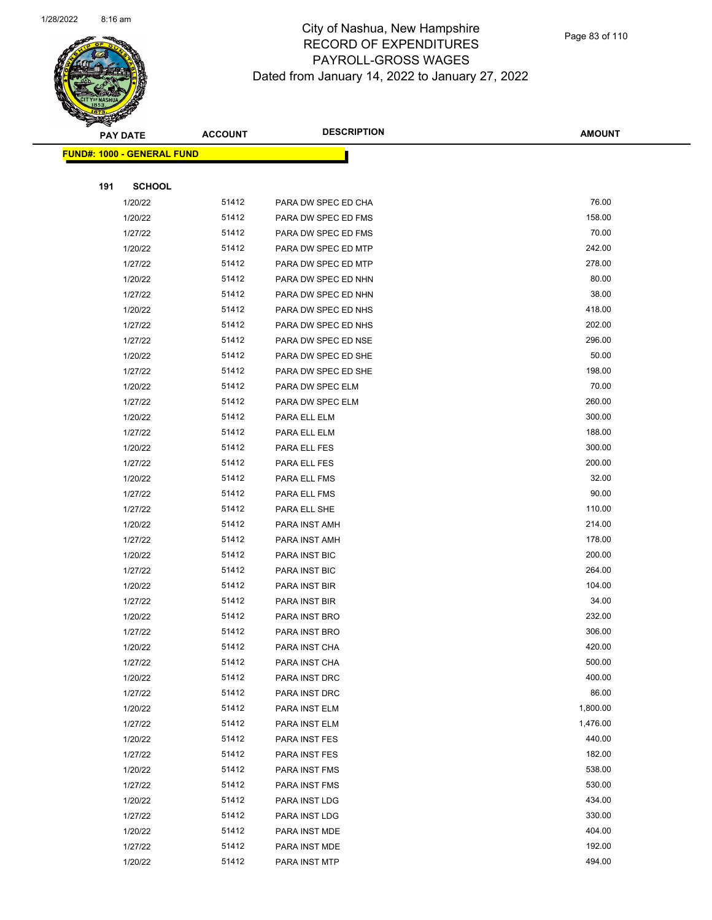

Page 83 of 110

 $\overline{\phantom{0}}$ 

|     | <b>PAY DATE</b>                    | <b>ACCOUNT</b> | <b>DESCRIPTION</b>  | <b>AMOUNT</b> |
|-----|------------------------------------|----------------|---------------------|---------------|
|     | <u> FUND#: 1000 - GENERAL FUND</u> |                |                     |               |
|     |                                    |                |                     |               |
| 191 | <b>SCHOOL</b>                      |                |                     |               |
|     | 1/20/22                            | 51412          | PARA DW SPEC ED CHA | 76.00         |
|     | 1/20/22                            | 51412          | PARA DW SPEC ED FMS | 158.00        |
|     | 1/27/22                            | 51412          | PARA DW SPEC ED FMS | 70.00         |
|     | 1/20/22                            | 51412          | PARA DW SPEC ED MTP | 242.00        |
|     | 1/27/22                            | 51412          | PARA DW SPEC ED MTP | 278.00        |
|     | 1/20/22                            | 51412          | PARA DW SPEC ED NHN | 80.00         |
|     | 1/27/22                            | 51412          | PARA DW SPEC ED NHN | 38.00         |
|     | 1/20/22                            | 51412          | PARA DW SPEC ED NHS | 418.00        |
|     | 1/27/22                            | 51412          | PARA DW SPEC ED NHS | 202.00        |
|     | 1/27/22                            | 51412          | PARA DW SPEC ED NSE | 296.00        |
|     | 1/20/22                            | 51412          | PARA DW SPEC ED SHE | 50.00         |
|     | 1/27/22                            | 51412          | PARA DW SPEC ED SHE | 198.00        |
|     | 1/20/22                            | 51412          | PARA DW SPEC ELM    | 70.00         |
|     | 1/27/22                            | 51412          | PARA DW SPEC ELM    | 260.00        |
|     | 1/20/22                            | 51412          | PARA ELL ELM        | 300.00        |
|     | 1/27/22                            | 51412          | PARA ELL ELM        | 188.00        |
|     | 1/20/22                            | 51412          | PARA ELL FES        | 300.00        |
|     | 1/27/22                            | 51412          | PARA ELL FES        | 200.00        |
|     | 1/20/22                            | 51412          | PARA ELL FMS        | 32.00         |
|     | 1/27/22                            | 51412          | PARA ELL FMS        | 90.00         |
|     | 1/27/22                            | 51412          | PARA ELL SHE        | 110.00        |
|     | 1/20/22                            | 51412          | PARA INST AMH       | 214.00        |
|     | 1/27/22                            | 51412          | PARA INST AMH       | 178.00        |
|     | 1/20/22                            | 51412          | PARA INST BIC       | 200.00        |
|     | 1/27/22                            | 51412          | PARA INST BIC       | 264.00        |
|     | 1/20/22                            | 51412          | PARA INST BIR       | 104.00        |
|     | 1/27/22                            | 51412          | PARA INST BIR       | 34.00         |
|     | 1/20/22                            | 51412          | PARA INST BRO       | 232.00        |
|     | 1/27/22                            | 51412          | PARA INST BRO       | 306.00        |
|     | 1/20/22                            | 51412          | PARA INST CHA       | 420.00        |
|     | 1/27/22                            | 51412          | PARA INST CHA       | 500.00        |
|     | 1/20/22                            | 51412          | PARA INST DRC       | 400.00        |
|     | 1/27/22                            | 51412          | PARA INST DRC       | 86.00         |
|     | 1/20/22                            | 51412          | PARA INST ELM       | 1,800.00      |
|     | 1/27/22                            | 51412          | PARA INST ELM       | 1,476.00      |
|     | 1/20/22                            | 51412          | PARA INST FES       | 440.00        |
|     | 1/27/22                            | 51412          | PARA INST FES       | 182.00        |
|     | 1/20/22                            | 51412          | PARA INST FMS       | 538.00        |
|     | 1/27/22                            | 51412          | PARA INST FMS       | 530.00        |
|     | 1/20/22                            | 51412          | PARA INST LDG       | 434.00        |
|     | 1/27/22                            | 51412          | PARA INST LDG       | 330.00        |
|     | 1/20/22                            | 51412          | PARA INST MDE       | 404.00        |
|     | 1/27/22                            | 51412          | PARA INST MDE       | 192.00        |
|     | 1/20/22                            | 51412          | PARA INST MTP       | 494.00        |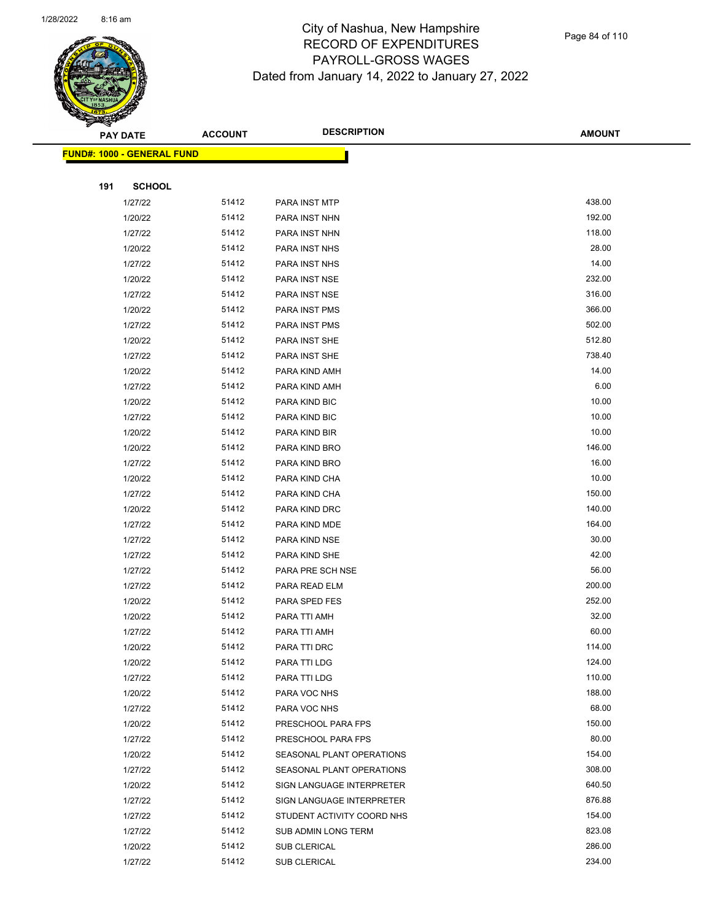

|     | <b>PAY DATE</b>                   | <b>ACCOUNT</b> | <b>DESCRIPTION</b>         | <b>AMOUNT</b> |
|-----|-----------------------------------|----------------|----------------------------|---------------|
|     | <b>FUND#: 1000 - GENERAL FUND</b> |                |                            |               |
|     |                                   |                |                            |               |
| 191 | <b>SCHOOL</b>                     |                |                            |               |
|     | 1/27/22                           | 51412          | PARA INST MTP              | 438.00        |
|     | 1/20/22                           | 51412          | PARA INST NHN              | 192.00        |
|     | 1/27/22                           | 51412          | PARA INST NHN              | 118.00        |
|     | 1/20/22                           | 51412          | PARA INST NHS              | 28.00         |
|     | 1/27/22                           | 51412          | PARA INST NHS              | 14.00         |
|     | 1/20/22                           | 51412          | PARA INST NSE              | 232.00        |
|     | 1/27/22                           | 51412          | PARA INST NSE              | 316.00        |
|     | 1/20/22                           | 51412          | PARA INST PMS              | 366.00        |
|     | 1/27/22                           | 51412          | PARA INST PMS              | 502.00        |
|     | 1/20/22                           | 51412          | PARA INST SHE              | 512.80        |
|     | 1/27/22                           | 51412          | PARA INST SHE              | 738.40        |
|     | 1/20/22                           | 51412          | PARA KIND AMH              | 14.00         |
|     | 1/27/22                           | 51412          | PARA KIND AMH              | 6.00          |
|     | 1/20/22                           | 51412          | PARA KIND BIC              | 10.00         |
|     | 1/27/22                           | 51412          | PARA KIND BIC              | 10.00         |
|     | 1/20/22                           | 51412          | PARA KIND BIR              | 10.00         |
|     | 1/20/22                           | 51412          | PARA KIND BRO              | 146.00        |
|     | 1/27/22                           | 51412          | PARA KIND BRO              | 16.00         |
|     | 1/20/22                           | 51412          | PARA KIND CHA              | 10.00         |
|     | 1/27/22                           | 51412          | PARA KIND CHA              | 150.00        |
|     | 1/20/22                           | 51412          | PARA KIND DRC              | 140.00        |
|     | 1/27/22                           | 51412          | PARA KIND MDE              | 164.00        |
|     | 1/27/22                           | 51412          | PARA KIND NSE              | 30.00         |
|     | 1/27/22                           | 51412          | PARA KIND SHE              | 42.00         |
|     | 1/27/22                           | 51412          | PARA PRE SCH NSE           | 56.00         |
|     | 1/27/22                           | 51412          | PARA READ ELM              | 200.00        |
|     | 1/20/22                           | 51412          | PARA SPED FES              | 252.00        |
|     | 1/20/22                           | 51412          | PARA TTI AMH               | 32.00         |
|     | 1/27/22                           | 51412          | PARA TTI AMH               | 60.00         |
|     | 1/20/22                           | 51412          | PARA TTI DRC               | 114.00        |
|     | 1/20/22                           | 51412          | PARA TTI LDG               | 124.00        |
|     | 1/27/22                           | 51412          | PARA TTI LDG               | 110.00        |
|     | 1/20/22                           | 51412          | PARA VOC NHS               | 188.00        |
|     | 1/27/22                           | 51412          | PARA VOC NHS               | 68.00         |
|     | 1/20/22                           | 51412          | PRESCHOOL PARA FPS         | 150.00        |
|     | 1/27/22                           | 51412          | PRESCHOOL PARA FPS         | 80.00         |
|     | 1/20/22                           | 51412          | SEASONAL PLANT OPERATIONS  | 154.00        |
|     | 1/27/22                           | 51412          | SEASONAL PLANT OPERATIONS  | 308.00        |
|     | 1/20/22                           | 51412          | SIGN LANGUAGE INTERPRETER  | 640.50        |
|     | 1/27/22                           | 51412          | SIGN LANGUAGE INTERPRETER  | 876.88        |
|     | 1/27/22                           | 51412          | STUDENT ACTIVITY COORD NHS | 154.00        |
|     | 1/27/22                           | 51412          | SUB ADMIN LONG TERM        | 823.08        |
|     | 1/20/22                           | 51412          | SUB CLERICAL               | 286.00        |
|     | 1/27/22                           | 51412          | SUB CLERICAL               | 234.00        |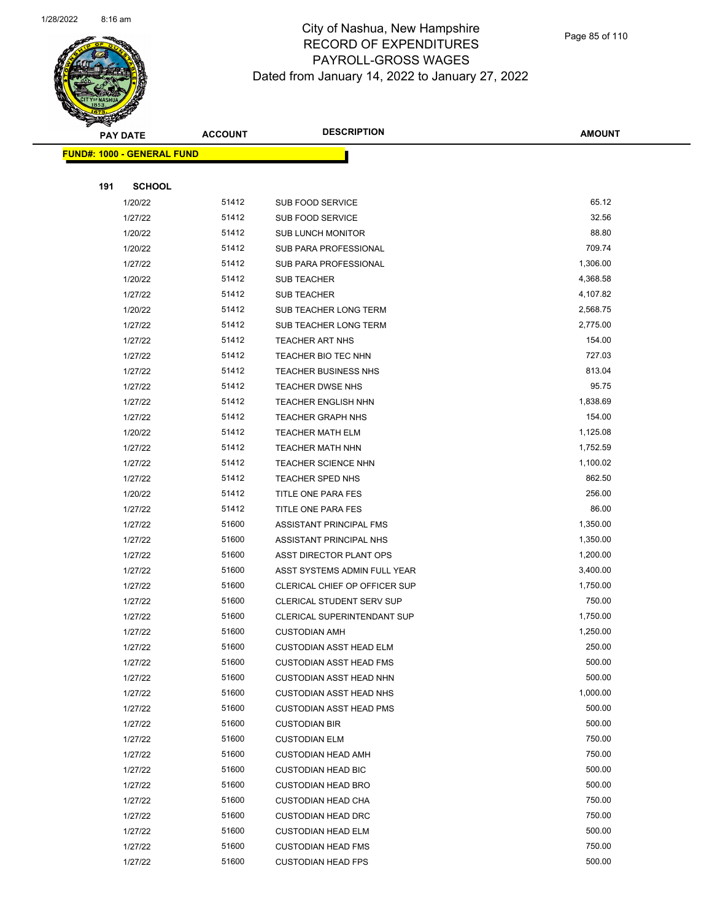

Page 85 of 110

|     | <b>PAY DATE</b>                   | <b>ACCOUNT</b> | <b>DESCRIPTION</b>                                               | <b>AMOUNT</b>    |
|-----|-----------------------------------|----------------|------------------------------------------------------------------|------------------|
|     | <b>FUND#: 1000 - GENERAL FUND</b> |                |                                                                  |                  |
|     |                                   |                |                                                                  |                  |
| 191 | <b>SCHOOL</b>                     |                |                                                                  |                  |
|     | 1/20/22                           | 51412          | SUB FOOD SERVICE                                                 | 65.12            |
|     | 1/27/22                           | 51412          | SUB FOOD SERVICE                                                 | 32.56            |
|     | 1/20/22                           | 51412          | <b>SUB LUNCH MONITOR</b>                                         | 88.80            |
|     | 1/20/22                           | 51412          | SUB PARA PROFESSIONAL                                            | 709.74           |
|     | 1/27/22                           | 51412          | SUB PARA PROFESSIONAL                                            | 1,306.00         |
|     | 1/20/22                           | 51412          | SUB TEACHER                                                      | 4,368.58         |
|     | 1/27/22                           | 51412          | <b>SUB TEACHER</b>                                               | 4,107.82         |
|     | 1/20/22                           | 51412          | SUB TEACHER LONG TERM                                            | 2,568.75         |
|     | 1/27/22                           | 51412          | SUB TEACHER LONG TERM                                            | 2,775.00         |
|     | 1/27/22                           | 51412          | <b>TEACHER ART NHS</b>                                           | 154.00           |
|     | 1/27/22                           | 51412          | TEACHER BIO TEC NHN                                              | 727.03           |
|     | 1/27/22                           | 51412          | <b>TEACHER BUSINESS NHS</b>                                      | 813.04           |
|     | 1/27/22                           | 51412          | <b>TEACHER DWSE NHS</b>                                          | 95.75            |
|     | 1/27/22                           | 51412          | <b>TEACHER ENGLISH NHN</b>                                       | 1,838.69         |
|     | 1/27/22                           | 51412          | <b>TEACHER GRAPH NHS</b>                                         | 154.00           |
|     | 1/20/22                           | 51412          | <b>TEACHER MATH ELM</b>                                          | 1,125.08         |
|     | 1/27/22                           | 51412          | <b>TEACHER MATH NHN</b>                                          | 1,752.59         |
|     | 1/27/22                           | 51412          | <b>TEACHER SCIENCE NHN</b>                                       | 1,100.02         |
|     | 1/27/22                           | 51412          | <b>TEACHER SPED NHS</b>                                          | 862.50           |
|     | 1/20/22                           | 51412          | TITLE ONE PARA FES                                               | 256.00           |
|     | 1/27/22                           | 51412          | TITLE ONE PARA FES                                               | 86.00            |
|     | 1/27/22                           | 51600          | ASSISTANT PRINCIPAL FMS                                          | 1,350.00         |
|     | 1/27/22                           | 51600          | ASSISTANT PRINCIPAL NHS                                          | 1,350.00         |
|     | 1/27/22                           | 51600          | ASST DIRECTOR PLANT OPS                                          | 1,200.00         |
|     | 1/27/22                           | 51600          | ASST SYSTEMS ADMIN FULL YEAR                                     | 3,400.00         |
|     | 1/27/22                           | 51600          | CLERICAL CHIEF OP OFFICER SUP                                    | 1,750.00         |
|     | 1/27/22                           | 51600          | CLERICAL STUDENT SERV SUP                                        | 750.00           |
|     | 1/27/22                           | 51600          | CLERICAL SUPERINTENDANT SUP                                      | 1,750.00         |
|     | 1/27/22                           | 51600          | <b>CUSTODIAN AMH</b>                                             | 1,250.00         |
|     | 1/27/22                           | 51600          | CUSTODIAN ASST HEAD ELM                                          | 250.00           |
|     | 1/27/22                           | 51600<br>51600 | <b>CUSTODIAN ASST HEAD FMS</b>                                   | 500.00<br>500.00 |
|     | 1/27/22<br>1/27/22                | 51600          | <b>CUSTODIAN ASST HEAD NHN</b><br><b>CUSTODIAN ASST HEAD NHS</b> | 1,000.00         |
|     | 1/27/22                           | 51600          | <b>CUSTODIAN ASST HEAD PMS</b>                                   | 500.00           |
|     | 1/27/22                           | 51600          | <b>CUSTODIAN BIR</b>                                             | 500.00           |
|     | 1/27/22                           | 51600          | <b>CUSTODIAN ELM</b>                                             | 750.00           |
|     | 1/27/22                           | 51600          | <b>CUSTODIAN HEAD AMH</b>                                        | 750.00           |
|     | 1/27/22                           | 51600          | <b>CUSTODIAN HEAD BIC</b>                                        | 500.00           |
|     | 1/27/22                           | 51600          | <b>CUSTODIAN HEAD BRO</b>                                        | 500.00           |
|     | 1/27/22                           | 51600          | <b>CUSTODIAN HEAD CHA</b>                                        | 750.00           |
|     | 1/27/22                           | 51600          | <b>CUSTODIAN HEAD DRC</b>                                        | 750.00           |
|     | 1/27/22                           | 51600          | <b>CUSTODIAN HEAD ELM</b>                                        | 500.00           |
|     | 1/27/22                           | 51600          | <b>CUSTODIAN HEAD FMS</b>                                        | 750.00           |
|     | 1/27/22                           | 51600          | <b>CUSTODIAN HEAD FPS</b>                                        | 500.00           |
|     |                                   |                |                                                                  |                  |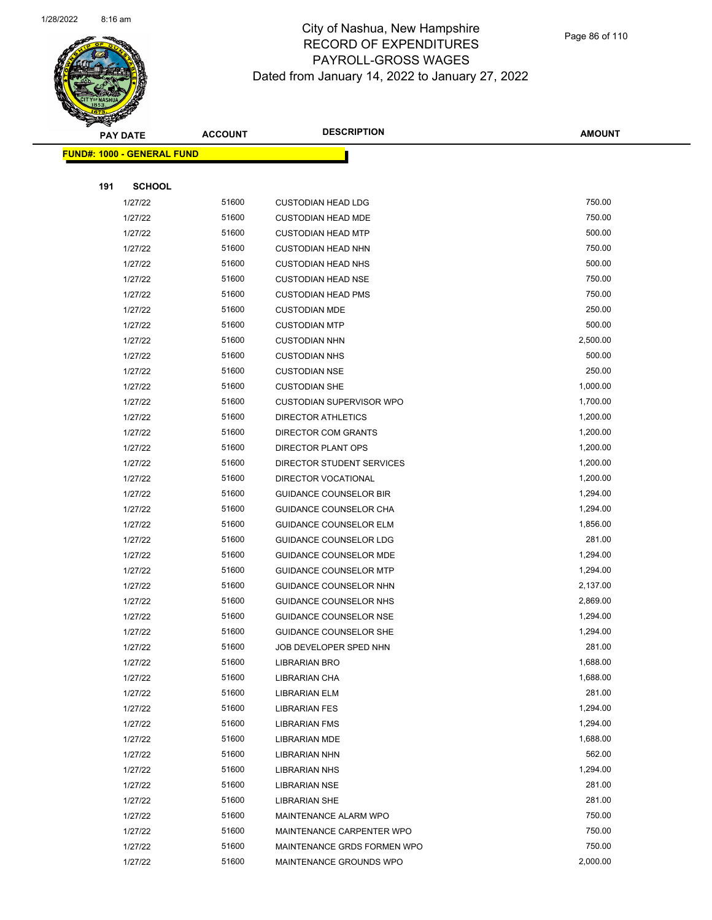

Page 86 of 110

|     | <b>PAY DATE</b>                   | <b>ACCOUNT</b> | <b>DESCRIPTION</b>                                      | <b>AMOUNT</b>      |
|-----|-----------------------------------|----------------|---------------------------------------------------------|--------------------|
|     | <b>FUND#: 1000 - GENERAL FUND</b> |                |                                                         |                    |
|     |                                   |                |                                                         |                    |
| 191 | <b>SCHOOL</b>                     |                |                                                         |                    |
|     | 1/27/22                           | 51600          | <b>CUSTODIAN HEAD LDG</b>                               | 750.00             |
|     | 1/27/22                           | 51600          | <b>CUSTODIAN HEAD MDE</b>                               | 750.00             |
|     | 1/27/22                           | 51600          | <b>CUSTODIAN HEAD MTP</b>                               | 500.00             |
|     | 1/27/22                           | 51600          | <b>CUSTODIAN HEAD NHN</b>                               | 750.00             |
|     | 1/27/22                           | 51600          | <b>CUSTODIAN HEAD NHS</b>                               | 500.00             |
|     | 1/27/22                           | 51600          | <b>CUSTODIAN HEAD NSE</b>                               | 750.00             |
|     | 1/27/22                           | 51600          | <b>CUSTODIAN HEAD PMS</b>                               | 750.00             |
|     | 1/27/22                           | 51600          | <b>CUSTODIAN MDE</b>                                    | 250.00             |
|     | 1/27/22                           | 51600          | <b>CUSTODIAN MTP</b>                                    | 500.00             |
|     | 1/27/22                           | 51600          | <b>CUSTODIAN NHN</b>                                    | 2,500.00           |
|     | 1/27/22                           | 51600          | <b>CUSTODIAN NHS</b>                                    | 500.00             |
|     | 1/27/22                           | 51600          | <b>CUSTODIAN NSE</b>                                    | 250.00             |
|     | 1/27/22                           | 51600          | <b>CUSTODIAN SHE</b>                                    | 1,000.00           |
|     | 1/27/22                           | 51600          | <b>CUSTODIAN SUPERVISOR WPO</b>                         | 1,700.00           |
|     | 1/27/22                           | 51600          | <b>DIRECTOR ATHLETICS</b>                               | 1,200.00           |
|     | 1/27/22                           | 51600          | DIRECTOR COM GRANTS                                     | 1,200.00           |
|     | 1/27/22                           | 51600          | DIRECTOR PLANT OPS                                      | 1,200.00           |
|     | 1/27/22                           | 51600          | DIRECTOR STUDENT SERVICES                               | 1,200.00           |
|     | 1/27/22                           | 51600          | <b>DIRECTOR VOCATIONAL</b>                              | 1,200.00           |
|     | 1/27/22                           | 51600          | <b>GUIDANCE COUNSELOR BIR</b>                           | 1,294.00           |
|     | 1/27/22                           | 51600          | GUIDANCE COUNSELOR CHA                                  | 1,294.00           |
|     | 1/27/22                           | 51600          | <b>GUIDANCE COUNSELOR ELM</b>                           | 1,856.00           |
|     | 1/27/22                           | 51600          | <b>GUIDANCE COUNSELOR LDG</b>                           | 281.00             |
|     | 1/27/22                           | 51600          | GUIDANCE COUNSELOR MDE                                  | 1,294.00           |
|     | 1/27/22                           | 51600          | <b>GUIDANCE COUNSELOR MTP</b>                           | 1,294.00           |
|     | 1/27/22                           | 51600          | GUIDANCE COUNSELOR NHN                                  | 2,137.00           |
|     | 1/27/22                           | 51600          | GUIDANCE COUNSELOR NHS                                  | 2,869.00           |
|     | 1/27/22                           | 51600          | GUIDANCE COUNSELOR NSE<br><b>GUIDANCE COUNSELOR SHE</b> | 1,294.00           |
|     | 1/27/22                           | 51600<br>51600 |                                                         | 1,294.00<br>281.00 |
|     | 1/27/22<br>1/27/22                | 51600          | JOB DEVELOPER SPED NHN<br><b>LIBRARIAN BRO</b>          | 1,688.00           |
|     | 1/27/22                           | 51600          | <b>LIBRARIAN CHA</b>                                    | 1,688.00           |
|     | 1/27/22                           | 51600          | <b>LIBRARIAN ELM</b>                                    | 281.00             |
|     | 1/27/22                           | 51600          | <b>LIBRARIAN FES</b>                                    | 1,294.00           |
|     | 1/27/22                           | 51600          | <b>LIBRARIAN FMS</b>                                    | 1,294.00           |
|     | 1/27/22                           | 51600          | <b>LIBRARIAN MDE</b>                                    | 1,688.00           |
|     | 1/27/22                           | 51600          | <b>LIBRARIAN NHN</b>                                    | 562.00             |
|     | 1/27/22                           | 51600          | <b>LIBRARIAN NHS</b>                                    | 1,294.00           |
|     | 1/27/22                           | 51600          | <b>LIBRARIAN NSE</b>                                    | 281.00             |
|     | 1/27/22                           | 51600          | <b>LIBRARIAN SHE</b>                                    | 281.00             |
|     | 1/27/22                           | 51600          | MAINTENANCE ALARM WPO                                   | 750.00             |
|     | 1/27/22                           | 51600          | MAINTENANCE CARPENTER WPO                               | 750.00             |
|     | 1/27/22                           | 51600          | MAINTENANCE GRDS FORMEN WPO                             | 750.00             |
|     | 1/27/22                           | 51600          | MAINTENANCE GROUNDS WPO                                 | 2,000.00           |
|     |                                   |                |                                                         |                    |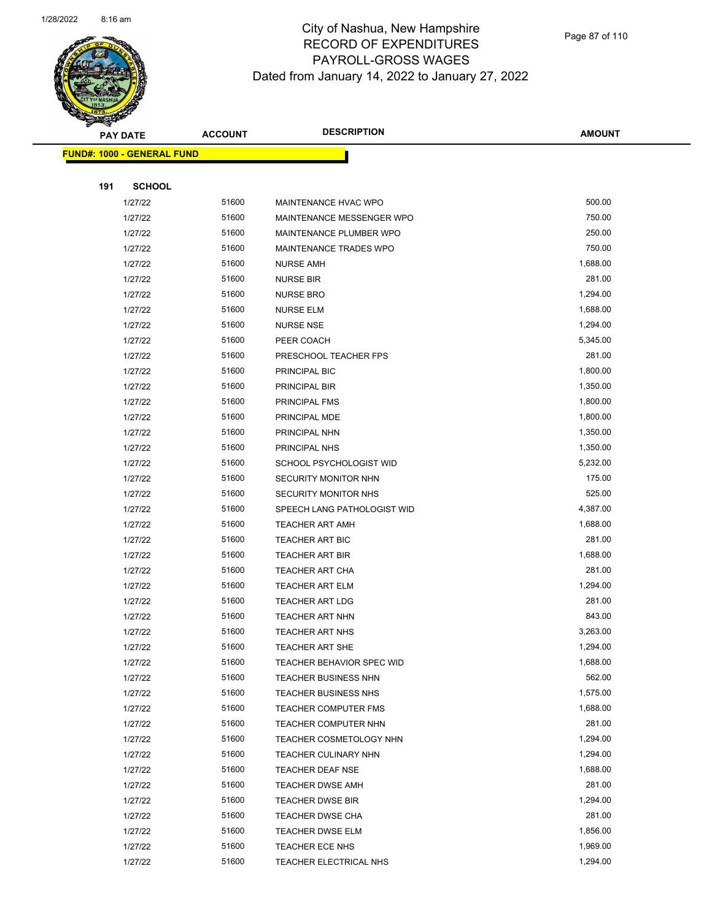

|     | <b>PAY DATE</b>                   | <b>ACCOUNT</b> | <b>DESCRIPTION</b>          | <b>AMOUNT</b> |
|-----|-----------------------------------|----------------|-----------------------------|---------------|
|     | <b>FUND#: 1000 - GENERAL FUND</b> |                |                             |               |
|     |                                   |                |                             |               |
| 191 | <b>SCHOOL</b>                     |                |                             |               |
|     | 1/27/22                           | 51600          | MAINTENANCE HVAC WPO        | 500.00        |
|     | 1/27/22                           | 51600          | MAINTENANCE MESSENGER WPO   | 750.00        |
|     | 1/27/22                           | 51600          | MAINTENANCE PLUMBER WPO     | 250.00        |
|     | 1/27/22                           | 51600          | MAINTENANCE TRADES WPO      | 750.00        |
|     | 1/27/22                           | 51600          | <b>NURSE AMH</b>            | 1,688.00      |
|     | 1/27/22                           | 51600          | <b>NURSE BIR</b>            | 281.00        |
|     | 1/27/22                           | 51600          | <b>NURSE BRO</b>            | 1,294.00      |
|     | 1/27/22                           | 51600          | <b>NURSE ELM</b>            | 1,688.00      |
|     | 1/27/22                           | 51600          | <b>NURSE NSE</b>            | 1,294.00      |
|     | 1/27/22                           | 51600          | PEER COACH                  | 5,345.00      |
|     | 1/27/22                           | 51600          | PRESCHOOL TEACHER FPS       | 281.00        |
|     | 1/27/22                           | 51600          | PRINCIPAL BIC               | 1,800.00      |
|     | 1/27/22                           | 51600          | PRINCIPAL BIR               | 1,350.00      |
|     | 1/27/22                           | 51600          | PRINCIPAL FMS               | 1,800.00      |
|     | 1/27/22                           | 51600          | PRINCIPAL MDE               | 1,800.00      |
|     | 1/27/22                           | 51600          | PRINCIPAL NHN               | 1,350.00      |
|     | 1/27/22                           | 51600          | PRINCIPAL NHS               | 1,350.00      |
|     | 1/27/22                           | 51600          | SCHOOL PSYCHOLOGIST WID     | 5,232.00      |
|     | 1/27/22                           | 51600          | SECURITY MONITOR NHN        | 175.00        |
|     | 1/27/22                           | 51600          | SECURITY MONITOR NHS        | 525.00        |
|     | 1/27/22                           | 51600          | SPEECH LANG PATHOLOGIST WID | 4,387.00      |
|     | 1/27/22                           | 51600          | <b>TEACHER ART AMH</b>      | 1,688.00      |
|     | 1/27/22                           | 51600          | TEACHER ART BIC             | 281.00        |
|     | 1/27/22                           | 51600          | <b>TEACHER ART BIR</b>      | 1,688.00      |
|     | 1/27/22                           | 51600          | <b>TEACHER ART CHA</b>      | 281.00        |
|     | 1/27/22                           | 51600          | <b>TEACHER ART ELM</b>      | 1,294.00      |
|     | 1/27/22                           | 51600          | <b>TEACHER ART LDG</b>      | 281.00        |
|     | 1/27/22                           | 51600          | TEACHER ART NHN             | 843.00        |
|     | 1/27/22                           | 51600          | <b>TEACHER ART NHS</b>      | 3,263.00      |
|     | 1/27/22                           | 51600          | <b>TEACHER ART SHE</b>      | 1,294.00      |
|     | 1/27/22                           | 51600          | TEACHER BEHAVIOR SPEC WID   | 1,688.00      |
|     | 1/27/22                           | 51600          | <b>TEACHER BUSINESS NHN</b> | 562.00        |
|     | 1/27/22                           | 51600          | TEACHER BUSINESS NHS        | 1,575.00      |
|     | 1/27/22                           | 51600          | <b>TEACHER COMPUTER FMS</b> | 1,688.00      |
|     | 1/27/22                           | 51600          | TEACHER COMPUTER NHN        | 281.00        |
|     | 1/27/22                           | 51600          | TEACHER COSMETOLOGY NHN     | 1,294.00      |
|     | 1/27/22                           | 51600          | TEACHER CULINARY NHN        | 1,294.00      |
|     | 1/27/22                           | 51600          | <b>TEACHER DEAF NSE</b>     | 1,688.00      |
|     | 1/27/22                           | 51600          | <b>TEACHER DWSE AMH</b>     | 281.00        |
|     | 1/27/22                           | 51600          | <b>TEACHER DWSE BIR</b>     | 1,294.00      |
|     | 1/27/22                           | 51600          | TEACHER DWSE CHA            | 281.00        |
|     | 1/27/22                           | 51600          | <b>TEACHER DWSE ELM</b>     | 1,856.00      |
|     | 1/27/22                           | 51600          | TEACHER ECE NHS             | 1,969.00      |
|     | 1/27/22                           | 51600          | TEACHER ELECTRICAL NHS      | 1,294.00      |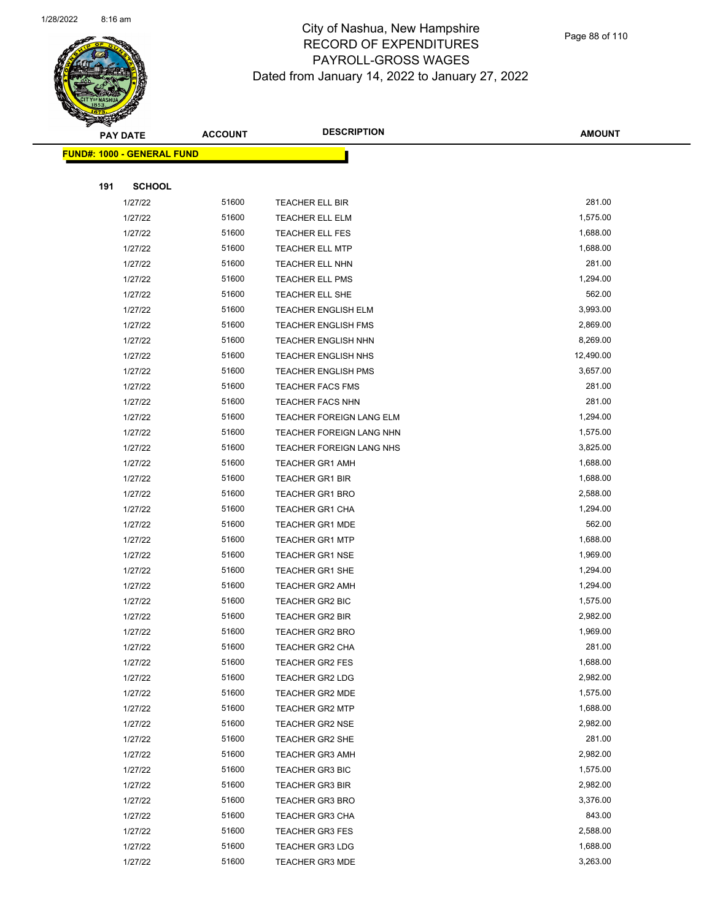

|     | <b>PAY DATE</b>                    | <b>ACCOUNT</b> | <b>DESCRIPTION</b>              | <b>AMOUNT</b> |
|-----|------------------------------------|----------------|---------------------------------|---------------|
|     | <u> FUND#: 1000 - GENERAL FUND</u> |                |                                 |               |
|     |                                    |                |                                 |               |
| 191 | <b>SCHOOL</b>                      |                |                                 |               |
|     | 1/27/22                            | 51600          | TEACHER ELL BIR                 | 281.00        |
|     | 1/27/22                            | 51600          | <b>TEACHER ELL ELM</b>          | 1,575.00      |
|     | 1/27/22                            | 51600          | TEACHER ELL FES                 | 1,688.00      |
|     | 1/27/22                            | 51600          | <b>TEACHER ELL MTP</b>          | 1,688.00      |
|     | 1/27/22                            | 51600          | <b>TEACHER ELL NHN</b>          | 281.00        |
|     | 1/27/22                            | 51600          | <b>TEACHER ELL PMS</b>          | 1,294.00      |
|     | 1/27/22                            | 51600          | <b>TEACHER ELL SHE</b>          | 562.00        |
|     | 1/27/22                            | 51600          | <b>TEACHER ENGLISH ELM</b>      | 3,993.00      |
|     | 1/27/22                            | 51600          | <b>TEACHER ENGLISH FMS</b>      | 2,869.00      |
|     | 1/27/22                            | 51600          | <b>TEACHER ENGLISH NHN</b>      | 8,269.00      |
|     | 1/27/22                            | 51600          | <b>TEACHER ENGLISH NHS</b>      | 12,490.00     |
|     | 1/27/22                            | 51600          | <b>TEACHER ENGLISH PMS</b>      | 3,657.00      |
|     | 1/27/22                            | 51600          | <b>TEACHER FACS FMS</b>         | 281.00        |
|     | 1/27/22                            | 51600          | TEACHER FACS NHN                | 281.00        |
|     | 1/27/22                            | 51600          | <b>TEACHER FOREIGN LANG ELM</b> | 1,294.00      |
|     | 1/27/22                            | 51600          | TEACHER FOREIGN LANG NHN        | 1,575.00      |
|     | 1/27/22                            | 51600          | TEACHER FOREIGN LANG NHS        | 3,825.00      |
|     | 1/27/22                            | 51600          | <b>TEACHER GR1 AMH</b>          | 1,688.00      |
|     | 1/27/22                            | 51600          | <b>TEACHER GR1 BIR</b>          | 1,688.00      |
|     | 1/27/22                            | 51600          | <b>TEACHER GR1 BRO</b>          | 2,588.00      |
|     | 1/27/22                            | 51600          | <b>TEACHER GR1 CHA</b>          | 1,294.00      |
|     | 1/27/22                            | 51600          | <b>TEACHER GR1 MDE</b>          | 562.00        |
|     | 1/27/22                            | 51600          | <b>TEACHER GR1 MTP</b>          | 1,688.00      |
|     | 1/27/22                            | 51600          | <b>TEACHER GR1 NSE</b>          | 1,969.00      |
|     | 1/27/22                            | 51600          | <b>TEACHER GR1 SHE</b>          | 1,294.00      |
|     | 1/27/22                            | 51600          | <b>TEACHER GR2 AMH</b>          | 1,294.00      |
|     | 1/27/22                            | 51600          | <b>TEACHER GR2 BIC</b>          | 1,575.00      |
|     | 1/27/22                            | 51600          | <b>TEACHER GR2 BIR</b>          | 2,982.00      |
|     | 1/27/22                            | 51600          | <b>TEACHER GR2 BRO</b>          | 1,969.00      |
|     | 1/27/22                            | 51600          | TEACHER GR2 CHA                 | 281.00        |
|     | 1/27/22                            | 51600          | <b>TEACHER GR2 FES</b>          | 1,688.00      |
|     | 1/27/22                            | 51600          | TEACHER GR2 LDG                 | 2,982.00      |
|     | 1/27/22                            | 51600          | <b>TEACHER GR2 MDE</b>          | 1,575.00      |
|     | 1/27/22                            | 51600          | <b>TEACHER GR2 MTP</b>          | 1,688.00      |
|     | 1/27/22                            | 51600          | <b>TEACHER GR2 NSE</b>          | 2,982.00      |
|     | 1/27/22                            | 51600          | <b>TEACHER GR2 SHE</b>          | 281.00        |
|     | 1/27/22                            | 51600          | <b>TEACHER GR3 AMH</b>          | 2,982.00      |
|     | 1/27/22                            | 51600          | <b>TEACHER GR3 BIC</b>          | 1,575.00      |
|     | 1/27/22                            | 51600          | <b>TEACHER GR3 BIR</b>          | 2,982.00      |
|     | 1/27/22                            | 51600          | <b>TEACHER GR3 BRO</b>          | 3,376.00      |
|     | 1/27/22                            | 51600          | <b>TEACHER GR3 CHA</b>          | 843.00        |
|     | 1/27/22                            | 51600          | TEACHER GR3 FES                 | 2,588.00      |
|     | 1/27/22                            | 51600          | <b>TEACHER GR3 LDG</b>          | 1,688.00      |
|     | 1/27/22                            | 51600          | <b>TEACHER GR3 MDE</b>          | 3,263.00      |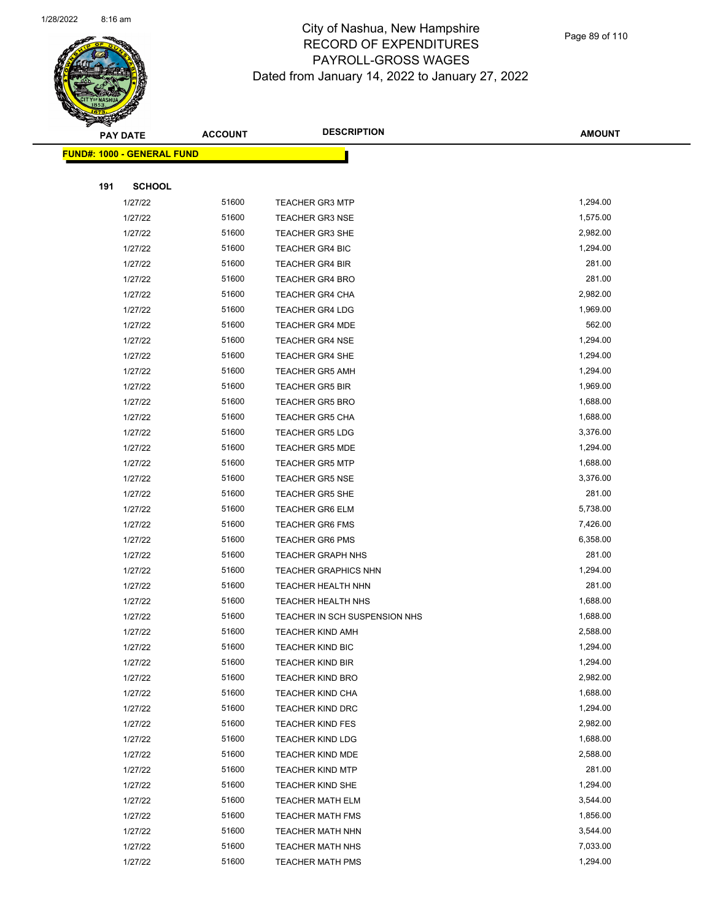

Page 89 of 110

|     | <b>PAY DATE</b>                    | <b>ACCOUNT</b> | <b>DESCRIPTION</b>            | <b>AMOUNT</b> |
|-----|------------------------------------|----------------|-------------------------------|---------------|
|     | <u> FUND#: 1000 - GENERAL FUND</u> |                |                               |               |
|     |                                    |                |                               |               |
| 191 | <b>SCHOOL</b>                      |                |                               |               |
|     | 1/27/22                            | 51600          | <b>TEACHER GR3 MTP</b>        | 1,294.00      |
|     | 1/27/22                            | 51600          | <b>TEACHER GR3 NSE</b>        | 1,575.00      |
|     | 1/27/22                            | 51600          | <b>TEACHER GR3 SHE</b>        | 2,982.00      |
|     | 1/27/22                            | 51600          | <b>TEACHER GR4 BIC</b>        | 1,294.00      |
|     | 1/27/22                            | 51600          | <b>TEACHER GR4 BIR</b>        | 281.00        |
|     | 1/27/22                            | 51600          | <b>TEACHER GR4 BRO</b>        | 281.00        |
|     | 1/27/22                            | 51600          | <b>TEACHER GR4 CHA</b>        | 2,982.00      |
|     | 1/27/22                            | 51600          | <b>TEACHER GR4 LDG</b>        | 1,969.00      |
|     | 1/27/22                            | 51600          | <b>TEACHER GR4 MDE</b>        | 562.00        |
|     | 1/27/22                            | 51600          | <b>TEACHER GR4 NSE</b>        | 1,294.00      |
|     | 1/27/22                            | 51600          | <b>TEACHER GR4 SHE</b>        | 1,294.00      |
|     | 1/27/22                            | 51600          | <b>TEACHER GR5 AMH</b>        | 1,294.00      |
|     | 1/27/22                            | 51600          | <b>TEACHER GR5 BIR</b>        | 1,969.00      |
|     | 1/27/22                            | 51600          | <b>TEACHER GR5 BRO</b>        | 1,688.00      |
|     | 1/27/22                            | 51600          | <b>TEACHER GR5 CHA</b>        | 1,688.00      |
|     | 1/27/22                            | 51600          | <b>TEACHER GR5 LDG</b>        | 3,376.00      |
|     | 1/27/22                            | 51600          | <b>TEACHER GR5 MDE</b>        | 1,294.00      |
|     | 1/27/22                            | 51600          | <b>TEACHER GR5 MTP</b>        | 1,688.00      |
|     | 1/27/22                            | 51600          | <b>TEACHER GR5 NSE</b>        | 3,376.00      |
|     | 1/27/22                            | 51600          | <b>TEACHER GR5 SHE</b>        | 281.00        |
|     | 1/27/22                            | 51600          | <b>TEACHER GR6 ELM</b>        | 5,738.00      |
|     | 1/27/22                            | 51600          | <b>TEACHER GR6 FMS</b>        | 7,426.00      |
|     | 1/27/22                            | 51600          | <b>TEACHER GR6 PMS</b>        | 6,358.00      |
|     | 1/27/22                            | 51600          | <b>TEACHER GRAPH NHS</b>      | 281.00        |
|     | 1/27/22                            | 51600          | <b>TEACHER GRAPHICS NHN</b>   | 1,294.00      |
|     | 1/27/22                            | 51600          | <b>TEACHER HEALTH NHN</b>     | 281.00        |
|     | 1/27/22                            | 51600          | <b>TEACHER HEALTH NHS</b>     | 1,688.00      |
|     | 1/27/22                            | 51600          | TEACHER IN SCH SUSPENSION NHS | 1,688.00      |
|     | 1/27/22                            | 51600          | <b>TEACHER KIND AMH</b>       | 2,588.00      |
|     | 1/27/22                            | 51600          | <b>TEACHER KIND BIC</b>       | 1,294.00      |
|     | 1/27/22                            | 51600          | <b>TEACHER KIND BIR</b>       | 1,294.00      |
|     | 1/27/22                            | 51600          | <b>TEACHER KIND BRO</b>       | 2,982.00      |
|     | 1/27/22                            | 51600          | <b>TEACHER KIND CHA</b>       | 1,688.00      |
|     | 1/27/22                            | 51600          | <b>TEACHER KIND DRC</b>       | 1,294.00      |
|     | 1/27/22                            | 51600          | <b>TEACHER KIND FES</b>       | 2,982.00      |
|     | 1/27/22                            | 51600          | <b>TEACHER KIND LDG</b>       | 1,688.00      |
|     | 1/27/22                            | 51600          | <b>TEACHER KIND MDE</b>       | 2,588.00      |
|     | 1/27/22                            | 51600          | <b>TEACHER KIND MTP</b>       | 281.00        |
|     | 1/27/22                            | 51600          | <b>TEACHER KIND SHE</b>       | 1,294.00      |
|     | 1/27/22                            | 51600          | <b>TEACHER MATH ELM</b>       | 3,544.00      |
|     | 1/27/22                            | 51600          | <b>TEACHER MATH FMS</b>       | 1,856.00      |
|     | 1/27/22                            | 51600          | <b>TEACHER MATH NHN</b>       | 3,544.00      |
|     | 1/27/22                            | 51600          | <b>TEACHER MATH NHS</b>       | 7,033.00      |
|     | 1/27/22                            | 51600          | <b>TEACHER MATH PMS</b>       | 1,294.00      |
|     |                                    |                |                               |               |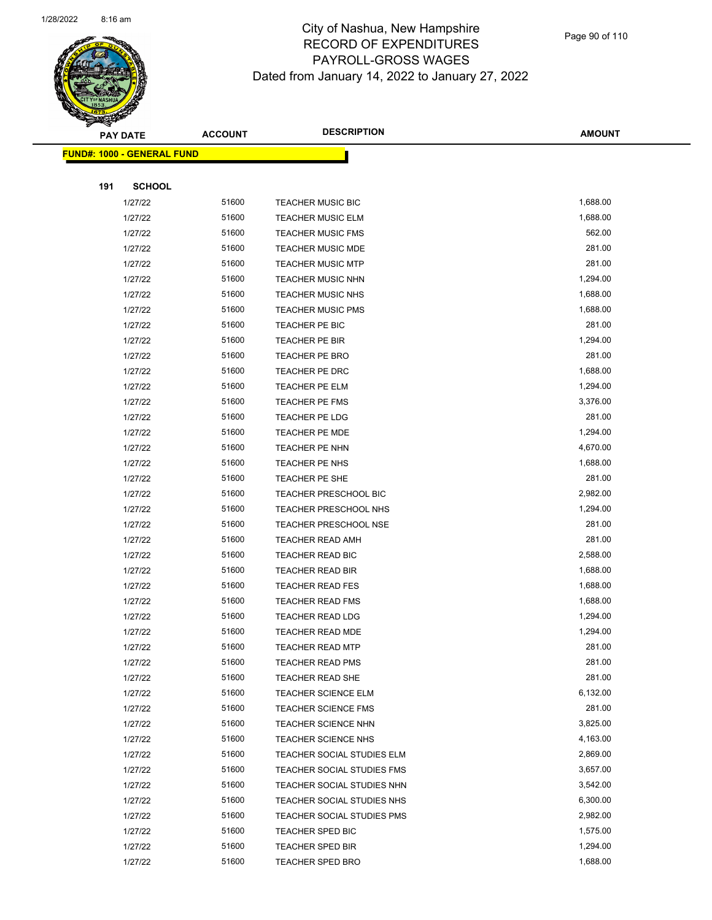

Page 90 of 110

|     | <b>PAY DATE</b>                   | <b>ACCOUNT</b> | <b>DESCRIPTION</b>                                    | <b>AMOUNT</b>      |
|-----|-----------------------------------|----------------|-------------------------------------------------------|--------------------|
|     | <b>FUND#: 1000 - GENERAL FUND</b> |                |                                                       |                    |
|     |                                   |                |                                                       |                    |
| 191 | <b>SCHOOL</b>                     |                |                                                       |                    |
|     | 1/27/22                           | 51600          | <b>TEACHER MUSIC BIC</b>                              | 1,688.00           |
|     | 1/27/22                           | 51600          | <b>TEACHER MUSIC ELM</b>                              | 1,688.00           |
|     | 1/27/22                           | 51600          | <b>TEACHER MUSIC FMS</b>                              | 562.00             |
|     | 1/27/22                           | 51600          | <b>TEACHER MUSIC MDE</b>                              | 281.00             |
|     | 1/27/22                           | 51600          | <b>TEACHER MUSIC MTP</b>                              | 281.00             |
|     | 1/27/22                           | 51600          | <b>TEACHER MUSIC NHN</b>                              | 1,294.00           |
|     | 1/27/22                           | 51600          | <b>TEACHER MUSIC NHS</b>                              | 1,688.00           |
|     | 1/27/22                           | 51600          | <b>TEACHER MUSIC PMS</b>                              | 1,688.00           |
|     | 1/27/22                           | 51600          | TEACHER PE BIC                                        | 281.00             |
|     | 1/27/22                           | 51600          | TEACHER PE BIR                                        | 1,294.00           |
|     | 1/27/22                           | 51600          | TEACHER PE BRO                                        | 281.00             |
|     | 1/27/22                           | 51600          | <b>TEACHER PE DRC</b>                                 | 1,688.00           |
|     | 1/27/22                           | 51600          | TEACHER PE ELM                                        | 1,294.00           |
|     | 1/27/22                           | 51600          | <b>TEACHER PE FMS</b>                                 | 3,376.00           |
|     | 1/27/22                           | 51600          | TEACHER PE LDG                                        | 281.00             |
|     | 1/27/22                           | 51600          | TEACHER PE MDE                                        | 1,294.00           |
|     | 1/27/22                           | 51600          | TEACHER PE NHN                                        | 4,670.00           |
|     | 1/27/22                           | 51600          | TEACHER PE NHS                                        | 1,688.00           |
|     | 1/27/22                           | 51600          | <b>TEACHER PE SHE</b>                                 | 281.00             |
|     | 1/27/22                           | 51600          | TEACHER PRESCHOOL BIC                                 | 2,982.00           |
|     | 1/27/22                           | 51600          | <b>TEACHER PRESCHOOL NHS</b>                          | 1,294.00           |
|     | 1/27/22                           | 51600          | <b>TEACHER PRESCHOOL NSE</b>                          | 281.00             |
|     | 1/27/22                           | 51600          | <b>TEACHER READ AMH</b>                               | 281.00             |
|     | 1/27/22                           | 51600          | <b>TEACHER READ BIC</b>                               | 2,588.00           |
|     | 1/27/22                           | 51600          | TEACHER READ BIR                                      | 1,688.00           |
|     | 1/27/22                           | 51600          | <b>TEACHER READ FES</b>                               | 1,688.00           |
|     | 1/27/22                           | 51600          | <b>TEACHER READ FMS</b>                               | 1,688.00           |
|     | 1/27/22                           | 51600          | <b>TEACHER READ LDG</b>                               | 1,294.00           |
|     | 1/27/22                           | 51600          | <b>TEACHER READ MDE</b>                               | 1,294.00<br>281.00 |
|     | 1/27/22                           | 51600          | TEACHER READ MTP                                      |                    |
|     | 1/27/22<br>1/27/22                | 51600<br>51600 | <b>TEACHER READ PMS</b>                               | 281.00<br>281.00   |
|     | 1/27/22                           | 51600          | <b>TEACHER READ SHE</b><br><b>TEACHER SCIENCE ELM</b> | 6,132.00           |
|     | 1/27/22                           | 51600          | <b>TEACHER SCIENCE FMS</b>                            | 281.00             |
|     | 1/27/22                           | 51600          | <b>TEACHER SCIENCE NHN</b>                            | 3,825.00           |
|     | 1/27/22                           | 51600          | <b>TEACHER SCIENCE NHS</b>                            | 4,163.00           |
|     | 1/27/22                           | 51600          | TEACHER SOCIAL STUDIES ELM                            | 2,869.00           |
|     | 1/27/22                           | 51600          | TEACHER SOCIAL STUDIES FMS                            | 3,657.00           |
|     | 1/27/22                           | 51600          | TEACHER SOCIAL STUDIES NHN                            | 3,542.00           |
|     | 1/27/22                           | 51600          | TEACHER SOCIAL STUDIES NHS                            | 6,300.00           |
|     | 1/27/22                           | 51600          | TEACHER SOCIAL STUDIES PMS                            | 2,982.00           |
|     | 1/27/22                           | 51600          | <b>TEACHER SPED BIC</b>                               | 1,575.00           |
|     | 1/27/22                           | 51600          | <b>TEACHER SPED BIR</b>                               | 1,294.00           |
|     | 1/27/22                           | 51600          | <b>TEACHER SPED BRO</b>                               | 1,688.00           |
|     |                                   |                |                                                       |                    |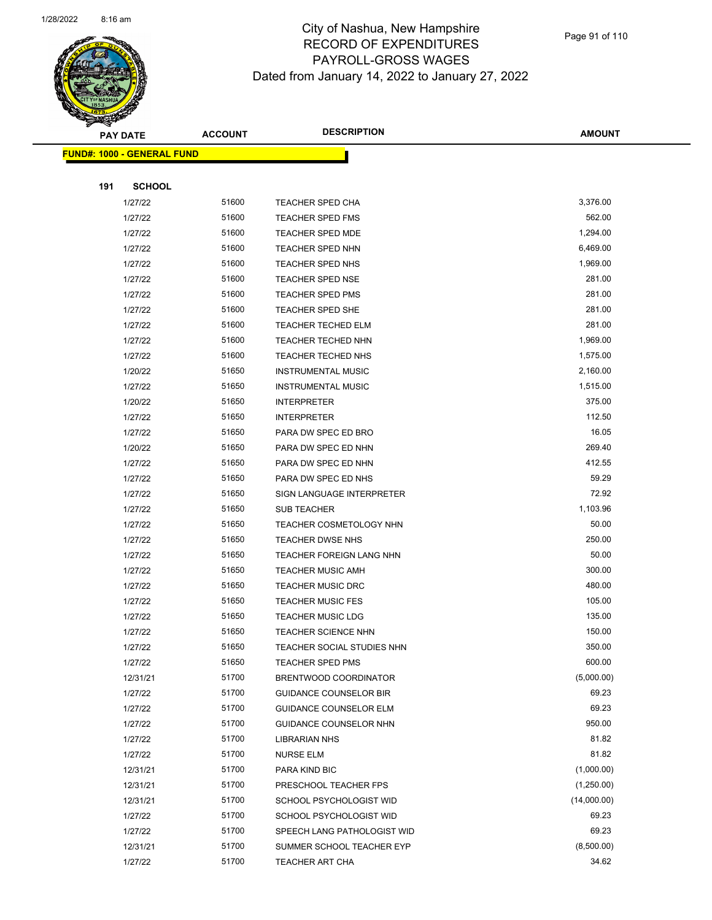

|     | <b>PAY DATE</b>                   | <b>ACCOUNT</b> | <b>DESCRIPTION</b>                                       | <b>AMOUNT</b>  |
|-----|-----------------------------------|----------------|----------------------------------------------------------|----------------|
|     | <b>FUND#: 1000 - GENERAL FUND</b> |                |                                                          |                |
|     |                                   |                |                                                          |                |
| 191 | <b>SCHOOL</b>                     |                |                                                          |                |
|     | 1/27/22                           | 51600          | <b>TEACHER SPED CHA</b>                                  | 3,376.00       |
|     | 1/27/22                           | 51600          | <b>TEACHER SPED FMS</b>                                  | 562.00         |
|     | 1/27/22                           | 51600          | <b>TEACHER SPED MDE</b>                                  | 1,294.00       |
|     | 1/27/22                           | 51600          | <b>TEACHER SPED NHN</b>                                  | 6,469.00       |
|     | 1/27/22                           | 51600          | <b>TEACHER SPED NHS</b>                                  | 1,969.00       |
|     | 1/27/22                           | 51600          | <b>TEACHER SPED NSE</b>                                  | 281.00         |
|     | 1/27/22                           | 51600          | TEACHER SPED PMS                                         | 281.00         |
|     | 1/27/22                           | 51600          | TEACHER SPED SHE                                         | 281.00         |
|     | 1/27/22                           | 51600          | <b>TEACHER TECHED ELM</b>                                | 281.00         |
|     | 1/27/22                           | 51600          | <b>TEACHER TECHED NHN</b>                                | 1,969.00       |
|     | 1/27/22                           | 51600          | <b>TEACHER TECHED NHS</b>                                | 1,575.00       |
|     | 1/20/22                           | 51650          | <b>INSTRUMENTAL MUSIC</b>                                | 2,160.00       |
|     | 1/27/22                           | 51650          | <b>INSTRUMENTAL MUSIC</b>                                | 1,515.00       |
|     | 1/20/22                           | 51650          | <b>INTERPRETER</b>                                       | 375.00         |
|     | 1/27/22                           | 51650          | <b>INTERPRETER</b>                                       | 112.50         |
|     | 1/27/22                           | 51650          | PARA DW SPEC ED BRO                                      | 16.05          |
|     | 1/20/22                           | 51650          | PARA DW SPEC ED NHN                                      | 269.40         |
|     | 1/27/22                           | 51650          | PARA DW SPEC ED NHN                                      | 412.55         |
|     | 1/27/22                           | 51650          | PARA DW SPEC ED NHS                                      | 59.29          |
|     | 1/27/22                           | 51650          | SIGN LANGUAGE INTERPRETER                                | 72.92          |
|     | 1/27/22                           | 51650          | SUB TEACHER                                              | 1,103.96       |
|     | 1/27/22                           | 51650          | TEACHER COSMETOLOGY NHN                                  | 50.00          |
|     | 1/27/22                           | 51650          | <b>TEACHER DWSE NHS</b>                                  | 250.00         |
|     | 1/27/22                           | 51650          | <b>TEACHER FOREIGN LANG NHN</b>                          | 50.00          |
|     | 1/27/22                           | 51650          | <b>TEACHER MUSIC AMH</b>                                 | 300.00         |
|     | 1/27/22                           | 51650          | <b>TEACHER MUSIC DRC</b>                                 | 480.00         |
|     | 1/27/22                           | 51650          | <b>TEACHER MUSIC FES</b>                                 | 105.00         |
|     | 1/27/22                           | 51650          | <b>TEACHER MUSIC LDG</b>                                 | 135.00         |
|     | 1/27/22                           | 51650          | <b>TEACHER SCIENCE NHN</b>                               | 150.00         |
|     | 1/27/22                           | 51650          | TEACHER SOCIAL STUDIES NHN                               | 350.00         |
|     | 1/27/22                           | 51650          | TEACHER SPED PMS                                         | 600.00         |
|     | 12/31/21                          | 51700          | BRENTWOOD COORDINATOR                                    | (5,000.00)     |
|     | 1/27/22                           | 51700          | <b>GUIDANCE COUNSELOR BIR</b>                            | 69.23          |
|     | 1/27/22                           | 51700          | <b>GUIDANCE COUNSELOR ELM</b>                            | 69.23          |
|     | 1/27/22                           | 51700          | <b>GUIDANCE COUNSELOR NHN</b>                            | 950.00         |
|     | 1/27/22                           | 51700<br>51700 | LIBRARIAN NHS                                            | 81.82<br>81.82 |
|     | 1/27/22                           | 51700          | <b>NURSE ELM</b>                                         | (1,000.00)     |
|     | 12/31/21                          |                | PARA KIND BIC                                            | (1,250.00)     |
|     | 12/31/21                          | 51700<br>51700 | PRESCHOOL TEACHER FPS                                    | (14,000.00)    |
|     | 12/31/21                          | 51700          | SCHOOL PSYCHOLOGIST WID                                  | 69.23          |
|     | 1/27/22<br>1/27/22                | 51700          | SCHOOL PSYCHOLOGIST WID                                  | 69.23          |
|     | 12/31/21                          | 51700          | SPEECH LANG PATHOLOGIST WID<br>SUMMER SCHOOL TEACHER EYP | (8,500.00)     |
|     | 1/27/22                           | 51700          | TEACHER ART CHA                                          | 34.62          |
|     |                                   |                |                                                          |                |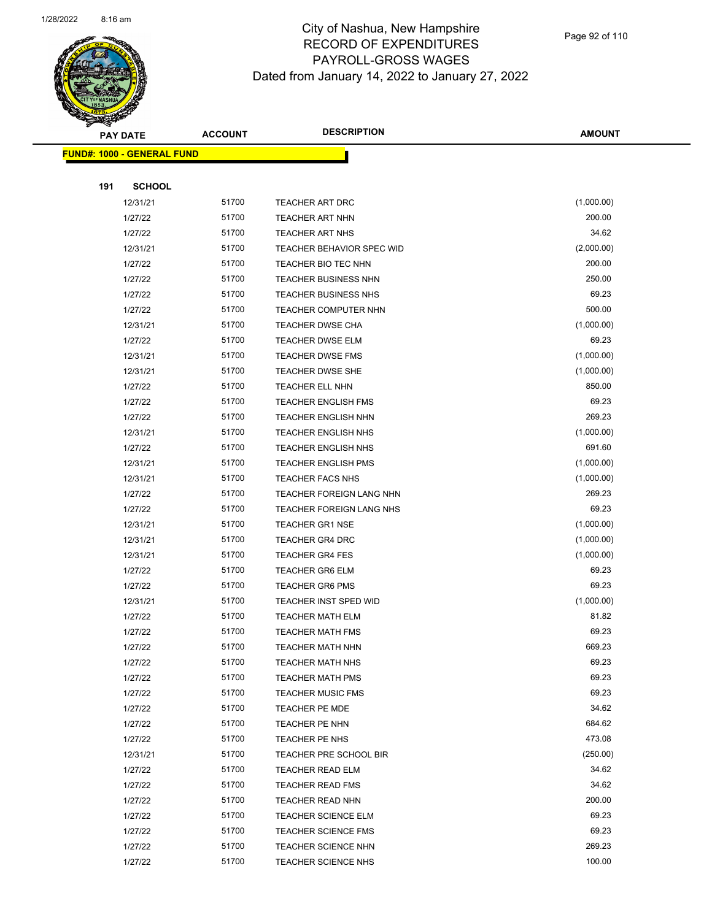

|     | <b>PAY DATE</b>                    | <b>ACCOUNT</b> | <b>DESCRIPTION</b>          | <b>AMOUNT</b> |
|-----|------------------------------------|----------------|-----------------------------|---------------|
|     | <u> FUND#: 1000 - GENERAL FUND</u> |                |                             |               |
|     |                                    |                |                             |               |
| 191 | <b>SCHOOL</b>                      |                |                             |               |
|     | 12/31/21                           | 51700          | TEACHER ART DRC             | (1,000.00)    |
|     | 1/27/22                            | 51700          | <b>TEACHER ART NHN</b>      | 200.00        |
|     | 1/27/22                            | 51700          | <b>TEACHER ART NHS</b>      | 34.62         |
|     | 12/31/21                           | 51700          | TEACHER BEHAVIOR SPEC WID   | (2,000.00)    |
|     | 1/27/22                            | 51700          | TEACHER BIO TEC NHN         | 200.00        |
|     | 1/27/22                            | 51700          | <b>TEACHER BUSINESS NHN</b> | 250.00        |
|     | 1/27/22                            | 51700          | <b>TEACHER BUSINESS NHS</b> | 69.23         |
|     | 1/27/22                            | 51700          | TEACHER COMPUTER NHN        | 500.00        |
|     | 12/31/21                           | 51700          | <b>TEACHER DWSE CHA</b>     | (1,000.00)    |
|     | 1/27/22                            | 51700          | <b>TEACHER DWSE ELM</b>     | 69.23         |
|     | 12/31/21                           | 51700          | TEACHER DWSE FMS            | (1,000.00)    |
|     | 12/31/21                           | 51700          | <b>TEACHER DWSE SHE</b>     | (1,000.00)    |
|     | 1/27/22                            | 51700          | <b>TEACHER ELL NHN</b>      | 850.00        |
|     | 1/27/22                            | 51700          | <b>TEACHER ENGLISH FMS</b>  | 69.23         |
|     | 1/27/22                            | 51700          | <b>TEACHER ENGLISH NHN</b>  | 269.23        |
|     | 12/31/21                           | 51700          | <b>TEACHER ENGLISH NHS</b>  | (1,000.00)    |
|     | 1/27/22                            | 51700          | <b>TEACHER ENGLISH NHS</b>  | 691.60        |
|     | 12/31/21                           | 51700          | <b>TEACHER ENGLISH PMS</b>  | (1,000.00)    |
|     | 12/31/21                           | 51700          | <b>TEACHER FACS NHS</b>     | (1,000.00)    |
|     | 1/27/22                            | 51700          | TEACHER FOREIGN LANG NHN    | 269.23        |
|     | 1/27/22                            | 51700          | TEACHER FOREIGN LANG NHS    | 69.23         |
|     | 12/31/21                           | 51700          | <b>TEACHER GR1 NSE</b>      | (1,000.00)    |
|     | 12/31/21                           | 51700          | <b>TEACHER GR4 DRC</b>      | (1,000.00)    |
|     | 12/31/21                           | 51700          | <b>TEACHER GR4 FES</b>      | (1,000.00)    |
|     | 1/27/22                            | 51700          | <b>TEACHER GR6 ELM</b>      | 69.23         |
|     | 1/27/22                            | 51700          | <b>TEACHER GR6 PMS</b>      | 69.23         |
|     | 12/31/21                           | 51700          | TEACHER INST SPED WID       | (1,000.00)    |
|     | 1/27/22                            | 51700          | <b>TEACHER MATH ELM</b>     | 81.82         |
|     | 1/27/22                            | 51700          | <b>TEACHER MATH FMS</b>     | 69.23         |
|     | 1/27/22                            | 51700          | <b>TEACHER MATH NHN</b>     | 669.23        |
|     | 1/27/22                            | 51700          | <b>TEACHER MATH NHS</b>     | 69.23         |
|     | 1/27/22                            | 51700          | <b>TEACHER MATH PMS</b>     | 69.23         |
|     | 1/27/22                            | 51700          | <b>TEACHER MUSIC FMS</b>    | 69.23         |
|     | 1/27/22                            | 51700          | TEACHER PE MDE              | 34.62         |
|     | 1/27/22                            | 51700          | TEACHER PE NHN              | 684.62        |
|     | 1/27/22                            | 51700          | TEACHER PE NHS              | 473.08        |
|     | 12/31/21                           | 51700          | TEACHER PRE SCHOOL BIR      | (250.00)      |
|     | 1/27/22                            | 51700          | <b>TEACHER READ ELM</b>     | 34.62         |
|     | 1/27/22                            | 51700          | <b>TEACHER READ FMS</b>     | 34.62         |
|     | 1/27/22                            | 51700          | TEACHER READ NHN            | 200.00        |
|     | 1/27/22                            | 51700          | <b>TEACHER SCIENCE ELM</b>  | 69.23         |
|     | 1/27/22                            | 51700          | <b>TEACHER SCIENCE FMS</b>  | 69.23         |
|     | 1/27/22                            | 51700          | <b>TEACHER SCIENCE NHN</b>  | 269.23        |
|     | 1/27/22                            | 51700          | <b>TEACHER SCIENCE NHS</b>  | 100.00        |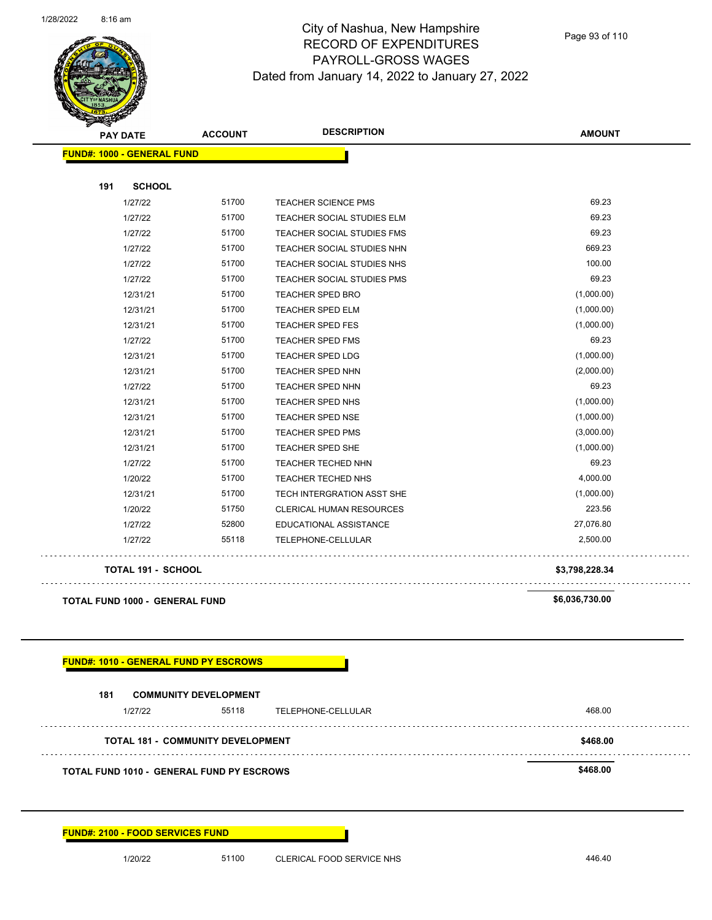

Page 93 of 110

| G<br>$\tilde{\phantom{a}}$<br><b>PAY DATE</b> | <b>ACCOUNT</b>                     | <b>DESCRIPTION</b>                        | <b>AMOUNT</b>  |
|-----------------------------------------------|------------------------------------|-------------------------------------------|----------------|
| <b>FUND#: 1000 - GENERAL FUND</b>             |                                    |                                           |                |
| 191<br><b>SCHOOL</b>                          |                                    |                                           |                |
| 1/27/22                                       | 51700                              | <b>TEACHER SCIENCE PMS</b>                | 69.23          |
| 1/27/22                                       | 51700                              | TEACHER SOCIAL STUDIES ELM                | 69.23          |
| 1/27/22                                       | 51700                              | TEACHER SOCIAL STUDIES FMS                | 69.23          |
| 1/27/22                                       | 51700                              | TEACHER SOCIAL STUDIES NHN                | 669.23         |
| 1/27/22                                       | 51700                              | TEACHER SOCIAL STUDIES NHS                | 100.00         |
| 1/27/22                                       | 51700                              | TEACHER SOCIAL STUDIES PMS                | 69.23          |
| 12/31/21                                      | 51700                              | TEACHER SPED BRO                          | (1,000.00)     |
| 12/31/21                                      | 51700                              | <b>TEACHER SPED ELM</b>                   | (1,000.00)     |
| 12/31/21                                      | 51700                              | <b>TEACHER SPED FES</b>                   | (1,000.00)     |
| 1/27/22                                       | 51700                              | TEACHER SPED FMS                          | 69.23          |
| 12/31/21                                      | 51700                              | <b>TEACHER SPED LDG</b>                   | (1,000.00)     |
| 12/31/21                                      | 51700                              | TEACHER SPED NHN                          | (2,000.00)     |
| 1/27/22                                       | 51700                              | <b>TEACHER SPED NHN</b>                   | 69.23          |
| 12/31/21                                      | 51700                              | TEACHER SPED NHS                          | (1,000.00)     |
| 12/31/21                                      | 51700                              | TEACHER SPED NSE                          | (1,000.00)     |
| 12/31/21                                      | 51700                              | TEACHER SPED PMS                          | (3,000.00)     |
| 12/31/21                                      | 51700                              | TEACHER SPED SHE                          | (1,000.00)     |
| 1/27/22                                       | 51700                              | TEACHER TECHED NHN                        | 69.23          |
| 1/20/22                                       | 51700                              | <b>TEACHER TECHED NHS</b>                 | 4,000.00       |
| 12/31/21                                      | 51700                              | TECH INTERGRATION ASST SHE                | (1,000.00)     |
| 1/20/22                                       | 51750                              | CLERICAL HUMAN RESOURCES                  | 223.56         |
| 1/27/22                                       | 52800                              | EDUCATIONAL ASSISTANCE                    | 27,076.80      |
| 1/27/22                                       | 55118                              | TELEPHONE-CELLULAR                        | 2,500.00       |
| <b>TOTAL 191 - SCHOOL</b>                     |                                    |                                           | \$3,798,228.34 |
| <b>TOTAL FUND 1000 - GENERAL FUND</b>         |                                    |                                           | \$6,036,730.00 |
| <b>FUND#: 1010 - GENERAL FUND PY ESCROWS</b>  |                                    |                                           |                |
| 181                                           | <b>COMMUNITY DEVELOPMENT</b>       |                                           |                |
| 1/27/22                                       | 55118                              | TELEPHONE-CELLULAR                        | 468.00         |
|                                               | TOTAL 181 -  COMMUNITY DEVELOPMENT |                                           | \$468.00       |
|                                               |                                    | TOTAL FUND 1010 - GENERAL FUND PY ESCROWS | \$468.00       |

**FUND#: 2100 - FOOD SERVICES FUND**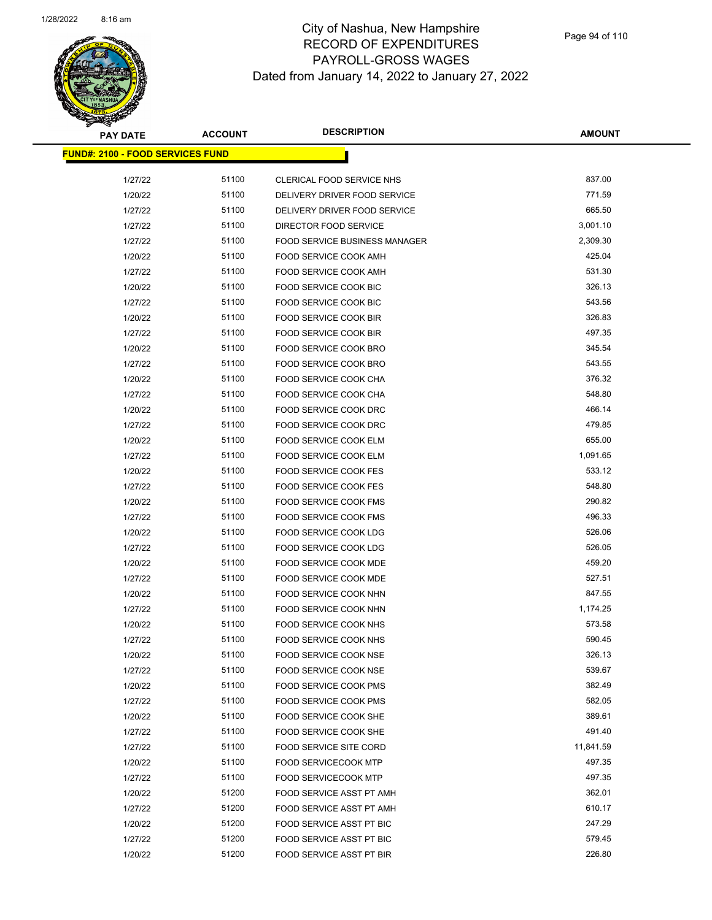

| <b>PAY DATE</b>                          | <b>ACCOUNT</b> | <b>DESCRIPTION</b>                   | <b>AMOUNT</b> |
|------------------------------------------|----------------|--------------------------------------|---------------|
| <u> FUND#: 2100 - FOOD SERVICES FUND</u> |                |                                      |               |
|                                          |                |                                      |               |
| 1/27/22                                  | 51100          | CLERICAL FOOD SERVICE NHS            | 837.00        |
| 1/20/22                                  | 51100          | DELIVERY DRIVER FOOD SERVICE         | 771.59        |
| 1/27/22                                  | 51100          | DELIVERY DRIVER FOOD SERVICE         | 665.50        |
| 1/27/22                                  | 51100          | DIRECTOR FOOD SERVICE                | 3,001.10      |
| 1/27/22                                  | 51100          | <b>FOOD SERVICE BUSINESS MANAGER</b> | 2,309.30      |
| 1/20/22                                  | 51100          | <b>FOOD SERVICE COOK AMH</b>         | 425.04        |
| 1/27/22                                  | 51100          | <b>FOOD SERVICE COOK AMH</b>         | 531.30        |
| 1/20/22                                  | 51100          | FOOD SERVICE COOK BIC                | 326.13        |
| 1/27/22                                  | 51100          | FOOD SERVICE COOK BIC                | 543.56        |
| 1/20/22                                  | 51100          | FOOD SERVICE COOK BIR                | 326.83        |
| 1/27/22                                  | 51100          | FOOD SERVICE COOK BIR                | 497.35        |
| 1/20/22                                  | 51100          | FOOD SERVICE COOK BRO                | 345.54        |
| 1/27/22                                  | 51100          | FOOD SERVICE COOK BRO                | 543.55        |
| 1/20/22                                  | 51100          | FOOD SERVICE COOK CHA                | 376.32        |
| 1/27/22                                  | 51100          | FOOD SERVICE COOK CHA                | 548.80        |
| 1/20/22                                  | 51100          | <b>FOOD SERVICE COOK DRC</b>         | 466.14        |
| 1/27/22                                  | 51100          | FOOD SERVICE COOK DRC                | 479.85        |
| 1/20/22                                  | 51100          | FOOD SERVICE COOK ELM                | 655.00        |
| 1/27/22                                  | 51100          | FOOD SERVICE COOK ELM                | 1,091.65      |
| 1/20/22                                  | 51100          | FOOD SERVICE COOK FES                | 533.12        |
| 1/27/22                                  | 51100          | <b>FOOD SERVICE COOK FES</b>         | 548.80        |
| 1/20/22                                  | 51100          | <b>FOOD SERVICE COOK FMS</b>         | 290.82        |
| 1/27/22                                  | 51100          | <b>FOOD SERVICE COOK FMS</b>         | 496.33        |
| 1/20/22                                  | 51100          | FOOD SERVICE COOK LDG                | 526.06        |
| 1/27/22                                  | 51100          | FOOD SERVICE COOK LDG                | 526.05        |
| 1/20/22                                  | 51100          | FOOD SERVICE COOK MDE                | 459.20        |
| 1/27/22                                  | 51100          | FOOD SERVICE COOK MDE                | 527.51        |
| 1/20/22                                  | 51100          | FOOD SERVICE COOK NHN                | 847.55        |
| 1/27/22                                  | 51100          | FOOD SERVICE COOK NHN                | 1,174.25      |
| 1/20/22                                  | 51100          | FOOD SERVICE COOK NHS                | 573.58        |
| 1/27/22                                  | 51100          | FOOD SERVICE COOK NHS                | 590.45        |
| 1/20/22                                  | 51100          | FOOD SERVICE COOK NSE                | 326.13        |
| 1/27/22                                  | 51100          | FOOD SERVICE COOK NSE                | 539.67        |
| 1/20/22                                  | 51100          | FOOD SERVICE COOK PMS                | 382.49        |
| 1/27/22                                  | 51100          | FOOD SERVICE COOK PMS                | 582.05        |
| 1/20/22                                  | 51100          | <b>FOOD SERVICE COOK SHE</b>         | 389.61        |
| 1/27/22                                  | 51100          | FOOD SERVICE COOK SHE                | 491.40        |
| 1/27/22                                  | 51100          | <b>FOOD SERVICE SITE CORD</b>        | 11,841.59     |
| 1/20/22                                  | 51100          | <b>FOOD SERVICECOOK MTP</b>          | 497.35        |
| 1/27/22                                  | 51100          | <b>FOOD SERVICECOOK MTP</b>          | 497.35        |
| 1/20/22                                  | 51200          | FOOD SERVICE ASST PT AMH             | 362.01        |
| 1/27/22                                  | 51200          | FOOD SERVICE ASST PT AMH             | 610.17        |
| 1/20/22                                  | 51200          | FOOD SERVICE ASST PT BIC             | 247.29        |
| 1/27/22                                  | 51200          | FOOD SERVICE ASST PT BIC             | 579.45        |
| 1/20/22                                  | 51200          | FOOD SERVICE ASST PT BIR             | 226.80        |
|                                          |                |                                      |               |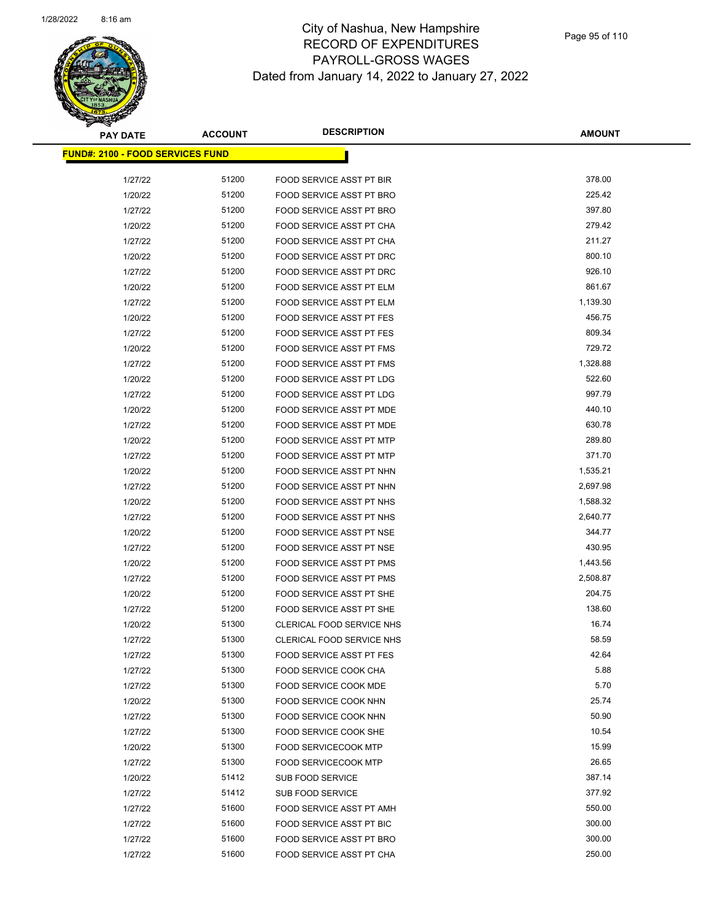

**AMOUNT**

| <u> FUND#: 2100 - FOOD SERVICES FUND</u> |       |                                 |          |
|------------------------------------------|-------|---------------------------------|----------|
| 1/27/22                                  | 51200 | FOOD SERVICE ASST PT BIR        | 378.00   |
| 1/20/22                                  | 51200 | FOOD SERVICE ASST PT BRO        | 225.42   |
| 1/27/22                                  | 51200 | FOOD SERVICE ASST PT BRO        | 397.80   |
| 1/20/22                                  | 51200 | FOOD SERVICE ASST PT CHA        | 279.42   |
| 1/27/22                                  | 51200 | FOOD SERVICE ASST PT CHA        | 211.27   |
| 1/20/22                                  | 51200 | FOOD SERVICE ASST PT DRC        | 800.10   |
| 1/27/22                                  | 51200 | FOOD SERVICE ASST PT DRC        | 926.10   |
| 1/20/22                                  | 51200 | FOOD SERVICE ASST PT ELM        | 861.67   |
| 1/27/22                                  | 51200 | FOOD SERVICE ASST PT ELM        | 1,139.30 |
| 1/20/22                                  | 51200 | <b>FOOD SERVICE ASST PT FES</b> | 456.75   |
| 1/27/22                                  | 51200 | <b>FOOD SERVICE ASST PT FES</b> | 809.34   |
| 1/20/22                                  | 51200 | FOOD SERVICE ASST PT FMS        | 729.72   |
| 1/27/22                                  | 51200 | FOOD SERVICE ASST PT FMS        | 1,328.88 |
| 1/20/22                                  | 51200 | <b>FOOD SERVICE ASST PT LDG</b> | 522.60   |
| 1/27/22                                  | 51200 | <b>FOOD SERVICE ASST PT LDG</b> | 997.79   |
| 1/20/22                                  | 51200 | FOOD SERVICE ASST PT MDE        | 440.10   |
| 1/27/22                                  | 51200 | FOOD SERVICE ASST PT MDE        | 630.78   |
| 1/20/22                                  | 51200 | <b>FOOD SERVICE ASST PT MTP</b> | 289.80   |
| 1/27/22                                  | 51200 | FOOD SERVICE ASST PT MTP        | 371.70   |
| 1/20/22                                  | 51200 | FOOD SERVICE ASST PT NHN        | 1,535.21 |
| 1/27/22                                  | 51200 | FOOD SERVICE ASST PT NHN        | 2,697.98 |
| 1/20/22                                  | 51200 | FOOD SERVICE ASST PT NHS        | 1,588.32 |
| 1/27/22                                  | 51200 | FOOD SERVICE ASST PT NHS        | 2,640.77 |
| 1/20/22                                  | 51200 | FOOD SERVICE ASST PT NSE        | 344.77   |
| 1/27/22                                  | 51200 | FOOD SERVICE ASST PT NSE        | 430.95   |
| 1/20/22                                  | 51200 | FOOD SERVICE ASST PT PMS        | 1,443.56 |
| 1/27/22                                  | 51200 | FOOD SERVICE ASST PT PMS        | 2,508.87 |
| 1/20/22                                  | 51200 | FOOD SERVICE ASST PT SHE        | 204.75   |
| 1/27/22                                  | 51200 | FOOD SERVICE ASST PT SHE        | 138.60   |
| 1/20/22                                  | 51300 | CLERICAL FOOD SERVICE NHS       | 16.74    |
| 1/27/22                                  | 51300 | CLERICAL FOOD SERVICE NHS       | 58.59    |
| 1/27/22                                  | 51300 | <b>FOOD SERVICE ASST PT FES</b> | 42.64    |
| 1/27/22                                  | 51300 | FOOD SERVICE COOK CHA           | 5.88     |
| 1/27/22                                  | 51300 | FOOD SERVICE COOK MDE           | 5.70     |
| 1/20/22                                  | 51300 | FOOD SERVICE COOK NHN           | 25.74    |
| 1/27/22                                  | 51300 | <b>FOOD SERVICE COOK NHN</b>    | 50.90    |
| 1/27/22                                  | 51300 | FOOD SERVICE COOK SHE           | 10.54    |
| 1/20/22                                  | 51300 | FOOD SERVICECOOK MTP            | 15.99    |
| 1/27/22                                  | 51300 | <b>FOOD SERVICECOOK MTP</b>     | 26.65    |
| 1/20/22                                  | 51412 | SUB FOOD SERVICE                | 387.14   |
| 1/27/22                                  | 51412 | SUB FOOD SERVICE                | 377.92   |
| 1/27/22                                  | 51600 | FOOD SERVICE ASST PT AMH        | 550.00   |
| 1/27/22                                  | 51600 | FOOD SERVICE ASST PT BIC        | 300.00   |
| 1/27/22                                  | 51600 | FOOD SERVICE ASST PT BRO        | 300.00   |
| 1/27/22                                  | 51600 | FOOD SERVICE ASST PT CHA        | 250.00   |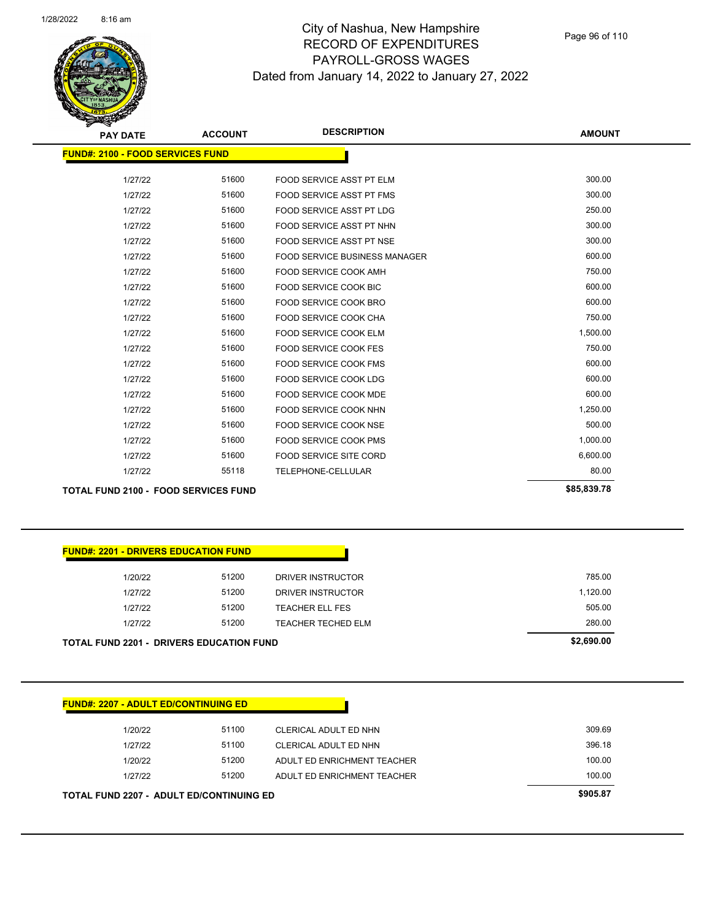

| <b>FUND#: 2100 - FOOD SERVICES FUND</b><br>51600<br>300.00<br>1/27/22<br>FOOD SERVICE ASST PT ELM<br>300.00<br>51600<br>1/27/22<br><b>FOOD SERVICE ASST PT FMS</b><br>51600<br>250.00<br><b>FOOD SERVICE ASST PT LDG</b><br>1/27/22<br>300.00<br>51600<br>1/27/22<br>FOOD SERVICE ASST PT NHN<br>300.00<br>51600<br>1/27/22<br><b>FOOD SERVICE ASST PT NSE</b><br>600.00<br>1/27/22<br>51600<br><b>FOOD SERVICE BUSINESS MANAGER</b><br>750.00<br>51600<br>1/27/22<br><b>FOOD SERVICE COOK AMH</b> |  |
|----------------------------------------------------------------------------------------------------------------------------------------------------------------------------------------------------------------------------------------------------------------------------------------------------------------------------------------------------------------------------------------------------------------------------------------------------------------------------------------------------|--|
|                                                                                                                                                                                                                                                                                                                                                                                                                                                                                                    |  |
|                                                                                                                                                                                                                                                                                                                                                                                                                                                                                                    |  |
|                                                                                                                                                                                                                                                                                                                                                                                                                                                                                                    |  |
|                                                                                                                                                                                                                                                                                                                                                                                                                                                                                                    |  |
|                                                                                                                                                                                                                                                                                                                                                                                                                                                                                                    |  |
|                                                                                                                                                                                                                                                                                                                                                                                                                                                                                                    |  |
|                                                                                                                                                                                                                                                                                                                                                                                                                                                                                                    |  |
|                                                                                                                                                                                                                                                                                                                                                                                                                                                                                                    |  |
|                                                                                                                                                                                                                                                                                                                                                                                                                                                                                                    |  |
| 600.00<br>51600<br>1/27/22<br>FOOD SERVICE COOK BIC                                                                                                                                                                                                                                                                                                                                                                                                                                                |  |
| 600.00<br>51600<br>1/27/22<br>FOOD SERVICE COOK BRO                                                                                                                                                                                                                                                                                                                                                                                                                                                |  |
| 750.00<br>51600<br>1/27/22<br>FOOD SERVICE COOK CHA                                                                                                                                                                                                                                                                                                                                                                                                                                                |  |
| 1,500.00<br>51600<br>1/27/22<br><b>FOOD SERVICE COOK ELM</b>                                                                                                                                                                                                                                                                                                                                                                                                                                       |  |
| 750.00<br>1/27/22<br>51600<br><b>FOOD SERVICE COOK FES</b>                                                                                                                                                                                                                                                                                                                                                                                                                                         |  |
| 600.00<br>51600<br>1/27/22<br><b>FOOD SERVICE COOK FMS</b>                                                                                                                                                                                                                                                                                                                                                                                                                                         |  |
| 600.00<br>51600<br>1/27/22<br>FOOD SERVICE COOK LDG                                                                                                                                                                                                                                                                                                                                                                                                                                                |  |
| 600.00<br>51600<br>1/27/22<br><b>FOOD SERVICE COOK MDE</b>                                                                                                                                                                                                                                                                                                                                                                                                                                         |  |
| 51600<br>1,250.00<br>1/27/22<br>FOOD SERVICE COOK NHN                                                                                                                                                                                                                                                                                                                                                                                                                                              |  |
| 500.00<br>1/27/22<br>51600<br><b>FOOD SERVICE COOK NSE</b>                                                                                                                                                                                                                                                                                                                                                                                                                                         |  |
| 51600<br>1,000.00<br>1/27/22<br><b>FOOD SERVICE COOK PMS</b>                                                                                                                                                                                                                                                                                                                                                                                                                                       |  |
| 6,600.00<br>51600<br>1/27/22<br>FOOD SERVICE SITE CORD                                                                                                                                                                                                                                                                                                                                                                                                                                             |  |
| 80.00<br>55118<br>1/27/22<br>TELEPHONE-CELLULAR                                                                                                                                                                                                                                                                                                                                                                                                                                                    |  |
| \$85,839.78<br><b>TOTAL FUND 2100 - FOOD SERVICES FUND</b>                                                                                                                                                                                                                                                                                                                                                                                                                                         |  |

| <b>FUND#: 2201 - DRIVERS EDUCATION FUND</b>     |       |                    |            |
|-------------------------------------------------|-------|--------------------|------------|
| 1/20/22                                         | 51200 | DRIVER INSTRUCTOR  | 785.00     |
| 1/27/22                                         | 51200 | DRIVER INSTRUCTOR  | 1.120.00   |
| 1/27/22                                         | 51200 | TEACHER ELL FES    | 505.00     |
| 1/27/22                                         | 51200 | TEACHER TECHED ELM | 280.00     |
| <b>TOTAL FUND 2201 - DRIVERS EDUCATION FUND</b> |       |                    | \$2,690.00 |

| 1/20/22 | 51100 | CLERICAL ADULT ED NHN       | 309.69 |
|---------|-------|-----------------------------|--------|
| 1/27/22 | 51100 | CLERICAL ADULT ED NHN       | 396.18 |
| 1/20/22 | 51200 | ADULT ED ENRICHMENT TEACHER | 100.00 |
| 1/27/22 | 51200 | ADULT ED ENRICHMENT TEACHER | 100.00 |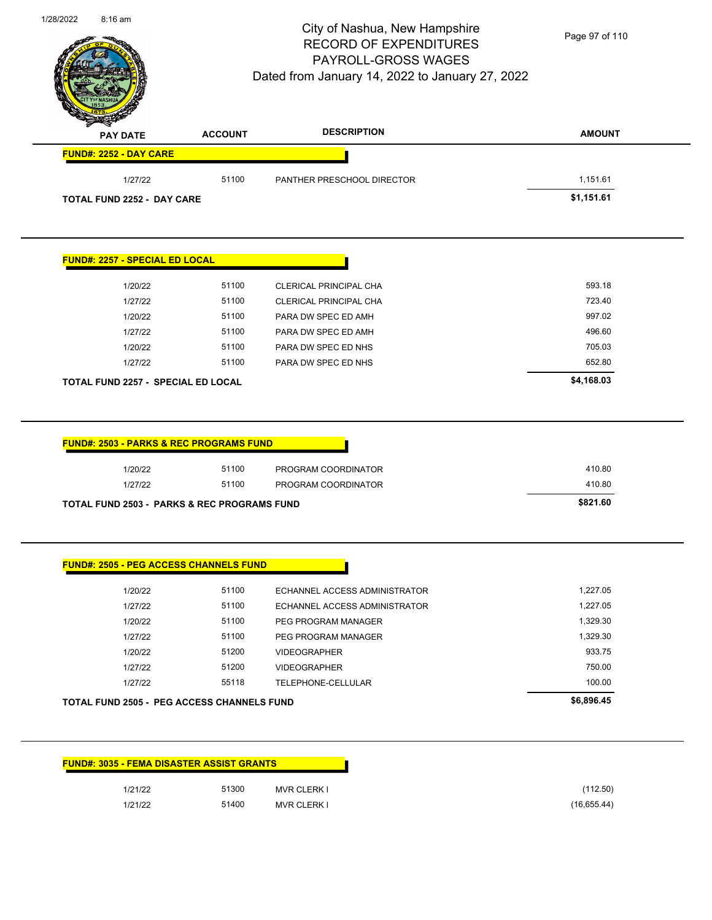

Page 97 of 110

| <b>PAY DATE</b>               | <b>ACCOUNT</b> | <b>DESCRIPTION</b>         | <b>AMOUNT</b> |
|-------------------------------|----------------|----------------------------|---------------|
| <b>FUND#: 2252 - DAY CARE</b> |                |                            |               |
| 1/27/22                       | 51100          | PANTHER PRESCHOOL DIRECTOR | 1,151.61      |
| TOTAL FUND 2252 - DAY CARE    |                |                            | \$1,151.61    |

| <b>TOTAL FUND 2257 - SPECIAL ED LOCAL</b> |       |                        | \$4,168.03 |
|-------------------------------------------|-------|------------------------|------------|
| 1/27/22                                   | 51100 | PARA DW SPEC ED NHS    | 652.80     |
| 1/20/22                                   | 51100 | PARA DW SPEC ED NHS    | 705.03     |
| 1/27/22                                   | 51100 | PARA DW SPEC ED AMH    | 496.60     |
| 1/20/22                                   | 51100 | PARA DW SPEC ED AMH    | 997.02     |
| 1/27/22                                   | 51100 | CLERICAL PRINCIPAL CHA | 723.40     |
| 1/20/22                                   | 51100 | CLERICAL PRINCIPAL CHA | 593.18     |

| 1/20/22 | 51100 | PROGRAM COORDINATOR | 410.80 |
|---------|-------|---------------------|--------|
| 1/27/22 | 51100 | PROGRAM COORDINATOR | 410.80 |

| <b>FUND#: 2505 - PEG ACCESS CHANNELS FUND</b>     |       |                               |            |
|---------------------------------------------------|-------|-------------------------------|------------|
| 1/20/22                                           | 51100 | ECHANNEL ACCESS ADMINISTRATOR | 1.227.05   |
| 1/27/22                                           | 51100 | ECHANNEL ACCESS ADMINISTRATOR | 1.227.05   |
| 1/20/22                                           | 51100 | PEG PROGRAM MANAGER           | 1,329.30   |
| 1/27/22                                           | 51100 | PEG PROGRAM MANAGER           | 1.329.30   |
| 1/20/22                                           | 51200 | <b>VIDEOGRAPHER</b>           | 933.75     |
| 1/27/22                                           | 51200 | <b>VIDEOGRAPHER</b>           | 750.00     |
| 1/27/22                                           | 55118 | TELEPHONE-CELLULAR            | 100.00     |
| <b>TOTAL FUND 2505 - PEG ACCESS CHANNELS FUND</b> |       |                               | \$6,896.45 |

|         | <b>FUND#: 3035 - FEMA DISASTER ASSIST GRANTS</b> |             |
|---------|--------------------------------------------------|-------------|
| 1/21/22 | 51300                                            | MVR CLERK I |
| 1/21/22 | 51400                                            | MVR CLERK I |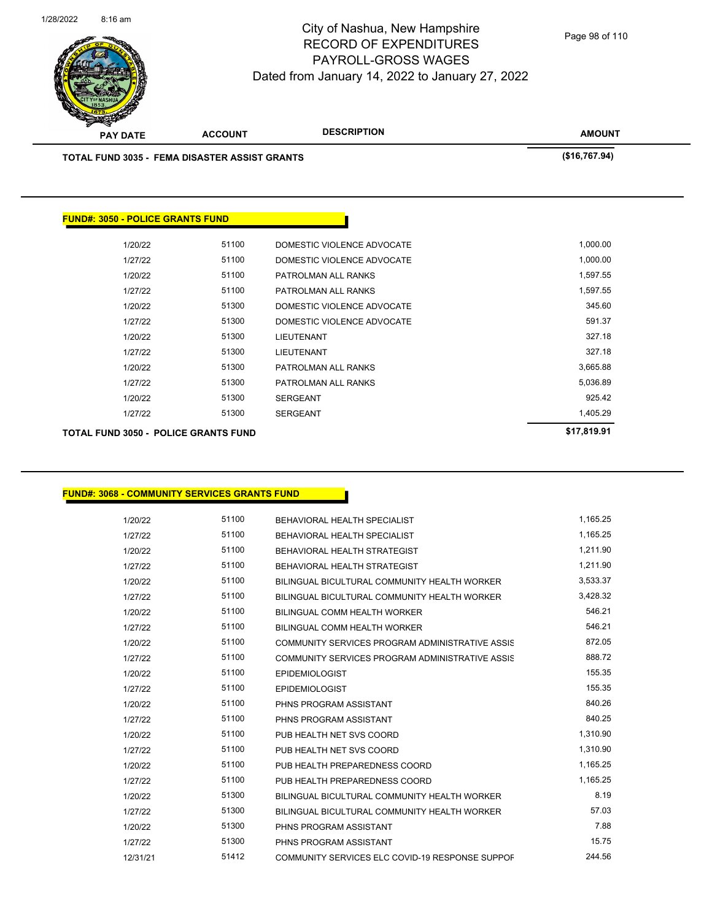

**AMOUNT PAY DATE ACCOUNT DESCRIPTION TOTAL FUND 3035 - FEMA DISASTER ASSIST GRANTS (\$16,767.94) FUND#: 3050 - POLICE GRANTS FUND** 1/20/22 51100 DOMESTIC VIOLENCE ADVOCATE 1,000.00 1/27/22 51100 DOMESTIC VIOLENCE ADVOCATE 1,000.00 1/20/22 51100 PATROLMAN ALL RANKS 1,597.55 1/27/22 51100 PATROLMAN ALL RANKS 1,597.55 1/20/22 51300 DOMESTIC VIOLENCE ADVOCATE 345.60 1/27/22 51300 DOMESTIC VIOLENCE ADVOCATE 591.37 1/20/22 51300 LIEUTENANT 51300 S27.18 1/27/22 51300 LIEUTENANT 327.18 1/20/22 51300 PATROLMAN ALL RANKS 3,665.88 1/27/22 51300 PATROLMAN ALL RANKS 5,036.89

> 1/20/22 51300 SERGEANT 5925.42 1/27/22 51300 SERGEANT 1,405.29

**TOTAL FUND 3050 - POLICE GRANTS FUND \$17,819.91** 

**FUND#: 3068 - COMMUNITY SERVICES GRANTS FUND**

| 1/20/22  | 51100 | BEHAVIORAL HEALTH SPECIALIST                    | 1,165.25 |
|----------|-------|-------------------------------------------------|----------|
| 1/27/22  | 51100 | BEHAVIORAL HEALTH SPECIALIST                    | 1,165.25 |
| 1/20/22  | 51100 | BEHAVIORAL HEALTH STRATEGIST                    | 1,211.90 |
| 1/27/22  | 51100 | BEHAVIORAL HEALTH STRATEGIST                    | 1,211.90 |
| 1/20/22  | 51100 | BILINGUAL BICULTURAL COMMUNITY HEALTH WORKER    | 3,533.37 |
| 1/27/22  | 51100 | BILINGUAL BICULTURAL COMMUNITY HEALTH WORKER    | 3,428.32 |
| 1/20/22  | 51100 | BILINGUAL COMM HEALTH WORKER                    | 546.21   |
| 1/27/22  | 51100 | <b>BILINGUAL COMM HEALTH WORKER</b>             | 546.21   |
| 1/20/22  | 51100 | COMMUNITY SERVICES PROGRAM ADMINISTRATIVE ASSIS | 872.05   |
| 1/27/22  | 51100 | COMMUNITY SERVICES PROGRAM ADMINISTRATIVE ASSIS | 888.72   |
| 1/20/22  | 51100 | <b>EPIDEMIOLOGIST</b>                           | 155.35   |
| 1/27/22  | 51100 | <b>EPIDEMIOLOGIST</b>                           | 155.35   |
| 1/20/22  | 51100 | PHNS PROGRAM ASSISTANT                          | 840.26   |
| 1/27/22  | 51100 | PHNS PROGRAM ASSISTANT                          | 840.25   |
| 1/20/22  | 51100 | PUB HEALTH NET SVS COORD                        | 1,310.90 |
| 1/27/22  | 51100 | PUB HEALTH NET SVS COORD                        | 1,310.90 |
| 1/20/22  | 51100 | PUB HEALTH PREPAREDNESS COORD                   | 1,165.25 |
| 1/27/22  | 51100 | PUB HEALTH PREPAREDNESS COORD                   | 1,165.25 |
| 1/20/22  | 51300 | BILINGUAL BICULTURAL COMMUNITY HEALTH WORKER    | 8.19     |
| 1/27/22  | 51300 | BILINGUAL BICULTURAL COMMUNITY HEALTH WORKER    | 57.03    |
| 1/20/22  | 51300 | PHNS PROGRAM ASSISTANT                          | 7.88     |
| 1/27/22  | 51300 | PHNS PROGRAM ASSISTANT                          | 15.75    |
| 12/31/21 | 51412 | COMMUNITY SERVICES ELC COVID-19 RESPONSE SUPPOF | 244.56   |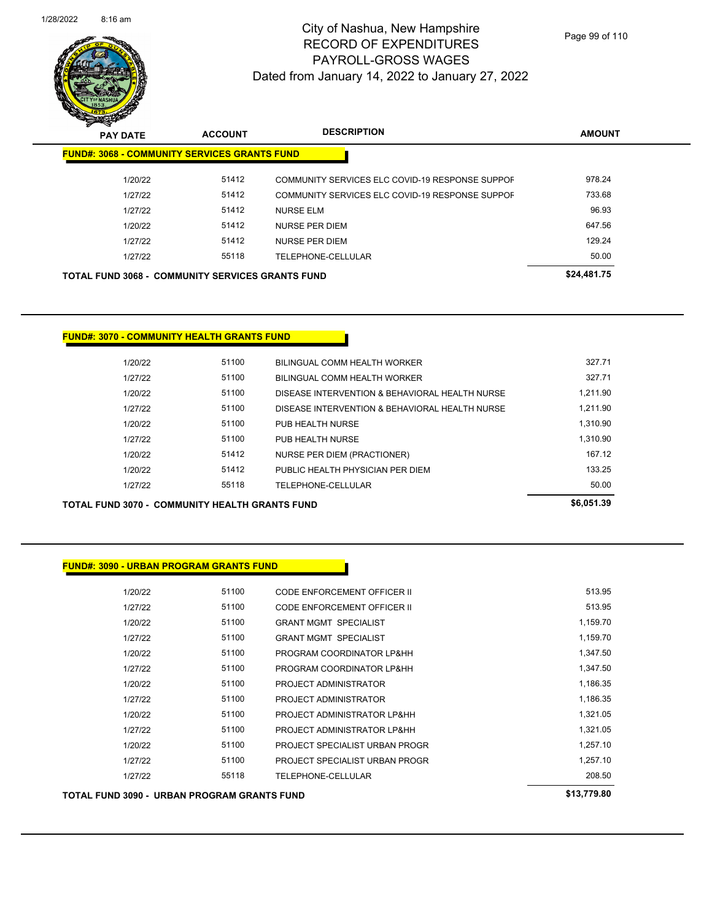

Page 99 of 110

| <b>PAY DATE</b>                                         | <b>ACCOUNT</b> | <b>DESCRIPTION</b>                              | <b>AMOUNT</b> |
|---------------------------------------------------------|----------------|-------------------------------------------------|---------------|
| <b>FUND#: 3068 - COMMUNITY SERVICES GRANTS FUND</b>     |                |                                                 |               |
| 1/20/22                                                 | 51412          | COMMUNITY SERVICES ELC COVID-19 RESPONSE SUPPOF | 978.24        |
| 1/27/22                                                 | 51412          | COMMUNITY SERVICES ELC COVID-19 RESPONSE SUPPOF | 733.68        |
| 1/27/22                                                 | 51412          | <b>NURSE ELM</b>                                | 96.93         |
| 1/20/22                                                 | 51412          | <b>NURSE PER DIEM</b>                           | 647.56        |
| 1/27/22                                                 | 51412          | NURSE PER DIEM                                  | 129.24        |
| 1/27/22                                                 | 55118          | TELEPHONE-CELLULAR                              | 50.00         |
| <b>TOTAL FUND 3068 - COMMUNITY SERVICES GRANTS FUND</b> |                |                                                 | \$24,481.75   |

#### **FUND#: 3070 - COMMUNITY HEALTH GRANTS FUND**

| 1/20/22 | 51100 | BILINGUAL COMM HEALTH WORKER                   | 327.71   |
|---------|-------|------------------------------------------------|----------|
| 1/27/22 | 51100 | BILINGUAL COMM HEALTH WORKER                   | 327.71   |
| 1/20/22 | 51100 | DISEASE INTERVENTION & BEHAVIORAL HEALTH NURSE | 1.211.90 |
| 1/27/22 | 51100 | DISEASE INTERVENTION & BEHAVIORAL HEALTH NURSE | 1.211.90 |
| 1/20/22 | 51100 | PUB HEALTH NURSE                               | 1.310.90 |
| 1/27/22 | 51100 | PUB HEALTH NURSE                               | 1.310.90 |
| 1/20/22 | 51412 | NURSE PER DIEM (PRACTIONER)                    | 167 12   |
| 1/20/22 | 51412 | PUBLIC HEALTH PHYSICIAN PER DIEM               | 133.25   |
| 1/27/22 | 55118 | TELEPHONE-CELLULAR                             | 50.00    |
|         |       |                                                |          |

| <b>TOTAL FUND 3070 - COMMUNITY HEALTH GRANTS FUND</b> | \$6,051.39 |
|-------------------------------------------------------|------------|
|                                                       |            |
| <b>FUND#: 3090 - URBAN PROGRAM GRANTS FUND</b>        |            |
| $-1100$<br>1.12.2.12.2                                | $-1000$    |

| TOTAL FUND 3090 - URBAN PROGRAM GRANTS FUND |       |                                    | \$13,779.80 |
|---------------------------------------------|-------|------------------------------------|-------------|
| 1/27/22                                     | 55118 | TELEPHONE-CELLULAR                 | 208.50      |
| 1/27/22                                     | 51100 | PROJECT SPECIALIST URBAN PROGR     | 1,257.10    |
| 1/20/22                                     | 51100 | PROJECT SPECIALIST URBAN PROGR     | 1,257.10    |
| 1/27/22                                     | 51100 | PROJECT ADMINISTRATOR LP&HH        | 1,321.05    |
| 1/20/22                                     | 51100 | PROJECT ADMINISTRATOR LP&HH        | 1,321.05    |
| 1/27/22                                     | 51100 | PROJECT ADMINISTRATOR              | 1,186.35    |
| 1/20/22                                     | 51100 | PROJECT ADMINISTRATOR              | 1,186.35    |
| 1/27/22                                     | 51100 | PROGRAM COORDINATOR LP&HH          | 1,347.50    |
| 1/20/22                                     | 51100 | PROGRAM COORDINATOR LP&HH          | 1,347.50    |
| 1/27/22                                     | 51100 | <b>GRANT MGMT SPECIALIST</b>       | 1,159.70    |
| 1/20/22                                     | 51100 | <b>GRANT MGMT SPECIALIST</b>       | 1,159.70    |
| 1/27/22                                     | 51100 | <b>CODE ENFORCEMENT OFFICER II</b> | 513.95      |
| 1/20/22                                     | 51100 | CODE ENFORCEMENT OFFICER II        | 513.95      |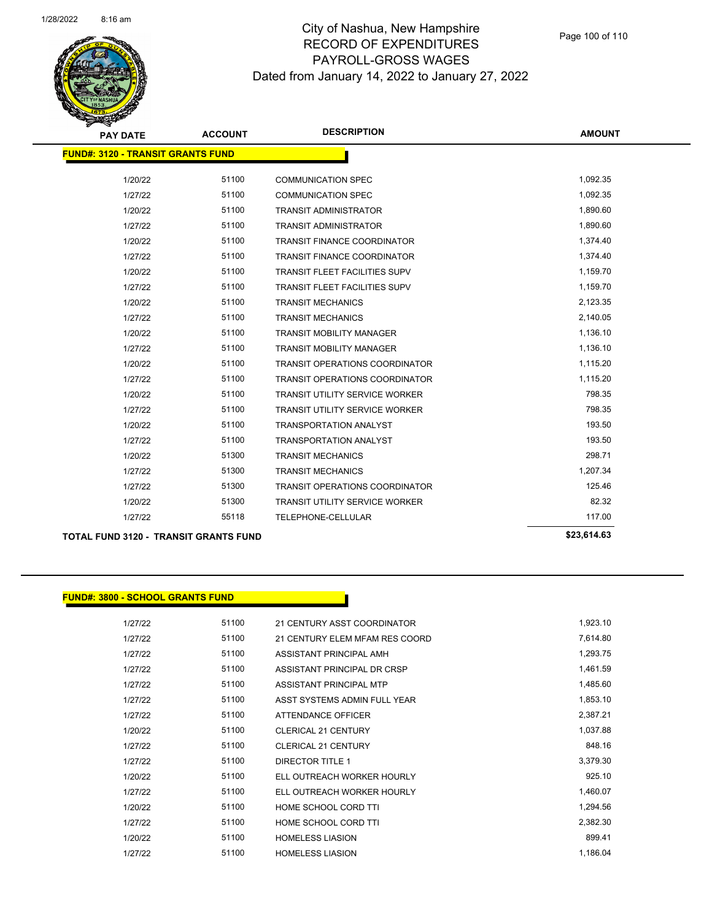

| <b>PAY DATE</b>                          | <b>ACCOUNT</b> | <b>DESCRIPTION</b>                    | <b>AMOUNT</b> |
|------------------------------------------|----------------|---------------------------------------|---------------|
| <b>FUND#: 3120 - TRANSIT GRANTS FUND</b> |                |                                       |               |
| 1/20/22                                  | 51100          | <b>COMMUNICATION SPEC</b>             | 1,092.35      |
| 1/27/22                                  | 51100          | <b>COMMUNICATION SPEC</b>             | 1,092.35      |
| 1/20/22                                  | 51100          | <b>TRANSIT ADMINISTRATOR</b>          | 1,890.60      |
| 1/27/22                                  | 51100          | <b>TRANSIT ADMINISTRATOR</b>          | 1,890.60      |
| 1/20/22                                  | 51100          | <b>TRANSIT FINANCE COORDINATOR</b>    | 1,374.40      |
| 1/27/22                                  | 51100          | <b>TRANSIT FINANCE COORDINATOR</b>    | 1,374.40      |
| 1/20/22                                  | 51100          | <b>TRANSIT FLEET FACILITIES SUPV</b>  | 1,159.70      |
| 1/27/22                                  | 51100          | <b>TRANSIT FLEET FACILITIES SUPV</b>  | 1,159.70      |
| 1/20/22                                  | 51100          | <b>TRANSIT MECHANICS</b>              | 2,123.35      |
| 1/27/22                                  | 51100          | <b>TRANSIT MECHANICS</b>              | 2,140.05      |
| 1/20/22                                  | 51100          | <b>TRANSIT MOBILITY MANAGER</b>       | 1,136.10      |
| 1/27/22                                  | 51100          | <b>TRANSIT MOBILITY MANAGER</b>       | 1,136.10      |
| 1/20/22                                  | 51100          | <b>TRANSIT OPERATIONS COORDINATOR</b> | 1,115.20      |
| 1/27/22                                  | 51100          | <b>TRANSIT OPERATIONS COORDINATOR</b> | 1,115.20      |
| 1/20/22                                  | 51100          | <b>TRANSIT UTILITY SERVICE WORKER</b> | 798.35        |
| 1/27/22                                  | 51100          | <b>TRANSIT UTILITY SERVICE WORKER</b> | 798.35        |
| 1/20/22                                  | 51100          | <b>TRANSPORTATION ANALYST</b>         | 193.50        |
| 1/27/22                                  | 51100          | <b>TRANSPORTATION ANALYST</b>         | 193.50        |
| 1/20/22                                  | 51300          | <b>TRANSIT MECHANICS</b>              | 298.71        |
| 1/27/22                                  | 51300          | <b>TRANSIT MECHANICS</b>              | 1,207.34      |
| 1/27/22                                  | 51300          | <b>TRANSIT OPERATIONS COORDINATOR</b> | 125.46        |
| 1/20/22                                  | 51300          | <b>TRANSIT UTILITY SERVICE WORKER</b> | 82.32         |
| 1/27/22                                  | 55118          | TELEPHONE-CELLULAR                    | 117.00        |
|                                          |                |                                       |               |

**TOTAL FUND 3120 - TRANSIT GRANTS FUND \$23,614.63** 

#### **FUND#: 3800 - SCHOOL GRANTS FUND**

| 1/27/22 | 51100 | 21 CENTURY ASST COORDINATOR    | 1,923.10 |
|---------|-------|--------------------------------|----------|
| 1/27/22 | 51100 | 21 CENTURY ELEM MFAM RES COORD | 7,614.80 |
| 1/27/22 | 51100 | ASSISTANT PRINCIPAL AMH        | 1,293.75 |
| 1/27/22 | 51100 | ASSISTANT PRINCIPAL DR CRSP    | 1,461.59 |
| 1/27/22 | 51100 | ASSISTANT PRINCIPAL MTP        | 1,485.60 |
| 1/27/22 | 51100 | ASST SYSTEMS ADMIN FULL YEAR   | 1,853.10 |
| 1/27/22 | 51100 | ATTENDANCE OFFICER             | 2.387.21 |
| 1/20/22 | 51100 | <b>CLERICAL 21 CENTURY</b>     | 1,037.88 |
| 1/27/22 | 51100 | <b>CLERICAL 21 CENTURY</b>     | 848.16   |
| 1/27/22 | 51100 | <b>DIRECTOR TITLE 1</b>        | 3,379.30 |
| 1/20/22 | 51100 | ELL OUTREACH WORKER HOURLY     | 925.10   |
| 1/27/22 | 51100 | ELL OUTREACH WORKER HOURLY     | 1,460.07 |
| 1/20/22 | 51100 | HOME SCHOOL CORD TTI           | 1,294.56 |
| 1/27/22 | 51100 | HOME SCHOOL CORD TTI           | 2,382.30 |
| 1/20/22 | 51100 | <b>HOMELESS LIASION</b>        | 899.41   |
| 1/27/22 | 51100 | <b>HOMELESS LIASION</b>        | 1,186.04 |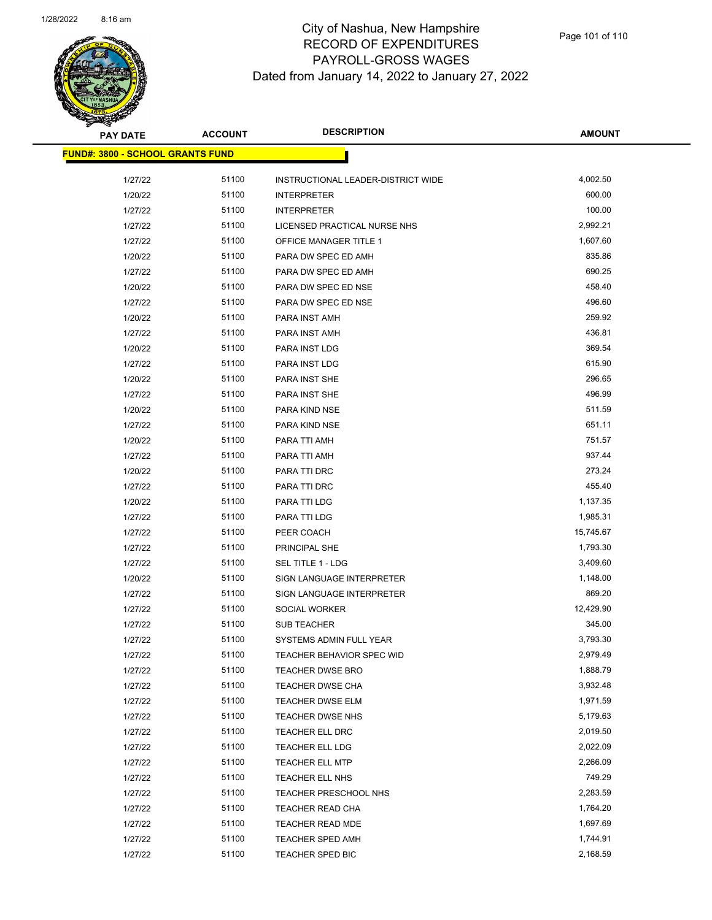

| <b>PAY DATE</b>                         | <b>ACCOUNT</b> | <b>DESCRIPTION</b>                 | <b>AMOUNT</b> |
|-----------------------------------------|----------------|------------------------------------|---------------|
| <b>FUND#: 3800 - SCHOOL GRANTS FUND</b> |                |                                    |               |
|                                         |                |                                    |               |
| 1/27/22                                 | 51100          | INSTRUCTIONAL LEADER-DISTRICT WIDE | 4,002.50      |
| 1/20/22                                 | 51100          | <b>INTERPRETER</b>                 | 600.00        |
| 1/27/22                                 | 51100          | <b>INTERPRETER</b>                 | 100.00        |
| 1/27/22                                 | 51100          | LICENSED PRACTICAL NURSE NHS       | 2,992.21      |
| 1/27/22                                 | 51100          | <b>OFFICE MANAGER TITLE 1</b>      | 1,607.60      |
| 1/20/22                                 | 51100          | PARA DW SPEC ED AMH                | 835.86        |
| 1/27/22                                 | 51100          | PARA DW SPEC ED AMH                | 690.25        |
| 1/20/22                                 | 51100          | PARA DW SPEC ED NSE                | 458.40        |
| 1/27/22                                 | 51100          | PARA DW SPEC ED NSE                | 496.60        |
| 1/20/22                                 | 51100          | PARA INST AMH                      | 259.92        |
| 1/27/22                                 | 51100          | PARA INST AMH                      | 436.81        |
| 1/20/22                                 | 51100          | PARA INST LDG                      | 369.54        |
| 1/27/22                                 | 51100          | <b>PARA INST LDG</b>               | 615.90        |
| 1/20/22                                 | 51100          | PARA INST SHE                      | 296.65        |
| 1/27/22                                 | 51100          | PARA INST SHE                      | 496.99        |
| 1/20/22                                 | 51100          | PARA KIND NSE                      | 511.59        |
| 1/27/22                                 | 51100          | PARA KIND NSE                      | 651.11        |
| 1/20/22                                 | 51100          | PARA TTI AMH                       | 751.57        |
| 1/27/22                                 | 51100          | PARA TTI AMH                       | 937.44        |
| 1/20/22                                 | 51100          | PARA TTI DRC                       | 273.24        |
| 1/27/22                                 | 51100          | PARA TTI DRC                       | 455.40        |
| 1/20/22                                 | 51100          | PARA TTI LDG                       | 1,137.35      |
| 1/27/22                                 | 51100          | PARA TTI LDG                       | 1,985.31      |
| 1/27/22                                 | 51100          | PEER COACH                         | 15,745.67     |
| 1/27/22                                 | 51100          | PRINCIPAL SHE                      | 1,793.30      |
| 1/27/22                                 | 51100          | SEL TITLE 1 - LDG                  | 3,409.60      |
| 1/20/22                                 | 51100          | SIGN LANGUAGE INTERPRETER          | 1,148.00      |
| 1/27/22                                 | 51100          | SIGN LANGUAGE INTERPRETER          | 869.20        |
| 1/27/22                                 | 51100          | SOCIAL WORKER                      | 12,429.90     |
| 1/27/22                                 | 51100          | <b>SUB TEACHER</b>                 | 345.00        |
| 1/27/22                                 | 51100          | SYSTEMS ADMIN FULL YEAR            | 3,793.30      |
| 1/27/22                                 | 51100          | TEACHER BEHAVIOR SPEC WID          | 2,979.49      |
| 1/27/22                                 | 51100          | TEACHER DWSE BRO                   | 1,888.79      |
| 1/27/22                                 | 51100          | TEACHER DWSE CHA                   | 3,932.48      |
| 1/27/22                                 | 51100          | TEACHER DWSE ELM                   | 1,971.59      |
| 1/27/22                                 | 51100          | TEACHER DWSE NHS                   | 5,179.63      |
| 1/27/22                                 | 51100          | TEACHER ELL DRC                    | 2,019.50      |
| 1/27/22                                 | 51100          | TEACHER ELL LDG                    | 2,022.09      |
| 1/27/22                                 | 51100          | TEACHER ELL MTP                    | 2,266.09      |
| 1/27/22                                 | 51100          | TEACHER ELL NHS                    | 749.29        |
| 1/27/22                                 | 51100          | TEACHER PRESCHOOL NHS              | 2,283.59      |
| 1/27/22                                 | 51100          | TEACHER READ CHA                   | 1,764.20      |
| 1/27/22                                 | 51100          | TEACHER READ MDE                   | 1,697.69      |
| 1/27/22                                 | 51100          | <b>TEACHER SPED AMH</b>            | 1,744.91      |
| 1/27/22                                 | 51100          | TEACHER SPED BIC                   | 2,168.59      |
|                                         |                |                                    |               |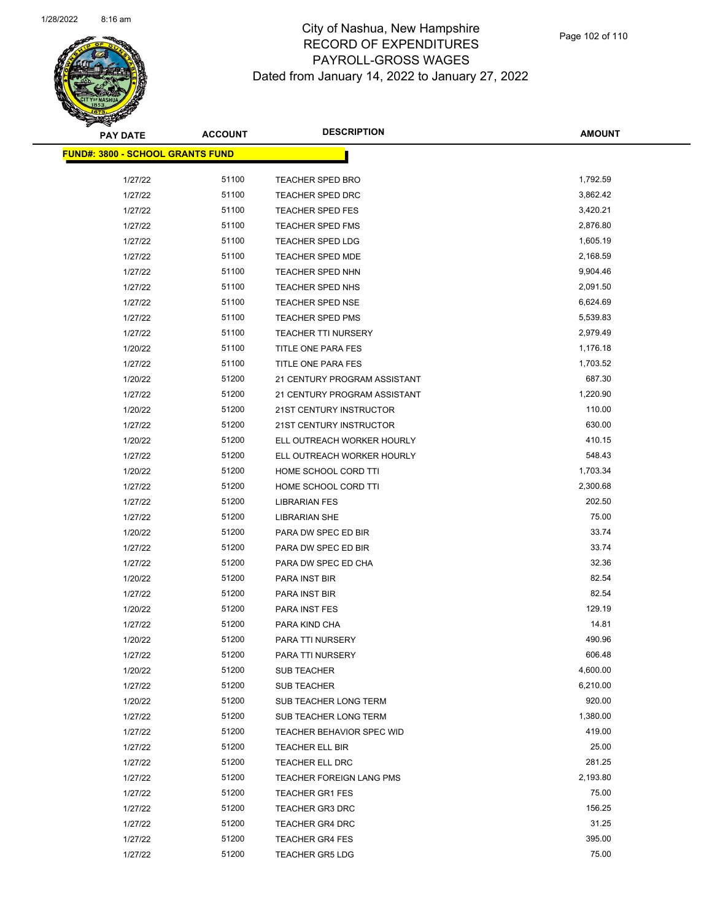

| <b>PAY DATE</b>                          | <b>ACCOUNT</b> | <b>DESCRIPTION</b>           | <b>AMOUNT</b> |
|------------------------------------------|----------------|------------------------------|---------------|
| <u> FUND#: 3800 - SCHOOL GRANTS FUND</u> |                |                              |               |
|                                          |                |                              |               |
| 1/27/22                                  | 51100          | <b>TEACHER SPED BRO</b>      | 1,792.59      |
| 1/27/22                                  | 51100          | <b>TEACHER SPED DRC</b>      | 3,862.42      |
| 1/27/22                                  | 51100          | <b>TEACHER SPED FES</b>      | 3,420.21      |
| 1/27/22                                  | 51100          | TEACHER SPED FMS             | 2,876.80      |
| 1/27/22                                  | 51100          | <b>TEACHER SPED LDG</b>      | 1,605.19      |
| 1/27/22                                  | 51100          | <b>TEACHER SPED MDE</b>      | 2,168.59      |
| 1/27/22                                  | 51100          | <b>TEACHER SPED NHN</b>      | 9,904.46      |
| 1/27/22                                  | 51100          | TEACHER SPED NHS             | 2,091.50      |
| 1/27/22                                  | 51100          | <b>TEACHER SPED NSE</b>      | 6,624.69      |
| 1/27/22                                  | 51100          | <b>TEACHER SPED PMS</b>      | 5,539.83      |
| 1/27/22                                  | 51100          | <b>TEACHER TTI NURSERY</b>   | 2,979.49      |
| 1/20/22                                  | 51100          | TITLE ONE PARA FES           | 1,176.18      |
| 1/27/22                                  | 51100          | TITLE ONE PARA FES           | 1,703.52      |
| 1/20/22                                  | 51200          | 21 CENTURY PROGRAM ASSISTANT | 687.30        |
| 1/27/22                                  | 51200          | 21 CENTURY PROGRAM ASSISTANT | 1,220.90      |
| 1/20/22                                  | 51200          | 21ST CENTURY INSTRUCTOR      | 110.00        |
| 1/27/22                                  | 51200          | 21ST CENTURY INSTRUCTOR      | 630.00        |
| 1/20/22                                  | 51200          | ELL OUTREACH WORKER HOURLY   | 410.15        |
| 1/27/22                                  | 51200          | ELL OUTREACH WORKER HOURLY   | 548.43        |
| 1/20/22                                  | 51200          | HOME SCHOOL CORD TTI         | 1,703.34      |
| 1/27/22                                  | 51200          | HOME SCHOOL CORD TTI         | 2,300.68      |
| 1/27/22                                  | 51200          | <b>LIBRARIAN FES</b>         | 202.50        |
| 1/27/22                                  | 51200          | <b>LIBRARIAN SHE</b>         | 75.00         |
| 1/20/22                                  | 51200          | PARA DW SPEC ED BIR          | 33.74         |
| 1/27/22                                  | 51200          | PARA DW SPEC ED BIR          | 33.74         |
| 1/27/22                                  | 51200          | PARA DW SPEC ED CHA          | 32.36         |
| 1/20/22                                  | 51200          | PARA INST BIR                | 82.54         |
| 1/27/22                                  | 51200          | PARA INST BIR                | 82.54         |
| 1/20/22                                  | 51200          | PARA INST FES                | 129.19        |
| 1/27/22                                  | 51200          | PARA KIND CHA                | 14.81         |
| 1/20/22                                  | 51200          | PARA TTI NURSERY             | 490.96        |
| 1/27/22                                  | 51200          | PARA TTI NURSERY             | 606.48        |
| 1/20/22                                  | 51200          | <b>SUB TEACHER</b>           | 4,600.00      |
| 1/27/22                                  | 51200          | <b>SUB TEACHER</b>           | 6,210.00      |
| 1/20/22                                  | 51200          | SUB TEACHER LONG TERM        | 920.00        |
| 1/27/22                                  | 51200          | SUB TEACHER LONG TERM        | 1,380.00      |
| 1/27/22                                  | 51200          | TEACHER BEHAVIOR SPEC WID    | 419.00        |
| 1/27/22                                  | 51200          | TEACHER ELL BIR              | 25.00         |
| 1/27/22                                  | 51200          | TEACHER ELL DRC              | 281.25        |
| 1/27/22                                  | 51200          | TEACHER FOREIGN LANG PMS     | 2,193.80      |
| 1/27/22                                  | 51200          | <b>TEACHER GR1 FES</b>       | 75.00         |
| 1/27/22                                  | 51200          | <b>TEACHER GR3 DRC</b>       | 156.25        |
| 1/27/22                                  | 51200          | <b>TEACHER GR4 DRC</b>       | 31.25         |
| 1/27/22                                  | 51200          | <b>TEACHER GR4 FES</b>       | 395.00        |
| 1/27/22                                  | 51200          | <b>TEACHER GR5 LDG</b>       | 75.00         |
|                                          |                |                              |               |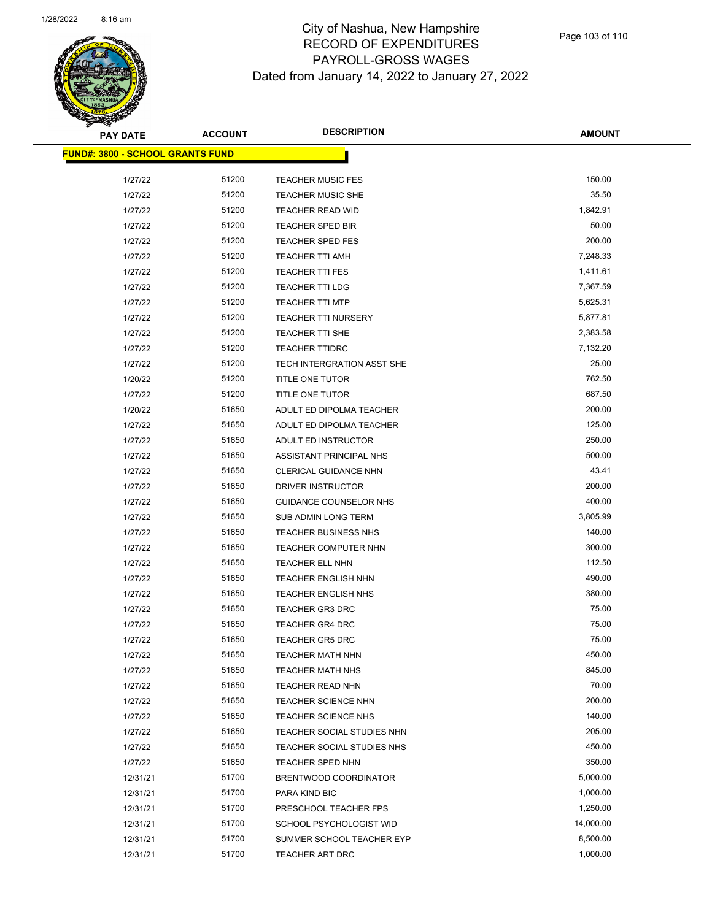

| <b>PAY DATE</b>                         | <b>ACCOUNT</b> | <b>DESCRIPTION</b>            | <b>AMOUNT</b> |
|-----------------------------------------|----------------|-------------------------------|---------------|
| <b>FUND#: 3800 - SCHOOL GRANTS FUND</b> |                |                               |               |
|                                         |                |                               |               |
| 1/27/22                                 | 51200          | <b>TEACHER MUSIC FES</b>      | 150.00        |
| 1/27/22                                 | 51200          | <b>TEACHER MUSIC SHE</b>      | 35.50         |
| 1/27/22                                 | 51200          | <b>TEACHER READ WID</b>       | 1,842.91      |
| 1/27/22                                 | 51200          | <b>TEACHER SPED BIR</b>       | 50.00         |
| 1/27/22                                 | 51200          | <b>TEACHER SPED FES</b>       | 200.00        |
| 1/27/22                                 | 51200          | <b>TEACHER TTI AMH</b>        | 7,248.33      |
| 1/27/22                                 | 51200          | <b>TEACHER TTI FES</b>        | 1,411.61      |
| 1/27/22                                 | 51200          | <b>TEACHER TTI LDG</b>        | 7,367.59      |
| 1/27/22                                 | 51200          | <b>TEACHER TTI MTP</b>        | 5,625.31      |
| 1/27/22                                 | 51200          | <b>TEACHER TTI NURSERY</b>    | 5,877.81      |
| 1/27/22                                 | 51200          | TEACHER TTI SHE               | 2,383.58      |
| 1/27/22                                 | 51200          | <b>TEACHER TTIDRC</b>         | 7,132.20      |
| 1/27/22                                 | 51200          | TECH INTERGRATION ASST SHE    | 25.00         |
| 1/20/22                                 | 51200          | TITLE ONE TUTOR               | 762.50        |
| 1/27/22                                 | 51200          | TITLE ONE TUTOR               | 687.50        |
| 1/20/22                                 | 51650          | ADULT ED DIPOLMA TEACHER      | 200.00        |
| 1/27/22                                 | 51650          | ADULT ED DIPOLMA TEACHER      | 125.00        |
| 1/27/22                                 | 51650          | ADULT ED INSTRUCTOR           | 250.00        |
| 1/27/22                                 | 51650          | ASSISTANT PRINCIPAL NHS       | 500.00        |
| 1/27/22                                 | 51650          | <b>CLERICAL GUIDANCE NHN</b>  | 43.41         |
| 1/27/22                                 | 51650          | DRIVER INSTRUCTOR             | 200.00        |
| 1/27/22                                 | 51650          | <b>GUIDANCE COUNSELOR NHS</b> | 400.00        |
| 1/27/22                                 | 51650          | <b>SUB ADMIN LONG TERM</b>    | 3,805.99      |
| 1/27/22                                 | 51650          | <b>TEACHER BUSINESS NHS</b>   | 140.00        |
| 1/27/22                                 | 51650          | <b>TEACHER COMPUTER NHN</b>   | 300.00        |
| 1/27/22                                 | 51650          | TEACHER ELL NHN               | 112.50        |
| 1/27/22                                 | 51650          | <b>TEACHER ENGLISH NHN</b>    | 490.00        |
| 1/27/22                                 | 51650          | <b>TEACHER ENGLISH NHS</b>    | 380.00        |
| 1/27/22                                 | 51650          | TEACHER GR3 DRC               | 75.00         |
| 1/27/22                                 | 51650          | TEACHER GR4 DRC               | 75.00         |
| 1/27/22                                 | 51650          | <b>TEACHER GR5 DRC</b>        | 75.00         |
| 1/27/22                                 | 51650          | <b>TEACHER MATH NHN</b>       | 450.00        |
| 1/27/22                                 | 51650          | <b>TEACHER MATH NHS</b>       | 845.00        |
| 1/27/22                                 | 51650          | <b>TEACHER READ NHN</b>       | 70.00         |
| 1/27/22                                 | 51650          | <b>TEACHER SCIENCE NHN</b>    | 200.00        |
| 1/27/22                                 | 51650          | <b>TEACHER SCIENCE NHS</b>    | 140.00        |
| 1/27/22                                 | 51650          | TEACHER SOCIAL STUDIES NHN    | 205.00        |
| 1/27/22                                 | 51650          | TEACHER SOCIAL STUDIES NHS    | 450.00        |
| 1/27/22                                 | 51650          | <b>TEACHER SPED NHN</b>       | 350.00        |
| 12/31/21                                | 51700          | BRENTWOOD COORDINATOR         | 5,000.00      |
| 12/31/21                                | 51700          | PARA KIND BIC                 | 1,000.00      |
| 12/31/21                                | 51700          | PRESCHOOL TEACHER FPS         | 1,250.00      |
| 12/31/21                                | 51700          | SCHOOL PSYCHOLOGIST WID       | 14,000.00     |
| 12/31/21                                | 51700          | SUMMER SCHOOL TEACHER EYP     | 8,500.00      |
| 12/31/21                                | 51700          | TEACHER ART DRC               | 1,000.00      |
|                                         |                |                               |               |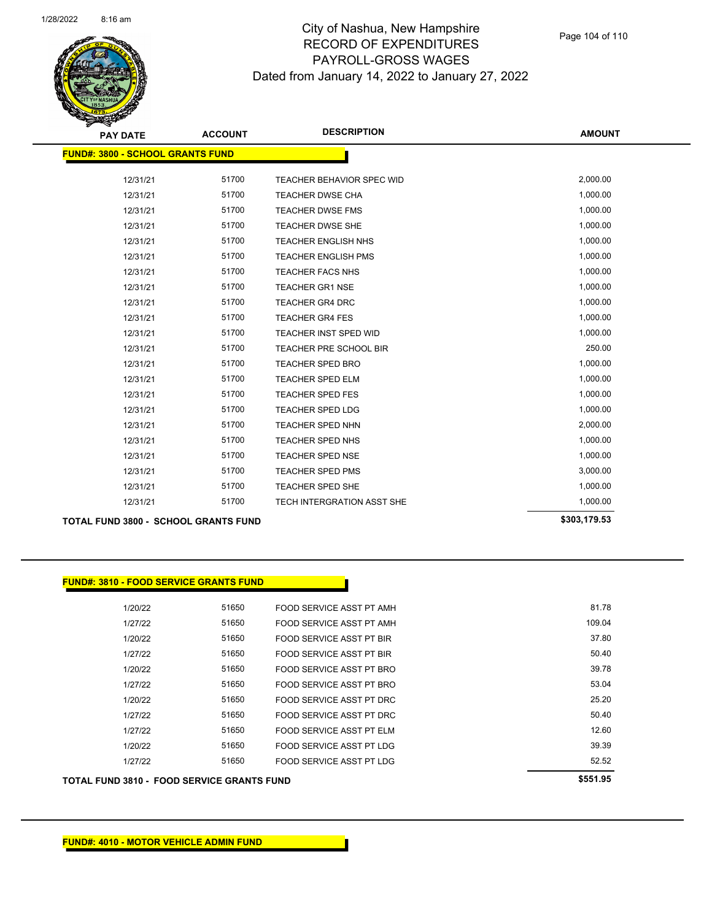

| <b>PAY DATE</b>                             | <b>ACCOUNT</b> | <b>DESCRIPTION</b>         | <b>AMOUNT</b> |
|---------------------------------------------|----------------|----------------------------|---------------|
| <b>FUND#: 3800 - SCHOOL GRANTS FUND</b>     |                |                            |               |
| 12/31/21                                    | 51700          | TEACHER BEHAVIOR SPEC WID  | 2,000.00      |
| 12/31/21                                    | 51700          | TEACHER DWSE CHA           | 1,000.00      |
| 12/31/21                                    | 51700          | <b>TEACHER DWSE FMS</b>    | 1,000.00      |
| 12/31/21                                    | 51700          | <b>TEACHER DWSE SHE</b>    | 1,000.00      |
| 12/31/21                                    | 51700          | TEACHER ENGLISH NHS        | 1,000.00      |
| 12/31/21                                    | 51700          | <b>TEACHER ENGLISH PMS</b> | 1,000.00      |
| 12/31/21                                    | 51700          | TEACHER FACS NHS           | 1,000.00      |
| 12/31/21                                    | 51700          | <b>TEACHER GR1 NSE</b>     | 1,000.00      |
| 12/31/21                                    | 51700          | <b>TEACHER GR4 DRC</b>     | 1,000.00      |
| 12/31/21                                    | 51700          | <b>TEACHER GR4 FES</b>     | 1,000.00      |
| 12/31/21                                    | 51700          | TEACHER INST SPED WID      | 1,000.00      |
| 12/31/21                                    | 51700          | TEACHER PRE SCHOOL BIR     | 250.00        |
| 12/31/21                                    | 51700          | <b>TEACHER SPED BRO</b>    | 1,000.00      |
| 12/31/21                                    | 51700          | TEACHER SPED ELM           | 1,000.00      |
| 12/31/21                                    | 51700          | <b>TEACHER SPED FES</b>    | 1,000.00      |
| 12/31/21                                    | 51700          | TEACHER SPED LDG           | 1,000.00      |
| 12/31/21                                    | 51700          | <b>TEACHER SPED NHN</b>    | 2,000.00      |
| 12/31/21                                    | 51700          | <b>TEACHER SPED NHS</b>    | 1,000.00      |
| 12/31/21                                    | 51700          | <b>TEACHER SPED NSE</b>    | 1,000.00      |
| 12/31/21                                    | 51700          | <b>TEACHER SPED PMS</b>    | 3,000.00      |
| 12/31/21                                    | 51700          | TEACHER SPED SHE           | 1,000.00      |
| 12/31/21                                    | 51700          | TECH INTERGRATION ASST SHE | 1,000.00      |
| <b>TOTAL FUND 3800 - SCHOOL GRANTS FUND</b> |                |                            | \$303,179.53  |

**FUND#: 3810 - FOOD SERVICE GRANTS FUND**

**TOTAL FUND 3810 - FOOD SERVICE GRANTS FUND \$551.95**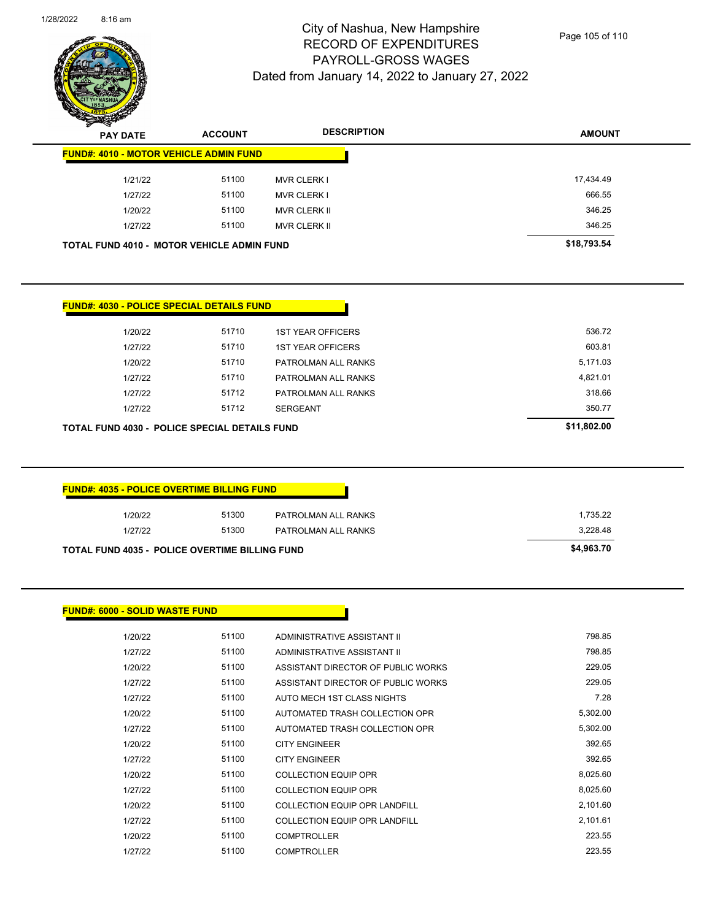

Page 105 of 110

| <b>PAY DATE</b>                                   | <b>ACCOUNT</b> | <b>DESCRIPTION</b>  | <b>AMOUNT</b> |
|---------------------------------------------------|----------------|---------------------|---------------|
| <b>FUND#: 4010 - MOTOR VEHICLE ADMIN FUND</b>     |                |                     |               |
| 1/21/22                                           | 51100          | <b>MVR CLERK I</b>  | 17,434.49     |
| 1/27/22                                           | 51100          | <b>MVR CLERK I</b>  | 666.55        |
| 1/20/22                                           | 51100          | <b>MVR CLERK II</b> | 346.25        |
| 1/27/22                                           | 51100          | <b>MVR CLERK II</b> | 346.25        |
| <b>TOTAL FUND 4010 - MOTOR VEHICLE ADMIN FUND</b> |                |                     | \$18,793.54   |

| <b>FUND#: 4030 - POLICE SPECIAL DETAILS FUND</b> |       |                          |             |
|--------------------------------------------------|-------|--------------------------|-------------|
|                                                  |       |                          |             |
| 1/20/22                                          | 51710 | <b>1ST YEAR OFFICERS</b> | 536.72      |
| 1/27/22                                          | 51710 | <b>1ST YEAR OFFICERS</b> | 603.81      |
| 1/20/22                                          | 51710 | PATROLMAN ALL RANKS      | 5,171.03    |
| 1/27/22                                          | 51710 | PATROLMAN ALL RANKS      | 4,821.01    |
| 1/27/22                                          | 51712 | PATROLMAN ALL RANKS      | 318.66      |
| 1/27/22                                          | 51712 | <b>SERGEANT</b>          | 350.77      |
| TOTAL FUND 4030 - POLICE SPECIAL DETAILS FUND    |       |                          | \$11,802.00 |

| 1/20/22 | 51300 | PATROLMAN ALL RANKS | 1.735.22 |
|---------|-------|---------------------|----------|
| 1/27/22 | 51300 | PATROLMAN ALL RANKS | 3,228.48 |

| 1/20/22 | 51100 | ADMINISTRATIVE ASSISTANT II        | 798.85   |
|---------|-------|------------------------------------|----------|
| 1/27/22 | 51100 | ADMINISTRATIVE ASSISTANT II        | 798.85   |
| 1/20/22 | 51100 | ASSISTANT DIRECTOR OF PUBLIC WORKS | 229.05   |
| 1/27/22 | 51100 | ASSISTANT DIRECTOR OF PUBLIC WORKS | 229.05   |
| 1/27/22 | 51100 | AUTO MECH 1ST CLASS NIGHTS         | 7.28     |
| 1/20/22 | 51100 | AUTOMATED TRASH COLLECTION OPR     | 5,302.00 |
| 1/27/22 | 51100 | AUTOMATED TRASH COLLECTION OPR     | 5,302.00 |
| 1/20/22 | 51100 | <b>CITY ENGINEER</b>               | 392.65   |
| 1/27/22 | 51100 | <b>CITY ENGINEER</b>               | 392.65   |
| 1/20/22 | 51100 | <b>COLLECTION EQUIP OPR</b>        | 8,025.60 |
| 1/27/22 | 51100 | <b>COLLECTION EQUIP OPR</b>        | 8,025.60 |
| 1/20/22 | 51100 | COLLECTION EQUIP OPR LANDFILL      | 2,101.60 |
| 1/27/22 | 51100 | COLLECTION EQUIP OPR LANDFILL      | 2.101.61 |
| 1/20/22 | 51100 | <b>COMPTROLLER</b>                 | 223.55   |
| 1/27/22 | 51100 | <b>COMPTROLLER</b>                 | 223.55   |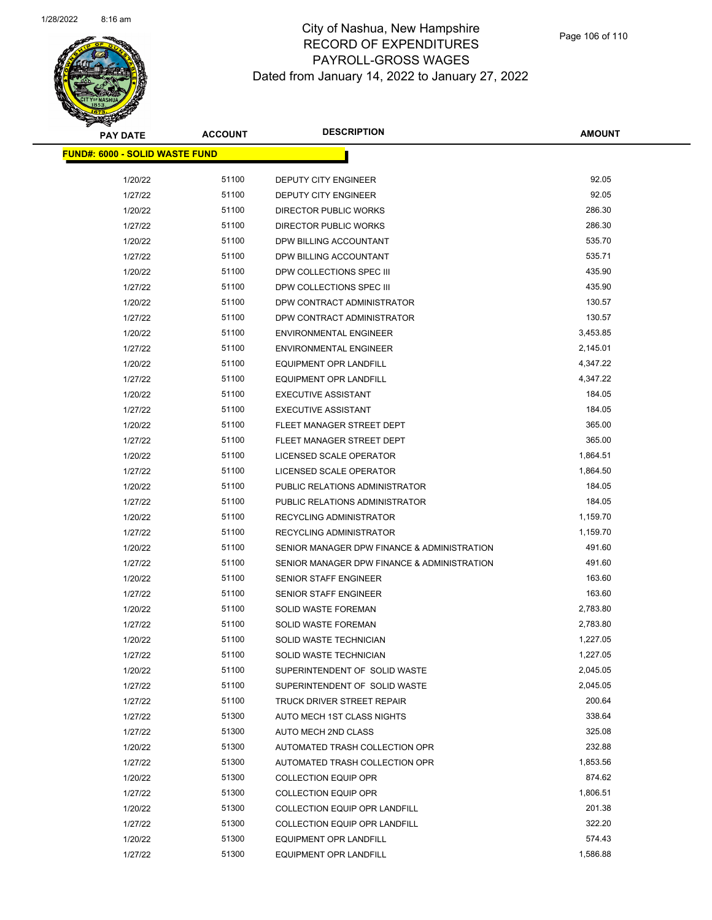

| <b>PAY DATE</b>                        | <b>ACCOUNT</b> | <b>DESCRIPTION</b>                          | <b>AMOUNT</b> |  |
|----------------------------------------|----------------|---------------------------------------------|---------------|--|
| <u> FUND#: 6000 - SOLID WASTE FUND</u> |                |                                             |               |  |
|                                        |                |                                             |               |  |
| 1/20/22                                | 51100          | DEPUTY CITY ENGINEER                        | 92.05         |  |
| 1/27/22                                | 51100          | DEPUTY CITY ENGINEER                        | 92.05         |  |
| 1/20/22                                | 51100          | <b>DIRECTOR PUBLIC WORKS</b>                | 286.30        |  |
| 1/27/22                                | 51100          | <b>DIRECTOR PUBLIC WORKS</b>                | 286.30        |  |
| 1/20/22                                | 51100          | DPW BILLING ACCOUNTANT                      | 535.70        |  |
| 1/27/22                                | 51100          | DPW BILLING ACCOUNTANT                      | 535.71        |  |
| 1/20/22                                | 51100          | DPW COLLECTIONS SPEC III                    | 435.90        |  |
| 1/27/22                                | 51100          | DPW COLLECTIONS SPEC III                    | 435.90        |  |
| 1/20/22                                | 51100          | DPW CONTRACT ADMINISTRATOR                  | 130.57        |  |
| 1/27/22                                | 51100          | DPW CONTRACT ADMINISTRATOR                  | 130.57        |  |
| 1/20/22                                | 51100          | <b>ENVIRONMENTAL ENGINEER</b>               | 3,453.85      |  |
| 1/27/22                                | 51100          | <b>ENVIRONMENTAL ENGINEER</b>               | 2,145.01      |  |
| 1/20/22                                | 51100          | <b>EQUIPMENT OPR LANDFILL</b>               | 4,347.22      |  |
| 1/27/22                                | 51100          | <b>EQUIPMENT OPR LANDFILL</b>               | 4,347.22      |  |
| 1/20/22                                | 51100          | <b>EXECUTIVE ASSISTANT</b>                  | 184.05        |  |
| 1/27/22                                | 51100          | <b>EXECUTIVE ASSISTANT</b>                  | 184.05        |  |
| 1/20/22                                | 51100          | FLEET MANAGER STREET DEPT                   | 365.00        |  |
| 1/27/22                                | 51100          | FLEET MANAGER STREET DEPT                   | 365.00        |  |
| 1/20/22                                | 51100          | LICENSED SCALE OPERATOR                     | 1,864.51      |  |
| 1/27/22                                | 51100          | LICENSED SCALE OPERATOR                     | 1,864.50      |  |
| 1/20/22                                | 51100          | PUBLIC RELATIONS ADMINISTRATOR              | 184.05        |  |
| 1/27/22                                | 51100          | PUBLIC RELATIONS ADMINISTRATOR              | 184.05        |  |
| 1/20/22                                | 51100          | RECYCLING ADMINISTRATOR                     | 1,159.70      |  |
| 1/27/22                                | 51100          | RECYCLING ADMINISTRATOR                     | 1,159.70      |  |
| 1/20/22                                | 51100          | SENIOR MANAGER DPW FINANCE & ADMINISTRATION | 491.60        |  |
| 1/27/22                                | 51100          | SENIOR MANAGER DPW FINANCE & ADMINISTRATION | 491.60        |  |
| 1/20/22                                | 51100          | <b>SENIOR STAFF ENGINEER</b>                | 163.60        |  |
| 1/27/22                                | 51100          | <b>SENIOR STAFF ENGINEER</b>                | 163.60        |  |
| 1/20/22                                | 51100          | <b>SOLID WASTE FOREMAN</b>                  | 2,783.80      |  |
| 1/27/22                                | 51100          | <b>SOLID WASTE FOREMAN</b>                  | 2,783.80      |  |
| 1/20/22                                | 51100          | SOLID WASTE TECHNICIAN                      | 1,227.05      |  |
| 1/27/22                                | 51100          | SOLID WASTE TECHNICIAN                      | 1,227.05      |  |
| 1/20/22                                | 51100          | SUPERINTENDENT OF SOLID WASTE               | 2,045.05      |  |
| 1/27/22                                | 51100          | SUPERINTENDENT OF SOLID WASTE               | 2,045.05      |  |
| 1/27/22                                | 51100          | TRUCK DRIVER STREET REPAIR                  | 200.64        |  |
| 1/27/22                                | 51300          | AUTO MECH 1ST CLASS NIGHTS                  | 338.64        |  |
| 1/27/22                                | 51300          | AUTO MECH 2ND CLASS                         | 325.08        |  |
| 1/20/22                                | 51300          | AUTOMATED TRASH COLLECTION OPR              | 232.88        |  |
| 1/27/22                                | 51300          | AUTOMATED TRASH COLLECTION OPR              | 1,853.56      |  |
| 1/20/22                                | 51300          | <b>COLLECTION EQUIP OPR</b>                 | 874.62        |  |
| 1/27/22                                | 51300          | <b>COLLECTION EQUIP OPR</b>                 | 1,806.51      |  |
| 1/20/22                                | 51300          | COLLECTION EQUIP OPR LANDFILL               | 201.38        |  |
| 1/27/22                                | 51300          | <b>COLLECTION EQUIP OPR LANDFILL</b>        | 322.20        |  |
| 1/20/22                                | 51300          | <b>EQUIPMENT OPR LANDFILL</b>               | 574.43        |  |
| 1/27/22                                | 51300          | <b>EQUIPMENT OPR LANDFILL</b>               | 1,586.88      |  |
|                                        |                |                                             |               |  |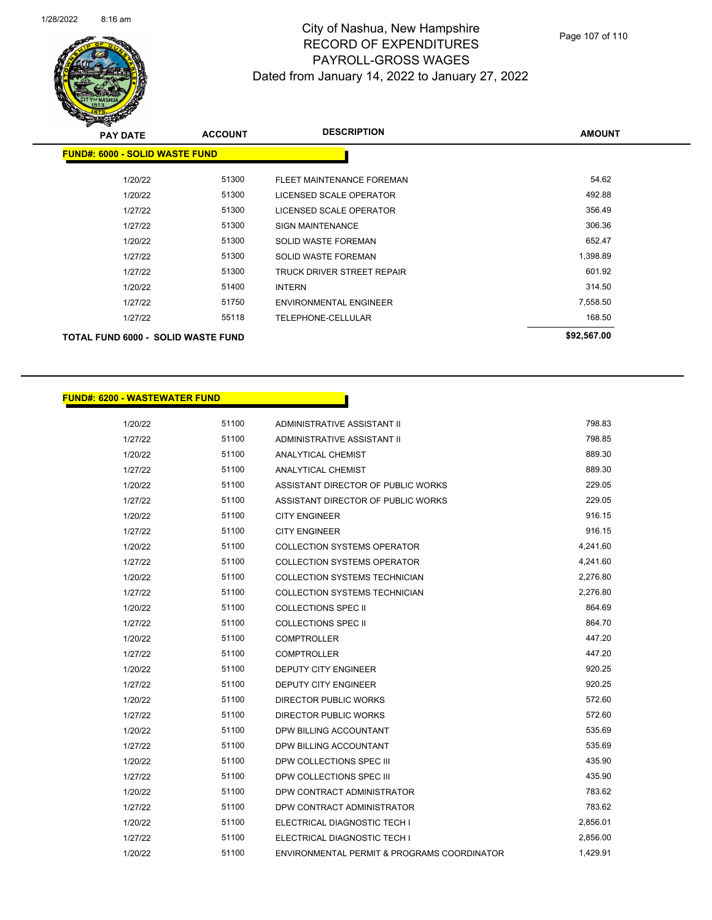

| <b>PAY DATE</b>                           | <b>ACCOUNT</b> | <b>DESCRIPTION</b>            | <b>AMOUNT</b> |  |  |
|-------------------------------------------|----------------|-------------------------------|---------------|--|--|
| <b>FUND#: 6000 - SOLID WASTE FUND</b>     |                |                               |               |  |  |
| 1/20/22                                   | 51300          | FLEET MAINTENANCE FOREMAN     | 54.62         |  |  |
| 1/20/22                                   | 51300          | LICENSED SCALE OPERATOR       | 492.88        |  |  |
| 1/27/22                                   | 51300          | LICENSED SCALE OPERATOR       | 356.49        |  |  |
| 1/27/22                                   | 51300          | <b>SIGN MAINTENANCE</b>       | 306.36        |  |  |
| 1/20/22                                   | 51300          | <b>SOLID WASTE FOREMAN</b>    | 652.47        |  |  |
| 1/27/22                                   | 51300          | <b>SOLID WASTE FOREMAN</b>    | 1,398.89      |  |  |
| 1/27/22                                   | 51300          | TRUCK DRIVER STREET REPAIR    | 601.92        |  |  |
| 1/20/22                                   | 51400          | <b>INTERN</b>                 | 314.50        |  |  |
| 1/27/22                                   | 51750          | <b>ENVIRONMENTAL ENGINEER</b> | 7,558.50      |  |  |
| 1/27/22                                   | 55118          | TELEPHONE-CELLULAR            | 168.50        |  |  |
| <b>TOTAL FUND 6000 - SOLID WASTE FUND</b> |                | \$92,567.00                   |               |  |  |

#### **FUND#: 6200 - WASTEWATER FUND**

| 1/20/22 | 51100 | ADMINISTRATIVE ASSISTANT II                 | 798.83   |
|---------|-------|---------------------------------------------|----------|
| 1/27/22 | 51100 | <b>ADMINISTRATIVE ASSISTANT II</b>          | 798.85   |
| 1/20/22 | 51100 | <b>ANALYTICAL CHEMIST</b>                   | 889.30   |
| 1/27/22 | 51100 | <b>ANALYTICAL CHEMIST</b>                   | 889.30   |
| 1/20/22 | 51100 | ASSISTANT DIRECTOR OF PUBLIC WORKS          | 229.05   |
| 1/27/22 | 51100 | ASSISTANT DIRECTOR OF PUBLIC WORKS          | 229.05   |
| 1/20/22 | 51100 | <b>CITY ENGINEER</b>                        | 916.15   |
| 1/27/22 | 51100 | <b>CITY ENGINEER</b>                        | 916.15   |
| 1/20/22 | 51100 | <b>COLLECTION SYSTEMS OPERATOR</b>          | 4,241.60 |
| 1/27/22 | 51100 | <b>COLLECTION SYSTEMS OPERATOR</b>          | 4,241.60 |
| 1/20/22 | 51100 | COLLECTION SYSTEMS TECHNICIAN               | 2,276.80 |
| 1/27/22 | 51100 | <b>COLLECTION SYSTEMS TECHNICIAN</b>        | 2,276.80 |
| 1/20/22 | 51100 | <b>COLLECTIONS SPEC II</b>                  | 864.69   |
| 1/27/22 | 51100 | <b>COLLECTIONS SPEC II</b>                  | 864.70   |
| 1/20/22 | 51100 | <b>COMPTROLLER</b>                          | 447.20   |
| 1/27/22 | 51100 | <b>COMPTROLLER</b>                          | 447.20   |
| 1/20/22 | 51100 | <b>DEPUTY CITY ENGINEER</b>                 | 920.25   |
| 1/27/22 | 51100 | <b>DEPUTY CITY ENGINEER</b>                 | 920.25   |
| 1/20/22 | 51100 | <b>DIRECTOR PUBLIC WORKS</b>                | 572.60   |
| 1/27/22 | 51100 | <b>DIRECTOR PUBLIC WORKS</b>                | 572.60   |
| 1/20/22 | 51100 | DPW BILLING ACCOUNTANT                      | 535.69   |
| 1/27/22 | 51100 | DPW BILLING ACCOUNTANT                      | 535.69   |
| 1/20/22 | 51100 | DPW COLLECTIONS SPEC III                    | 435.90   |
| 1/27/22 | 51100 | DPW COLLECTIONS SPEC III                    | 435.90   |
| 1/20/22 | 51100 | DPW CONTRACT ADMINISTRATOR                  | 783.62   |
| 1/27/22 | 51100 | DPW CONTRACT ADMINISTRATOR                  | 783.62   |
| 1/20/22 | 51100 | ELECTRICAL DIAGNOSTIC TECH I                | 2,856.01 |
| 1/27/22 | 51100 | ELECTRICAL DIAGNOSTIC TECH I                | 2,856.00 |
| 1/20/22 | 51100 | ENVIRONMENTAL PERMIT & PROGRAMS COORDINATOR | 1,429.91 |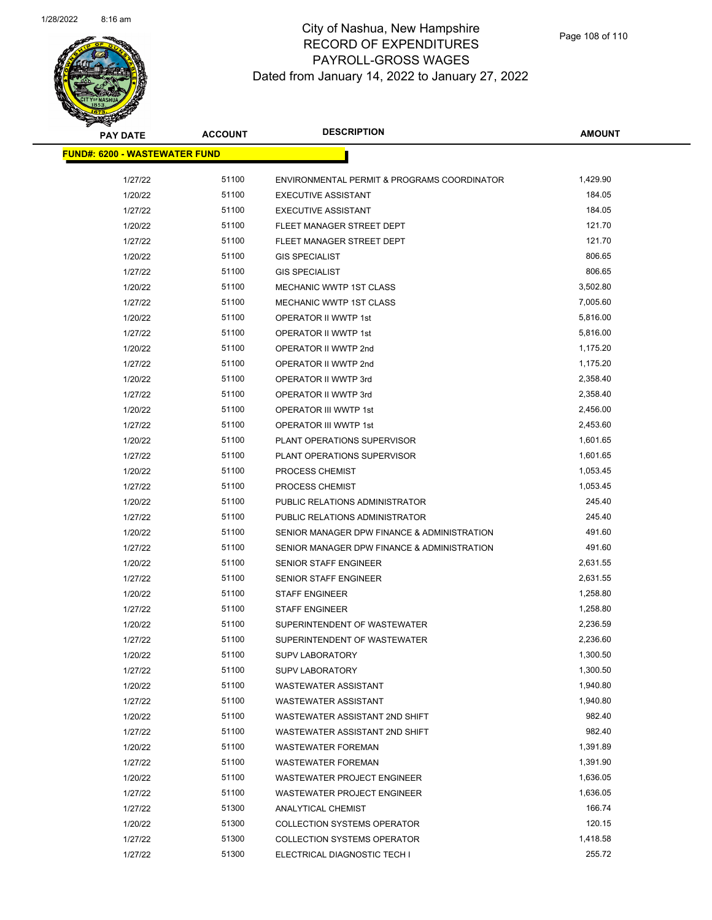

| <b>PAY DATE</b>                       | <b>ACCOUNT</b> | <b>DESCRIPTION</b>                          | <b>AMOUNT</b> |
|---------------------------------------|----------------|---------------------------------------------|---------------|
| <u> FUND#: 6200 - WASTEWATER FUND</u> |                |                                             |               |
|                                       |                |                                             |               |
| 1/27/22                               | 51100          | ENVIRONMENTAL PERMIT & PROGRAMS COORDINATOR | 1,429.90      |
| 1/20/22                               | 51100          | <b>EXECUTIVE ASSISTANT</b>                  | 184.05        |
| 1/27/22                               | 51100          | <b>EXECUTIVE ASSISTANT</b>                  | 184.05        |
| 1/20/22                               | 51100          | FLEET MANAGER STREET DEPT                   | 121.70        |
| 1/27/22                               | 51100          | FLEET MANAGER STREET DEPT                   | 121.70        |
| 1/20/22                               | 51100          | <b>GIS SPECIALIST</b>                       | 806.65        |
| 1/27/22                               | 51100          | <b>GIS SPECIALIST</b>                       | 806.65        |
| 1/20/22                               | 51100          | <b>MECHANIC WWTP 1ST CLASS</b>              | 3,502.80      |
| 1/27/22                               | 51100          | <b>MECHANIC WWTP 1ST CLASS</b>              | 7,005.60      |
| 1/20/22                               | 51100          | OPERATOR II WWTP 1st                        | 5,816.00      |
| 1/27/22                               | 51100          | OPERATOR II WWTP 1st                        | 5,816.00      |
| 1/20/22                               | 51100          | OPERATOR II WWTP 2nd                        | 1,175.20      |
| 1/27/22                               | 51100          | OPERATOR II WWTP 2nd                        | 1,175.20      |
| 1/20/22                               | 51100          | OPERATOR II WWTP 3rd                        | 2,358.40      |
| 1/27/22                               | 51100          | OPERATOR II WWTP 3rd                        | 2,358.40      |
| 1/20/22                               | 51100          | <b>OPERATOR III WWTP 1st</b>                | 2,456.00      |
| 1/27/22                               | 51100          | OPERATOR III WWTP 1st                       | 2,453.60      |
| 1/20/22                               | 51100          | PLANT OPERATIONS SUPERVISOR                 | 1,601.65      |
| 1/27/22                               | 51100          | PLANT OPERATIONS SUPERVISOR                 | 1,601.65      |
| 1/20/22                               | 51100          | PROCESS CHEMIST                             | 1,053.45      |
| 1/27/22                               | 51100          | PROCESS CHEMIST                             | 1,053.45      |
| 1/20/22                               | 51100          | PUBLIC RELATIONS ADMINISTRATOR              | 245.40        |
| 1/27/22                               | 51100          | PUBLIC RELATIONS ADMINISTRATOR              | 245.40        |
| 1/20/22                               | 51100          | SENIOR MANAGER DPW FINANCE & ADMINISTRATION | 491.60        |
| 1/27/22                               | 51100          | SENIOR MANAGER DPW FINANCE & ADMINISTRATION | 491.60        |
| 1/20/22                               | 51100          | SENIOR STAFF ENGINEER                       | 2,631.55      |
| 1/27/22                               | 51100          | SENIOR STAFF ENGINEER                       | 2,631.55      |
| 1/20/22                               | 51100          | <b>STAFF ENGINEER</b>                       | 1,258.80      |
| 1/27/22                               | 51100          | <b>STAFF ENGINEER</b>                       | 1,258.80      |
| 1/20/22                               | 51100          | SUPERINTENDENT OF WASTEWATER                | 2,236.59      |
| 1/27/22                               | 51100          | SUPERINTENDENT OF WASTEWATER                | 2,236.60      |
| 1/20/22                               | 51100          | <b>SUPV LABORATORY</b>                      | 1,300.50      |
| 1/27/22                               | 51100          | <b>SUPV LABORATORY</b>                      | 1,300.50      |
| 1/20/22                               | 51100          | <b>WASTEWATER ASSISTANT</b>                 | 1,940.80      |
| 1/27/22                               | 51100          | <b>WASTEWATER ASSISTANT</b>                 | 1,940.80      |
| 1/20/22                               | 51100          | WASTEWATER ASSISTANT 2ND SHIFT              | 982.40        |
| 1/27/22                               | 51100          | WASTEWATER ASSISTANT 2ND SHIFT              | 982.40        |
| 1/20/22                               | 51100          | <b>WASTEWATER FOREMAN</b>                   | 1,391.89      |
| 1/27/22                               | 51100          | <b>WASTEWATER FOREMAN</b>                   | 1,391.90      |
| 1/20/22                               | 51100          | <b>WASTEWATER PROJECT ENGINEER</b>          | 1,636.05      |
| 1/27/22                               | 51100          | WASTEWATER PROJECT ENGINEER                 | 1,636.05      |
| 1/27/22                               | 51300          | ANALYTICAL CHEMIST                          | 166.74        |
| 1/20/22                               | 51300          | <b>COLLECTION SYSTEMS OPERATOR</b>          | 120.15        |
| 1/27/22                               | 51300          | <b>COLLECTION SYSTEMS OPERATOR</b>          | 1,418.58      |
| 1/27/22                               | 51300          | ELECTRICAL DIAGNOSTIC TECH I                | 255.72        |
|                                       |                |                                             |               |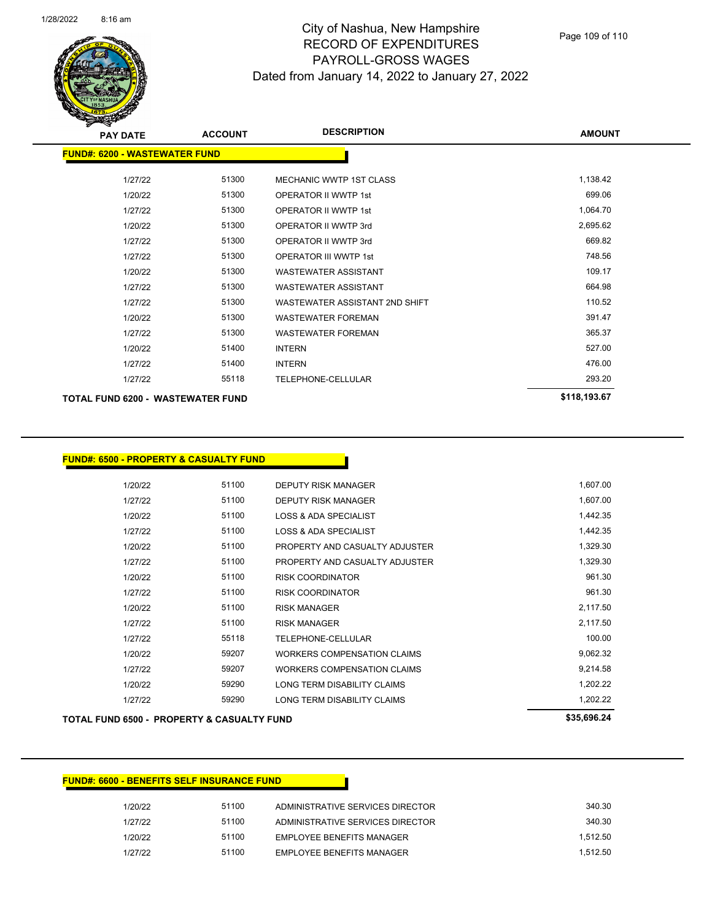

## City of Nashua, New Hampshire RECORD OF EXPENDITURES PAYROLL-GROSS WAGES Dated from January 14, 2022 to January 27, 2022

| <b>PAY DATE</b>                      | <b>ACCOUNT</b> | <b>DESCRIPTION</b>             | <b>AMOUNT</b> |
|--------------------------------------|----------------|--------------------------------|---------------|
| <b>FUND#: 6200 - WASTEWATER FUND</b> |                |                                |               |
| 1/27/22                              | 51300          | <b>MECHANIC WWTP 1ST CLASS</b> | 1,138.42      |
| 1/20/22                              | 51300          | <b>OPERATOR II WWTP 1st</b>    | 699.06        |
| 1/27/22                              | 51300          | <b>OPERATOR II WWTP 1st</b>    | 1,064.70      |
| 1/20/22                              | 51300          | OPERATOR II WWTP 3rd           | 2,695.62      |
| 1/27/22                              | 51300          | OPERATOR II WWTP 3rd           | 669.82        |
| 1/27/22                              | 51300          | <b>OPERATOR III WWTP 1st</b>   | 748.56        |
| 1/20/22                              | 51300          | <b>WASTEWATER ASSISTANT</b>    | 109.17        |
| 1/27/22                              | 51300          | <b>WASTEWATER ASSISTANT</b>    | 664.98        |
| 1/27/22                              | 51300          | WASTEWATER ASSISTANT 2ND SHIFT | 110.52        |
| 1/20/22                              | 51300          | <b>WASTEWATER FOREMAN</b>      | 391.47        |
| 1/27/22                              | 51300          | <b>WASTEWATER FOREMAN</b>      | 365.37        |
| 1/20/22                              | 51400          | <b>INTERN</b>                  | 527.00        |
| 1/27/22                              | 51400          | <b>INTERN</b>                  | 476.00        |
| 1/27/22                              | 55118          | TELEPHONE-CELLULAR             | 293.20        |
| TOTAL FUND 6200 - WASTEWATER FUND    | \$118,193.67   |                                |               |

**FUND#: 6500 - PROPERTY & CASUALTY FUND**

|         |       |                                  | est coc sa |
|---------|-------|----------------------------------|------------|
| 1/27/22 | 59290 | LONG TERM DISABILITY CLAIMS      | 1,202.22   |
| 1/20/22 | 59290 | LONG TERM DISABILITY CLAIMS      | 1.202.22   |
| 1/27/22 | 59207 | WORKERS COMPENSATION CLAIMS      | 9,214.58   |
| 1/20/22 | 59207 | WORKERS COMPENSATION CLAIMS      | 9,062.32   |
| 1/27/22 | 55118 | TELEPHONE-CELLULAR               | 100.00     |
| 1/27/22 | 51100 | <b>RISK MANAGER</b>              | 2,117.50   |
| 1/20/22 | 51100 | <b>RISK MANAGER</b>              | 2,117.50   |
| 1/27/22 | 51100 | <b>RISK COORDINATOR</b>          | 961.30     |
| 1/20/22 | 51100 | <b>RISK COORDINATOR</b>          | 961.30     |
| 1/27/22 | 51100 | PROPERTY AND CASUALTY ADJUSTER   | 1,329.30   |
| 1/20/22 | 51100 | PROPERTY AND CASUALTY ADJUSTER   | 1,329.30   |
| 1/27/22 | 51100 | <b>LOSS &amp; ADA SPECIALIST</b> | 1,442.35   |
| 1/20/22 | 51100 | <b>LOSS &amp; ADA SPECIALIST</b> | 1,442.35   |
| 1/27/22 | 51100 | <b>DEPUTY RISK MANAGER</b>       | 1,607.00   |
| 1/20/22 | 51100 | DEPUTY RISK MANAGER              | 1,607.00   |
|         |       |                                  |            |

**TOTAL FUND 6500 - PROPERTY & CASUALTY FUND \$35,696.24** 

## **FUND#: 6600 - BENEFITS SELF INSURANCE FUND**

| 1/20/22 | 51100 | ADMINISTRATIVE SERVICES DIRECTOR | 340.30   |
|---------|-------|----------------------------------|----------|
| 1/27/22 | 51100 | ADMINISTRATIVE SERVICES DIRECTOR | 340.30   |
| 1/20/22 | 51100 | <b>EMPLOYEE BENEEITS MANAGER</b> | 1.512.50 |
| 1/27/22 | 51100 | <b>EMPLOYEE BENEEITS MANAGER</b> | 1.512.50 |